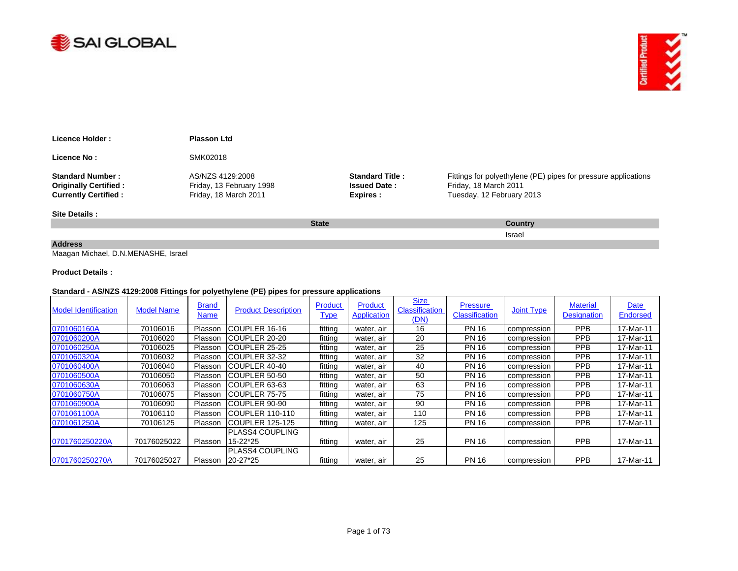



| Licence Holder:              | <b>Plasson Ltd</b>       |                        |                                                                |
|------------------------------|--------------------------|------------------------|----------------------------------------------------------------|
| Licence No:                  | SMK02018                 |                        |                                                                |
| <b>Standard Number:</b>      | AS/NZS 4129:2008         | <b>Standard Title:</b> | Fittings for polyethylene (PE) pipes for pressure applications |
| <b>Originally Certified:</b> | Friday, 13 February 1998 | <b>Issued Date:</b>    | Friday, 18 March 2011                                          |
| <b>Currently Certified:</b>  | Friday, 18 March 2011    | Expires :              | Tuesday, 12 February 2013                                      |
| Site Details:                |                          |                        |                                                                |
|                              |                          | <b>State</b>           | <b>Country</b>                                                 |

Israel

## **Address**

Maagan Michael, D.N.MENASHE, Israel

## **Product Details :**

## **Standard - AS/NZS 4129:2008 Fittings for polyethylene (PE) pipes for pressure applications**

| <b>Model Identification</b> | <b>Model Name</b> | <b>Brand</b><br><b>Name</b> | <b>Product Description</b> | Product<br><b>Type</b> | Product<br><b>Application</b> | <b>Size</b><br><b>Classification</b><br>(DN) | <b>Pressure</b><br><b>Classification</b> | Joint Type  | <b>Material</b><br><b>Designation</b> | Date<br><b>Endorsed</b> |
|-----------------------------|-------------------|-----------------------------|----------------------------|------------------------|-------------------------------|----------------------------------------------|------------------------------------------|-------------|---------------------------------------|-------------------------|
| 0701060160A                 | 70106016          | Plasson                     | ICOUPLER 16-16             | fittina                | water, air                    | 16                                           | <b>PN 16</b>                             | compression | <b>PPB</b>                            | 17-Mar-11               |
| 0701060200A                 | 70106020          | Plasson                     | ICOUPLER 20-20             | fittina                | water, air                    | 20                                           | <b>PN 16</b>                             | compression | <b>PPB</b>                            | 17-Mar-11               |
| 0701060250A                 | 70106025          | Plasson                     | ICOUPLER 25-25             | fittina                | water, air                    | 25                                           | <b>PN 16</b>                             | compression | <b>PPB</b>                            | 17-Mar-11               |
| 0701060320A                 | 70106032          | Plasson                     | ICOUPLER 32-32             | fitting                | water, air                    | 32                                           | <b>PN 16</b>                             | compression | <b>PPB</b>                            | 17-Mar-11               |
| 0701060400A                 | 70106040          | Plasson                     | ICOUPLER 40-40             | fitting                | water, air                    | 40                                           | <b>PN 16</b>                             | compression | <b>PPB</b>                            | 17-Mar-11               |
| 0701060500A                 | 70106050          | Plasson                     | COUPLER 50-50              | fitting                | water, air                    | 50                                           | <b>PN 16</b>                             | compression | <b>PPB</b>                            | 17-Mar-11               |
| 0701060630A                 | 70106063          | Plasson                     | ICOUPLER 63-63             | fitting                | water, air                    | 63                                           | <b>PN 16</b>                             | compression | <b>PPB</b>                            | 17-Mar-11               |
| 0701060750A                 | 70106075          | Plasson                     | ICOUPLER 75-75             | fittina                | water, air                    | 75                                           | <b>PN 16</b>                             | compression | <b>PPB</b>                            | 17-Mar-11               |
| 0701060900A                 | 70106090          | Plasson                     | COUPLER 90-90              | fitting                | water, air                    | 90                                           | <b>PN 16</b>                             | compression | <b>PPB</b>                            | 17-Mar-11               |
| 0701061100A                 | 70106110          | Plasson                     | ICOUPLER 110-110           | fittina                | water, air                    | 110                                          | <b>PN 16</b>                             | compression | <b>PPB</b>                            | 17-Mar-11               |
| 0701061250A                 | 70106125          | Plasson                     | ICOUPLER 125-125           | fitting                | water, air                    | 125                                          | <b>PN 16</b>                             | compression | <b>PPB</b>                            | 17-Mar-11               |
|                             |                   |                             | PLASS4 COUPLING            |                        |                               |                                              |                                          |             |                                       |                         |
| 0701760250220A              | 70176025022       | Plasson                     | 15-22*25                   | fitting                | water, air                    | 25                                           | <b>PN 16</b>                             | compression | <b>PPB</b>                            | 17-Mar-11               |
|                             |                   |                             | PLASS4 COUPLING            |                        |                               |                                              |                                          |             |                                       |                         |
| 0701760250270A              | 70176025027       | Plasson                     | 20-27*25                   | fitting                | water, air                    | 25                                           | <b>PN 16</b>                             | compression | <b>PPB</b>                            | 17-Mar-11               |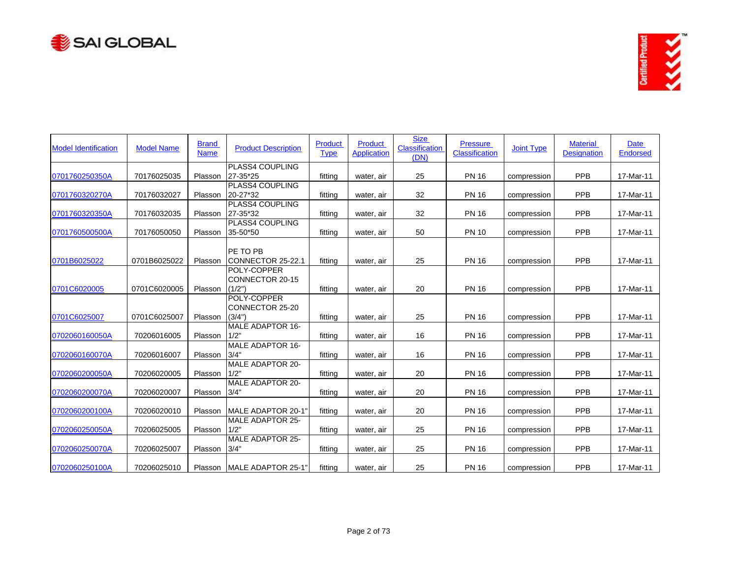



| <b>Model Identification</b> | <b>Model Name</b> | <b>Brand</b><br><b>Name</b> | <b>Product Description</b>      | Product<br><b>Type</b> | Product<br><b>Application</b> | <b>Size</b><br>Classification<br>(DN) | <b>Pressure</b><br><b>Classification</b> | <b>Joint Type</b> | <b>Material</b><br><b>Designation</b> | <b>Date</b><br>Endorsed |
|-----------------------------|-------------------|-----------------------------|---------------------------------|------------------------|-------------------------------|---------------------------------------|------------------------------------------|-------------------|---------------------------------------|-------------------------|
| 0701760250350A              | 70176025035       | Plasson                     | PLASS4 COUPLING<br>27-35*25     | fitting                | water, air                    | 25                                    | <b>PN 16</b>                             | compression       | <b>PPB</b>                            | 17-Mar-11               |
|                             |                   |                             | PLASS4 COUPLING                 |                        |                               |                                       |                                          |                   |                                       |                         |
| 0701760320270A              | 70176032027       | Plasson                     | 20-27*32                        | fitting                | water, air                    | 32                                    | <b>PN 16</b>                             | compression       | PPB                                   | 17-Mar-11               |
|                             |                   |                             | <b>PLASS4 COUPLING</b>          |                        |                               |                                       |                                          |                   |                                       |                         |
| 0701760320350A              | 70176032035       | Plasson                     | 27-35*32                        | fitting                | water, air                    | 32                                    | <b>PN 16</b>                             | compression       | PPB                                   | 17-Mar-11               |
|                             |                   |                             | <b>PLASS4 COUPLING</b>          |                        |                               |                                       |                                          |                   | PPB                                   |                         |
| 0701760500500A              | 70176050050       | Plasson                     | 35-50*50                        | fitting                | water, air                    | 50                                    | <b>PN 10</b>                             | compression       |                                       | 17-Mar-11               |
|                             |                   |                             | PE TO PB                        |                        |                               |                                       |                                          |                   |                                       |                         |
| 0701B6025022                | 0701B6025022      | Plasson                     | CONNECTOR 25-22.1               | fitting                | water, air                    | 25                                    | <b>PN 16</b>                             | compression       | PPB                                   | 17-Mar-11               |
|                             |                   |                             | POLY-COPPER                     |                        |                               |                                       |                                          |                   |                                       |                         |
|                             |                   |                             | <b>CONNECTOR 20-15</b>          |                        |                               |                                       |                                          |                   |                                       |                         |
| 0701C6020005                | 0701C6020005      | Plasson                     | (1/2")                          | fitting                | water, air                    | 20                                    | <b>PN 16</b>                             | compression       | PPB                                   | 17-Mar-11               |
|                             |                   |                             | POLY-COPPER                     |                        |                               |                                       |                                          |                   |                                       |                         |
|                             |                   |                             | CONNECTOR 25-20                 |                        |                               |                                       |                                          |                   |                                       |                         |
| 0701C6025007                | 0701C6025007      | Plasson                     | (3/4")                          | fitting                | water, air                    | 25                                    | <b>PN 16</b>                             | compression       | <b>PPB</b>                            | 17-Mar-11               |
|                             |                   |                             | MALE ADAPTOR 16-                |                        |                               |                                       |                                          |                   |                                       |                         |
| 0702060160050A              | 70206016005       | Plasson                     | 1/2"                            | fitting                | water, air                    | 16                                    | <b>PN 16</b>                             | compression       | PPB                                   | 17-Mar-11               |
|                             |                   |                             | <b>MALE ADAPTOR 16-</b>         |                        |                               |                                       |                                          |                   |                                       |                         |
| 0702060160070A              | 70206016007       | Plasson                     | 3/4"                            | fitting                | water, air                    | 16                                    | <b>PN 16</b>                             | compression       | PPB                                   | 17-Mar-11               |
|                             |                   |                             | <b>MALE ADAPTOR 20-</b>         |                        |                               |                                       |                                          |                   |                                       |                         |
| 0702060200050A              | 70206020005       | Plasson                     | 1/2"                            | fitting                | water, air                    | 20                                    | <b>PN 16</b>                             | compression       | PPB                                   | 17-Mar-11               |
|                             |                   |                             | <b>MALE ADAPTOR 20-</b>         |                        |                               |                                       |                                          |                   |                                       |                         |
| 0702060200070A              | 70206020007       | Plasson                     | 3/4"                            | fitting                | water, air                    | 20                                    | <b>PN 16</b>                             | compression       | PPB                                   | 17-Mar-11               |
|                             |                   |                             |                                 |                        |                               |                                       |                                          |                   |                                       |                         |
| 0702060200100A              | 70206020010       | Plasson                     | MALE ADAPTOR 20-1               | fitting                | water, air                    | 20                                    | <b>PN 16</b>                             | compression       | <b>PPB</b>                            | 17-Mar-11               |
|                             |                   |                             | <b>MALE ADAPTOR 25-</b>         |                        |                               |                                       |                                          |                   |                                       |                         |
| 0702060250050A              | 70206025005       | Plasson                     | 1/2"                            | fitting                | water, air                    | 25                                    | <b>PN 16</b>                             | compression       | PPB                                   | 17-Mar-11               |
|                             |                   |                             | <b>MALE ADAPTOR 25-</b><br>3/4" |                        |                               |                                       |                                          |                   | PPB                                   |                         |
| 0702060250070A              | 70206025007       | Plasson                     |                                 | fitting                | water, air                    | 25                                    | <b>PN 16</b>                             | compression       |                                       | 17-Mar-11               |
| 0702060250100A              | 70206025010       | Plasson                     | MALE ADAPTOR 25-1               | fitting                | water, air                    | 25                                    | <b>PN 16</b>                             | compression       | PPB                                   | 17-Mar-11               |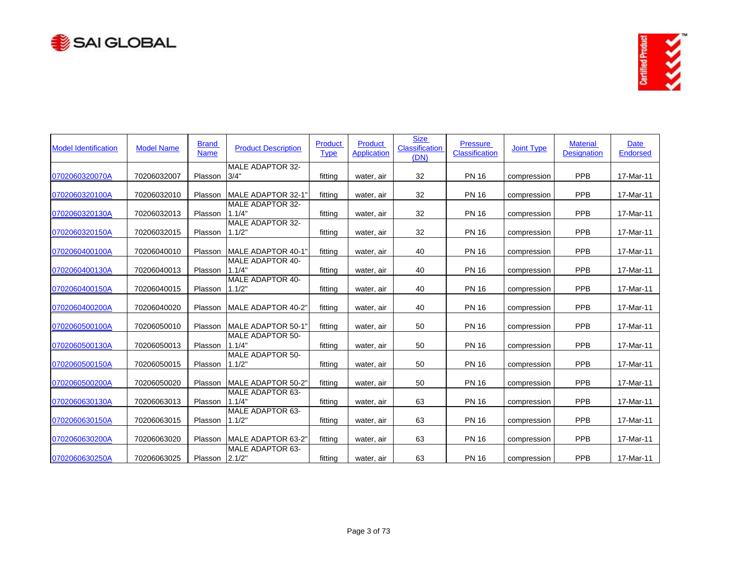



| <b>Model Identification</b> | <b>Model Name</b> | <b>Brand</b><br><b>Name</b> | <b>Product Description</b>        | Product<br><b>Type</b> | Product<br><b>Application</b> | <b>Size</b><br>Classification<br>(DN) | <b>Pressure</b><br>Classification | <b>Joint Type</b> | <b>Material</b><br><b>Designation</b> | Date<br><b>Endorsed</b> |
|-----------------------------|-------------------|-----------------------------|-----------------------------------|------------------------|-------------------------------|---------------------------------------|-----------------------------------|-------------------|---------------------------------------|-------------------------|
| 0702060320070A              | 70206032007       | Plasson                     | <b>MALE ADAPTOR 32-</b><br>3/4"   | fitting                | water, air                    | 32                                    | <b>PN 16</b>                      | compression       | <b>PPB</b>                            | 17-Mar-11               |
| 0702060320100A              | 70206032010       | Plasson                     | MALE ADAPTOR 32-1'                | fitting                | water, air                    | 32                                    | <b>PN 16</b>                      | compression       | <b>PPB</b>                            | 17-Mar-11               |
| 0702060320130A              | 70206032013       | Plasson                     | <b>MALE ADAPTOR 32-</b><br>1.1/4" | fitting                | water, air                    | 32                                    | <b>PN 16</b>                      | compression       | PPB                                   | 17-Mar-11               |
| 0702060320150A              | 70206032015       | Plasson                     | <b>MALE ADAPTOR 32-</b><br>1.1/2" | fitting                | water, air                    | 32                                    | <b>PN 16</b>                      | compression       | PPB                                   | 17-Mar-11               |
| 0702060400100A              | 70206040010       | Plasson                     | MALE ADAPTOR 40-1                 | fitting                | water, air                    | 40                                    | <b>PN 16</b>                      | compression       | <b>PPB</b>                            | 17-Mar-11               |
| 0702060400130A              | 70206040013       | Plasson                     | <b>MALE ADAPTOR 40-</b><br>1.1/4" | fitting                | water, air                    | 40                                    | <b>PN 16</b>                      | compression       | PPB                                   | 17-Mar-11               |
| 0702060400150A              | 70206040015       | Plasson                     | <b>MALE ADAPTOR 40-</b><br>1.1/2" | fitting                | water, air                    | 40                                    | <b>PN 16</b>                      | compression       | PPB                                   | 17-Mar-11               |
| 0702060400200A              | 70206040020       | Plasson                     | MALE ADAPTOR 40-2"                | fitting                | water, air                    | 40                                    | <b>PN 16</b>                      | compression       | <b>PPB</b>                            | 17-Mar-11               |
| 0702060500100A              | 70206050010       | Plasson                     | MALE ADAPTOR 50-1                 | fitting                | water, air                    | 50                                    | <b>PN 16</b>                      | compression       | <b>PPB</b>                            | 17-Mar-11               |
| 0702060500130A              | 70206050013       | Plasson                     | <b>MALE ADAPTOR 50-</b><br>1.1/4" | fitting                | water, air                    | 50                                    | <b>PN 16</b>                      | compression       | PPB                                   | 17-Mar-11               |
| 0702060500150A              | 70206050015       | Plasson                     | <b>MALE ADAPTOR 50-</b><br>1.1/2" | fitting                | water, air                    | 50                                    | <b>PN 16</b>                      | compression       | PPB                                   | 17-Mar-11               |
| 0702060500200A              | 70206050020       | Plasson                     | <b>MALE ADAPTOR 50-2"</b>         | fitting                | water, air                    | 50                                    | <b>PN 16</b>                      | compression       | PPB                                   | 17-Mar-11               |
| 0702060630130A              | 70206063013       | Plasson                     | MALE ADAPTOR 63-<br>1.1/4"        | fitting                | water, air                    | 63                                    | <b>PN 16</b>                      | compression       | PPB                                   | 17-Mar-11               |
| 0702060630150A              | 70206063015       | Plasson                     | MALE ADAPTOR 63-<br>1.1/2"        | fitting                | water, air                    | 63                                    | <b>PN 16</b>                      | compression       | PPB                                   | 17-Mar-11               |
| 0702060630200A              | 70206063020       | Plasson                     | MALE ADAPTOR 63-2"                | fitting                | water, air                    | 63                                    | <b>PN 16</b>                      | compression       | <b>PPB</b>                            | 17-Mar-11               |
| 0702060630250A              | 70206063025       | Plasson                     | MALE ADAPTOR 63-<br>2.1/2"        | fitting                | water, air                    | 63                                    | <b>PN 16</b>                      | compression       | PPB                                   | 17-Mar-11               |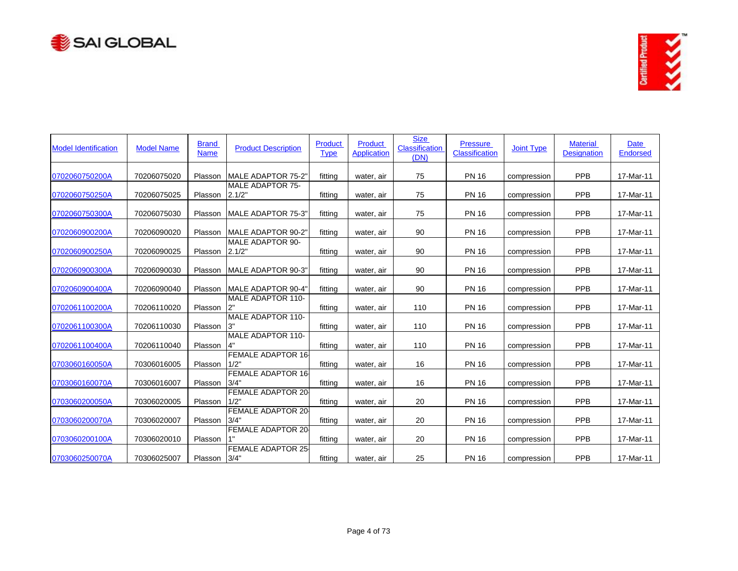



| <b>Model Identification</b> | <b>Model Name</b> | <b>Brand</b><br><b>Name</b> | <b>Product Description</b>        | Product<br><b>Type</b> | Product<br><b>Application</b> | <b>Size</b><br>Classification<br>(DN) | <b>Pressure</b><br>Classification | <b>Joint Type</b> | <b>Material</b><br><b>Designation</b> | Date<br><b>Endorsed</b> |
|-----------------------------|-------------------|-----------------------------|-----------------------------------|------------------------|-------------------------------|---------------------------------------|-----------------------------------|-------------------|---------------------------------------|-------------------------|
| 0702060750200A              | 70206075020       | Plasson                     | MALE ADAPTOR 75-2"                | fitting                | water, air                    | 75                                    | <b>PN 16</b>                      | compression       | <b>PPB</b>                            | 17-Mar-11               |
| 0702060750250A              | 70206075025       | Plasson                     | <b>MALE ADAPTOR 75-</b><br>2.1/2" | fitting                | water, air                    | 75                                    | <b>PN 16</b>                      | compression       | PPB                                   | 17-Mar-11               |
| 0702060750300A              | 70206075030       | Plasson                     | <b>MALE ADAPTOR 75-3"</b>         | fitting                | water, air                    | 75                                    | <b>PN 16</b>                      | compression       | PPB                                   | 17-Mar-11               |
| 0702060900200A              | 70206090020       | Plasson                     | MALE ADAPTOR 90-2"                | fitting                | water, air                    | 90                                    | <b>PN 16</b>                      | compression       | <b>PPB</b>                            | 17-Mar-11               |
| 0702060900250A              | 70206090025       | Plasson                     | <b>MALE ADAPTOR 90-</b><br>2.1/2" | fitting                | water, air                    | 90                                    | <b>PN 16</b>                      | compression       | PPB                                   | 17-Mar-11               |
| 0702060900300A              | 70206090030       | Plasson                     | MALE ADAPTOR 90-3"                | fitting                | water, air                    | 90                                    | <b>PN 16</b>                      | compression       | PPB                                   | 17-Mar-11               |
| 0702060900400A              | 70206090040       | Plasson                     | MALE ADAPTOR 90-4                 | fitting                | water, air                    | 90                                    | <b>PN 16</b>                      | compression       | <b>PPB</b>                            | 17-Mar-11               |
| 0702061100200A              | 70206110020       | Plasson                     | <b>MALE ADAPTOR 110-</b><br>2"    | fitting                | water, air                    | 110                                   | <b>PN 16</b>                      | compression       | PPB                                   | 17-Mar-11               |
| 0702061100300A              | 70206110030       | Plasson                     | <b>MALE ADAPTOR 110-</b><br>3"    | fitting                | water, air                    | 110                                   | <b>PN 16</b>                      | compression       | PPB                                   | 17-Mar-11               |
| 0702061100400A              | 70206110040       | Plasson                     | <b>MALE ADAPTOR 110-</b><br>4"    | fitting                | water, air                    | 110                                   | <b>PN 16</b>                      | compression       | <b>PPB</b>                            | 17-Mar-11               |
| 0703060160050A              | 70306016005       | Plasson                     | <b>FEMALE ADAPTOR 16-</b><br>1/2" | fitting                | water, air                    | 16                                    | <b>PN 16</b>                      | compression       | <b>PPB</b>                            | 17-Mar-11               |
| 0703060160070A              | 70306016007       | Plasson                     | <b>FEMALE ADAPTOR 16-</b><br>3/4" | fitting                | water, air                    | 16                                    | <b>PN 16</b>                      | compression       | PPB                                   | 17-Mar-11               |
| 0703060200050A              | 70306020005       | Plasson                     | FEMALE ADAPTOR 20<br>1/2"         | fitting                | water, air                    | 20                                    | <b>PN 16</b>                      | compression       | PPB                                   | 17-Mar-11               |
| 0703060200070A              | 70306020007       | Plasson                     | FEMALE ADAPTOR 20<br>3/4"         | fitting                | water, air                    | 20                                    | <b>PN 16</b>                      | compression       | <b>PPB</b>                            | 17-Mar-11               |
| 0703060200100A              | 70306020010       | Plasson                     | <b>FEMALE ADAPTOR 20-</b>         | fitting                | water, air                    | 20                                    | <b>PN 16</b>                      | compression       | PPB                                   | 17-Mar-11               |
| 0703060250070A              | 70306025007       | Plasson                     | <b>FEMALE ADAPTOR 25-</b><br>3/4' | fitting                | water, air                    | 25                                    | <b>PN 16</b>                      | compression       | PPB                                   | 17-Mar-11               |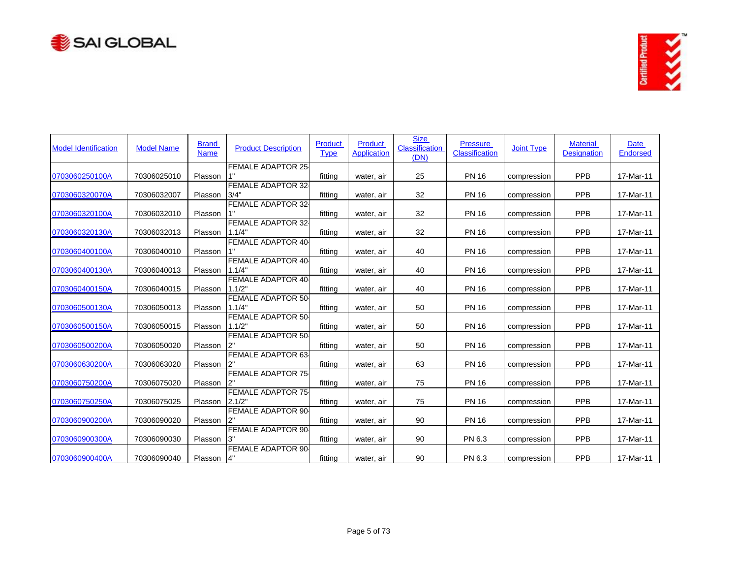



| <b>Model Identification</b> | <b>Model Name</b> | <b>Brand</b><br><b>Name</b> | <b>Product Description</b>          | Product<br><b>Type</b> | Product<br><b>Application</b> | <b>Size</b><br>Classification<br>(DN) | <b>Pressure</b><br>Classification | <b>Joint Type</b> | <b>Material</b><br><b>Designation</b> | <b>Date</b><br><b>Endorsed</b> |
|-----------------------------|-------------------|-----------------------------|-------------------------------------|------------------------|-------------------------------|---------------------------------------|-----------------------------------|-------------------|---------------------------------------|--------------------------------|
| 0703060250100A              | 70306025010       | Plasson                     | <b>FEMALE ADAPTOR 25-</b>           | fitting                | water, air                    | 25                                    | <b>PN 16</b>                      | compression       | PPB                                   | 17-Mar-11                      |
|                             |                   |                             | FEMALE ADAPTOR 32                   |                        |                               |                                       |                                   |                   |                                       |                                |
| 0703060320070A              | 70306032007       | Plasson                     | 3/4"                                | fitting                | water, air                    | 32                                    | <b>PN 16</b>                      | compression       | PPB                                   | 17-Mar-11                      |
| 0703060320100A              | 70306032010       | Plasson                     | <b>FEMALE ADAPTOR 32-</b>           | fitting                | water, air                    | 32                                    | <b>PN 16</b>                      | compression       | PPB                                   | 17-Mar-11                      |
| 0703060320130A              | 70306032013       | Plasson                     | <b>FEMALE ADAPTOR 32-</b><br>1.1/4" | fitting                | water, air                    | 32                                    | <b>PN 16</b>                      | compression       | <b>PPB</b>                            | 17-Mar-11                      |
| 0703060400100A              | 70306040010       | Plasson                     | <b>FEMALE ADAPTOR 40</b><br>1"      | fitting                | water, air                    | 40                                    | <b>PN 16</b>                      | compression       | PPB                                   | 17-Mar-11                      |
| 0703060400130A              | 70306040013       | Plasson                     | <b>FEMALE ADAPTOR 40-</b><br>1.1/4" | fitting                | water, air                    | 40                                    | <b>PN 16</b>                      | compression       | PPB                                   | 17-Mar-11                      |
| 0703060400150A              | 70306040015       | Plasson                     | <b>FEMALE ADAPTOR 40</b><br>1.1/2"  | fitting                | water, air                    | 40                                    | <b>PN 16</b>                      | compression       | PPB                                   | 17-Mar-11                      |
| 0703060500130A              | 70306050013       | Plasson                     | <b>FEMALE ADAPTOR 50</b><br>1.1/4"  | fitting                | water, air                    | 50                                    | <b>PN 16</b>                      | compression       | PPB                                   | 17-Mar-11                      |
| 0703060500150A              | 70306050015       | Plasson                     | <b>FEMALE ADAPTOR 50</b><br>1.1/2"  | fitting                | water, air                    | 50                                    | <b>PN 16</b>                      | compression       | PPB                                   | 17-Mar-11                      |
| 0703060500200A              | 70306050020       | Plasson                     | <b>FEMALE ADAPTOR 50.</b><br>2"     | fitting                | water, air                    | 50                                    | <b>PN 16</b>                      | compression       | <b>PPB</b>                            | 17-Mar-11                      |
| 0703060630200A              | 70306063020       | Plasson                     | <b>FEMALE ADAPTOR 63-</b><br>2"     | fitting                | water, air                    | 63                                    | <b>PN 16</b>                      | compression       | <b>PPB</b>                            | 17-Mar-11                      |
| 0703060750200A              | 70306075020       | Plasson                     | <b>FEMALE ADAPTOR 75-</b><br>2"     | fitting                | water, air                    | 75                                    | <b>PN 16</b>                      | compression       | PPB                                   | 17-Mar-11                      |
| 0703060750250A              | 70306075025       | Plasson                     | <b>FEMALE ADAPTOR 75.</b><br>2.1/2" | fitting                | water, air                    | 75                                    | <b>PN 16</b>                      | compression       | PPB                                   | 17-Mar-11                      |
| 0703060900200A              | 70306090020       | Plasson                     | <b>FEMALE ADAPTOR 90-</b>           | fitting                | water, air                    | 90                                    | <b>PN 16</b>                      | compression       | <b>PPB</b>                            | 17-Mar-11                      |
| 0703060900300A              | 70306090030       | Plasson                     | <b>FEMALE ADAPTOR 90-</b><br>3"     | fitting                | water, air                    | 90                                    | PN 6.3                            | compression       | PPB                                   | 17-Mar-11                      |
| 0703060900400A              | 70306090040       | Plasson                     | <b>FEMALE ADAPTOR 90-</b><br>4"     | fitting                | water, air                    | 90                                    | PN 6.3                            | compression       | PPB                                   | 17-Mar-11                      |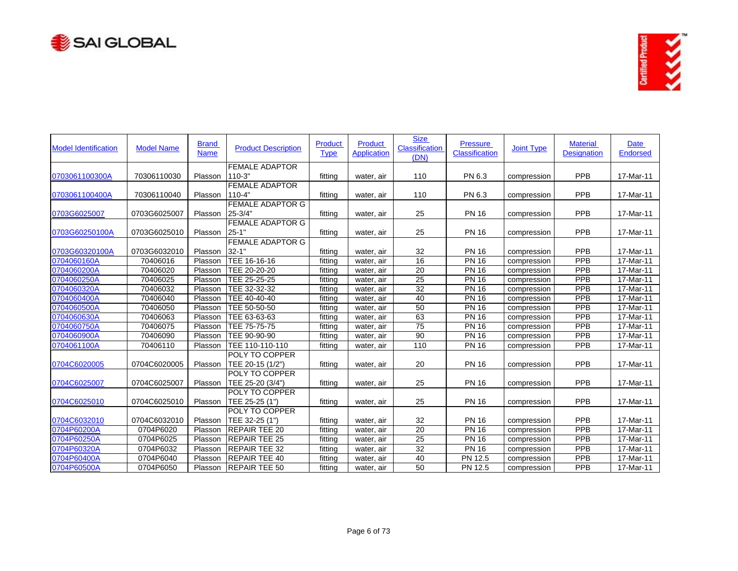



| <b>Model Identification</b> | <b>Model Name</b> | <b>Brand</b><br><b>Name</b> | <b>Product Description</b>           | <b>Product</b><br><b>Type</b> | <b>Product</b><br><b>Application</b> | <b>Size</b><br><b>Classification</b><br>(DN) | Pressure<br>Classification | <b>Joint Type</b> | <b>Material</b><br><b>Designation</b> | <b>Date</b><br><b>Endorsed</b> |
|-----------------------------|-------------------|-----------------------------|--------------------------------------|-------------------------------|--------------------------------------|----------------------------------------------|----------------------------|-------------------|---------------------------------------|--------------------------------|
| 0703061100300A              |                   | Plasson                     | <b>FEMALE ADAPTOR</b><br>$110-3"$    |                               |                                      | 110                                          | PN 6.3                     |                   | <b>PPB</b>                            |                                |
|                             | 70306110030       |                             | <b>FEMALE ADAPTOR</b>                | fitting                       | water, air                           |                                              |                            | compression       |                                       | 17-Mar-11                      |
| 0703061100400A              | 70306110040       | Plasson                     | $110 - 4"$                           | fitting                       | water, air                           | 110                                          | PN 6.3                     | compression       | PPB                                   | 17-Mar-11                      |
|                             |                   |                             | <b>FEMALE ADAPTOR G</b>              |                               |                                      |                                              |                            |                   |                                       |                                |
| 0703G6025007                | 0703G6025007      | Plasson                     | 25 3/4"                              | fitting                       | water, air                           | 25                                           | <b>PN 16</b>               | compression       | PPB                                   | 17-Mar-11                      |
| 0703G60250100A              | 0703G6025010      | Plasson                     | <b>FEMALE ADAPTOR G</b><br>$25 - 1'$ | fitting                       | water, air                           | 25                                           | <b>PN 16</b>               | compression       | PPB                                   | 17-Mar-11                      |
|                             |                   |                             | <b>FEMALE ADAPTOR G</b>              |                               |                                      |                                              |                            |                   |                                       |                                |
| 0703G60320100A              | 0703G6032010      | Plasson                     | $32 - 1$                             | fitting                       | water, air                           | 32                                           | <b>PN 16</b>               | compression       | <b>PPB</b>                            | 17-Mar-11                      |
| 0704060160A                 | 70406016          | Plasson                     | TEE 16-16-16                         | fittina                       | water, air                           | 16                                           | <b>PN 16</b>               | compression       | PPB                                   | 17-Mar-11                      |
| 0704060200A                 | 70406020          | Plasson                     | TEE 20-20-20                         | fitting                       | water, air                           | $\overline{20}$                              | <b>PN 16</b>               | compression       | <b>PPB</b>                            | 17-Mar-11                      |
| 0704060250A                 | 70406025          | Plasson                     | TEE 25-25-25                         | fitting                       | water, air                           | 25                                           | <b>PN 16</b>               | compression       | <b>PPB</b>                            | 17-Mar-11                      |
| 0704060320A                 | 70406032          | Plasson                     | TEE 32-32-32                         | fitting                       | water, air                           | 32                                           | <b>PN 16</b>               | compression       | <b>PPB</b>                            | $17$ -Mar-11                   |
| 0704060400A                 | 70406040          | Plasson                     | TEE 40-40-40                         | fitting                       | water, air                           | 40                                           | <b>PN 16</b>               | compression       | PPB                                   | 17-Mar-11                      |
| 0704060500A                 | 70406050          | Plasson                     | TEE 50-50-50                         | fittina                       | water, air                           | 50                                           | <b>PN 16</b>               | compression       | <b>PPB</b>                            | 17-Mar-11                      |
| 0704060630A                 | 70406063          | Plasson                     | TEE 63-63-63                         | fitting                       | water, air                           | 63                                           | <b>PN 16</b>               | compression       | PPB                                   | 17-Mar-11                      |
| 0704060750A                 | 70406075          | Plasson                     | TEE 75-75-75                         | fitting                       | water, air                           | 75                                           | <b>PN 16</b>               | compression       | PPB                                   | 17-Mar-11                      |
| 0704060900A                 | 70406090          | Plasson                     | TEE 90-90-90                         | fitting                       | water, air                           | 90                                           | <b>PN 16</b>               | compression       | PPB                                   | 17-Mar-11                      |
| 0704061100A                 | 70406110          | Plasson                     | TEE 110-110-110                      | fitting                       | water, air                           | 110                                          | <b>PN 16</b>               | compression       | PPB                                   | 17-Mar-11                      |
|                             |                   |                             | <b>POLY TO COPPER</b>                |                               |                                      |                                              |                            |                   |                                       |                                |
| 0704C6020005                | 0704C6020005      | Plasson                     | TEE 20-15 (1/2")                     | fitting                       | water, air                           | 20                                           | <b>PN 16</b>               | compression       | PPB                                   | 17-Mar-11                      |
|                             |                   |                             | <b>POLY TO COPPER</b>                |                               |                                      |                                              |                            |                   |                                       |                                |
| 0704C6025007                | 0704C6025007      | Plasson                     | TEE 25-20 (3/4")                     | fitting                       | water, air                           | 25                                           | <b>PN 16</b>               | compression       | <b>PPB</b>                            | 17-Mar-11                      |
|                             |                   |                             | <b>POLY TO COPPER</b>                |                               |                                      |                                              |                            |                   |                                       |                                |
| 0704C6025010                | 0704C6025010      | Plasson                     | TEE 25-25 (1")                       | fitting                       | water, air                           | 25                                           | <b>PN 16</b>               | compression       | <b>PPB</b>                            | 17-Mar-11                      |
|                             |                   |                             | <b>POLY TO COPPER</b>                |                               |                                      |                                              |                            |                   |                                       |                                |
| 0704C6032010                | 0704C6032010      | Plasson                     | TEE 32-25 (1")                       | fittina                       | water, air                           | 32                                           | <b>PN 16</b>               | compression       | PPB                                   | 17-Mar-11                      |
| 0704P60200A                 | 0704P6020         | Plasson                     | <b>REPAIR TEE 20</b>                 | fittina                       | water, air                           | 20                                           | <b>PN 16</b>               | compression       | <b>PPB</b>                            | 17-Mar-11                      |
| 0704P60250A                 | 0704P6025         | Plasson                     | <b>REPAIR TEE 25</b>                 | fitting                       | water, air                           | 25                                           | <b>PN 16</b>               | compression       | PPB                                   | 17-Mar-11                      |
| 0704P60320A                 | 0704P6032         | Plasson                     | <b>REPAIR TEE 32</b>                 | fitting                       | water, air                           | $\overline{32}$                              | <b>PN 16</b>               | compression       | <b>PPB</b>                            | 17-Mar-11                      |
| 0704P60400A                 | 0704P6040         | Plasson                     | <b>REPAIR TEE 40</b>                 | fitting                       | water, air                           | 40                                           | PN 12.5                    | compression       | PPB                                   | 17-Mar-11                      |
| 0704P60500A                 | 0704P6050         | Plasson                     | <b>IREPAIR TEE 50</b>                | fitting                       | water, air                           | 50                                           | PN 12.5                    | compression       | PPB                                   | 17-Mar-11                      |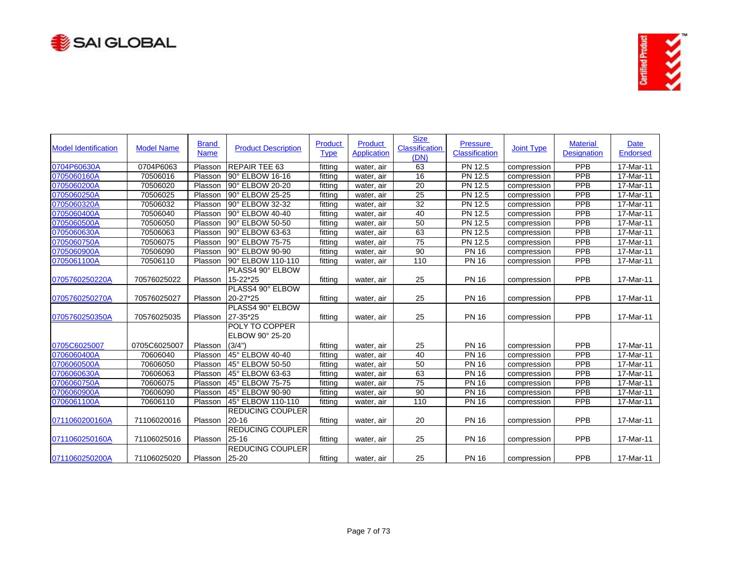



| <b>Model Identification</b> | <b>Model Name</b> | <b>Brand</b><br><b>Name</b> | <b>Product Description</b>           | Product<br><b>Type</b> | <b>Product</b><br>Application | <b>Size</b><br>Classification<br>(DN) | <b>Pressure</b><br><b>Classification</b> | <b>Joint Type</b> | <b>Material</b><br><b>Designation</b> | Date<br>Endorsed |
|-----------------------------|-------------------|-----------------------------|--------------------------------------|------------------------|-------------------------------|---------------------------------------|------------------------------------------|-------------------|---------------------------------------|------------------|
| 0704P60630A                 | 0704P6063         | Plasson                     | <b>REPAIR TEE 63</b>                 | fittina                | water, air                    | 63                                    | PN 12.5                                  | compression       | PPB                                   | 17-Mar-11        |
| 0705060160A                 | 70506016          | Plasson                     | 90° ELBOW 16-16                      | fitting                | water, air                    | 16                                    | PN 12.5                                  | compression       | PPB                                   | 17-Mar-11        |
| 0705060200A                 | 70506020          | Plasson                     | 90° ELBOW 20-20                      | fitting                | water, air                    | 20                                    | PN 12.5                                  | compression       | PPB                                   | 17-Mar-11        |
| 0705060250A                 | 70506025          | Plasson                     | 90° ELBOW 25-25                      | fitting                | water, air                    | 25                                    | PN 12.5                                  | compression       | PPB                                   | 17-Mar-11        |
| 0705060320A                 | 70506032          | Plasson                     | 90° ELBOW 32-32                      | fittina                | water, air                    | 32                                    | PN 12.5                                  | compression       | <b>PPB</b>                            | 17-Mar-11        |
| 0705060400A                 | 70506040          | Plasson                     | 90° ELBOW 40-40                      | fitting                | water, air                    | 40                                    | PN 12.5                                  | compression       | <b>PPB</b>                            | 17-Mar-11        |
| 0705060500A                 | 70506050          | Plasson                     | 90° ELBOW 50-50                      | fitting                | water, air                    | 50                                    | <b>PN 12.5</b>                           | compression       | PPB                                   | 17-Mar-11        |
| 0705060630A                 | 70506063          | Plasson                     | 90° ELBOW 63-63                      | fitting                | water, air                    | 63                                    | PN 12.5                                  | compression       | <b>PPB</b>                            | 17-Mar-11        |
| 0705060750A                 | 70506075          | Plasson                     | 90° ELBOW 75-75                      | fitting                | water, air                    | $\overline{75}$                       | PN 12.5                                  | compression       | PPB                                   | 17-Mar-11        |
| 0705060900A                 | 70506090          | Plasson                     | 90° ELBOW 90-90                      | fitting                | water, air                    | 90                                    | <b>PN 16</b>                             | compression       | PPB                                   | 17-Mar-11        |
| 0705061100A                 | 70506110          | Plasson                     | 90° ELBOW 110-110                    | fitting                | water, air                    | 110                                   | <b>PN 16</b>                             | compression       | <b>PPB</b>                            | 17-Mar-11        |
|                             |                   |                             | PLASS4 90° ELBOW                     |                        |                               |                                       |                                          |                   |                                       |                  |
| 0705760250220A              | 70576025022       | Plasson                     | 15-22*25                             | fitting                | water, air                    | 25                                    | <b>PN 16</b>                             | compression       | PPB                                   | 17-Mar-11        |
| 0705760250270A              | 70576025027       | Plasson                     | PLASS4 90° ELBOW<br>20-27*25         | fitting                | water, air                    | 25                                    | <b>PN 16</b>                             | compression       | <b>PPB</b>                            | 17-Mar-11        |
|                             |                   |                             | <b>PLASS4 90° ELBOW</b>              |                        |                               |                                       |                                          |                   |                                       |                  |
| 0705760250350A              | 70576025035       | Plasson                     | 27-35*25                             | fitting                | water, air                    | 25                                    | <b>PN 16</b>                             | compression       | PPB                                   | 17-Mar-11        |
|                             |                   |                             | POLY TO COPPER<br>ELBOW 90° 25-20    |                        |                               |                                       |                                          |                   |                                       |                  |
| 0705C6025007                | 0705C6025007      | Plasson                     | (3/4")                               | fittina                | water, air                    | 25                                    | <b>PN 16</b>                             | compression       | PPB                                   | 17-Mar-11        |
| 0706060400A                 | 70606040          | Plasson                     | 45° ELBOW 40-40                      | fitting                | water, air                    | 40                                    | <b>PN 16</b>                             | compression       | PPB                                   | 17-Mar-11        |
| 0706060500A                 | 70606050          | Plasson                     | 45° ELBOW 50-50                      | fitting                | water, air                    | 50                                    | <b>PN 16</b>                             | compression       | <b>PPB</b>                            | 17-Mar-11        |
| 0706060630A                 | 70606063          | Plasson                     | 45° ELBOW 63-63                      | fitting                | water, air                    | 63                                    | <b>PN 16</b>                             | compression       | <b>PPB</b>                            | 17-Mar-11        |
| 0706060750A                 | 70606075          | Plasson                     | 45° ELBOW 75-75                      | fitting                | water, air                    | $\overline{75}$                       | <b>PN 16</b>                             | compression       | PPB                                   | 17-Mar-11        |
| 0706060900A                 | 70606090          | Plasson                     | 45° ELBOW 90-90                      | fitting                | water, air                    | 90                                    | <b>PN 16</b>                             | compression       | PPB                                   | 17-Mar-11        |
| 0706061100A                 | 70606110          | Plasson                     | 45° ELBOW 110-110                    | fitting                | water, air                    | 110                                   | <b>PN 16</b>                             | compression       | PPB                                   | 17-Mar-11        |
| 0711060200160A              | 71106020016       | Plasson                     | <b>REDUCING COUPLER</b><br>$20 - 16$ | fitting                | water, air                    | 20                                    | <b>PN 16</b>                             | compression       | <b>PPB</b>                            | 17-Mar-11        |
| 0711060250160A              | 71106025016       | Plasson                     | <b>REDUCING COUPLER</b><br>25-16     | fitting                | water, air                    | 25                                    | <b>PN 16</b>                             | compression       | PPB                                   | 17-Mar-11        |
| 0711060250200A              | 71106025020       | Plasson 25-20               | <b>REDUCING COUPLER</b>              | fitting                | water, air                    | 25                                    | <b>PN 16</b>                             | compression       | PPB                                   | 17-Mar-11        |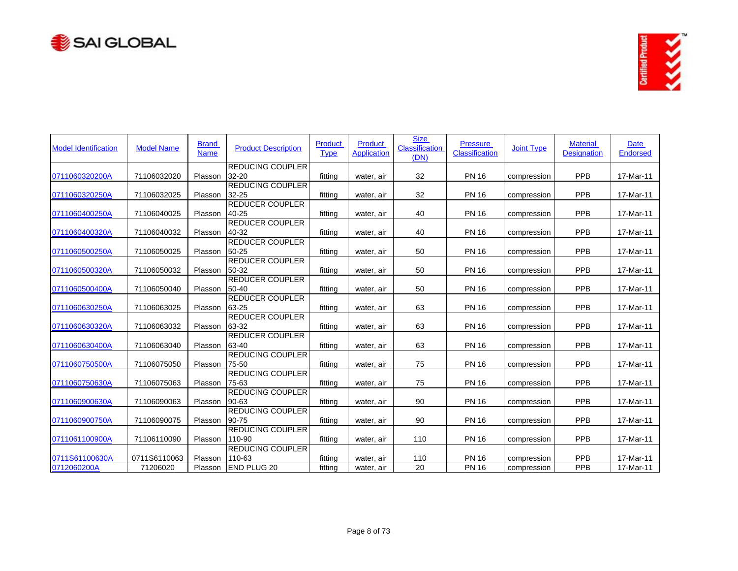



| <b>Model Identification</b> | <b>Model Name</b> | <b>Brand</b><br><b>Name</b> | <b>Product Description</b>           | <b>Product</b><br><b>Type</b> | <b>Product</b><br><b>Application</b> | <b>Size</b><br><b>Classification</b><br>(DN) | <b>Pressure</b><br><b>Classification</b> | <b>Joint Type</b> | <b>Material</b><br><b>Designation</b> | <b>Date</b><br><b>Endorsed</b> |
|-----------------------------|-------------------|-----------------------------|--------------------------------------|-------------------------------|--------------------------------------|----------------------------------------------|------------------------------------------|-------------------|---------------------------------------|--------------------------------|
| 0711060320200A              | 71106032020       | Plasson                     | <b>REDUCING COUPLER</b><br>$32 - 20$ | fittina                       | water, air                           | 32                                           | <b>PN 16</b>                             | compression       | PPB                                   | 17-Mar-11                      |
|                             |                   |                             | <b>REDUCING COUPLER</b>              |                               |                                      |                                              |                                          |                   |                                       |                                |
| 0711060320250A              | 71106032025       | Plasson                     | 32-25                                | fitting                       | water, air                           | 32                                           | <b>PN 16</b>                             | compression       | PPB                                   | 17-Mar-11                      |
|                             |                   |                             | <b>REDUCER COUPLER</b>               |                               |                                      |                                              |                                          |                   |                                       |                                |
| 0711060400250A              | 71106040025       | Plasson                     | 40-25                                | fitting                       | water, air                           | 40                                           | <b>PN 16</b>                             | compression       | PPB                                   | 17-Mar-11                      |
|                             |                   |                             | <b>REDUCER COUPLER</b>               |                               |                                      |                                              |                                          |                   |                                       |                                |
| 0711060400320A              | 71106040032       | Plasson                     | 40-32                                | fitting                       | water, air                           | 40                                           | <b>PN 16</b>                             | compression       | <b>PPB</b>                            | 17-Mar-11                      |
|                             |                   |                             | <b>REDUCER COUPLER</b>               |                               |                                      |                                              |                                          |                   |                                       |                                |
| 0711060500250A              | 71106050025       | Plasson                     | 50-25                                | fitting                       | water, air                           | 50                                           | <b>PN 16</b>                             | compression       | PPB                                   | 17-Mar-11                      |
| 0711060500320A              | 71106050032       | Plasson                     | <b>REDUCER COUPLER</b><br>50-32      | fitting                       |                                      | 50                                           | <b>PN 16</b>                             |                   | PPB                                   | 17-Mar-11                      |
|                             |                   |                             | <b>REDUCER COUPLER</b>               |                               | water, air                           |                                              |                                          | compression       |                                       |                                |
| 0711060500400A              | 71106050040       | Plasson                     | 50-40                                | fitting                       | water, air                           | 50                                           | <b>PN 16</b>                             | compression       | PPB                                   | 17-Mar-11                      |
|                             |                   |                             | <b>REDUCER COUPLER</b>               |                               |                                      |                                              |                                          |                   |                                       |                                |
| 0711060630250A              | 71106063025       | Plasson                     | 63-25                                | fitting                       | water, air                           | 63                                           | <b>PN 16</b>                             | compression       | PPB                                   | 17-Mar-11                      |
|                             |                   |                             | <b>REDUCER COUPLER</b>               |                               |                                      |                                              |                                          |                   |                                       |                                |
| 0711060630320A              | 71106063032       | Plasson                     | 63-32                                | fitting                       | water, air                           | 63                                           | <b>PN 16</b>                             | compression       | PPB                                   | 17-Mar-11                      |
|                             |                   |                             | <b>REDUCER COUPLER</b>               |                               |                                      |                                              |                                          |                   |                                       |                                |
| 0711060630400A              | 71106063040       | Plasson                     | 63-40                                | fitting                       | water, air                           | 63                                           | <b>PN 16</b>                             | compression       | PPB                                   | 17-Mar-11                      |
|                             |                   |                             | <b>REDUCING COUPLER</b>              |                               |                                      |                                              |                                          |                   |                                       |                                |
| 0711060750500A              | 71106075050       | Plasson                     | 75-50                                | fitting                       | water, air                           | 75                                           | <b>PN 16</b>                             | compression       | PPB                                   | 17-Mar-11                      |
|                             |                   |                             | <b>REDUCING COUPLER</b>              |                               |                                      |                                              |                                          |                   |                                       |                                |
| 0711060750630A              | 71106075063       | Plasson                     | 75-63                                | fitting                       | water, air                           | 75                                           | <b>PN 16</b>                             | compression       | PPB                                   | 17-Mar-11                      |
|                             |                   |                             | <b>REDUCING COUPLER</b><br>90-63     |                               |                                      |                                              |                                          |                   |                                       |                                |
| 0711060900630A              | 71106090063       | Plasson                     | REDUCING COUPLER                     | fitting                       | water, air                           | 90                                           | <b>PN 16</b>                             | compression       | PPB                                   | 17-Mar-11                      |
| 0711060900750A              | 71106090075       | Plasson                     | 90-75                                | fitting                       | water, air                           | 90                                           | <b>PN 16</b>                             | compression       | <b>PPB</b>                            | 17-Mar-11                      |
|                             |                   |                             | <b>REDUCING COUPLER</b>              |                               |                                      |                                              |                                          |                   |                                       |                                |
| 0711061100900A              | 71106110090       | Plasson                     | 110-90                               | fitting                       | water, air                           | 110                                          | <b>PN 16</b>                             | compression       | PPB                                   | 17-Mar-11                      |
|                             |                   |                             | <b>REDUCING COUPLER</b>              |                               |                                      |                                              |                                          |                   |                                       |                                |
| 0711S61100630A              | 0711S6110063      | Plasson                     | 110-63                               | fitting                       | water, air                           | 110                                          | <b>PN 16</b>                             | compression       | PPB                                   | 17-Mar-11                      |
| 0712060200A                 | 71206020          | Plasson                     | <b>END PLUG 20</b>                   | fitting                       | water, air                           | 20                                           | <b>PN 16</b>                             | compression       | PPB                                   | 17-Mar-11                      |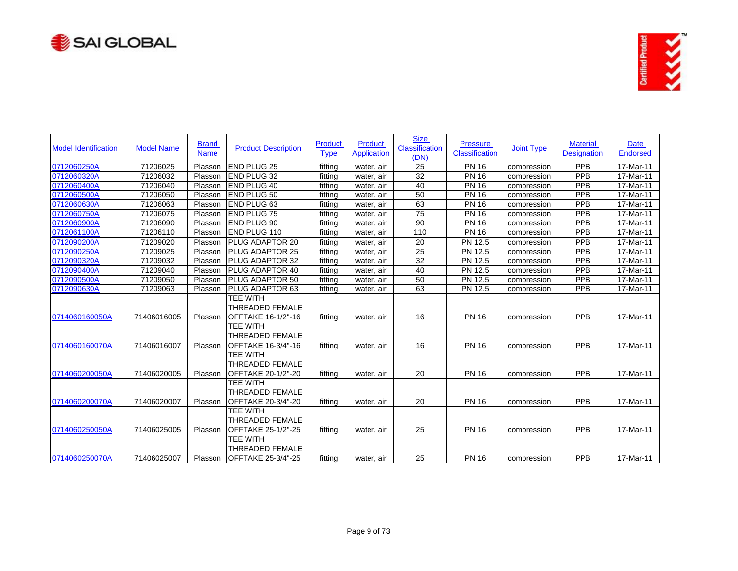



| <b>Model Identification</b> | <b>Model Name</b> | <b>Brand</b><br><b>Name</b> | <b>Product Description</b>                                      | Product<br><b>Type</b> | Product<br><b>Application</b> | <b>Size</b><br>Classification<br>(DN) | <b>Pressure</b><br>Classification | <b>Joint Type</b> | <b>Material</b><br><b>Designation</b> | <b>Date</b><br><b>Endorsed</b> |
|-----------------------------|-------------------|-----------------------------|-----------------------------------------------------------------|------------------------|-------------------------------|---------------------------------------|-----------------------------------|-------------------|---------------------------------------|--------------------------------|
| 0712060250A                 | 71206025          | Plasson                     | <b>END PLUG 25</b>                                              | fitting                | water, air                    | 25                                    | <b>PN 16</b>                      | compression       | PPB                                   | 17-Mar-11                      |
| 0712060320A                 | 71206032          | Plasson                     | <b>END PLUG 32</b>                                              | fitting                | water, air                    | 32                                    | <b>PN 16</b>                      | compression       | PPB                                   | 17-Mar-11                      |
| 0712060400A                 | 71206040          | Plasson                     | <b>END PLUG 40</b>                                              | fitting                | water, air                    | 40                                    | <b>PN 16</b>                      | compression       | PPB                                   | 17-Mar-11                      |
| 0712060500A                 | 71206050          | Plasson                     | END PLUG 50                                                     | fitting                | water, air                    | 50                                    | <b>PN 16</b>                      | compression       | PPB                                   | 17-Mar-11                      |
| 0712060630A                 | 71206063          | Plasson                     | <b>END PLUG 63</b>                                              | fitting                | water, air                    | 63                                    | <b>PN 16</b>                      | compression       | PPB                                   | 17-Mar-11                      |
| 0712060750A                 | 71206075          | Plasson                     | <b>END PLUG 75</b>                                              | fitting                | water, air                    | 75                                    | <b>PN 16</b>                      | compression       | PPB                                   | 17-Mar-11                      |
| 0712060900A                 | 71206090          | Plasson                     | <b>END PLUG 90</b>                                              | fitting                | water, air                    | 90                                    | <b>PN 16</b>                      | compression       | <b>PPB</b>                            | 17-Mar-11                      |
| 0712061100A                 | 71206110          | Plasson                     | END PLUG 110                                                    | fitting                | water, air                    | 110                                   | <b>PN 16</b>                      | compression       | PPB                                   | 17-Mar-11                      |
| 0712090200A                 | 71209020          | Plasson                     | PLUG ADAPTOR 20                                                 | fitting                | water, air                    | 20                                    | PN 12.5                           | compression       | <b>PPB</b>                            | 17-Mar-11                      |
| 0712090250A                 | 71209025          | Plasson                     | PLUG ADAPTOR 25                                                 | fitting                | water, air                    | $\overline{25}$                       | PN 12.5                           | compression       | PPB                                   | 17-Mar-11                      |
| 0712090320A                 | 71209032          | Plasson                     | PLUG ADAPTOR 32                                                 | fitting                | water, air                    | 32                                    | PN 12.5                           | compression       | <b>PPB</b>                            | 17-Mar-11                      |
| 0712090400A                 | 71209040          | Plasson                     | PLUG ADAPTOR 40                                                 | fitting                | water, air                    | 40                                    | PN 12.5                           | compression       | PPB                                   | 17-Mar-11                      |
| 0712090500A                 | 71209050          | Plasson                     | PLUG ADAPTOR 50                                                 | fitting                | water, air                    | 50                                    | PN 12.5                           | compression       | PPB                                   | $17 - \text{Mar-11}$           |
| 0712090630A                 | 71209063          | Plasson                     | PLUG ADAPTOR 63                                                 | fitting                | water, air                    | 63                                    | <b>PN 12.5</b>                    | compression       | PPB                                   | 17-Mar-11                      |
| 0714060160050A              | 71406016005       | Plasson                     | <b>TEE WITH</b><br><b>THREADED FEMALE</b><br>OFFTAKE 16-1/2"-16 | fitting                | water, air                    | 16                                    | <b>PN 16</b>                      | compression       | PPB                                   | 17-Mar-11                      |
| 0714060160070A              | 71406016007       | Plasson                     | TEE WITH<br><b>THREADED FEMALE</b><br>OFFTAKE 16-3/4"-16        | fitting                | water, air                    | 16                                    | <b>PN 16</b>                      | compression       | PPB                                   | 17-Mar-11                      |
| 0714060200050A              | 71406020005       | Plasson                     | <b>TEE WITH</b><br><b>THREADED FEMALE</b><br>OFFTAKE 20-1/2"-20 | fitting                | water, air                    | 20                                    | <b>PN 16</b>                      | compression       | PPB                                   | 17-Mar-11                      |
| 0714060200070A              | 71406020007       | Plasson                     | <b>TEE WITH</b><br><b>THREADED FEMALE</b><br>OFFTAKE 20-3/4"-20 | fitting                | water, air                    | 20                                    | <b>PN 16</b>                      | compression       | PPB                                   | 17-Mar-11                      |
| 0714060250050A              | 71406025005       | Plasson                     | TEE WITH<br><b>THREADED FEMALE</b><br>OFFTAKE 25-1/2"-25        | fitting                | water, air                    | 25                                    | <b>PN 16</b>                      | compression       | PPB                                   | 17-Mar-11                      |
| 0714060250070A              | 71406025007       | Plasson                     | <b>TEE WITH</b><br>THREADED FEMALE<br>OFFTAKE 25-3/4"-25        | fitting                | water, air                    | 25                                    | <b>PN 16</b>                      | compression       | PPB                                   | 17-Mar-11                      |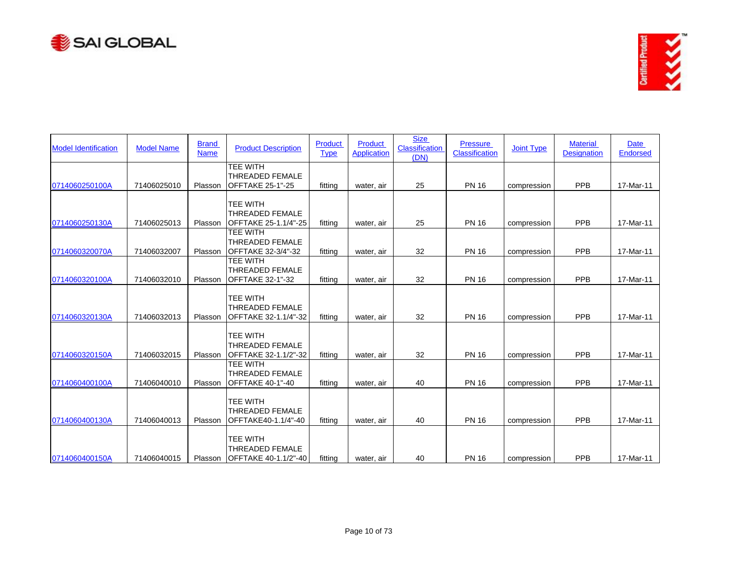



| <b>Model Identification</b> | <b>Model Name</b> | <b>Brand</b><br><b>Name</b> | <b>Product Description</b>                                           | Product<br><b>Type</b> | Product<br><b>Application</b> | <b>Size</b><br>Classification<br>(DN) | <b>Pressure</b><br>Classification | <b>Joint Type</b> | <b>Material</b><br><b>Designation</b> | Date<br><b>Endorsed</b> |
|-----------------------------|-------------------|-----------------------------|----------------------------------------------------------------------|------------------------|-------------------------------|---------------------------------------|-----------------------------------|-------------------|---------------------------------------|-------------------------|
| 0714060250100A              | 71406025010       | Plasson                     | <b>TEE WITH</b><br><b>THREADED FEMALE</b><br><b>OFFTAKE 25-1"-25</b> | fitting                | water, air                    | 25                                    | <b>PN 16</b>                      | compression       | PPB                                   | 17-Mar-11               |
| 0714060250130A              | 71406025013       | Plasson                     | <b>TEE WITH</b><br><b>THREADED FEMALE</b><br>OFFTAKE 25-1.1/4"-25    | fitting                | water, air                    | 25                                    | <b>PN 16</b>                      | compression       | PPB                                   | 17-Mar-11               |
| 0714060320070A              | 71406032007       | Plasson                     | <b>TEE WITH</b><br><b>THREADED FEMALE</b><br>OFFTAKE 32-3/4"-32      | fittina                | water, air                    | 32                                    | <b>PN 16</b>                      | compression       | PPB                                   | 17-Mar-11               |
| 0714060320100A              | 71406032010       | Plasson                     | <b>TEE WITH</b><br><b>THREADED FEMALE</b><br><b>OFFTAKE 32-1"-32</b> | fitting                | water, air                    | 32                                    | <b>PN 16</b>                      | compression       | PPB                                   | 17-Mar-11               |
| 0714060320130A              | 71406032013       | Plasson                     | <b>TEE WITH</b><br><b>THREADED FEMALE</b><br>OFFTAKE 32-1.1/4"-32    | fitting                | water, air                    | 32                                    | <b>PN 16</b>                      | compression       | <b>PPB</b>                            | 17-Mar-11               |
| 0714060320150A              | 71406032015       | Plasson                     | <b>TEE WITH</b><br><b>THREADED FEMALE</b><br>OFFTAKE 32-1.1/2"-32    | fitting                | water, air                    | 32                                    | <b>PN 16</b>                      | compression       | PPB                                   | 17-Mar-11               |
| 0714060400100A              | 71406040010       | Plasson                     | TEE WITH<br><b>THREADED FEMALE</b><br><b>OFFTAKE 40-1"-40</b>        | fitting                | water, air                    | 40                                    | <b>PN 16</b>                      | compression       | PPB                                   | 17-Mar-11               |
| 0714060400130A              | 71406040013       | Plasson                     | <b>TEE WITH</b><br><b>THREADED FEMALE</b><br>OFFTAKE40-1.1/4"-40     | fitting                | water, air                    | 40                                    | <b>PN 16</b>                      | compression       | PPB                                   | 17-Mar-11               |
| 0714060400150A              | 71406040015       | Plasson                     | TEE WITH<br>THREADED FEMALE<br>OFFTAKE 40-1.1/2"-40                  | fitting                | water, air                    | 40                                    | <b>PN 16</b>                      | compression       | PPB                                   | 17-Mar-11               |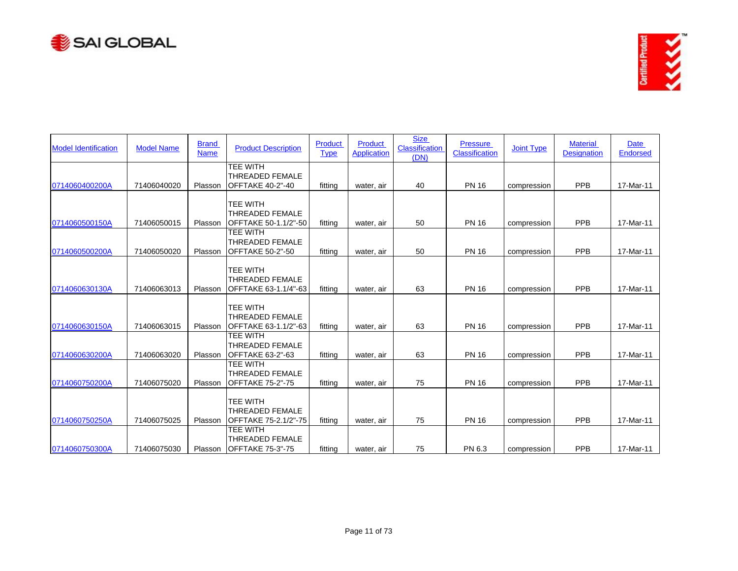



| <b>Model Identification</b> | <b>Model Name</b> | <b>Brand</b><br><b>Name</b> | <b>Product Description</b>                                           | Product<br><b>Type</b> | Product<br><b>Application</b> | <b>Size</b><br>Classification<br>(DN) | <b>Pressure</b><br><b>Classification</b> | <b>Joint Type</b> | <b>Material</b><br><b>Designation</b> | <b>Date</b><br><b>Endorsed</b> |
|-----------------------------|-------------------|-----------------------------|----------------------------------------------------------------------|------------------------|-------------------------------|---------------------------------------|------------------------------------------|-------------------|---------------------------------------|--------------------------------|
| 0714060400200A              | 71406040020       | Plasson                     | TEE WITH<br>THREADED FEMALE<br><b>OFFTAKE 40-2"-40</b>               | fitting                | water, air                    | 40                                    | <b>PN 16</b>                             | compression       | PPB                                   | 17-Mar-11                      |
| 0714060500150A              | 71406050015       | Plasson                     | TEE WITH<br><b>THREADED FEMALE</b><br>OFFTAKE 50-1.1/2"-50           | fitting                | water, air                    | 50                                    | <b>PN 16</b>                             | compression       | PPB                                   | 17-Mar-11                      |
| 0714060500200A              | 71406050020       | Plasson                     | <b>TEE WITH</b><br><b>THREADED FEMALE</b><br><b>OFFTAKE 50-2"-50</b> | fitting                | water, air                    | 50                                    | <b>PN 16</b>                             | compression       | PPB                                   | 17-Mar-11                      |
| 0714060630130A              | 71406063013       | Plasson                     | <b>TEE WITH</b><br><b>THREADED FEMALE</b><br>OFFTAKE 63-1.1/4"-63    | fitting                | water, air                    | 63                                    | <b>PN 16</b>                             | compression       | PPB                                   | 17-Mar-11                      |
| 0714060630150A              | 71406063015       | Plasson                     | TEE WITH<br><b>THREADED FEMALE</b><br>OFFTAKE 63-1.1/2"-63           | fitting                | water, air                    | 63                                    | <b>PN 16</b>                             | compression       | PPB                                   | 17-Mar-11                      |
| 0714060630200A              | 71406063020       | Plasson                     | TEE WITH<br><b>THREADED FEMALE</b><br>OFFTAKE 63-2"-63               | fitting                | water, air                    | 63                                    | <b>PN 16</b>                             | compression       | PPB                                   | 17-Mar-11                      |
| 0714060750200A              | 71406075020       | Plasson                     | <b>TEE WITH</b><br><b>THREADED FEMALE</b><br><b>OFFTAKE 75-2"-75</b> | fitting                | water, air                    | 75                                    | <b>PN 16</b>                             | compression       | PPB                                   | 17-Mar-11                      |
| 0714060750250A              | 71406075025       | Plasson                     | <b>TEE WITH</b><br><b>THREADED FEMALE</b><br>OFFTAKE 75-2.1/2"-75    | fitting                | water, air                    | 75                                    | <b>PN 16</b>                             | compression       | PPB                                   | 17-Mar-11                      |
| 0714060750300A              | 71406075030       | Plasson                     | <b>TEE WITH</b><br>THREADED FEMALE<br><b>IOFFTAKE 75-3"-75</b>       | fitting                | water, air                    | 75                                    | PN 6.3                                   | compression       | PPB                                   | 17-Mar-11                      |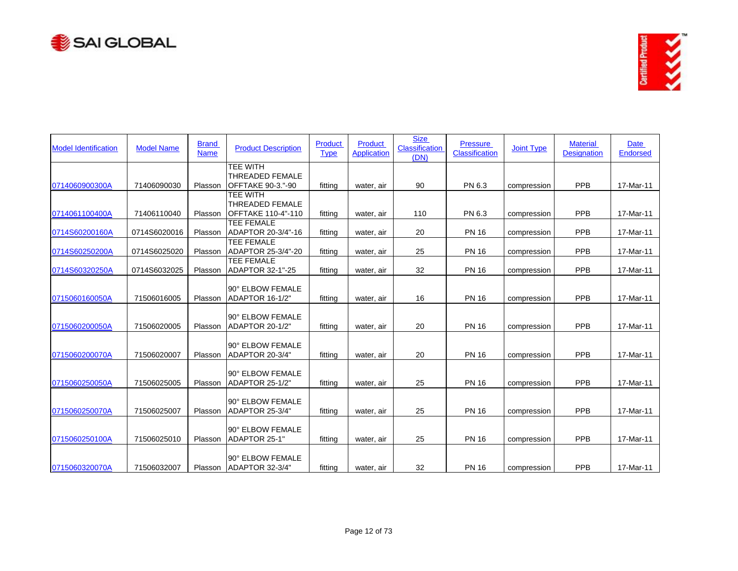



| <b>Model Identification</b> | <b>Model Name</b> | <b>Brand</b><br><b>Name</b> | <b>Product Description</b>                                             | Product<br><b>Type</b> | <b>Product</b><br><b>Application</b> | <b>Size</b><br><b>Classification</b><br>(DN) | <b>Pressure</b><br><b>Classification</b> | <b>Joint Type</b> | <b>Material</b><br><b>Designation</b> | <b>Date</b><br><b>Endorsed</b> |
|-----------------------------|-------------------|-----------------------------|------------------------------------------------------------------------|------------------------|--------------------------------------|----------------------------------------------|------------------------------------------|-------------------|---------------------------------------|--------------------------------|
| 0714060900300A              | 71406090030       | Plasson                     | <b>TEE WITH</b><br><b>THREADED FEMALE</b><br>OFFTAKE 90-3."-90         | fitting                | water, air                           | 90                                           | PN 6.3                                   | compression       | PPB                                   | 17-Mar-11                      |
| 0714061100400A              | 71406110040       | Plasson                     | <b>TEE WITH</b><br><b>THREADED FEMALE</b><br><b>OFFTAKE 110-4"-110</b> | fitting                | water, air                           | 110                                          | PN 6.3                                   | compression       | PPB                                   | 17-Mar-11                      |
| 0714S60200160A              | 0714S6020016      | Plasson                     | <b>TEE FEMALE</b><br>ADAPTOR 20-3/4"-16                                | fitting                | water, air                           | 20                                           | <b>PN 16</b>                             | compression       | <b>PPB</b>                            | 17-Mar-11                      |
| 0714S60250200A              | 0714S6025020      | Plasson                     | TEE FEMALE<br>ADAPTOR 25-3/4"-20                                       | fitting                | water, air                           | 25                                           | <b>PN 16</b>                             | compression       | PPB                                   | 17-Mar-11                      |
| 0714S60320250A              | 0714S6032025      | Plasson                     | <b>TEE FEMALE</b><br><b>ADAPTOR 32-1"-25</b>                           | fitting                | water, air                           | 32                                           | <b>PN 16</b>                             | compression       | PPB                                   | 17-Mar-11                      |
| 0715060160050A              | 71506016005       | Plasson                     | 90° ELBOW FEMALE<br>ADAPTOR 16-1/2"                                    | fitting                | water, air                           | 16                                           | <b>PN 16</b>                             | compression       | <b>PPB</b>                            | 17-Mar-11                      |
| 0715060200050A              | 71506020005       | Plasson                     | 90° ELBOW FEMALE<br>ADAPTOR 20-1/2"                                    | fitting                | water, air                           | 20                                           | <b>PN 16</b>                             | compression       | PPB                                   | 17-Mar-11                      |
| 0715060200070A              | 71506020007       | Plasson                     | 90° ELBOW FEMALE<br>ADAPTOR 20-3/4"                                    | fitting                | water, air                           | 20                                           | <b>PN 16</b>                             | compression       | PPB                                   | 17-Mar-11                      |
| 0715060250050A              | 71506025005       | Plasson                     | 90° ELBOW FEMALE<br>ADAPTOR 25-1/2"                                    | fitting                | water, air                           | 25                                           | <b>PN 16</b>                             | compression       | PPB                                   | 17-Mar-11                      |
| 0715060250070A              | 71506025007       | Plasson                     | 90° ELBOW FEMALE<br>ADAPTOR 25-3/4"                                    | fitting                | water, air                           | 25                                           | <b>PN 16</b>                             | compression       | <b>PPB</b>                            | 17-Mar-11                      |
| 0715060250100A              | 71506025010       | Plasson                     | 90° ELBOW FEMALE<br>ADAPTOR 25-1"                                      | fitting                | water, air                           | 25                                           | <b>PN 16</b>                             | compression       | PPB                                   | 17-Mar-11                      |
| 0715060320070A              | 71506032007       |                             | 90° ELBOW FEMALE<br>Plasson ADAPTOR 32-3/4"                            | fitting                | water, air                           | 32                                           | <b>PN 16</b>                             | compression       | PPB                                   | 17-Mar-11                      |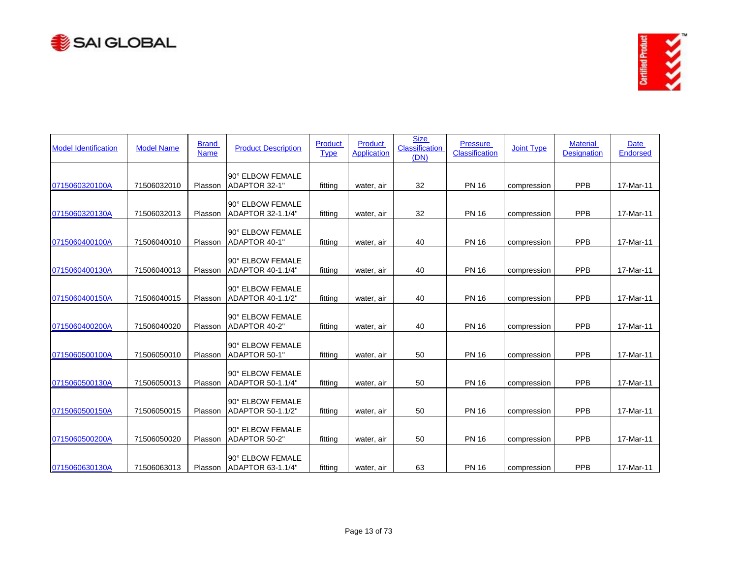



| <b>Model Identification</b> | <b>Model Name</b> | <b>Brand</b><br><b>Name</b> | <b>Product Description</b>                    | <b>Product</b><br><b>Type</b> | <b>Product</b><br><b>Application</b> | <b>Size</b><br><b>Classification</b><br>(DN) | <b>Pressure</b><br>Classification | <b>Joint Type</b> | <b>Material</b><br><b>Designation</b> | <b>Date</b><br>Endorsed |
|-----------------------------|-------------------|-----------------------------|-----------------------------------------------|-------------------------------|--------------------------------------|----------------------------------------------|-----------------------------------|-------------------|---------------------------------------|-------------------------|
| 0715060320100A              | 71506032010       | Plasson                     | 90° ELBOW FEMALE<br>ADAPTOR 32-1"             | fitting                       | water, air                           | 32                                           | <b>PN 16</b>                      | compression       | PPB                                   | 17-Mar-11               |
| 0715060320130A              | 71506032013       | Plasson                     | 90° ELBOW FEMALE<br>ADAPTOR 32-1.1/4"         | fitting                       | water, air                           | 32                                           | <b>PN 16</b>                      | compression       | PPB                                   | 17-Mar-11               |
| 0715060400100A              | 71506040010       | Plasson                     | 90° ELBOW FEMALE<br>ADAPTOR 40-1"             | fitting                       | water, air                           | 40                                           | <b>PN 16</b>                      | compression       | PPB                                   | 17-Mar-11               |
| 0715060400130A              | 71506040013       | Plasson                     | 90° ELBOW FEMALE<br>ADAPTOR 40-1.1/4"         | fitting                       | water, air                           | 40                                           | <b>PN 16</b>                      | compression       | PPB                                   | 17-Mar-11               |
| 0715060400150A              | 71506040015       | Plasson                     | 90° ELBOW FEMALE<br>ADAPTOR 40-1.1/2"         | fitting                       | water, air                           | 40                                           | <b>PN 16</b>                      | compression       | <b>PPB</b>                            | 17-Mar-11               |
| 0715060400200A              | 71506040020       | Plasson                     | 90° ELBOW FEMALE<br>ADAPTOR 40-2"             | fitting                       | water, air                           | 40                                           | <b>PN 16</b>                      | compression       | PPB                                   | 17-Mar-11               |
| 0715060500100A              | 71506050010       | Plasson                     | 90° ELBOW FEMALE<br>ADAPTOR 50-1"             | fitting                       | water, air                           | 50                                           | <b>PN 16</b>                      | compression       | PPB                                   | 17-Mar-11               |
| 0715060500130A              | 71506050013       | Plasson                     | 90° ELBOW FEMALE<br>ADAPTOR 50-1.1/4"         | fitting                       | water, air                           | 50                                           | <b>PN 16</b>                      | compression       | PPB                                   | 17-Mar-11               |
| 0715060500150A              | 71506050015       | Plasson                     | 90° ELBOW FEMALE<br>ADAPTOR 50-1.1/2"         | fitting                       | water, air                           | 50                                           | <b>PN 16</b>                      | compression       | <b>PPB</b>                            | 17-Mar-11               |
| 0715060500200A              | 71506050020       | Plasson                     | 90° ELBOW FEMALE<br>ADAPTOR 50-2"             | fitting                       | water, air                           | 50                                           | <b>PN 16</b>                      | compression       | PPB                                   | 17-Mar-11               |
| 0715060630130A              | 71506063013       |                             | 90° ELBOW FEMALE<br>Plasson ADAPTOR 63-1.1/4" | fitting                       | water, air                           | 63                                           | <b>PN 16</b>                      | compression       | PPB                                   | 17-Mar-11               |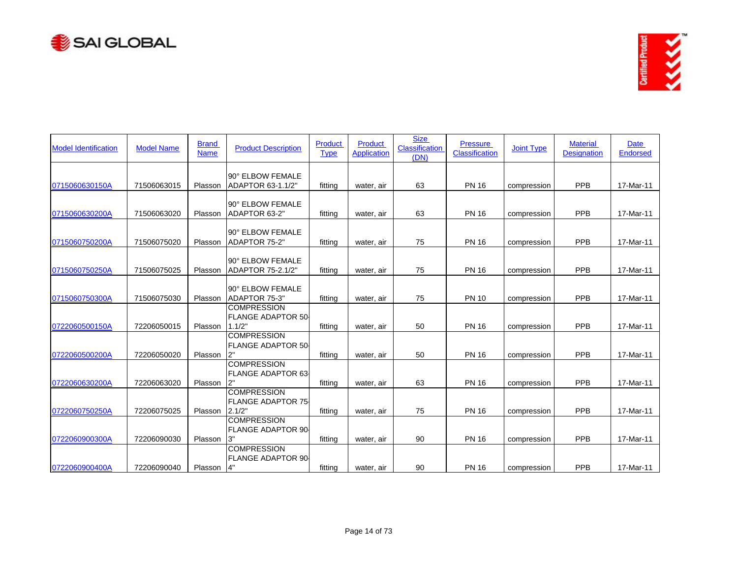



| <b>Model Identification</b> | <b>Model Name</b> | <b>Brand</b><br><b>Name</b> | <b>Product Description</b>                                | Product<br><b>Type</b> | <b>Product</b><br><b>Application</b> | <b>Size</b><br><b>Classification</b><br>(DN) | <b>Pressure</b><br><b>Classification</b> | <b>Joint Type</b> | <b>Material</b><br><b>Designation</b> | <b>Date</b><br>Endorsed |
|-----------------------------|-------------------|-----------------------------|-----------------------------------------------------------|------------------------|--------------------------------------|----------------------------------------------|------------------------------------------|-------------------|---------------------------------------|-------------------------|
| 0715060630150A              | 71506063015       | Plasson                     | 90° ELBOW FEMALE<br>ADAPTOR 63-1.1/2"                     | fitting                | water, air                           | 63                                           | <b>PN 16</b>                             | compression       | PPB                                   | 17-Mar-11               |
| 0715060630200A              | 71506063020       | Plasson                     | 90° ELBOW FEMALE<br>ADAPTOR 63-2"                         | fitting                | water, air                           | 63                                           | <b>PN 16</b>                             | compression       | PPB                                   | 17-Mar-11               |
| 0715060750200A              | 71506075020       | Plasson                     | 90° ELBOW FEMALE<br>ADAPTOR 75-2"                         | fittina                | water, air                           | 75                                           | <b>PN 16</b>                             | compression       | PPB                                   | 17-Mar-11               |
| 0715060750250A              | 71506075025       | Plasson                     | 90° ELBOW FEMALE<br>ADAPTOR 75-2.1/2"                     | fitting                | water, air                           | 75                                           | <b>PN 16</b>                             | compression       | PPB                                   | 17-Mar-11               |
| 0715060750300A              | 71506075030       | Plasson                     | 90° ELBOW FEMALE<br>ADAPTOR 75-3"                         | fitting                | water, air                           | 75                                           | <b>PN 10</b>                             | compression       | PPB                                   | 17-Mar-11               |
| 0722060500150A              | 72206050015       | Plasson                     | <b>COMPRESSION</b><br><b>FLANGE ADAPTOR 50</b><br>1.1/2"  | fitting                | water, air                           | 50                                           | <b>PN 16</b>                             | compression       | PPB                                   | 17-Mar-11               |
| 0722060500200A              | 72206050020       | Plasson                     | <b>COMPRESSION</b><br><b>FLANGE ADAPTOR 50-</b><br>2"     | fittina                | water, air                           | 50                                           | <b>PN 16</b>                             | compression       | PPB                                   | 17-Mar-11               |
| 0722060630200A              | 72206063020       | Plasson                     | <b>COMPRESSION</b><br><b>FLANGE ADAPTOR 63-</b>           | fitting                | water, air                           | 63                                           | <b>PN 16</b>                             | compression       | PPB                                   | 17-Mar-11               |
|                             |                   |                             | <b>COMPRESSION</b><br><b>FLANGE ADAPTOR 75-</b><br>2.1/2" |                        |                                      |                                              |                                          |                   |                                       |                         |
| 0722060750250A              | 72206075025       | Plasson                     | <b>COMPRESSION</b><br><b>FLANGE ADAPTOR 90</b>            | fitting                | water, air                           | 75                                           | <b>PN 16</b>                             | compression       | PPB                                   | 17-Mar-11               |
| 0722060900300A              | 72206090030       | Plasson                     | 3"<br><b>COMPRESSION</b><br><b>FLANGE ADAPTOR 90</b>      | fitting                | water, air                           | 90                                           | <b>PN 16</b>                             | compression       | PPB                                   | 17-Mar-11               |
| 0722060900400A              | 72206090040       | Plasson                     | 4"                                                        | fitting                | water, air                           | 90                                           | <b>PN 16</b>                             | compression       | <b>PPB</b>                            | 17-Mar-11               |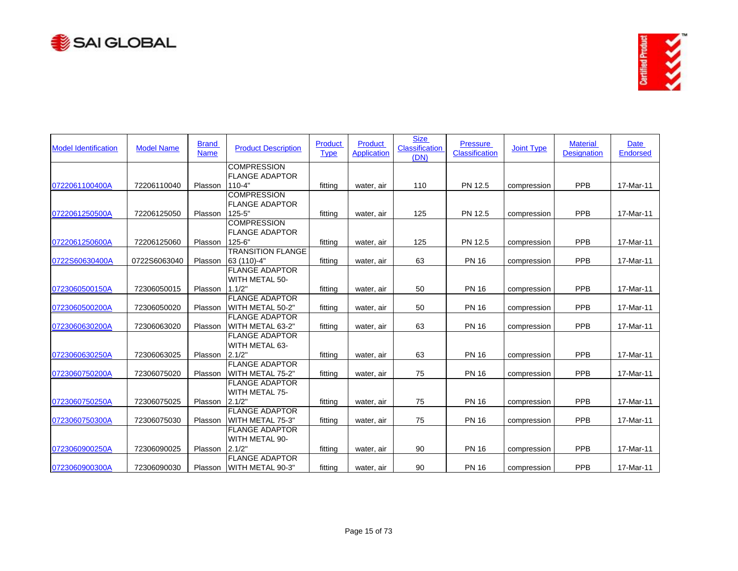



| <b>Model Identification</b> | <b>Model Name</b> | <b>Brand</b><br><b>Name</b> | <b>Product Description</b>                  | Product<br><b>Type</b> | Product<br><b>Application</b> | <b>Size</b><br><b>Classification</b><br>(DN) | <b>Pressure</b><br><b>Classification</b> | <b>Joint Type</b> | <b>Material</b><br><b>Designation</b> | <b>Date</b><br>Endorsed |
|-----------------------------|-------------------|-----------------------------|---------------------------------------------|------------------------|-------------------------------|----------------------------------------------|------------------------------------------|-------------------|---------------------------------------|-------------------------|
|                             |                   |                             | <b>COMPRESSION</b>                          |                        |                               |                                              |                                          |                   |                                       |                         |
| 0722061100400A              | 72206110040       | Plasson                     | <b>FLANGE ADAPTOR</b><br>$110 - 4"$         | fitting                | water, air                    | 110                                          | PN 12.5                                  | compression       | PPB                                   | 17-Mar-11               |
|                             |                   |                             | <b>COMPRESSION</b>                          |                        |                               |                                              |                                          |                   |                                       |                         |
|                             |                   |                             | <b>FLANGE ADAPTOR</b>                       |                        |                               |                                              |                                          |                   |                                       |                         |
| 0722061250500A              | 72206125050       | Plasson                     | $125 - 5$                                   | fittina                | water, air                    | 125                                          | PN 12.5                                  | compression       | <b>PPB</b>                            | 17-Mar-11               |
|                             |                   |                             | <b>COMPRESSION</b><br><b>FLANGE ADAPTOR</b> |                        |                               |                                              |                                          |                   |                                       |                         |
| 0722061250600A              | 72206125060       | Plasson                     | $125 - 6$                                   | fitting                | water, air                    | 125                                          | PN 12.5                                  | compression       | PPB                                   | 17-Mar-11               |
|                             |                   |                             | <b>TRANSITION FLANGE</b>                    |                        |                               |                                              |                                          |                   |                                       |                         |
| 0722S60630400A              | 0722S6063040      | Plasson                     | 63 (110)-4"                                 | fitting                | water, air                    | 63                                           | <b>PN 16</b>                             | compression       | PPB                                   | 17-Mar-11               |
|                             |                   |                             | <b>FLANGE ADAPTOR</b><br>WITH METAL 50-     |                        |                               |                                              |                                          |                   |                                       |                         |
| 0723060500150A              | 72306050015       | Plasson                     | 1.1/2"                                      | fitting                | water, air                    | 50                                           | <b>PN 16</b>                             | compression       | PPB                                   | 17-Mar-11               |
|                             |                   |                             | <b>FLANGE ADAPTOR</b>                       |                        |                               |                                              |                                          |                   |                                       |                         |
| 0723060500200A              | 72306050020       | Plasson                     | WITH METAL 50-2"                            | fitting                | water, air                    | 50                                           | <b>PN 16</b>                             | compression       | PPB                                   | 17-Mar-11               |
|                             |                   |                             | <b>FLANGE ADAPTOR</b>                       |                        |                               |                                              |                                          |                   |                                       |                         |
| 0723060630200A              | 72306063020       | Plasson                     | WITH METAL 63-2"                            | fitting                | water, air                    | 63                                           | <b>PN 16</b>                             | compression       | PPB                                   | 17-Mar-11               |
|                             |                   |                             | <b>FLANGE ADAPTOR</b>                       |                        |                               |                                              |                                          |                   |                                       |                         |
|                             |                   |                             | WITH METAL 63-                              |                        |                               |                                              |                                          |                   |                                       |                         |
| 0723060630250A              | 72306063025       | Plasson                     | 2.1/2"<br><b>FLANGE ADAPTOR</b>             | fitting                | water, air                    | 63                                           | <b>PN 16</b>                             | compression       | PPB                                   | 17-Mar-11               |
| 0723060750200A              | 72306075020       | Plasson                     | WITH METAL 75-2"                            | fitting                | water, air                    | 75                                           | <b>PN 16</b>                             | compression       | PPB                                   | 17-Mar-11               |
|                             |                   |                             | <b>FLANGE ADAPTOR</b>                       |                        |                               |                                              |                                          |                   |                                       |                         |
|                             |                   |                             | WITH METAL 75-                              |                        |                               |                                              |                                          |                   |                                       |                         |
| 0723060750250A              | 72306075025       | Plasson                     | 2.1/2"                                      | fitting                | water, air                    | 75                                           | <b>PN 16</b>                             | compression       | PPB                                   | 17-Mar-11               |
|                             |                   |                             | <b>FLANGE ADAPTOR</b>                       |                        |                               |                                              |                                          |                   |                                       |                         |
| 0723060750300A              | 72306075030       | Plasson                     | WITH METAL 75-3"                            | fitting                | water, air                    | 75                                           | <b>PN 16</b>                             | compression       | <b>PPB</b>                            | 17-Mar-11               |
|                             |                   |                             | <b>FLANGE ADAPTOR</b>                       |                        |                               |                                              |                                          |                   |                                       |                         |
|                             |                   |                             | WITH METAL 90-                              |                        |                               |                                              |                                          |                   |                                       |                         |
| 0723060900250A              | 72306090025       | Plasson                     | 2.1/2"<br><b>FLANGE ADAPTOR</b>             | fitting                | water, air                    | 90                                           | <b>PN 16</b>                             | compression       | PPB                                   | 17-Mar-11               |
| 0723060900300A              | 72306090030       | Plasson                     | WITH METAL 90-3"                            | fitting                | water, air                    | 90                                           | <b>PN 16</b>                             | compression       | PPB                                   | 17-Mar-11               |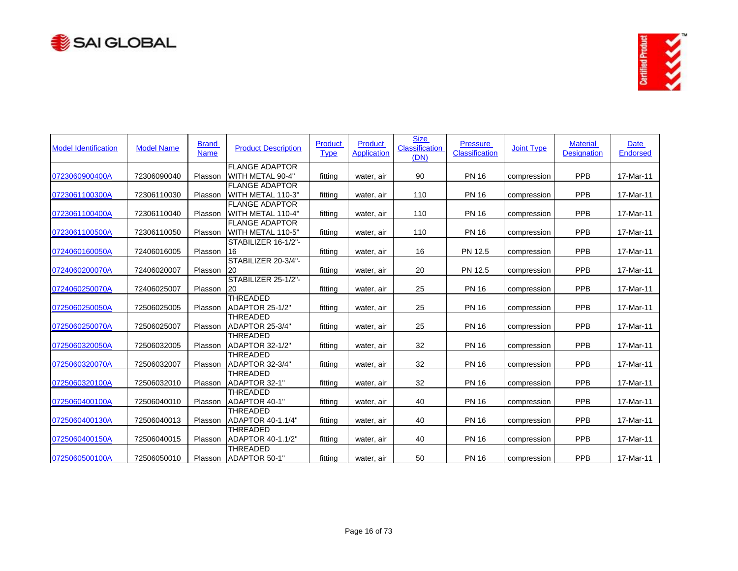



| <b>Model Identification</b> | <b>Model Name</b> | <b>Brand</b><br><b>Name</b> | <b>Product Description</b>                 | Product<br><b>Type</b> | Product<br><b>Application</b> | <b>Size</b><br>Classification<br>(DN) | <b>Pressure</b><br>Classification | <b>Joint Type</b> | <b>Material</b><br><b>Designation</b> | Date<br><b>Endorsed</b> |
|-----------------------------|-------------------|-----------------------------|--------------------------------------------|------------------------|-------------------------------|---------------------------------------|-----------------------------------|-------------------|---------------------------------------|-------------------------|
| 0723060900400A              | 72306090040       | Plasson                     | <b>FLANGE ADAPTOR</b><br>WITH METAL 90-4"  | fitting                | water, air                    | 90                                    | <b>PN 16</b>                      | compression       | <b>PPB</b>                            | 17-Mar-11               |
| 0723061100300A              | 72306110030       | Plasson                     | <b>FLANGE ADAPTOR</b><br>WITH METAL 110-3" | fitting                | water, air                    | 110                                   | <b>PN 16</b>                      | compression       | PPB                                   | 17-Mar-11               |
| 0723061100400A              | 72306110040       | Plasson                     | <b>FLANGE ADAPTOR</b><br>WITH METAL 110-4" | fitting                | water, air                    | 110                                   | <b>PN 16</b>                      | compression       | PPB                                   | 17-Mar-11               |
| 0723061100500A              | 72306110050       | Plasson                     | <b>FLANGE ADAPTOR</b><br>WITH METAL 110-5" | fitting                | water, air                    | 110                                   | <b>PN 16</b>                      | compression       | PPB                                   | 17-Mar-11               |
| 0724060160050A              | 72406016005       | Plasson                     | STABILIZER 16-1/2"-<br>16                  | fitting                | water, air                    | 16                                    | PN 12.5                           | compression       | PPB                                   | 17-Mar-11               |
| 0724060200070A              | 72406020007       | Plasson                     | STABILIZER 20-3/4"-<br>20                  | fitting                | water, air                    | 20                                    | PN 12.5                           | compression       | PPB                                   | 17-Mar-11               |
| 0724060250070A              | 72406025007       | Plasson                     | STABILIZER 25-1/2"-<br>20                  | fitting                | water, air                    | 25                                    | <b>PN 16</b>                      | compression       | PPB                                   | 17-Mar-11               |
| 0725060250050A              | 72506025005       | Plasson                     | THREADED<br>ADAPTOR 25-1/2"                | fitting                | water, air                    | 25                                    | <b>PN 16</b>                      | compression       | PPB                                   | 17-Mar-11               |
| 0725060250070A              | 72506025007       | Plasson                     | <b>THREADED</b><br>ADAPTOR 25-3/4"         | fitting                | water, air                    | 25                                    | <b>PN 16</b>                      | compression       | PPB                                   | 17-Mar-11               |
| 0725060320050A              | 72506032005       | Plasson                     | <b>THREADED</b><br>ADAPTOR 32-1/2"         | fitting                | water, air                    | 32                                    | <b>PN 16</b>                      | compression       | PPB                                   | 17-Mar-11               |
| 0725060320070A              | 72506032007       | Plasson                     | THREADED<br>ADAPTOR 32-3/4"                | fitting                | water, air                    | 32                                    | <b>PN 16</b>                      | compression       | PPB                                   | 17-Mar-11               |
| 0725060320100A              | 72506032010       | Plasson                     | <b>THREADED</b><br>ADAPTOR 32-1"           | fitting                | water, air                    | 32                                    | <b>PN 16</b>                      | compression       | PPB                                   | 17-Mar-11               |
| 0725060400100A              | 72506040010       | Plasson                     | <b>THREADED</b><br>ADAPTOR 40-1"           | fitting                | water, air                    | 40                                    | <b>PN 16</b>                      | compression       | PPB                                   | 17-Mar-11               |
| 0725060400130A              | 72506040013       | Plasson                     | <b>THREADED</b><br>ADAPTOR 40-1.1/4"       | fitting                | water, air                    | 40                                    | <b>PN 16</b>                      | compression       | PPB                                   | 17-Mar-11               |
| 0725060400150A              | 72506040015       | Plasson                     | <b>THREADED</b><br>ADAPTOR 40-1.1/2"       | fitting                | water, air                    | 40                                    | <b>PN 16</b>                      | compression       | PPB                                   | 17-Mar-11               |
| 0725060500100A              | 72506050010       | Plasson                     | THREADED<br>ADAPTOR 50-1"                  | fitting                | water, air                    | 50                                    | <b>PN 16</b>                      | compression       | PPB                                   | 17-Mar-11               |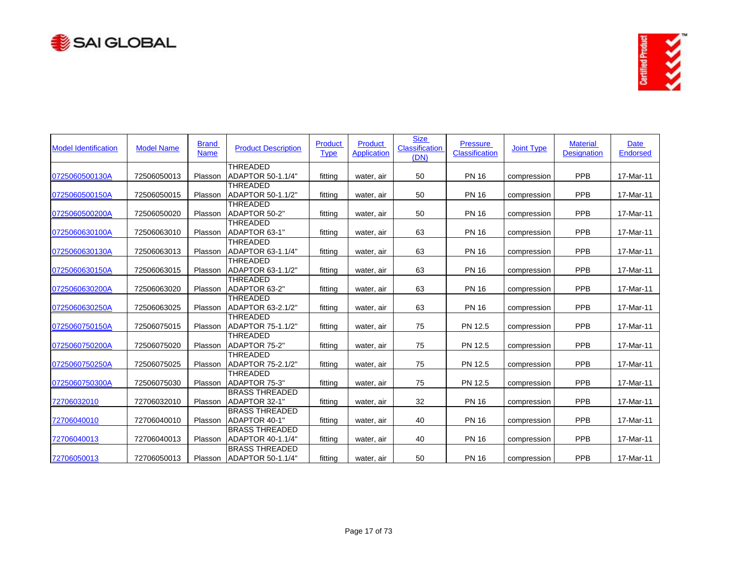



| <b>Model Identification</b> | <b>Model Name</b> | <b>Brand</b><br><b>Name</b> | <b>Product Description</b>                 | Product<br><b>Type</b> | Product<br><b>Application</b> | <b>Size</b><br>Classification<br>(DN) | <b>Pressure</b><br>Classification | <b>Joint Type</b> | <b>Material</b><br><b>Designation</b> | Date<br>Endorsed |
|-----------------------------|-------------------|-----------------------------|--------------------------------------------|------------------------|-------------------------------|---------------------------------------|-----------------------------------|-------------------|---------------------------------------|------------------|
| 0725060500130A              | 72506050013       | Plasson                     | THREADED<br>ADAPTOR 50-1.1/4"              | fitting                | water, air                    | 50                                    | <b>PN 16</b>                      | compression       | PPB                                   | 17-Mar-11        |
| 0725060500150A              | 72506050015       | Plasson                     | <b>THREADED</b><br>ADAPTOR 50-1.1/2"       | fitting                | water, air                    | 50                                    | <b>PN 16</b>                      | compression       | PPB                                   | 17-Mar-11        |
| 0725060500200A              | 72506050020       | Plasson                     | <b>THREADED</b><br>ADAPTOR 50-2"           | fitting                | water, air                    | 50                                    | <b>PN 16</b>                      | compression       | PPB                                   | 17-Mar-11        |
| 0725060630100A              | 72506063010       | Plasson                     | THREADED<br>ADAPTOR 63-1"                  | fitting                | water, air                    | 63                                    | <b>PN 16</b>                      | compression       | PPB                                   | 17-Mar-11        |
| 0725060630130A              | 72506063013       | Plasson                     | <b>THREADED</b><br>ADAPTOR 63-1.1/4"       | fitting                | water, air                    | 63                                    | <b>PN 16</b>                      | compression       | PPB                                   | 17-Mar-11        |
| 0725060630150A              | 72506063015       | Plasson                     | <b>THREADED</b><br>ADAPTOR 63-1.1/2"       | fitting                | water, air                    | 63                                    | <b>PN 16</b>                      | compression       | PPB                                   | 17-Mar-11        |
| 0725060630200A              | 72506063020       | Plasson                     | <b>THREADED</b><br>ADAPTOR 63-2"           | fitting                | water, air                    | 63                                    | <b>PN 16</b>                      | compression       | PPB                                   | 17-Mar-11        |
| 0725060630250A              | 72506063025       | Plasson                     | THREADED<br>ADAPTOR 63-2.1/2"              | fitting                | water, air                    | 63                                    | <b>PN 16</b>                      | compression       | PPB                                   | 17-Mar-11        |
| 0725060750150A              | 72506075015       | Plasson                     | <b>THREADED</b><br>ADAPTOR 75-1.1/2"       | fitting                | water, air                    | 75                                    | PN 12.5                           | compression       | PPB                                   | 17-Mar-11        |
| 0725060750200A              | 72506075020       | Plasson                     | <b>THREADED</b><br><b>ADAPTOR 75-2"</b>    | fitting                | water, air                    | 75                                    | PN 12.5                           | compression       | PPB                                   | 17-Mar-11        |
| 0725060750250A              | 72506075025       | Plasson                     | THREADED<br>ADAPTOR 75-2.1/2"              | fitting                | water, air                    | 75                                    | PN 12.5                           | compression       | PPB                                   | 17-Mar-11        |
| 0725060750300A              | 72506075030       | Plasson                     | <b>THREADED</b><br>ADAPTOR 75-3"           | fitting                | water, air                    | 75                                    | PN 12.5                           | compression       | PPB                                   | 17-Mar-11        |
| 72706032010                 | 72706032010       | Plasson                     | <b>BRASS THREADED</b><br>ADAPTOR 32-1"     | fitting                | water, air                    | 32                                    | <b>PN 16</b>                      | compression       | PPB                                   | 17-Mar-11        |
| 72706040010                 | 72706040010       | Plasson                     | <b>BRASS THREADED</b><br>ADAPTOR 40-1"     | fitting                | water, air                    | 40                                    | <b>PN 16</b>                      | compression       | PPB                                   | 17-Mar-11        |
| 72706040013                 | 72706040013       | Plasson                     | <b>BRASS THREADED</b><br>ADAPTOR 40-1.1/4" | fitting                | water, air                    | 40                                    | <b>PN 16</b>                      | compression       | PPB                                   | 17-Mar-11        |
| 72706050013                 | 72706050013       | Plasson                     | <b>BRASS THREADED</b><br>ADAPTOR 50-1.1/4" | fitting                | water, air                    | 50                                    | <b>PN 16</b>                      | compression       | PPB                                   | 17-Mar-11        |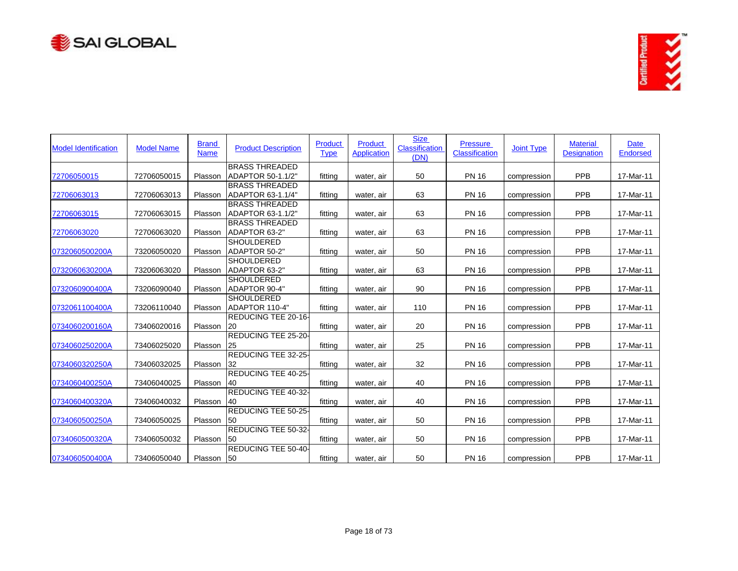



| <b>Model Identification</b> | <b>Model Name</b> | <b>Brand</b><br><b>Name</b> | <b>Product Description</b>                 | Product<br><b>Type</b> | Product<br><b>Application</b> | <b>Size</b><br>Classification<br>(DN) | <b>Pressure</b><br>Classification | <b>Joint Type</b> | <b>Material</b><br><b>Designation</b> | Date<br><b>Endorsed</b> |
|-----------------------------|-------------------|-----------------------------|--------------------------------------------|------------------------|-------------------------------|---------------------------------------|-----------------------------------|-------------------|---------------------------------------|-------------------------|
| 72706050015                 | 72706050015       | Plasson                     | <b>BRASS THREADED</b><br>ADAPTOR 50-1.1/2" | fitting                | water, air                    | 50                                    | <b>PN 16</b>                      | compression       | PPB                                   | 17-Mar-11               |
| 72706063013                 | 72706063013       | Plasson                     | <b>BRASS THREADED</b><br>ADAPTOR 63-1.1/4" | fitting                | water, air                    | 63                                    | <b>PN 16</b>                      | compression       | PPB                                   | 17-Mar-11               |
| 72706063015                 | 72706063015       | Plasson                     | <b>BRASS THREADED</b><br>ADAPTOR 63-1.1/2" | fitting                | water, air                    | 63                                    | <b>PN 16</b>                      | compression       | PPB                                   | 17-Mar-11               |
| 72706063020                 | 72706063020       | Plasson                     | <b>BRASS THREADED</b><br>ADAPTOR 63-2"     | fitting                | water, air                    | 63                                    | <b>PN 16</b>                      | compression       | <b>PPB</b>                            | 17-Mar-11               |
| 0732060500200A              | 73206050020       | Plasson                     | <b>SHOULDERED</b><br>ADAPTOR 50-2"         | fitting                | water, air                    | 50                                    | <b>PN 16</b>                      | compression       | PPB                                   | 17-Mar-11               |
| 0732060630200A              | 73206063020       | Plasson                     | <b>SHOULDERED</b><br>ADAPTOR 63-2"         | fitting                | water, air                    | 63                                    | <b>PN 16</b>                      | compression       | PPB                                   | 17-Mar-11               |
| 0732060900400A              | 73206090040       | Plasson                     | SHOULDERED<br>ADAPTOR 90-4"                | fitting                | water, air                    | 90                                    | <b>PN 16</b>                      | compression       | PPB                                   | 17-Mar-11               |
| 0732061100400A              | 73206110040       | Plasson                     | <b>SHOULDERED</b><br>ADAPTOR 110-4"        | fitting                | water, air                    | 110                                   | <b>PN 16</b>                      | compression       | PPB                                   | 17-Mar-11               |
| 0734060200160A              | 73406020016       | Plasson                     | REDUCING TEE 20-16-<br>20                  | fitting                | water, air                    | 20                                    | <b>PN 16</b>                      | compression       | PPB                                   | 17-Mar-11               |
| 0734060250200A              | 73406025020       | Plasson                     | REDUCING TEE 25-20-<br>25                  | fitting                | water, air                    | 25                                    | <b>PN 16</b>                      | compression       | <b>PPB</b>                            | 17-Mar-11               |
| 0734060320250A              | 73406032025       | Plasson                     | REDUCING TEE 32-25-<br>32                  | fitting                | water, air                    | 32                                    | <b>PN 16</b>                      | compression       | <b>PPB</b>                            | 17-Mar-11               |
| 0734060400250A              | 73406040025       | Plasson                     | REDUCING TEE 40-25-<br>40                  | fitting                | water, air                    | 40                                    | <b>PN 16</b>                      | compression       | PPB                                   | 17-Mar-11               |
| 0734060400320A              | 73406040032       | Plasson                     | REDUCING TEE 40-32-<br>40                  | fitting                | water, air                    | 40                                    | <b>PN 16</b>                      | compression       | PPB                                   | 17-Mar-11               |
| 0734060500250A              | 73406050025       | Plasson                     | REDUCING TEE 50-25-<br>50                  | fitting                | water, air                    | 50                                    | <b>PN 16</b>                      | compression       | <b>PPB</b>                            | 17-Mar-11               |
| 0734060500320A              | 73406050032       | Plasson                     | REDUCING TEE 50-32-<br>50                  | fitting                | water, air                    | 50                                    | <b>PN 16</b>                      | compression       | PPB                                   | 17-Mar-11               |
| 0734060500400A              | 73406050040       | Plasson                     | REDUCING TEE 50-40-<br>50                  | fitting                | water, air                    | 50                                    | <b>PN 16</b>                      | compression       | PPB                                   | 17-Mar-11               |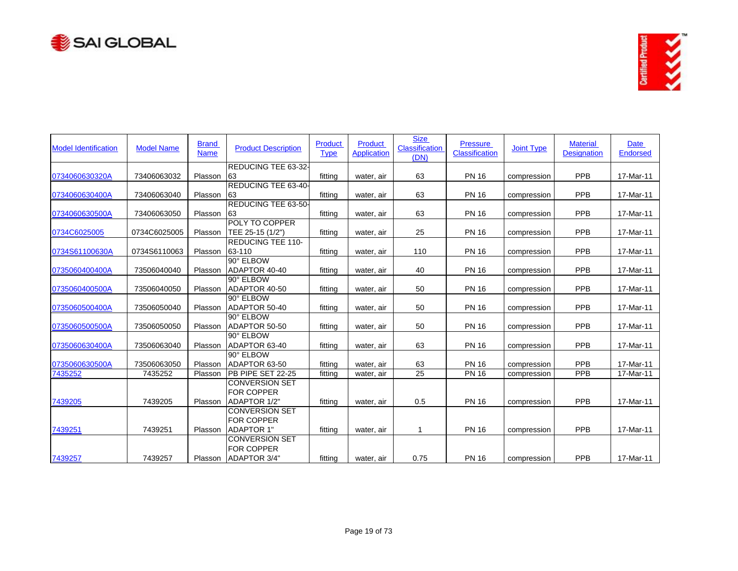



| <b>Model Identification</b> | <b>Model Name</b> | <b>Brand</b><br><b>Name</b> | <b>Product Description</b> | Product<br><b>Type</b> | Product<br><b>Application</b> | <b>Size</b><br>Classification<br>(DN) | <b>Pressure</b><br><b>Classification</b> | <b>Joint Type</b> | <b>Material</b><br><b>Designation</b> | Date<br><b>Endorsed</b> |
|-----------------------------|-------------------|-----------------------------|----------------------------|------------------------|-------------------------------|---------------------------------------|------------------------------------------|-------------------|---------------------------------------|-------------------------|
|                             |                   |                             | <b>REDUCING TEE 63-32-</b> |                        |                               |                                       |                                          |                   |                                       |                         |
| 0734060630320A              | 73406063032       | Plasson                     | 63                         | fitting                | water, air                    | 63                                    | <b>PN 16</b>                             | compression       | PPB                                   | 17-Mar-11               |
| 0734060630400A              | 73406063040       | Plasson                     | REDUCING TEE 63-40-<br>63  | fitting                | water, air                    | 63                                    | <b>PN 16</b>                             | compression       | PPB                                   | 17-Mar-11               |
|                             |                   |                             | <b>REDUCING TEE 63-50-</b> |                        |                               |                                       |                                          |                   |                                       |                         |
| 0734060630500A              | 73406063050       | Plasson                     | 63                         | fitting                | water, air                    | 63                                    | <b>PN 16</b>                             | compression       | PPB                                   | 17-Mar-11               |
|                             |                   |                             | POLY TO COPPER             |                        |                               |                                       |                                          |                   |                                       |                         |
| 0734C6025005                | 0734C6025005      | Plasson                     | TEE 25-15 (1/2")           | fitting                | water, air                    | 25                                    | <b>PN 16</b>                             | compression       | PPB                                   | 17-Mar-11               |
|                             |                   |                             | <b>REDUCING TEE 110-</b>   |                        |                               |                                       |                                          |                   |                                       |                         |
| 0734S61100630A              | 0734S6110063      | Plasson                     | 63-110                     | fittina                | water, air                    | 110                                   | <b>PN 16</b>                             | compression       | PPB                                   | 17-Mar-11               |
|                             |                   |                             | 90° ELBOW                  |                        |                               |                                       |                                          |                   |                                       |                         |
| 0735060400400A              | 73506040040       | Plasson                     | ADAPTOR 40-40              | fitting                | water, air                    | 40                                    | <b>PN 16</b>                             | compression       | PPB                                   | 17-Mar-11               |
|                             |                   |                             | 90° ELBOW                  |                        |                               |                                       |                                          |                   |                                       |                         |
| 0735060400500A              | 73506040050       | Plasson                     | ADAPTOR 40-50              | fitting                | water, air                    | 50                                    | <b>PN 16</b>                             | compression       | PPB                                   | 17-Mar-11               |
|                             |                   |                             | 90° ELBOW                  |                        |                               |                                       |                                          |                   |                                       |                         |
| 0735060500400A              | 73506050040       | Plasson                     | ADAPTOR 50-40              | fitting                | water, air                    | 50                                    | <b>PN 16</b>                             | compression       | PPB                                   | 17-Mar-11               |
|                             |                   |                             | 90° ELBOW                  |                        |                               |                                       |                                          |                   |                                       |                         |
| 0735060500500A              | 73506050050       | Plasson                     | ADAPTOR 50-50              | fitting                | water, air                    | 50                                    | <b>PN 16</b>                             | compression       | <b>PPB</b>                            | 17-Mar-11               |
|                             |                   |                             | 90° ELBOW                  |                        |                               |                                       |                                          |                   |                                       |                         |
| 0735060630400A              | 73506063040       | Plasson                     | ADAPTOR 63-40              | fitting                | water, air                    | 63                                    | <b>PN 16</b>                             | compression       | PPB                                   | 17-Mar-11               |
|                             |                   |                             | 90° ELBOW                  |                        |                               |                                       |                                          |                   |                                       |                         |
| 0735060630500A              | 73506063050       | Plasson                     | ADAPTOR 63-50              | fitting                | water, air                    | 63                                    | <b>PN 16</b>                             | compression       | PPB                                   | 17-Mar-11               |
| 7435252                     | 7435252           | Plasson                     | PB PIPE SET 22-25          | fitting                | water, air                    | $\overline{25}$                       | <b>PN 16</b>                             | compression       | <b>PPB</b>                            | 17-Mar-11               |
|                             |                   |                             | <b>CONVERSION SET</b>      |                        |                               |                                       |                                          |                   |                                       |                         |
|                             |                   |                             | <b>FOR COPPER</b>          |                        |                               |                                       |                                          |                   |                                       |                         |
| 7439205                     | 7439205           | Plasson                     | ADAPTOR 1/2"               | fitting                | water, air                    | 0.5                                   | <b>PN 16</b>                             | compression       | PPB                                   | 17-Mar-11               |
|                             |                   |                             | <b>CONVERSION SET</b>      |                        |                               |                                       |                                          |                   |                                       |                         |
|                             |                   |                             | <b>FOR COPPER</b>          |                        |                               |                                       |                                          |                   |                                       |                         |
| 7439251                     | 7439251           | Plasson                     | <b>ADAPTOR 1"</b>          | fitting                | water, air                    | 1                                     | <b>PN 16</b>                             | compression       | <b>PPB</b>                            | 17-Mar-11               |
|                             |                   |                             | <b>CONVERSION SET</b>      |                        |                               |                                       |                                          |                   |                                       |                         |
|                             |                   |                             | <b>FOR COPPER</b>          |                        |                               |                                       |                                          |                   |                                       |                         |
| 7439257                     | 7439257           | Plasson                     | ADAPTOR 3/4"               | fitting                | water, air                    | 0.75                                  | <b>PN 16</b>                             | compression       | <b>PPB</b>                            | 17-Mar-11               |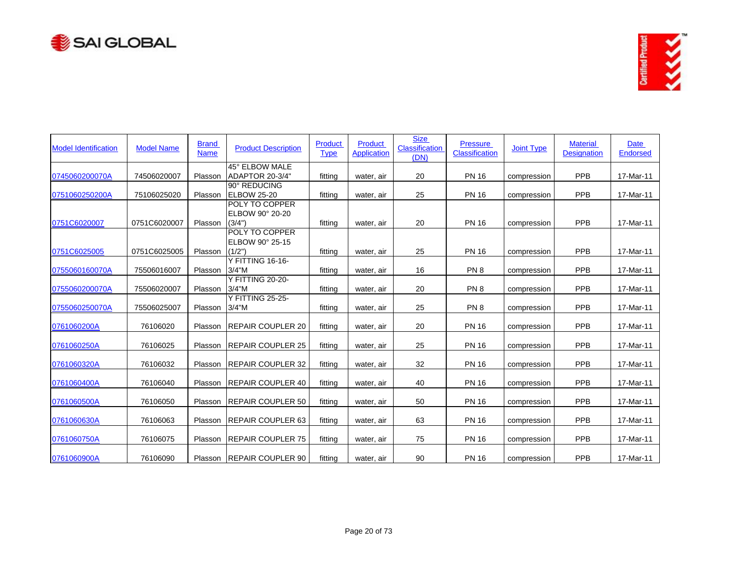



| <b>Model Identification</b> | <b>Model Name</b> | <b>Brand</b><br><b>Name</b> | <b>Product Description</b>                  | Product<br><b>Type</b> | Product<br><b>Application</b> | <b>Size</b><br>Classification<br>(DN) | <b>Pressure</b><br>Classification | <b>Joint Type</b> | <b>Material</b><br><b>Designation</b> | Date<br><b>Endorsed</b> |
|-----------------------------|-------------------|-----------------------------|---------------------------------------------|------------------------|-------------------------------|---------------------------------------|-----------------------------------|-------------------|---------------------------------------|-------------------------|
| 0745060200070A              | 74506020007       | Plasson                     | 45° ELBOW MALE<br>ADAPTOR 20-3/4"           | fitting                | water, air                    | 20                                    | <b>PN 16</b>                      | compression       | PPB                                   | 17-Mar-11               |
| 0751060250200A              | 75106025020       | Plasson                     | 90° REDUCING<br><b>ELBOW 25-20</b>          | fitting                | water, air                    | 25                                    | <b>PN 16</b>                      | compression       | <b>PPB</b>                            | 17-Mar-11               |
| 0751C6020007                | 0751C6020007      | Plasson                     | POLY TO COPPER<br>ELBOW 90° 20-20<br>(3/4") | fitting                | water, air                    | 20                                    | <b>PN 16</b>                      | compression       | PPB                                   | 17-Mar-11               |
| 0751C6025005                | 0751C6025005      | Plasson                     | POLY TO COPPER<br>ELBOW 90° 25-15<br>(1/2") | fitting                | water, air                    | 25                                    | <b>PN 16</b>                      | compression       | PPB                                   | 17-Mar-11               |
| 0755060160070A              | 75506016007       | Plasson                     | Y FITTING 16-16-<br>$3/4$ "M                | fitting                | water, air                    | 16                                    | PN <sub>8</sub>                   | compression       | PPB                                   | 17-Mar-11               |
| 0755060200070A              | 75506020007       | Plasson                     | <b>Y FITTING 20-20-</b><br>$3/4$ "M         | fitting                | water, air                    | 20                                    | PN <sub>8</sub>                   | compression       | PPB                                   | 17-Mar-11               |
| 0755060250070A              | 75506025007       | Plasson                     | <b>Y FITTING 25-25-</b><br>$3/4$ "M         | fitting                | water, air                    | 25                                    | PN <sub>8</sub>                   | compression       | <b>PPB</b>                            | 17-Mar-11               |
| 0761060200A                 | 76106020          | Plasson                     | <b>REPAIR COUPLER 20</b>                    | fitting                | water, air                    | 20                                    | <b>PN 16</b>                      | compression       | <b>PPB</b>                            | 17-Mar-11               |
| 0761060250A                 | 76106025          | Plasson                     | <b>REPAIR COUPLER 25</b>                    | fitting                | water, air                    | 25                                    | <b>PN 16</b>                      | compression       | PPB                                   | 17-Mar-11               |
| 0761060320A                 | 76106032          | Plasson                     | <b>REPAIR COUPLER 32</b>                    | fitting                | water, air                    | 32                                    | <b>PN 16</b>                      | compression       | <b>PPB</b>                            | 17-Mar-11               |
| 0761060400A                 | 76106040          | Plasson                     | <b>REPAIR COUPLER 40</b>                    | fitting                | water, air                    | 40                                    | <b>PN 16</b>                      | compression       | PPB                                   | 17-Mar-11               |
| 0761060500A                 | 76106050          | Plasson                     | <b>REPAIR COUPLER 50</b>                    | fitting                | water, air                    | 50                                    | <b>PN 16</b>                      | compression       | <b>PPB</b>                            | 17-Mar-11               |
| 0761060630A                 | 76106063          | Plasson                     | <b>REPAIR COUPLER 63</b>                    | fitting                | water, air                    | 63                                    | <b>PN 16</b>                      | compression       | PPB                                   | 17-Mar-11               |
| 0761060750A                 | 76106075          | Plasson                     | <b>REPAIR COUPLER 75</b>                    | fitting                | water, air                    | 75                                    | <b>PN 16</b>                      | compression       | PPB                                   | 17-Mar-11               |
| 0761060900A                 | 76106090          | Plasson                     | <b>REPAIR COUPLER 90</b>                    | fitting                | water, air                    | 90                                    | <b>PN 16</b>                      | compression       | PPB                                   | 17-Mar-11               |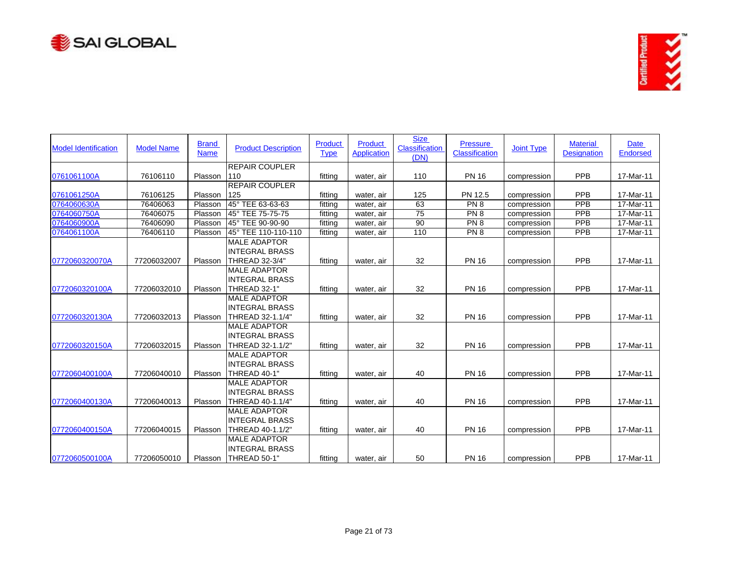



| <b>Model Identification</b> | <b>Model Name</b> | <b>Brand</b><br><b>Name</b> | <b>Product Description</b> | Product<br><b>Type</b> | <b>Product</b><br><b>Application</b> | <b>Size</b><br><b>Classification</b><br>(DN) | <b>Pressure</b><br><b>Classification</b> | <b>Joint Type</b> | <b>Material</b><br><b>Designation</b> | <b>Date</b><br><b>Endorsed</b> |
|-----------------------------|-------------------|-----------------------------|----------------------------|------------------------|--------------------------------------|----------------------------------------------|------------------------------------------|-------------------|---------------------------------------|--------------------------------|
|                             |                   |                             | <b>REPAIR COUPLER</b>      |                        |                                      |                                              |                                          |                   |                                       |                                |
| 0761061100A                 | 76106110          | Plasson                     | 110                        | fitting                | water, air                           | 110                                          | <b>PN 16</b>                             | compression       | <b>PPB</b>                            | 17-Mar-11                      |
|                             |                   |                             | <b>REPAIR COUPLER</b>      |                        |                                      |                                              |                                          |                   |                                       |                                |
| 0761061250A                 | 76106125          | Plasson                     | 125                        | fitting                | water, air                           | 125                                          | PN 12.5                                  | compression       | PPB                                   | 17-Mar-11                      |
| 0764060630A                 | 76406063          | Plasson                     | 45° TEE 63-63-63           | fitting                | water, air                           | 63                                           | PN 8                                     | compression       | <b>PPB</b>                            | 17-Mar-11                      |
| 0764060750A                 | 76406075          | Plasson                     | 45° TEE 75-75-75           | fitting                | water, air                           | $\overline{75}$                              | PN <sub>8</sub>                          | compression       | <b>PPB</b>                            | 17-Mar-11                      |
| 0764060900A                 | 76406090          | Plasson                     | 45° TEE 90-90-90           | fitting                | water, air                           | $\overline{90}$                              | PN <sub>8</sub>                          | compression       | PPB                                   | 17-Mar-11                      |
| 0764061100A                 | 76406110          | Plasson                     | 45° TEE 110-110-110        | fitting                | water, air                           | 110                                          | PN <sub>8</sub>                          | compression       | <b>PPB</b>                            | 17-Mar-11                      |
|                             |                   |                             | <b>MALE ADAPTOR</b>        |                        |                                      |                                              |                                          |                   |                                       |                                |
|                             |                   |                             | <b>INTEGRAL BRASS</b>      |                        |                                      |                                              |                                          |                   |                                       |                                |
| 0772060320070A              | 77206032007       | Plasson                     | THREAD 32-3/4"             | fitting                | water, air                           | 32                                           | <b>PN 16</b>                             | compression       | PPB                                   | 17-Mar-11                      |
|                             |                   |                             | <b>MALE ADAPTOR</b>        |                        |                                      |                                              |                                          |                   |                                       |                                |
|                             |                   |                             | <b>INTEGRAL BRASS</b>      |                        |                                      |                                              |                                          |                   |                                       |                                |
| 0772060320100A              | 77206032010       | Plasson                     | THREAD 32-1"               | fitting                | water, air                           | 32                                           | <b>PN 16</b>                             | compression       | PPB                                   | 17-Mar-11                      |
|                             |                   |                             | <b>MALE ADAPTOR</b>        |                        |                                      |                                              |                                          |                   |                                       |                                |
|                             |                   |                             | <b>INTEGRAL BRASS</b>      |                        |                                      |                                              |                                          |                   |                                       |                                |
| 0772060320130A              | 77206032013       | Plasson                     | THREAD 32-1.1/4"           | fitting                | water, air                           | 32                                           | <b>PN 16</b>                             | compression       | PPB                                   | 17-Mar-11                      |
|                             |                   |                             | <b>MALE ADAPTOR</b>        |                        |                                      |                                              |                                          |                   |                                       |                                |
|                             |                   |                             | <b>INTEGRAL BRASS</b>      |                        |                                      |                                              |                                          |                   |                                       |                                |
| 0772060320150A              | 77206032015       | Plasson                     | THREAD 32-1.1/2"           | fitting                | water, air                           | 32                                           | <b>PN 16</b>                             | compression       | PPB                                   | 17-Mar-11                      |
|                             |                   |                             | <b>MALE ADAPTOR</b>        |                        |                                      |                                              |                                          |                   |                                       |                                |
|                             |                   |                             | <b>INTEGRAL BRASS</b>      |                        |                                      |                                              |                                          |                   |                                       |                                |
| 0772060400100A              | 77206040010       | Plasson                     | THREAD 40-1"               | fitting                | water, air                           | 40                                           | <b>PN 16</b>                             | compression       | PPB                                   | 17-Mar-11                      |
|                             |                   |                             | <b>MALE ADAPTOR</b>        |                        |                                      |                                              |                                          |                   |                                       |                                |
|                             |                   |                             | IINTEGRAL BRASS            |                        |                                      |                                              |                                          |                   |                                       |                                |
| 0772060400130A              | 77206040013       | Plasson                     | THREAD 40-1.1/4"           | fitting                | water, air                           | 40                                           | <b>PN 16</b>                             | compression       | PPB                                   | 17-Mar-11                      |
|                             |                   |                             | <b>MALE ADAPTOR</b>        |                        |                                      |                                              |                                          |                   |                                       |                                |
|                             |                   |                             | <b>INTEGRAL BRASS</b>      |                        |                                      |                                              |                                          |                   |                                       |                                |
| 0772060400150A              | 77206040015       | Plasson                     | THREAD 40-1.1/2"           | fittina                | water, air                           | 40                                           | <b>PN 16</b>                             | compression       | PPB                                   | 17-Mar-11                      |
|                             |                   |                             | <b>MALE ADAPTOR</b>        |                        |                                      |                                              |                                          |                   |                                       |                                |
|                             |                   |                             | <b>INTEGRAL BRASS</b>      |                        |                                      |                                              |                                          |                   |                                       |                                |
| 0772060500100A              | 77206050010       | Plasson                     | THREAD 50-1"               | fitting                | water, air                           | 50                                           | <b>PN 16</b>                             | compression       | <b>PPB</b>                            | 17-Mar-11                      |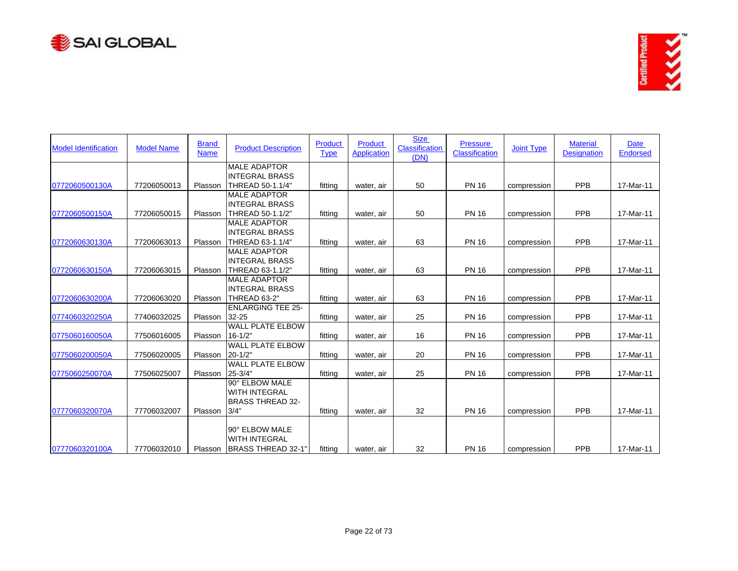



| <b>Model Identification</b> | <b>Model Name</b> | <b>Brand</b><br><b>Name</b> | <b>Product Description</b>                                   | Product<br><b>Type</b> | Product<br><b>Application</b> | <b>Size</b><br>Classification<br>(DN) | <b>Pressure</b><br><b>Classification</b> | <b>Joint Type</b> | <b>Material</b><br><b>Designation</b> | <b>Date</b><br><b>Endorsed</b> |
|-----------------------------|-------------------|-----------------------------|--------------------------------------------------------------|------------------------|-------------------------------|---------------------------------------|------------------------------------------|-------------------|---------------------------------------|--------------------------------|
|                             |                   |                             | <b>MALE ADAPTOR</b>                                          |                        |                               |                                       |                                          |                   |                                       |                                |
|                             |                   |                             | <b>INTEGRAL BRASS</b>                                        |                        |                               |                                       |                                          |                   |                                       |                                |
| 0772060500130A              | 77206050013       | Plasson                     | THREAD 50-1.1/4"                                             | fitting                | water, air                    | 50                                    | <b>PN 16</b>                             | compression       | <b>PPB</b>                            | 17-Mar-11                      |
|                             |                   |                             | <b>MALE ADAPTOR</b>                                          |                        |                               |                                       |                                          |                   |                                       |                                |
|                             |                   |                             | <b>INTEGRAL BRASS</b>                                        |                        |                               |                                       |                                          |                   |                                       |                                |
| 0772060500150A              | 77206050015       | Plasson                     | THREAD 50-1.1/2"                                             | fitting                | water, air                    | 50                                    | <b>PN 16</b>                             | compression       | PPB                                   | 17-Mar-11                      |
|                             |                   |                             | <b>MALE ADAPTOR</b>                                          |                        |                               |                                       |                                          |                   |                                       |                                |
|                             |                   |                             | <b>INTEGRAL BRASS</b>                                        |                        |                               |                                       |                                          |                   |                                       |                                |
| 0772060630130A              | 77206063013       | Plasson                     | THREAD 63-1.1/4"                                             | fitting                | water, air                    | 63                                    | <b>PN 16</b>                             | compression       | PPB                                   | 17-Mar-11                      |
|                             |                   |                             | <b>MALE ADAPTOR</b>                                          |                        |                               |                                       |                                          |                   |                                       |                                |
|                             |                   |                             | <b>INTEGRAL BRASS</b>                                        |                        |                               |                                       |                                          |                   |                                       |                                |
| 0772060630150A              | 77206063015       | Plasson                     | THREAD 63-1.1/2"                                             | fitting                | water, air                    | 63                                    | <b>PN 16</b>                             | compression       | <b>PPB</b>                            | 17-Mar-11                      |
|                             |                   |                             | <b>MALE ADAPTOR</b>                                          |                        |                               |                                       |                                          |                   |                                       |                                |
|                             |                   |                             | <b>INTEGRAL BRASS</b>                                        |                        |                               |                                       |                                          |                   |                                       |                                |
| 0772060630200A              | 77206063020       | Plasson                     | THREAD 63-2"                                                 | fitting                | water, air                    | 63                                    | <b>PN 16</b>                             | compression       | PPB                                   | 17-Mar-11                      |
|                             |                   |                             | <b>ENLARGING TEE 25-</b>                                     |                        |                               |                                       |                                          |                   |                                       |                                |
| 0774060320250A              | 77406032025       | Plasson                     | 32-25                                                        | fitting                | water, air                    | 25                                    | <b>PN 16</b>                             | compression       | PPB                                   | 17-Mar-11                      |
|                             |                   |                             | <b>WALL PLATE ELBOW</b>                                      |                        |                               |                                       |                                          |                   |                                       |                                |
| 0775060160050A              | 77506016005       | Plasson                     | $16 - 1/2"$                                                  | fitting                | water, air                    | 16                                    | <b>PN 16</b>                             | compression       | <b>PPB</b>                            | 17-Mar-11                      |
|                             |                   |                             | <b>WALL PLATE ELBOW</b>                                      |                        |                               |                                       |                                          |                   |                                       |                                |
| 0775060200050A              | 77506020005       | Plasson                     | $20 - 1/2"$                                                  | fitting                | water, air                    | 20                                    | <b>PN 16</b>                             | compression       | PPB                                   | 17-Mar-11                      |
|                             |                   |                             | <b>WALL PLATE ELBOW</b>                                      |                        |                               |                                       |                                          |                   |                                       |                                |
| 0775060250070A              | 77506025007       | Plasson                     | 25 3/4"                                                      | fitting                | water, air                    | 25                                    | <b>PN 16</b>                             | compression       | PPB                                   | 17-Mar-11                      |
|                             |                   |                             | 90° ELBOW MALE                                               |                        |                               |                                       |                                          |                   |                                       |                                |
|                             |                   |                             | <b>WITH INTEGRAL</b>                                         |                        |                               |                                       |                                          |                   |                                       |                                |
|                             |                   |                             | <b>BRASS THREAD 32-</b>                                      |                        |                               |                                       |                                          |                   |                                       |                                |
| 0777060320070A              | 77706032007       | Plasson                     | 3/4"                                                         | fitting                | water, air                    | 32                                    | <b>PN 16</b>                             | compression       | PPB                                   | 17-Mar-11                      |
| 0777060320100A              | 77706032010       | Plasson                     | 90° ELBOW MALE<br><b>WITH INTEGRAL</b><br>BRASS THREAD 32-1" | fitting                | water, air                    | 32                                    | <b>PN 16</b>                             | compression       | PPB                                   | 17-Mar-11                      |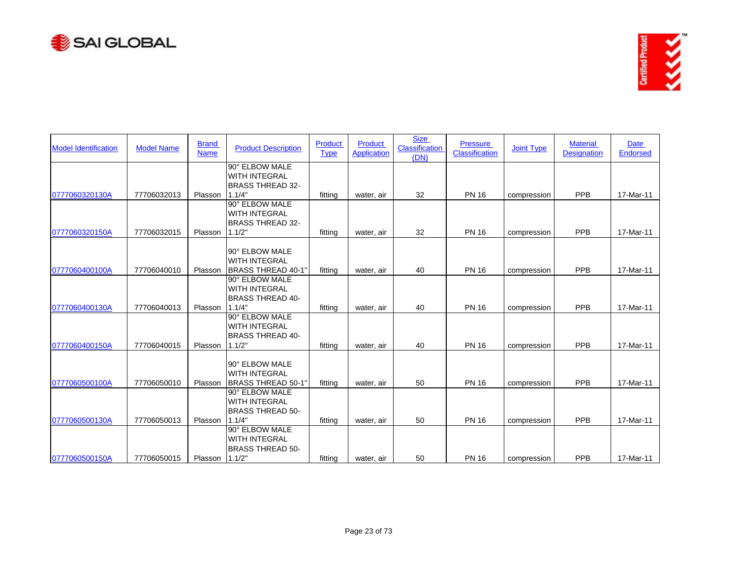



| <b>Model Identification</b> | <b>Model Name</b> | <b>Brand</b><br><b>Name</b> | <b>Product Description</b>                  | Product<br><b>Type</b> | Product<br><b>Application</b> | <b>Size</b><br><b>Classification</b><br>(DN) | <b>Pressure</b><br><b>Classification</b> | <b>Joint Type</b> | <b>Material</b><br><b>Designation</b> | <b>Date</b><br>Endorsed |
|-----------------------------|-------------------|-----------------------------|---------------------------------------------|------------------------|-------------------------------|----------------------------------------------|------------------------------------------|-------------------|---------------------------------------|-------------------------|
|                             |                   |                             | 90° ELBOW MALE<br><b>WITH INTEGRAL</b>      |                        |                               |                                              |                                          |                   |                                       |                         |
|                             |                   |                             | <b>BRASS THREAD 32-</b>                     |                        |                               |                                              |                                          |                   |                                       |                         |
| 0777060320130A              | 77706032013       | Plasson                     | 1.1/4"                                      | fitting                | water, air                    | 32                                           | <b>PN 16</b>                             | compression       | PPB                                   | 17-Mar-11               |
|                             |                   |                             | 90° ELBOW MALE                              |                        |                               |                                              |                                          |                   |                                       |                         |
|                             |                   |                             | <b>WITH INTEGRAL</b>                        |                        |                               |                                              |                                          |                   |                                       |                         |
|                             |                   |                             | BRASS THREAD 32-                            |                        |                               |                                              |                                          |                   |                                       |                         |
| 0777060320150A              | 77706032015       | Plasson                     | 1.1/2"                                      | fitting                | water, air                    | 32                                           | <b>PN 16</b>                             | compression       | PPB                                   | 17-Mar-11               |
|                             |                   |                             |                                             |                        |                               |                                              |                                          |                   |                                       |                         |
|                             |                   |                             | 90° ELBOW MALE                              |                        |                               |                                              |                                          |                   |                                       |                         |
|                             |                   |                             | <b>WITH INTEGRAL</b>                        |                        |                               |                                              |                                          |                   |                                       |                         |
| 0777060400100A              | 77706040010       | Plasson                     | <b>BRASS THREAD 40-1"</b><br>90° ELBOW MALE | fitting                | water, air                    | 40                                           | <b>PN 16</b>                             | compression       | PPB                                   | 17-Mar-11               |
|                             |                   |                             | <b>WITH INTEGRAL</b>                        |                        |                               |                                              |                                          |                   |                                       |                         |
|                             |                   |                             | <b>BRASS THREAD 40-</b>                     |                        |                               |                                              |                                          |                   |                                       |                         |
| 0777060400130A              | 77706040013       | Plasson                     | 1.1/4"                                      | fitting                | water, air                    | 40                                           | <b>PN 16</b>                             | compression       | PPB                                   | 17-Mar-11               |
|                             |                   |                             | 90° ELBOW MALE                              |                        |                               |                                              |                                          |                   |                                       |                         |
|                             |                   |                             | <b>WITH INTEGRAL</b>                        |                        |                               |                                              |                                          |                   |                                       |                         |
|                             |                   |                             | <b>BRASS THREAD 40-</b>                     |                        |                               |                                              |                                          |                   |                                       |                         |
| 0777060400150A              | 77706040015       | Plasson                     | 1.1/2"                                      | fitting                | water, air                    | 40                                           | <b>PN 16</b>                             | compression       | PPB                                   | 17-Mar-11               |
|                             |                   |                             |                                             |                        |                               |                                              |                                          |                   |                                       |                         |
|                             |                   |                             | 90° ELBOW MALE                              |                        |                               |                                              |                                          |                   |                                       |                         |
|                             |                   |                             | WITH INTEGRAL                               |                        |                               |                                              |                                          |                   |                                       |                         |
| 0777060500100A              | 77706050010       | Plasson                     | <b>BRASS THREAD 50-1"</b>                   | fitting                | water, air                    | 50                                           | <b>PN 16</b>                             | compression       | PPB                                   | 17-Mar-11               |
|                             |                   |                             | 90° ELBOW MALE                              |                        |                               |                                              |                                          |                   |                                       |                         |
|                             |                   |                             | <b>WITH INTEGRAL</b>                        |                        |                               |                                              |                                          |                   |                                       |                         |
| 0777060500130A              | 77706050013       | Plasson                     | <b>BRASS THREAD 50-</b><br>1.1/4"           | fitting                |                               | 50                                           | <b>PN 16</b>                             |                   | <b>PPB</b>                            | 17-Mar-11               |
|                             |                   |                             | 90° ELBOW MALE                              |                        | water, air                    |                                              |                                          | compression       |                                       |                         |
|                             |                   |                             | <b>WITH INTEGRAL</b>                        |                        |                               |                                              |                                          |                   |                                       |                         |
|                             |                   |                             | <b>BRASS THREAD 50-</b>                     |                        |                               |                                              |                                          |                   |                                       |                         |
| 0777060500150A              | 77706050015       | Plasson 1.1/2"              |                                             | fitting                | water, air                    | 50                                           | <b>PN 16</b>                             | compression       | PPB                                   | 17-Mar-11               |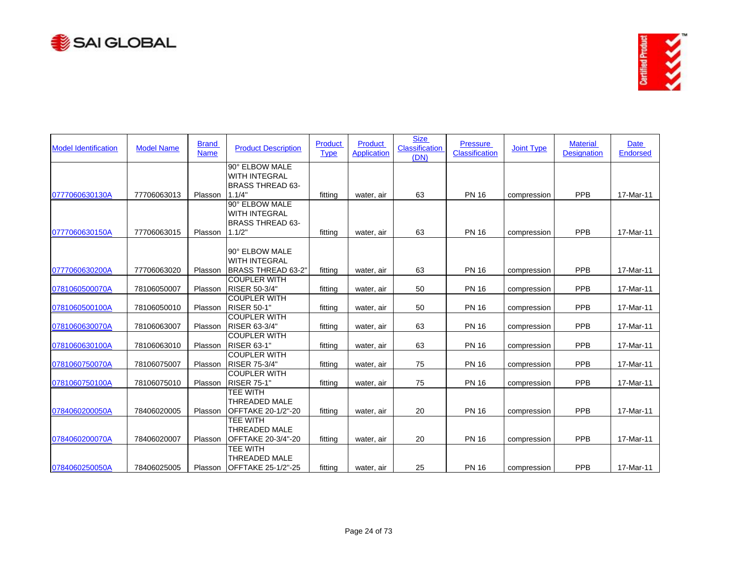



| <b>Model Identification</b> | <b>Model Name</b> | <b>Brand</b><br><b>Name</b> | <b>Product Description</b>           | <b>Product</b><br><b>Type</b> | <b>Product</b><br><b>Application</b> | <b>Size</b><br><b>Classification</b><br>(DN) | <b>Pressure</b><br>Classification | <b>Joint Type</b> | <b>Material</b><br><b>Designation</b> | <b>Date</b><br><b>Endorsed</b> |
|-----------------------------|-------------------|-----------------------------|--------------------------------------|-------------------------------|--------------------------------------|----------------------------------------------|-----------------------------------|-------------------|---------------------------------------|--------------------------------|
|                             |                   |                             | 90° ELBOW MALE                       |                               |                                      |                                              |                                   |                   |                                       |                                |
|                             |                   |                             | <b>WITH INTEGRAL</b>                 |                               |                                      |                                              |                                   |                   |                                       |                                |
| 0777060630130A              | 77706063013       | Plasson                     | <b>BRASS THREAD 63-</b><br>1.1/4"    | fitting                       | water, air                           | 63                                           | <b>PN 16</b>                      | compression       | PPB                                   | 17-Mar-11                      |
|                             |                   |                             | 90° ELBOW MALE                       |                               |                                      |                                              |                                   |                   |                                       |                                |
|                             |                   |                             | <b>WITH INTEGRAL</b>                 |                               |                                      |                                              |                                   |                   |                                       |                                |
|                             |                   |                             | <b>BRASS THREAD 63-</b>              |                               |                                      |                                              |                                   |                   |                                       |                                |
| 0777060630150A              | 77706063015       | Plasson                     | 1.1/2"                               | fitting                       | water, air                           | 63                                           | <b>PN 16</b>                      | compression       | PPB                                   | 17-Mar-11                      |
|                             |                   |                             |                                      |                               |                                      |                                              |                                   |                   |                                       |                                |
|                             |                   |                             | 90° ELBOW MALE                       |                               |                                      |                                              |                                   |                   |                                       |                                |
|                             |                   |                             | <b>WITH INTEGRAL</b>                 |                               |                                      |                                              |                                   |                   |                                       |                                |
| 0777060630200A              | 77706063020       | Plasson                     | BRASS THREAD 63-2"                   | fitting                       | water, air                           | 63                                           | <b>PN 16</b>                      | compression       | PPB                                   | 17-Mar-11                      |
|                             |                   |                             | <b>COUPLER WITH</b>                  |                               |                                      |                                              |                                   |                   |                                       |                                |
| 0781060500070A              | 78106050007       | Plasson                     | RISER 50-3/4"<br><b>COUPLER WITH</b> | fitting                       | water, air                           | 50                                           | <b>PN 16</b>                      | compression       | <b>PPB</b>                            | 17-Mar-11                      |
| 0781060500100A              | 78106050010       | Plasson                     | <b>RISER 50-1"</b>                   | fitting                       | water, air                           | 50                                           | <b>PN 16</b>                      | compression       | PPB                                   | 17-Mar-11                      |
|                             |                   |                             | <b>COUPLER WITH</b>                  |                               |                                      |                                              |                                   |                   |                                       |                                |
| 0781060630070A              | 78106063007       | Plasson                     | RISER 63-3/4"                        | fitting                       | water, air                           | 63                                           | <b>PN 16</b>                      | compression       | PPB                                   | 17-Mar-11                      |
|                             |                   |                             | <b>COUPLER WITH</b>                  |                               |                                      |                                              |                                   |                   |                                       |                                |
| 0781060630100A              | 78106063010       | Plasson                     | <b>RISER 63-1"</b>                   | fitting                       | water, air                           | 63                                           | <b>PN 16</b>                      | compression       | PPB                                   | 17-Mar-11                      |
|                             |                   |                             | <b>COUPLER WITH</b>                  |                               |                                      |                                              |                                   |                   |                                       |                                |
| 0781060750070A              | 78106075007       | Plasson                     | <b>RISER 75-3/4"</b>                 | fitting                       | water, air                           | 75                                           | <b>PN 16</b>                      | compression       | PPB                                   | 17-Mar-11                      |
|                             |                   |                             | <b>COUPLER WITH</b>                  |                               |                                      |                                              |                                   |                   |                                       |                                |
| 0781060750100A              | 78106075010       | Plasson                     | <b>RISER 75-1"</b>                   | fitting                       | water, air                           | 75                                           | <b>PN 16</b>                      | compression       | PPB                                   | 17-Mar-11                      |
|                             |                   |                             | TEE WITH<br><b>THREADED MALE</b>     |                               |                                      |                                              |                                   |                   |                                       |                                |
| 0784060200050A              | 78406020005       | Plasson                     | OFFTAKE 20-1/2"-20                   | fitting                       | water, air                           | 20                                           | <b>PN 16</b>                      | compression       | PPB                                   | 17-Mar-11                      |
|                             |                   |                             | TEE WITH                             |                               |                                      |                                              |                                   |                   |                                       |                                |
|                             |                   |                             | <b>THREADED MALE</b>                 |                               |                                      |                                              |                                   |                   |                                       |                                |
| 0784060200070A              | 78406020007       | Plasson                     | OFFTAKE 20-3/4"-20                   | fitting                       | water, air                           | 20                                           | <b>PN 16</b>                      | compression       | PPB                                   | 17-Mar-11                      |
|                             |                   |                             | TEE WITH                             |                               |                                      |                                              |                                   |                   |                                       |                                |
|                             |                   |                             | <b>THREADED MALE</b>                 |                               |                                      |                                              |                                   |                   |                                       |                                |
| 0784060250050A              | 78406025005       | Plasson                     | <b>IOFFTAKE 25-1/2"-25</b>           | fittina                       | water, air                           | 25                                           | <b>PN 16</b>                      | compression       | <b>PPB</b>                            | 17-Mar-11                      |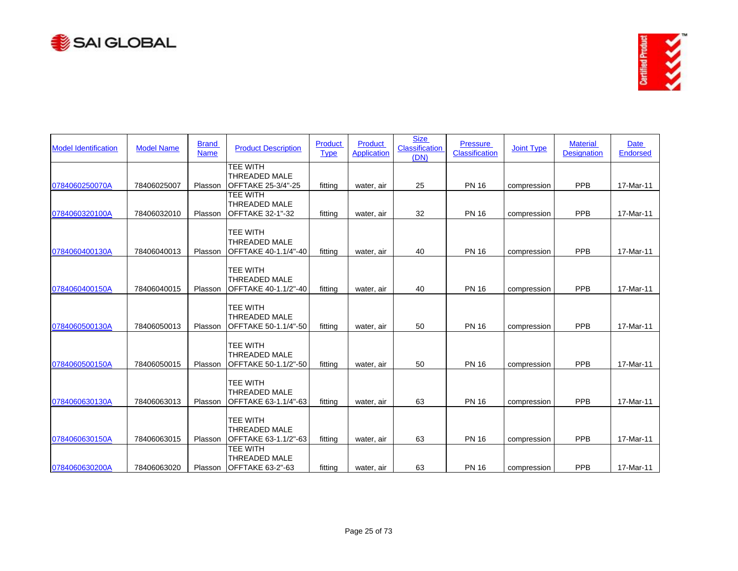



| <b>Model Identification</b> | <b>Model Name</b> | <b>Brand</b><br><b>Name</b> | <b>Product Description</b>                                      | Product<br><b>Type</b> | <b>Product</b><br><b>Application</b> | <b>Size</b><br><b>Classification</b><br>(DN) | <b>Pressure</b><br><b>Classification</b> | <b>Joint Type</b> | <b>Material</b><br><b>Designation</b> | <b>Date</b><br><b>Endorsed</b> |
|-----------------------------|-------------------|-----------------------------|-----------------------------------------------------------------|------------------------|--------------------------------------|----------------------------------------------|------------------------------------------|-------------------|---------------------------------------|--------------------------------|
| 0784060250070A              | 78406025007       | Plasson                     | TEE WITH<br><b>THREADED MALE</b><br>OFFTAKE 25-3/4"-25          | fitting                | water, air                           | 25                                           | <b>PN 16</b>                             | compression       | PPB                                   | 17-Mar-11                      |
| 0784060320100A              | 78406032010       | Plasson                     | TEE WITH<br><b>THREADED MALE</b><br><b>OFFTAKE 32-1"-32</b>     | fitting                | water, air                           | 32                                           | <b>PN 16</b>                             | compression       | PPB                                   | 17-Mar-11                      |
|                             |                   |                             | <b>TEE WITH</b><br><b>THREADED MALE</b>                         |                        |                                      |                                              |                                          |                   |                                       |                                |
| 0784060400130A              | 78406040013       | Plasson                     | OFFTAKE 40-1.1/4"-40                                            | fitting                | water, air                           | 40                                           | <b>PN 16</b>                             | compression       | PPB                                   | 17-Mar-11                      |
| 0784060400150A              | 78406040015       | Plasson                     | <b>TEE WITH</b><br>THREADED MALE<br>OFFTAKE 40-1.1/2"-40        | fitting                | water, air                           | 40                                           | <b>PN 16</b>                             | compression       | <b>PPB</b>                            | 17-Mar-11                      |
| 0784060500130A              | 78406050013       | Plasson                     | <b>TEE WITH</b><br><b>THREADED MALE</b><br>OFFTAKE 50-1.1/4"-50 | fitting                | water, air                           | 50                                           | <b>PN 16</b>                             | compression       | PPB                                   | 17-Mar-11                      |
| 0784060500150A              | 78406050015       | Plasson                     | <b>TEE WITH</b><br><b>THREADED MALE</b><br>OFFTAKE 50-1.1/2"-50 | fitting                | water, air                           | 50                                           | <b>PN 16</b>                             | compression       | PPB                                   | 17-Mar-11                      |
| 0784060630130A              | 78406063013       | Plasson                     | <b>TEE WITH</b><br><b>THREADED MALE</b><br>OFFTAKE 63-1.1/4"-63 | fitting                | water, air                           | 63                                           | <b>PN 16</b>                             | compression       | PPB                                   | 17-Mar-11                      |
| 0784060630150A              | 78406063015       | Plasson                     | TEE WITH<br><b>THREADED MALE</b><br>OFFTAKE 63-1.1/2"-63        | fitting                | water, air                           | 63                                           | <b>PN 16</b>                             | compression       | PPB                                   | 17-Mar-11                      |
| 0784060630200A              | 78406063020       |                             | TEE WITH<br><b>THREADED MALE</b><br>Plasson IOFFTAKE 63-2"-63   | fittina                | water, air                           | 63                                           | <b>PN 16</b>                             | compression       | <b>PPB</b>                            | 17-Mar-11                      |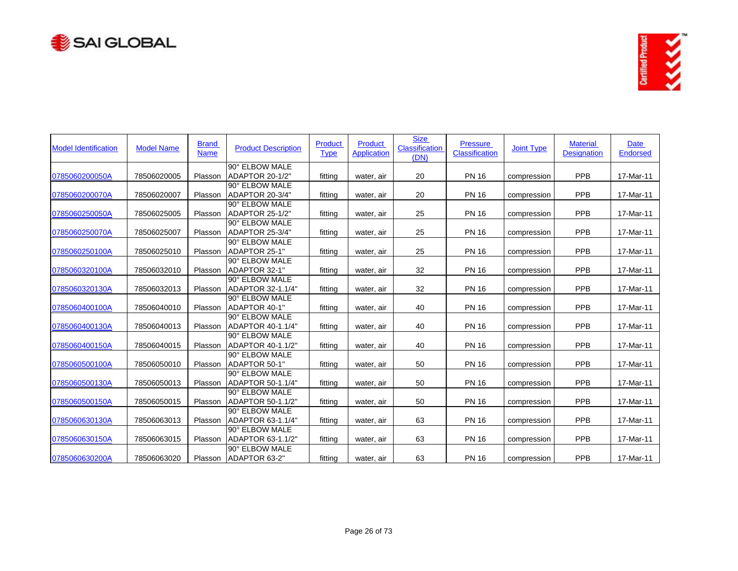



| <b>Model Identification</b> | <b>Model Name</b> | <b>Brand</b><br><b>Name</b> | <b>Product Description</b>        | Product<br><b>Type</b> | Product<br><b>Application</b> | <b>Size</b><br>Classification<br>(DN) | <b>Pressure</b><br><b>Classification</b> | <b>Joint Type</b> | <b>Material</b><br><b>Designation</b> | <b>Date</b><br><b>Endorsed</b> |
|-----------------------------|-------------------|-----------------------------|-----------------------------------|------------------------|-------------------------------|---------------------------------------|------------------------------------------|-------------------|---------------------------------------|--------------------------------|
| 0785060200050A              | 78506020005       | Plasson                     | 90° ELBOW MALE<br>ADAPTOR 20-1/2" | fitting                | water, air                    | 20                                    | <b>PN 16</b>                             | compression       | <b>PPB</b>                            | 17-Mar-11                      |
|                             |                   |                             | 90° ELBOW MALE                    |                        |                               |                                       |                                          |                   |                                       |                                |
| 0785060200070A              | 78506020007       | Plasson                     | ADAPTOR 20-3/4"                   | fitting                | water, air                    | 20                                    | <b>PN 16</b>                             | compression       | PPB                                   | 17-Mar-11                      |
|                             |                   |                             | 90° ELBOW MALE                    |                        |                               |                                       |                                          |                   |                                       |                                |
| 0785060250050A              | 78506025005       | Plasson                     | ADAPTOR 25-1/2"                   | fitting                | water, air                    | 25                                    | <b>PN 16</b>                             | compression       | PPB                                   | 17-Mar-11                      |
|                             |                   |                             | 90° ELBOW MALE                    |                        |                               |                                       |                                          |                   |                                       |                                |
| 0785060250070A              | 78506025007       | Plasson                     | ADAPTOR 25-3/4"                   | fitting                | water, air                    | 25                                    | <b>PN 16</b>                             | compression       | <b>PPB</b>                            | 17-Mar-11                      |
|                             |                   |                             | 90° ELBOW MALE                    |                        |                               |                                       |                                          |                   |                                       |                                |
| 0785060250100A              | 78506025010       | Plasson                     | ADAPTOR 25-1"                     | fitting                | water, air                    | 25                                    | <b>PN 16</b>                             | compression       | PPB                                   | 17-Mar-11                      |
|                             |                   |                             | 90° ELBOW MALE                    |                        |                               |                                       |                                          |                   |                                       |                                |
| 0785060320100A              | 78506032010       | Plasson                     | ADAPTOR 32-1"                     | fitting                | water, air                    | 32                                    | <b>PN 16</b>                             | compression       | PPB                                   | 17-Mar-11                      |
|                             |                   |                             | 90° ELBOW MALE                    |                        |                               |                                       |                                          |                   |                                       |                                |
| 0785060320130A              | 78506032013       | Plasson                     | ADAPTOR 32-1.1/4"                 | fitting                | water, air                    | 32                                    | <b>PN 16</b>                             | compression       | PPB                                   | 17-Mar-11                      |
|                             |                   |                             | 90° ELBOW MALE                    |                        |                               |                                       |                                          |                   |                                       |                                |
| 0785060400100A              | 78506040010       | Plasson                     | ADAPTOR 40-1"                     | fitting                | water, air                    | 40                                    | <b>PN 16</b>                             | compression       | PPB                                   | 17-Mar-11                      |
|                             |                   |                             | 90° ELBOW MALE                    |                        |                               |                                       |                                          |                   |                                       |                                |
| 0785060400130A              | 78506040013       | Plasson                     | ADAPTOR 40-1.1/4"                 | fitting                | water, air                    | 40                                    | <b>PN 16</b>                             | compression       | PPB                                   | 17-Mar-11                      |
|                             |                   |                             | 90° ELBOW MALE                    |                        |                               |                                       |                                          |                   |                                       |                                |
| 0785060400150A              | 78506040015       | Plasson                     | ADAPTOR 40-1.1/2"                 | fitting                | water, air                    | 40                                    | <b>PN 16</b>                             | compression       | <b>PPB</b>                            | 17-Mar-11                      |
|                             |                   |                             | 90° ELBOW MALE                    |                        |                               |                                       |                                          |                   |                                       |                                |
| 0785060500100A              | 78506050010       | Plasson                     | ADAPTOR 50-1"                     | fitting                | water, air                    | 50                                    | <b>PN 16</b>                             | compression       | PPB                                   | 17-Mar-11                      |
|                             |                   |                             | 90° ELBOW MALE                    |                        |                               |                                       |                                          |                   |                                       |                                |
| 0785060500130A              | 78506050013       | Plasson                     | ADAPTOR 50-1.1/4"                 | fitting                | water, air                    | 50                                    | <b>PN 16</b>                             | compression       | PPB                                   | 17-Mar-11                      |
|                             |                   |                             | 90° ELBOW MALE                    |                        |                               |                                       |                                          |                   |                                       |                                |
| 0785060500150A              | 78506050015       | Plasson                     | ADAPTOR 50-1.1/2"                 | fitting                | water, air                    | 50                                    | <b>PN 16</b>                             | compression       | PPB                                   | 17-Mar-11                      |
|                             |                   |                             | 90° ELBOW MALE                    |                        |                               |                                       |                                          |                   |                                       |                                |
| 0785060630130A              | 78506063013       | Plasson                     | ADAPTOR 63-1.1/4"                 | fitting                | water, air                    | 63                                    | <b>PN 16</b>                             | compression       | PPB                                   | 17-Mar-11                      |
|                             |                   |                             | 90° ELBOW MALE                    |                        |                               |                                       |                                          |                   |                                       |                                |
| 0785060630150A              | 78506063015       | Plasson                     | ADAPTOR 63-1.1/2"                 | fitting                | water, air                    | 63                                    | <b>PN 16</b>                             | compression       | PPB                                   | 17-Mar-11                      |
|                             |                   |                             | 90° ELBOW MALE                    |                        |                               |                                       |                                          |                   |                                       |                                |
| 0785060630200A              | 78506063020       | Plasson                     | ADAPTOR 63-2"                     | fitting                | water, air                    | 63                                    | <b>PN 16</b>                             | compression       | PPB                                   | 17-Mar-11                      |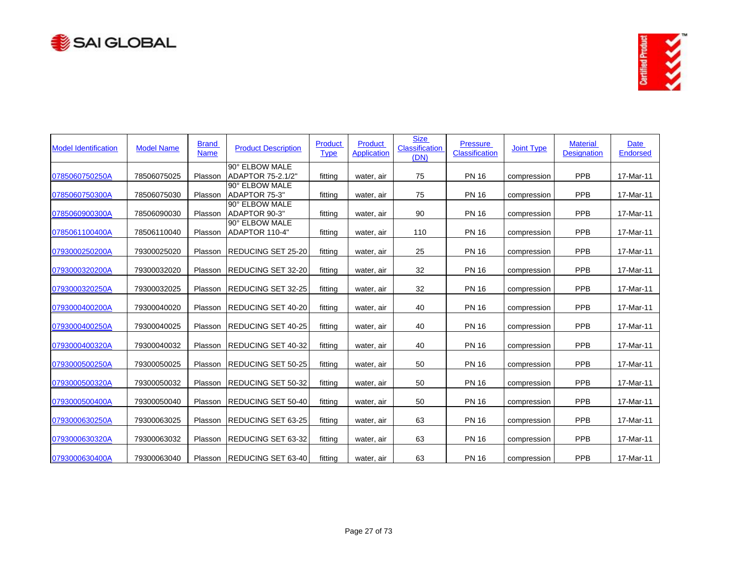



| <b>Model Identification</b> | <b>Model Name</b> | <b>Brand</b><br><b>Name</b> | <b>Product Description</b>          | Product<br><b>Type</b> | Product<br><b>Application</b> | <b>Size</b><br>Classification<br>(DN) | <b>Pressure</b><br>Classification | <b>Joint Type</b> | <b>Material</b><br><b>Designation</b> | Date<br><b>Endorsed</b> |
|-----------------------------|-------------------|-----------------------------|-------------------------------------|------------------------|-------------------------------|---------------------------------------|-----------------------------------|-------------------|---------------------------------------|-------------------------|
| 0785060750250A              | 78506075025       | Plasson                     | 90° ELBOW MALE<br>ADAPTOR 75-2.1/2" | fitting                | water, air                    | 75                                    | <b>PN 16</b>                      | compression       | <b>PPB</b>                            | 17-Mar-11               |
| 0785060750300A              | 78506075030       | Plasson                     | 90° ELBOW MALE<br>ADAPTOR 75-3"     | fitting                | water, air                    | 75                                    | <b>PN 16</b>                      | compression       | PPB                                   | 17-Mar-11               |
| 0785060900300A              | 78506090030       | Plasson                     | 90° ELBOW MALE<br>ADAPTOR 90-3"     | fitting                | water, air                    | 90                                    | <b>PN 16</b>                      | compression       | <b>PPB</b>                            | 17-Mar-11               |
| 0785061100400A              | 78506110040       | Plasson                     | 90° ELBOW MALE<br>ADAPTOR 110-4"    | fitting                | water, air                    | 110                                   | <b>PN 16</b>                      | compression       | PPB                                   | 17-Mar-11               |
| 0793000250200A              | 79300025020       | Plasson                     | REDUCING SET 25-20                  | fitting                | water, air                    | 25                                    | <b>PN 16</b>                      | compression       | <b>PPB</b>                            | 17-Mar-11               |
| 0793000320200A              | 79300032020       | Plasson                     | REDUCING SET 32-20                  | fitting                | water, air                    | 32                                    | <b>PN 16</b>                      | compression       | PPB                                   | 17-Mar-11               |
| 0793000320250A              | 79300032025       | Plasson                     | <b>REDUCING SET 32-25</b>           | fitting                | water, air                    | 32                                    | <b>PN 16</b>                      | compression       | PPB                                   | 17-Mar-11               |
| 0793000400200A              | 79300040020       | Plasson                     | <b>REDUCING SET 40-20</b>           | fitting                | water, air                    | 40                                    | <b>PN 16</b>                      | compression       | PPB                                   | 17-Mar-11               |
| 0793000400250A              | 79300040025       | Plasson                     | <b>REDUCING SET 40-25</b>           | fitting                | water, air                    | 40                                    | <b>PN 16</b>                      | compression       | <b>PPB</b>                            | 17-Mar-11               |
| 0793000400320A              | 79300040032       | Plasson                     | <b>REDUCING SET 40-32</b>           | fitting                | water, air                    | 40                                    | <b>PN 16</b>                      | compression       | PPB                                   | 17-Mar-11               |
| 0793000500250A              | 79300050025       | Plasson                     | <b>REDUCING SET 50-25</b>           | fitting                | water, air                    | 50                                    | <b>PN 16</b>                      | compression       | <b>PPB</b>                            | 17-Mar-11               |
| 0793000500320A              | 79300050032       | Plasson                     | REDUCING SET 50-32                  | fitting                | water, air                    | 50                                    | <b>PN 16</b>                      | compression       | PPB                                   | 17-Mar-11               |
| 0793000500400A              | 79300050040       | Plasson                     | REDUCING SET 50-40                  | fitting                | water, air                    | 50                                    | <b>PN 16</b>                      | compression       | <b>PPB</b>                            | 17-Mar-11               |
| 0793000630250A              | 79300063025       | Plasson                     | REDUCING SET 63-25                  | fitting                | water, air                    | 63                                    | <b>PN 16</b>                      | compression       | PPB                                   | 17-Mar-11               |
| 0793000630320A              | 79300063032       | Plasson                     | REDUCING SET 63-32                  | fitting                | water, air                    | 63                                    | <b>PN 16</b>                      | compression       | <b>PPB</b>                            | 17-Mar-11               |
| 0793000630400A              | 79300063040       | Plasson                     | <b>IREDUCING SET 63-40</b>          | fitting                | water, air                    | 63                                    | <b>PN 16</b>                      | compression       | PPB                                   | 17-Mar-11               |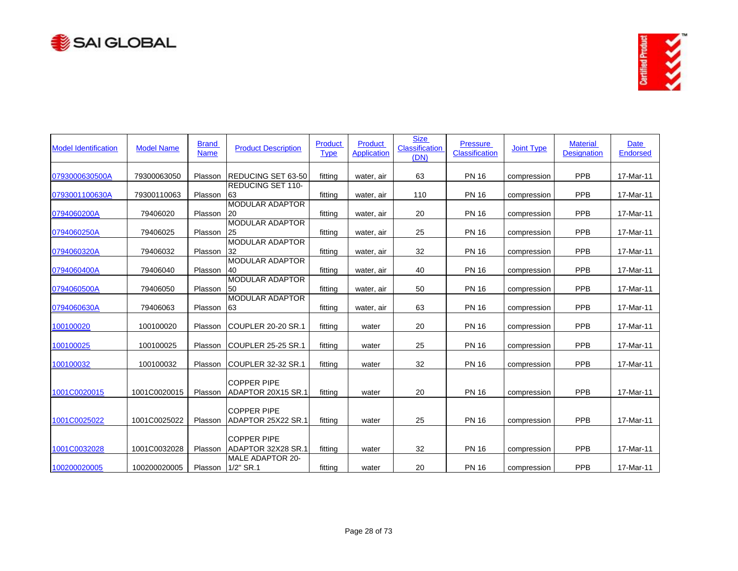



| <b>Model Identification</b> | <b>Model Name</b> | <b>Brand</b><br><b>Name</b> | <b>Product Description</b>               | Product<br><b>Type</b> | <b>Product</b><br><b>Application</b> | <b>Size</b><br><b>Classification</b><br>(DN) | <b>Pressure</b><br><b>Classification</b> | <b>Joint Type</b> | <b>Material</b><br><b>Designation</b> | <b>Date</b><br><b>Endorsed</b> |
|-----------------------------|-------------------|-----------------------------|------------------------------------------|------------------------|--------------------------------------|----------------------------------------------|------------------------------------------|-------------------|---------------------------------------|--------------------------------|
| 0793000630500A              | 79300063050       | Plasson                     | <b>IREDUCING SET 63-50</b>               | fittina                | water, air                           | 63                                           | <b>PN 16</b>                             | compression       | PPB                                   | 17-Mar-11                      |
| 0793001100630A              | 79300110063       | Plasson                     | <b>REDUCING SET 110-</b><br>63           | fitting                | water, air                           | 110                                          | <b>PN 16</b>                             | compression       | PPB                                   | 17-Mar-11                      |
| 0794060200A                 | 79406020          | Plasson                     | <b>MODULAR ADAPTOR</b><br>20             | fitting                | water, air                           | 20                                           | <b>PN 16</b>                             | compression       | <b>PPB</b>                            | 17-Mar-11                      |
| 0794060250A                 | 79406025          | Plasson                     | <b>MODULAR ADAPTOR</b><br>25             | fitting                | water, air                           | 25                                           | <b>PN 16</b>                             | compression       | PPB                                   | 17-Mar-11                      |
| 0794060320A                 | 79406032          | Plasson                     | <b>MODULAR ADAPTOR</b><br>32             | fitting                | water, air                           | 32                                           | <b>PN 16</b>                             | compression       | PPB                                   | 17-Mar-11                      |
| 0794060400A                 | 79406040          | Plasson                     | <b>MODULAR ADAPTOR</b><br>40             | fitting                | water, air                           | 40                                           | <b>PN 16</b>                             | compression       | PPB                                   | 17-Mar-11                      |
| 0794060500A                 | 79406050          | Plasson                     | <b>MODULAR ADAPTOR</b><br>50             | fitting                | water, air                           | 50                                           | <b>PN 16</b>                             | compression       | PPB                                   | 17-Mar-11                      |
| 0794060630A                 | 79406063          | Plasson                     | <b>MODULAR ADAPTOR</b><br>63             | fitting                | water, air                           | 63                                           | <b>PN 16</b>                             | compression       | PPB                                   | 17-Mar-11                      |
| 100100020                   | 100100020         | Plasson                     | <b>COUPLER 20-20 SR.1</b>                | fitting                | water                                | 20                                           | <b>PN 16</b>                             | compression       | PPB                                   | 17-Mar-11                      |
| 100100025                   | 100100025         | Plasson                     | COUPLER 25-25 SR.1                       | fitting                | water                                | 25                                           | <b>PN 16</b>                             | compression       | PPB                                   | 17-Mar-11                      |
| 100100032                   | 100100032         | Plasson                     | <b>COUPLER 32-32 SR.1</b>                | fitting                | water                                | 32                                           | <b>PN 16</b>                             | compression       | PPB                                   | 17-Mar-11                      |
| 1001C0020015                | 1001C0020015      | Plasson                     | <b>COPPER PIPE</b><br>ADAPTOR 20X15 SR.1 | fitting                | water                                | 20                                           | <b>PN 16</b>                             | compression       | PPB                                   | 17-Mar-11                      |
| 1001C0025022                | 1001C0025022      | Plasson                     | <b>COPPER PIPE</b><br>ADAPTOR 25X22 SR.1 | fitting                | water                                | 25                                           | <b>PN 16</b>                             | compression       | <b>PPB</b>                            | 17-Mar-11                      |
| 1001C0032028                | 1001C0032028      | Plasson                     | <b>COPPER PIPE</b><br>ADAPTOR 32X28 SR.1 | fitting                | water                                | 32                                           | <b>PN 16</b>                             | compression       | PPB                                   | 17-Mar-11                      |
| 100200020005                | 100200020005      | Plasson                     | <b>MALE ADAPTOR 20-</b><br>1/2" SR.1     | fitting                | water                                | 20                                           | <b>PN 16</b>                             | compression       | PPB                                   | 17-Mar-11                      |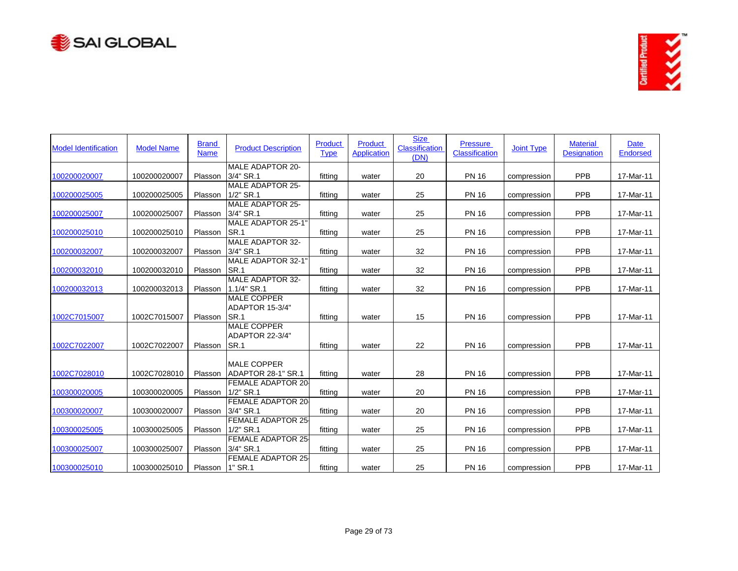



| <b>Model Identification</b> | <b>Model Name</b> | <b>Brand</b><br><b>Name</b> | <b>Product Description</b>                    | <b>Product</b><br><b>Type</b> | Product<br><b>Application</b> | <b>Size</b><br><b>Classification</b><br>(DN) | <b>Pressure</b><br>Classification | <b>Joint Type</b> | <b>Material</b><br><b>Designation</b> | <b>Date</b><br><b>Endorsed</b> |
|-----------------------------|-------------------|-----------------------------|-----------------------------------------------|-------------------------------|-------------------------------|----------------------------------------------|-----------------------------------|-------------------|---------------------------------------|--------------------------------|
| 100200020007                | 100200020007      | Plasson                     | MALE ADAPTOR 20-<br>3/4" SR.1                 | fitting                       | water                         | 20                                           | <b>PN 16</b>                      | compression       | PPB                                   | 17-Mar-11                      |
| 100200025005                | 100200025005      | Plasson                     | <b>MALE ADAPTOR 25-</b><br>$1/2"$ SR.1        | fitting                       | water                         | 25                                           | <b>PN 16</b>                      | compression       | PPB                                   | 17-Mar-11                      |
| 100200025007                | 100200025007      | Plasson                     | <b>MALE ADAPTOR 25-</b><br>3/4" SR.1          | fitting                       | water                         | 25                                           | <b>PN 16</b>                      | compression       | PPB                                   | 17-Mar-11                      |
| 100200025010                | 100200025010      | Plasson                     | MALE ADAPTOR 25-1'<br><b>SR.1</b>             | fitting                       | water                         | 25                                           | <b>PN 16</b>                      | compression       | PPB                                   | 17-Mar-11                      |
| 100200032007                | 100200032007      | Plasson                     | <b>MALE ADAPTOR 32-</b><br>3/4" SR.1          | fitting                       | water                         | 32                                           | <b>PN 16</b>                      | compression       | <b>PPB</b>                            | 17-Mar-11                      |
| 100200032010                | 100200032010      | Plasson                     | MALE ADAPTOR 32-1'<br>SR.1                    | fitting                       | water                         | 32                                           | <b>PN 16</b>                      | compression       | PPB                                   | 17-Mar-11                      |
| 100200032013                | 100200032013      | Plasson                     | <b>MALE ADAPTOR 32-</b><br>1.1/4" SR.1        | fitting                       | water                         | 32                                           | <b>PN 16</b>                      | compression       | <b>PPB</b>                            | 17-Mar-11                      |
| 1002C7015007                | 1002C7015007      | Plasson                     | <b>MALE COPPER</b><br>ADAPTOR 15-3/4"<br>SR.1 | fitting                       | water                         | 15                                           | <b>PN 16</b>                      | compression       | PPB                                   | 17-Mar-11                      |
| 1002C7022007                | 1002C7022007      | Plasson                     | <b>MALE COPPER</b><br>ADAPTOR 22-3/4"<br>SR.1 | fitting                       | water                         | 22                                           | <b>PN 16</b>                      | compression       | PPB                                   | 17-Mar-11                      |
| 1002C7028010                | 1002C7028010      | Plasson                     | <b>MALE COPPER</b><br>ADAPTOR 28-1" SR.1      | fitting                       | water                         | 28                                           | <b>PN 16</b>                      | compression       | PPB                                   | 17-Mar-11                      |
| 100300020005                | 100300020005      | Plasson                     | <b>FEMALE ADAPTOR 20-</b><br>1/2" SR.1        | fitting                       | water                         | 20                                           | <b>PN 16</b>                      | compression       | PPB                                   | 17-Mar-11                      |
| 100300020007                | 100300020007      | Plasson                     | <b>FEMALE ADAPTOR 20-</b><br>3/4" SR.1        | fitting                       | water                         | 20                                           | <b>PN 16</b>                      | compression       | PPB                                   | 17-Mar-11                      |
| 100300025005                | 100300025005      | Plasson                     | <b>FEMALE ADAPTOR 25</b><br>$1/2"$ SR.1       | fitting                       | water                         | 25                                           | <b>PN 16</b>                      | compression       | PPB                                   | 17-Mar-11                      |
| 100300025007                | 100300025007      | Plasson                     | <b>FEMALE ADAPTOR 25</b><br>3/4" SR.1         | fitting                       | water                         | 25                                           | <b>PN 16</b>                      | compression       | <b>PPB</b>                            | 17-Mar-11                      |
| 100300025010                | 100300025010      | Plasson                     | <b>FEMALE ADAPTOR 25</b><br>1" SR.1           | fitting                       | water                         | 25                                           | <b>PN 16</b>                      | compression       | PPB                                   | 17-Mar-11                      |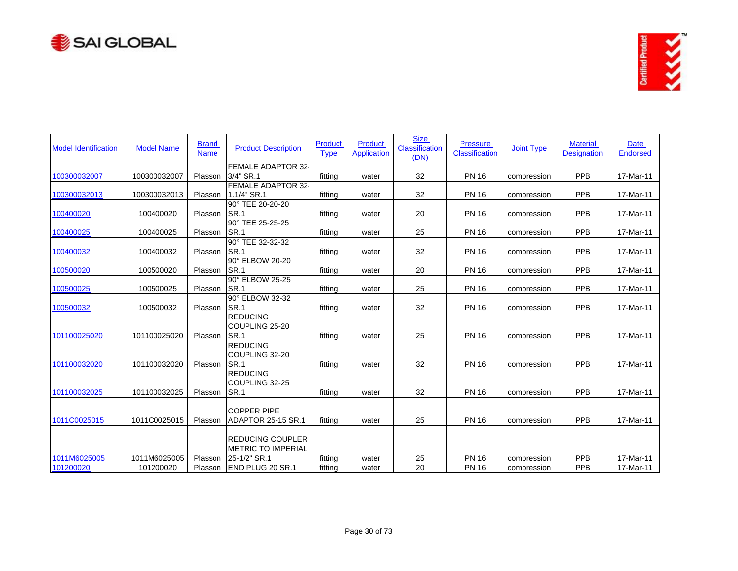



| <b>Model Identification</b> | <b>Model Name</b> | <b>Brand</b><br><b>Name</b> | <b>Product Description</b>                                           | <b>Product</b><br><b>Type</b> | Product<br><b>Application</b> | <b>Size</b><br>Classification<br>(DN) | <b>Pressure</b><br>Classification | <b>Joint Type</b> | <b>Material</b><br><b>Designation</b> | <b>Date</b><br><b>Endorsed</b> |
|-----------------------------|-------------------|-----------------------------|----------------------------------------------------------------------|-------------------------------|-------------------------------|---------------------------------------|-----------------------------------|-------------------|---------------------------------------|--------------------------------|
| 100300032007                | 100300032007      | Plasson                     | <b>FEMALE ADAPTOR 32-</b><br>3/4" SR.1                               | fitting                       | water                         | 32                                    | <b>PN 16</b>                      | compression       | PPB                                   | 17-Mar-11                      |
| 100300032013                | 100300032013      | Plasson                     | <b>FEMALE ADAPTOR 32</b><br>1.1/4" SR.1                              | fitting                       | water                         | 32                                    | <b>PN 16</b>                      | compression       | <b>PPB</b>                            | 17-Mar-11                      |
| 100400020                   | 100400020         | Plasson                     | 90° TEE 20-20-20<br>SR.1                                             | fitting                       | water                         | 20                                    | <b>PN 16</b>                      | compression       | PPB                                   | 17-Mar-11                      |
| 100400025                   | 100400025         | Plasson                     | 90° TEE 25-25-25<br>SR.1                                             | fitting                       | water                         | 25                                    | <b>PN 16</b>                      | compression       | PPB                                   | 17-Mar-11                      |
| 100400032                   | 100400032         | Plasson                     | 90° TEE 32-32-32<br>SR.1                                             | fitting                       | water                         | 32                                    | <b>PN 16</b>                      | compression       | PPB                                   | 17-Mar-11                      |
| 100500020                   | 100500020         | Plasson                     | 90° ELBOW 20-20<br><b>SR.1</b>                                       | fitting                       | water                         | 20                                    | <b>PN 16</b>                      | compression       | PPB                                   | 17-Mar-11                      |
| 100500025                   | 100500025         | Plasson                     | 90° ELBOW 25-25<br>SR.1                                              | fitting                       | water                         | 25                                    | <b>PN 16</b>                      | compression       | PPB                                   | 17-Mar-11                      |
| 100500032                   | 100500032         | Plasson                     | 90° ELBOW 32-32<br>SR.1                                              | fitting                       | water                         | 32                                    | <b>PN 16</b>                      | compression       | PPB                                   | 17-Mar-11                      |
| 101100025020                | 101100025020      | Plasson                     | <b>REDUCING</b><br>COUPLING 25-20<br>SR.1                            | fitting                       | water                         | 25                                    | <b>PN 16</b>                      | compression       | <b>PPB</b>                            | 17-Mar-11                      |
| 101100032020                | 101100032020      | Plasson                     | <b>REDUCING</b><br>COUPLING 32-20<br>SR.1                            | fitting                       | water                         | 32                                    | <b>PN 16</b>                      | compression       | PPB                                   | 17-Mar-11                      |
| 101100032025                | 101100032025      | Plasson                     | <b>REDUCING</b><br>COUPLING 32-25<br>SR.1                            | fitting                       | water                         | 32                                    | <b>PN 16</b>                      | compression       | PPB                                   | 17-Mar-11                      |
| 1011C0025015                | 1011C0025015      | Plasson                     | <b>COPPER PIPE</b><br>ADAPTOR 25-15 SR.1                             | fittina                       | water                         | 25                                    | <b>PN 16</b>                      | compression       | PPB                                   | 17-Mar-11                      |
| 1011M6025005                | 1011M6025005      | Plasson                     | <b>REDUCING COUPLER</b><br><b>METRIC TO IMPERIAL</b><br>25-1/2" SR.1 | fitting                       | water                         | 25                                    | <b>PN 16</b>                      | compression       | PPB                                   | 17-Mar-11                      |
| 101200020                   | 101200020         | Plasson                     | <b>END PLUG 20 SR.1</b>                                              | fitting                       | water                         | 20                                    | <b>PN 16</b>                      | compression       | PPB                                   | 17-Mar-11                      |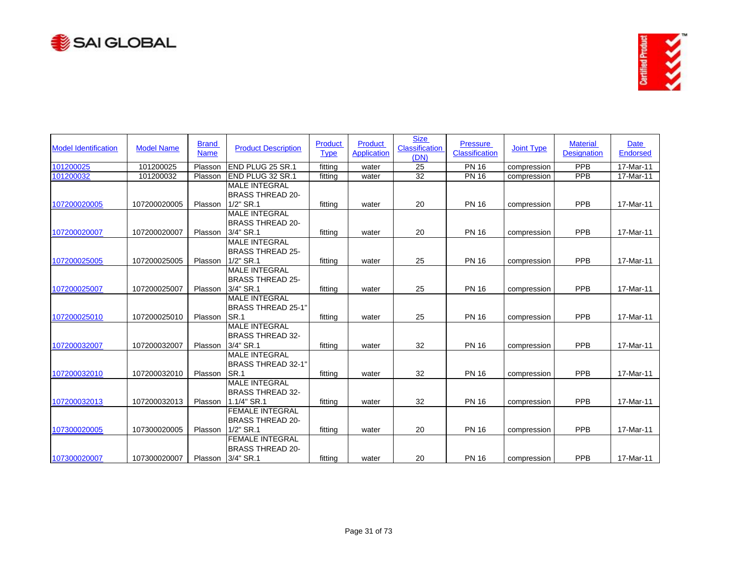



| <b>Model Identification</b> | <b>Model Name</b> | <b>Brand</b><br><b>Name</b> | <b>Product Description</b>                                             | Product<br><b>Type</b> | <b>Product</b><br><b>Application</b> | <b>Size</b><br><b>Classification</b><br>(DN) | <b>Pressure</b><br><b>Classification</b> | <b>Joint Type</b> | <b>Material</b><br><b>Designation</b> | <b>Date</b><br><b>Endorsed</b> |
|-----------------------------|-------------------|-----------------------------|------------------------------------------------------------------------|------------------------|--------------------------------------|----------------------------------------------|------------------------------------------|-------------------|---------------------------------------|--------------------------------|
| 101200025                   | 101200025         | Plasson                     | END PLUG 25 SR.1                                                       | fittina                | water                                | 25                                           | <b>PN 16</b>                             | compression       | PPB                                   | 17-Mar-11                      |
| 101200032                   | 101200032         | Plasson                     | END PLUG 32 SR.1                                                       | fitting                | water                                | 32                                           | <b>PN 16</b>                             | compression       | <b>PPB</b>                            | 17-Mar-11                      |
| 107200020005                | 107200020005      | Plasson                     | <b>MALE INTEGRAL</b><br><b>BRASS THREAD 20-</b><br>$1/2"$ SR.1         | fitting                | water                                | 20                                           | <b>PN 16</b>                             | compression       | PPB                                   | 17-Mar-11                      |
| 107200020007                | 107200020007      | Plasson                     | <b>MALE INTEGRAL</b><br><b>BRASS THREAD 20-</b><br>3/4" SR.1           | fittina                |                                      | 20                                           | <b>PN 16</b>                             |                   | PPB                                   | 17-Mar-11                      |
|                             |                   |                             | <b>MALE INTEGRAL</b>                                                   |                        | water                                |                                              |                                          | compression       |                                       |                                |
| 107200025005                | 107200025005      | Plasson                     | <b>BRASS THREAD 25-</b><br>1/2" SR.1                                   | fitting                | water                                | 25                                           | <b>PN 16</b>                             | compression       | PPB                                   | 17-Mar-11                      |
| 107200025007                | 107200025007      | Plasson                     | <b>MALE INTEGRAL</b><br><b>BRASS THREAD 25-</b><br>3/4" SR.1           | fitting                | water                                | 25                                           | <b>PN 16</b>                             | compression       | PPB                                   | 17-Mar-11                      |
| 107200025010                | 107200025010      | Plasson                     | <b>MALE INTEGRAL</b><br><b>BRASS THREAD 25-1"</b><br>SR.1              | fitting                | water                                | 25                                           | <b>PN 16</b>                             | compression       | PPB                                   | 17-Mar-11                      |
| 107200032007                | 107200032007      | Plasson                     | <b>MALE INTEGRAL</b><br>BRASS THREAD 32-<br>3/4" SR.1                  | fitting                | water                                | 32                                           | <b>PN 16</b>                             | compression       | PPB                                   | 17-Mar-11                      |
| 107200032010                | 107200032010      | Plasson                     | <b>MALE INTEGRAL</b><br><b>BRASS THREAD 32-1"</b><br>SR.1              | fitting                | water                                | 32                                           | <b>PN 16</b>                             | compression       | PPB                                   | 17-Mar-11                      |
| 107200032013                | 107200032013      | Plasson                     | <b>MALE INTEGRAL</b><br>BRASS THREAD 32-<br>1.1/4" SR.1                | fitting                | water                                | 32                                           | <b>PN 16</b>                             | compression       | PPB                                   | 17-Mar-11                      |
| 107300020005                | 107300020005      | Plasson                     | <b>FEMALE INTEGRAL</b><br><b>BRASS THREAD 20-</b><br>$1/2"$ SR.1       | fitting                | water                                | 20                                           | <b>PN 16</b>                             | compression       | PPB                                   | 17-Mar-11                      |
| 107300020007                | 107300020007      |                             | <b>FEMALE INTEGRAL</b><br><b>BRASS THREAD 20-</b><br>Plasson 3/4" SR.1 | fitting                | water                                | 20                                           | <b>PN 16</b>                             | compression       | <b>PPB</b>                            | 17-Mar-11                      |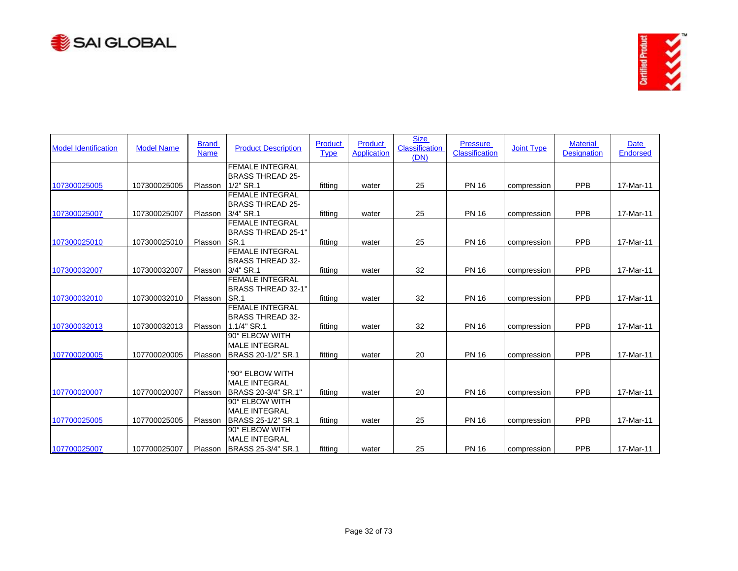



| <b>Model Identification</b> | <b>Model Name</b> | <b>Brand</b><br><b>Name</b> | <b>Product Description</b> | <b>Product</b><br><b>Type</b> | <b>Product</b><br>Application | <b>Size</b><br><b>Classification</b><br>(DN) | <b>Pressure</b><br><b>Classification</b> | <b>Joint Type</b> | <b>Material</b><br><b>Designation</b> | <b>Date</b><br><b>Endorsed</b> |
|-----------------------------|-------------------|-----------------------------|----------------------------|-------------------------------|-------------------------------|----------------------------------------------|------------------------------------------|-------------------|---------------------------------------|--------------------------------|
|                             |                   |                             | <b>FEMALE INTEGRAL</b>     |                               |                               |                                              |                                          |                   |                                       |                                |
|                             |                   |                             | <b>BRASS THREAD 25-</b>    |                               |                               |                                              |                                          |                   |                                       |                                |
| 107300025005                | 107300025005      | Plasson                     | $1/2"$ SR.1                | fitting                       | water                         | 25                                           | <b>PN 16</b>                             | compression       | PPB                                   | 17-Mar-11                      |
|                             |                   |                             | <b>FEMALE INTEGRAL</b>     |                               |                               |                                              |                                          |                   |                                       |                                |
|                             |                   |                             | <b>BRASS THREAD 25-</b>    |                               |                               |                                              |                                          |                   |                                       |                                |
| 107300025007                | 107300025007      | Plasson                     | 3/4" SR.1                  | fittina                       | water                         | 25                                           | <b>PN 16</b>                             | compression       | PPB                                   | 17-Mar-11                      |
|                             |                   |                             | <b>FEMALE INTEGRAL</b>     |                               |                               |                                              |                                          |                   |                                       |                                |
|                             |                   |                             | <b>BRASS THREAD 25-1"</b>  |                               |                               |                                              |                                          |                   |                                       |                                |
| 107300025010                | 107300025010      | Plasson                     | SR.1                       | fitting                       | water                         | 25                                           | <b>PN 16</b>                             | compression       | <b>PPB</b>                            | 17-Mar-11                      |
|                             |                   |                             | <b>FEMALE INTEGRAL</b>     |                               |                               |                                              |                                          |                   |                                       |                                |
|                             |                   |                             | <b>BRASS THREAD 32-</b>    |                               |                               |                                              |                                          |                   |                                       |                                |
| 107300032007                | 107300032007      | Plasson                     | 3/4" SR.1                  | fittina                       | water                         | 32                                           | <b>PN 16</b>                             | compression       | PPB                                   | 17-Mar-11                      |
|                             |                   |                             | <b>FEMALE INTEGRAL</b>     |                               |                               |                                              |                                          |                   |                                       |                                |
|                             |                   |                             | <b>BRASS THREAD 32-1"</b>  |                               |                               |                                              |                                          |                   |                                       |                                |
| 107300032010                | 107300032010      | Plasson                     | SR.1                       | fitting                       | water                         | 32                                           | <b>PN 16</b>                             | compression       | <b>PPB</b>                            | 17-Mar-11                      |
|                             |                   |                             | <b>FEMALE INTEGRAL</b>     |                               |                               |                                              |                                          |                   |                                       |                                |
|                             |                   |                             | <b>BRASS THREAD 32-</b>    |                               |                               |                                              |                                          |                   |                                       |                                |
| 107300032013                | 107300032013      | Plasson                     | 1.1/4" SR.1                | fitting                       | water                         | 32                                           | <b>PN 16</b>                             | compression       | PPB                                   | 17-Mar-11                      |
|                             |                   |                             | 90° ELBOW WITH             |                               |                               |                                              |                                          |                   |                                       |                                |
|                             |                   |                             | <b>MALE INTEGRAL</b>       |                               |                               |                                              |                                          |                   |                                       |                                |
| 107700020005                | 107700020005      | Plasson                     | BRASS 20-1/2" SR.1         | fitting                       | water                         | 20                                           | <b>PN 16</b>                             | compression       | <b>PPB</b>                            | 17-Mar-11                      |
|                             |                   |                             |                            |                               |                               |                                              |                                          |                   |                                       |                                |
|                             |                   |                             | "90° ELBOW WITH            |                               |                               |                                              |                                          |                   |                                       |                                |
|                             |                   |                             | <b>MALE INTEGRAL</b>       |                               |                               |                                              |                                          |                   |                                       |                                |
| 107700020007                | 107700020007      | Plasson                     | BRASS 20-3/4" SR.1"        | fitting                       | water                         | 20                                           | <b>PN 16</b>                             | compression       | PPB                                   | 17-Mar-11                      |
|                             |                   |                             | 90° ELBOW WITH             |                               |                               |                                              |                                          |                   |                                       |                                |
|                             |                   |                             | <b>MALE INTEGRAL</b>       |                               |                               |                                              |                                          |                   |                                       |                                |
| 107700025005                | 107700025005      | Plasson                     | BRASS 25-1/2" SR.1         | fitting                       | water                         | 25                                           | <b>PN 16</b>                             | compression       | <b>PPB</b>                            | 17-Mar-11                      |
|                             |                   |                             | 90° ELBOW WITH             |                               |                               |                                              |                                          |                   |                                       |                                |
|                             |                   |                             | <b>MALE INTEGRAL</b>       |                               |                               |                                              |                                          |                   |                                       |                                |
| 107700025007                | 107700025007      | Plasson                     | BRASS 25-3/4" SR.1         | fitting                       | water                         | 25                                           | <b>PN 16</b>                             | compression       | <b>PPB</b>                            | 17-Mar-11                      |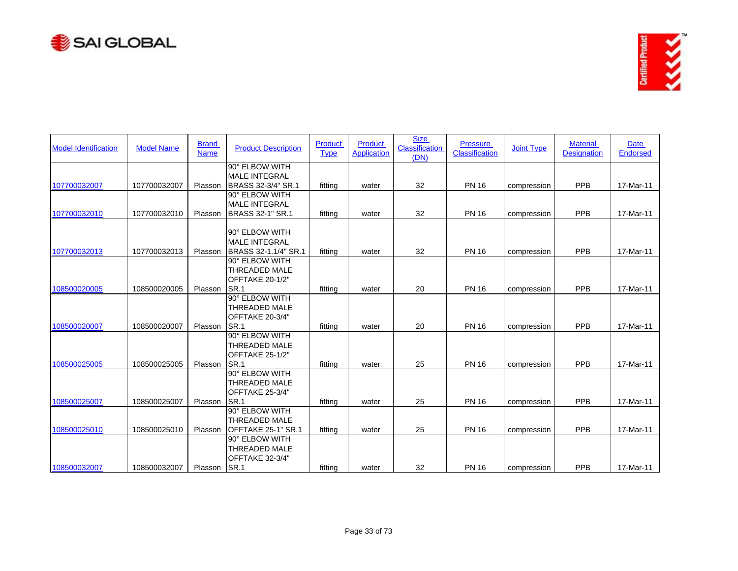



| <b>Model Identification</b> | <b>Model Name</b> | <b>Brand</b><br><b>Name</b> | <b>Product Description</b>                                        | <b>Product</b><br><b>Type</b> | Product<br><b>Application</b> | <b>Size</b><br><b>Classification</b><br>(DN) | <b>Pressure</b><br>Classification | <b>Joint Type</b> | <b>Material</b><br><b>Designation</b> | <b>Date</b><br>Endorsed |
|-----------------------------|-------------------|-----------------------------|-------------------------------------------------------------------|-------------------------------|-------------------------------|----------------------------------------------|-----------------------------------|-------------------|---------------------------------------|-------------------------|
|                             |                   |                             | 90° ELBOW WITH<br><b>MALE INTEGRAL</b>                            |                               |                               |                                              |                                   |                   |                                       |                         |
| 107700032007                | 107700032007      | Plasson                     | BRASS 32-3/4" SR.1                                                | fitting                       | water                         | 32                                           | <b>PN 16</b>                      | compression       | PPB                                   | 17-Mar-11               |
|                             |                   |                             | 90° ELBOW WITH                                                    |                               |                               |                                              |                                   |                   |                                       |                         |
|                             |                   |                             | <b>MALE INTEGRAL</b>                                              |                               |                               |                                              |                                   |                   |                                       |                         |
| 107700032010                | 107700032010      | Plasson                     | <b>BRASS 32-1" SR.1</b>                                           | fitting                       | water                         | 32                                           | <b>PN 16</b>                      | compression       | PPB                                   | 17-Mar-11               |
|                             |                   |                             | 90° ELBOW WITH<br><b>MALE INTEGRAL</b>                            |                               |                               |                                              |                                   |                   |                                       |                         |
| 107700032013                | 107700032013      | Plasson                     | BRASS 32-1.1/4" SR.1                                              | fitting                       | water                         | 32                                           | <b>PN 16</b>                      | compression       | PPB                                   | 17-Mar-11               |
| 108500020005                | 108500020005      | Plasson                     | 90° ELBOW WITH<br><b>THREADED MALE</b><br>OFFTAKE 20-1/2"<br>SR.1 | fitting                       | water                         | 20                                           | <b>PN 16</b>                      | compression       | <b>PPB</b>                            | 17-Mar-11               |
|                             |                   |                             | 90° ELBOW WITH                                                    |                               |                               |                                              |                                   |                   |                                       |                         |
|                             |                   |                             | <b>THREADED MALE</b><br>OFFTAKE 20-3/4"                           |                               |                               |                                              |                                   |                   |                                       |                         |
| 108500020007                | 108500020007      | Plasson                     | SR.1                                                              | fitting                       | water                         | 20                                           | <b>PN 16</b>                      | compression       | PPB                                   | 17-Mar-11               |
|                             |                   |                             | 90° ELBOW WITH<br><b>THREADED MALE</b><br>OFFTAKE 25-1/2"         |                               |                               |                                              |                                   |                   |                                       |                         |
| 108500025005                | 108500025005      | Plasson                     | <b>SR.1</b>                                                       | fitting                       | water                         | 25                                           | <b>PN 16</b>                      | compression       | PPB                                   | 17-Mar-11               |
|                             |                   |                             | 90° ELBOW WITH<br><b>THREADED MALE</b><br>OFFTAKE 25-3/4"         |                               |                               |                                              |                                   |                   |                                       |                         |
| 108500025007                | 108500025007      | Plasson                     | ISR.1                                                             | fitting                       | water                         | 25                                           | <b>PN 16</b>                      | compression       | <b>PPB</b>                            | 17-Mar-11               |
| 108500025010                | 108500025010      | Plasson                     | 90° ELBOW WITH<br><b>THREADED MALE</b><br>OFFTAKE 25-1" SR.1      | fitting                       | water                         | 25                                           | <b>PN 16</b>                      | compression       | PPB                                   | 17-Mar-11               |
| 108500032007                | 108500032007      | Plasson                     | 90° ELBOW WITH<br>THREADED MALE<br>OFFTAKE 32-3/4"<br>ISR.1       | fitting                       | water                         | 32                                           | <b>PN 16</b>                      | compression       | <b>PPB</b>                            | 17-Mar-11               |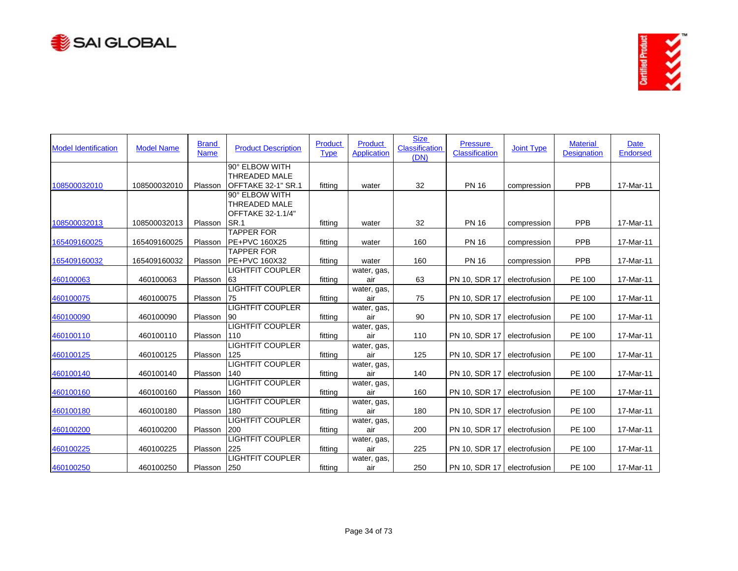



| <b>Model Identification</b> | <b>Model Name</b> | <b>Brand</b><br><b>Name</b> | <b>Product Description</b>                | Product<br><b>Type</b> | <b>Product</b><br><b>Application</b> | <b>Size</b><br><b>Classification</b><br>(DN) | <b>Pressure</b><br><b>Classification</b> | <b>Joint Type</b> | <b>Material</b><br><b>Designation</b> | <b>Date</b><br><b>Endorsed</b> |
|-----------------------------|-------------------|-----------------------------|-------------------------------------------|------------------------|--------------------------------------|----------------------------------------------|------------------------------------------|-------------------|---------------------------------------|--------------------------------|
|                             |                   |                             | 90° ELBOW WITH<br><b>THREADED MALE</b>    |                        |                                      |                                              |                                          |                   |                                       |                                |
| 108500032010                | 108500032010      | Plasson                     | OFFTAKE 32-1" SR.1<br>90° ELBOW WITH      | fitting                | water                                | 32                                           | <b>PN 16</b>                             | compression       | PPB                                   | 17-Mar-11                      |
|                             |                   |                             | THREADED MALE<br>OFFTAKE 32-1.1/4"        |                        |                                      |                                              |                                          |                   |                                       |                                |
| 108500032013                | 108500032013      | Plasson                     | SR.1                                      | fitting                | water                                | 32                                           | <b>PN 16</b>                             | compression       | PPB                                   | 17-Mar-11                      |
| 165409160025                | 165409160025      | Plasson                     | <b>TAPPER FOR</b><br><b>PE+PVC 160X25</b> | fitting                | water                                | 160                                          | <b>PN 16</b>                             | compression       | <b>PPB</b>                            | 17-Mar-11                      |
| 165409160032                | 165409160032      | Plasson                     | <b>TAPPER FOR</b><br>PE+PVC 160X32        | fitting                | water                                | 160                                          | <b>PN 16</b>                             | compression       | <b>PPB</b>                            | 17-Mar-11                      |
| 460100063                   | 460100063         | Plasson                     | <b>LIGHTFIT COUPLER</b><br>63             | fitting                | water, gas,<br>air                   | 63                                           | PN 10, SDR 17                            | electrofusion     | <b>PE 100</b>                         | 17-Mar-11                      |
| 460100075                   | 460100075         | Plasson                     | <b>LIGHTFIT COUPLER</b><br>75             | fitting                | water, gas,<br>air                   | 75                                           | PN 10, SDR 17                            | electrofusion     | PE 100                                | 17-Mar-11                      |
| 460100090                   | 460100090         | Plasson                     | <b>LIGHTFIT COUPLER</b><br>90             | fitting                | water, gas,<br>air                   | 90                                           | PN 10, SDR 17                            | electrofusion     | PE 100                                | 17-Mar-11                      |
| 460100110                   | 460100110         | Plasson                     | <b>LIGHTFIT COUPLER</b><br>110            | fitting                | water, gas,<br>air                   | 110                                          | PN 10, SDR 17                            | electrofusion     | PE 100                                | 17-Mar-11                      |
| 460100125                   | 460100125         | Plasson                     | <b>LIGHTFIT COUPLER</b><br>125            | fitting                | water, gas,<br>air                   | 125                                          | PN 10, SDR 17                            | electrofusion     | PE 100                                | 17-Mar-11                      |
| 460100140                   | 460100140         | Plasson                     | <b>LIGHTFIT COUPLER</b><br>140            | fitting                | water, gas,<br>air                   | 140                                          | PN 10, SDR 17                            | electrofusion     | PE 100                                | 17-Mar-11                      |
| 460100160                   | 460100160         | Plasson                     | <b>LIGHTFIT COUPLER</b><br>160            | fitting                | water, gas,<br>air                   | 160                                          | PN 10, SDR 17                            | electrofusion     | PE 100                                | 17-Mar-11                      |
| 460100180                   | 460100180         | Plasson                     | <b>LIGHTFIT COUPLER</b><br>180            | fitting                | water, gas,<br>air                   | 180                                          | PN 10, SDR 17                            | electrofusion     | PE 100                                | 17-Mar-11                      |
| 460100200                   | 460100200         | Plasson                     | <b>LIGHTFIT COUPLER</b><br>200            | fitting                | water, gas,<br>air                   | 200                                          | PN 10, SDR 17                            | electrofusion     | PE 100                                | 17-Mar-11                      |
| 460100225                   | 460100225         | Plasson                     | <b>LIGHTFIT COUPLER</b><br>225            | fitting                | water, gas,<br>air                   | 225                                          | PN 10, SDR 17                            | electrofusion     | PE 100                                | 17-Mar-11                      |
| 460100250                   | 460100250         | Plasson                     | <b>LIGHTFIT COUPLER</b><br>250            | fitting                | water, gas,<br>air                   | 250                                          | PN 10, SDR 17 electrofusion              |                   | PE 100                                | 17-Mar-11                      |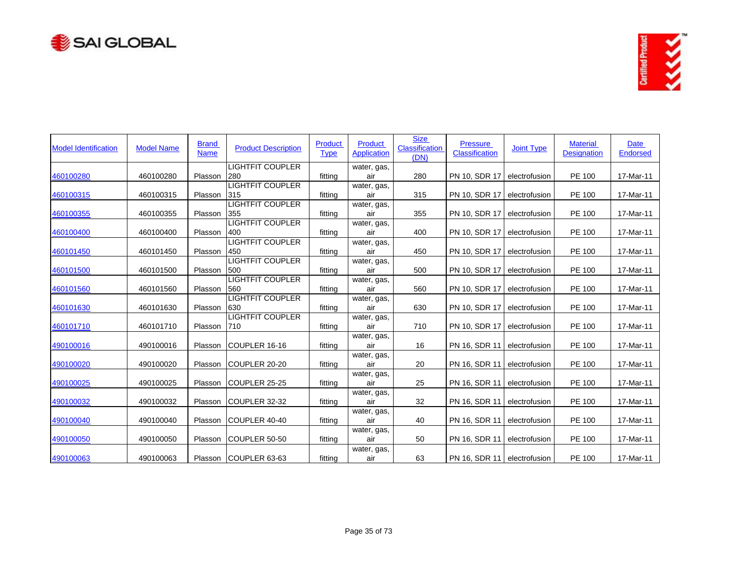



| <b>Model Identification</b> | <b>Model Name</b> | <b>Brand</b><br><b>Name</b> | <b>Product Description</b>     | <b>Product</b><br><b>Type</b> | <b>Product</b><br><b>Application</b> | <b>Size</b><br><b>Classification</b><br>(DN) | <b>Pressure</b><br>Classification | <b>Joint Type</b> | <b>Material</b><br><b>Designation</b> | Date<br>Endorsed |
|-----------------------------|-------------------|-----------------------------|--------------------------------|-------------------------------|--------------------------------------|----------------------------------------------|-----------------------------------|-------------------|---------------------------------------|------------------|
|                             |                   |                             | <b>LIGHTFIT COUPLER</b>        |                               | water, gas,                          |                                              |                                   |                   |                                       |                  |
| 460100280                   | 460100280         | Plasson                     | 280                            | fitting                       | air                                  | 280                                          | PN 10, SDR 17                     | electrofusion     | PE 100                                | 17-Mar-11        |
| 460100315                   | 460100315         | Plasson                     | <b>LIGHTFIT COUPLER</b><br>315 | fitting                       | water, gas,<br>air                   | 315                                          | PN 10, SDR 17                     | electrofusion     | PE 100                                | 17-Mar-11        |
|                             |                   |                             | <b>LIGHTFIT COUPLER</b>        |                               | water, gas,                          |                                              |                                   |                   |                                       |                  |
| 460100355                   | 460100355         | Plasson                     | 355                            | fitting                       | air                                  | 355                                          | PN 10, SDR 17                     | electrofusion     | PE 100                                | 17-Mar-11        |
|                             |                   |                             | <b>LIGHTFIT COUPLER</b>        |                               | water, gas,                          |                                              |                                   |                   |                                       |                  |
| 460100400                   | 460100400         | Plasson                     | 400                            | fitting                       | air                                  | 400                                          | PN 10, SDR 17                     | electrofusion     | PE 100                                | 17-Mar-11        |
|                             |                   |                             | <b>LIGHTFIT COUPLER</b>        |                               | water, gas,                          |                                              |                                   |                   |                                       |                  |
| 460101450                   | 460101450         | Plasson                     | 450                            | fitting                       | air                                  | 450                                          | PN 10, SDR 17                     | electrofusion     | PE 100                                | 17-Mar-11        |
|                             |                   |                             | <b>LIGHTFIT COUPLER</b>        |                               | water, gas,                          |                                              |                                   |                   |                                       |                  |
| 460101500                   | 460101500         | Plasson                     | 500                            | fitting                       | air                                  | 500                                          | PN 10, SDR 17                     | electrofusion     | PE 100                                | 17-Mar-11        |
|                             |                   |                             | <b>LIGHTFIT COUPLER</b>        |                               | water, gas,                          |                                              |                                   |                   |                                       |                  |
| 460101560                   | 460101560         | Plasson                     | 560                            | fitting                       | air                                  | 560                                          | PN 10, SDR 17                     | electrofusion     | PE 100                                | 17-Mar-11        |
|                             |                   |                             | <b>LIGHTFIT COUPLER</b>        |                               | water, gas,                          |                                              |                                   |                   |                                       |                  |
| 460101630                   | 460101630         | Plasson                     | 630                            | fitting                       | air                                  | 630                                          | PN 10, SDR 17                     | electrofusion     | PE 100                                | 17-Mar-11        |
|                             |                   |                             | <b>LIGHTFIT COUPLER</b>        |                               | water, gas,                          |                                              |                                   |                   |                                       |                  |
| 460101710                   | 460101710         | Plasson                     | 710                            | fitting                       | air                                  | 710                                          | PN 10, SDR 17                     | electrofusion     | PE 100                                | 17-Mar-11        |
| 490100016                   | 490100016         | Plasson                     | ICOUPLER 16-16                 | fitting                       | water, gas,<br>air                   | 16                                           | PN 16, SDR 11                     | electrofusion     | PE 100                                | 17-Mar-11        |
|                             |                   |                             |                                |                               | water, gas,                          |                                              |                                   |                   |                                       |                  |
| 490100020                   | 490100020         | Plasson                     | COUPLER 20-20                  | fitting                       | air                                  | 20                                           | PN 16, SDR 11                     | electrofusion     | PE 100                                | 17-Mar-11        |
|                             |                   |                             |                                |                               | water, gas,                          |                                              |                                   |                   |                                       |                  |
| 490100025                   | 490100025         | Plasson                     | COUPLER 25-25                  | fitting                       | air                                  | 25                                           | PN 16, SDR 11                     | electrofusion     | PE 100                                | 17-Mar-11        |
|                             |                   |                             |                                |                               | water, gas,                          |                                              |                                   |                   |                                       |                  |
| 490100032                   | 490100032         | Plasson                     | COUPLER 32-32                  | fitting                       | air                                  | 32                                           | PN 16, SDR 11                     | electrofusion     | PE 100                                | 17-Mar-11        |
|                             |                   |                             |                                |                               | water, gas,                          |                                              |                                   |                   |                                       |                  |
| 490100040                   | 490100040         | Plasson                     | COUPLER 40-40                  | fitting                       | air                                  | 40                                           | PN 16, SDR 11                     | electrofusion     | PE 100                                | 17-Mar-11        |
| 490100050                   | 490100050         | Plasson                     | COUPLER 50-50                  | fitting                       | water, gas,<br>air                   | 50                                           | PN 16, SDR 11                     | electrofusion     | PE 100                                | 17-Mar-11        |
|                             |                   |                             |                                |                               | water, gas,                          |                                              |                                   |                   |                                       |                  |
| 490100063                   | 490100063         |                             | Plasson COUPLER 63-63          | fitting                       | air                                  | 63                                           | PN 16, SDR 11   electrofusion     |                   | PE 100                                | 17-Mar-11        |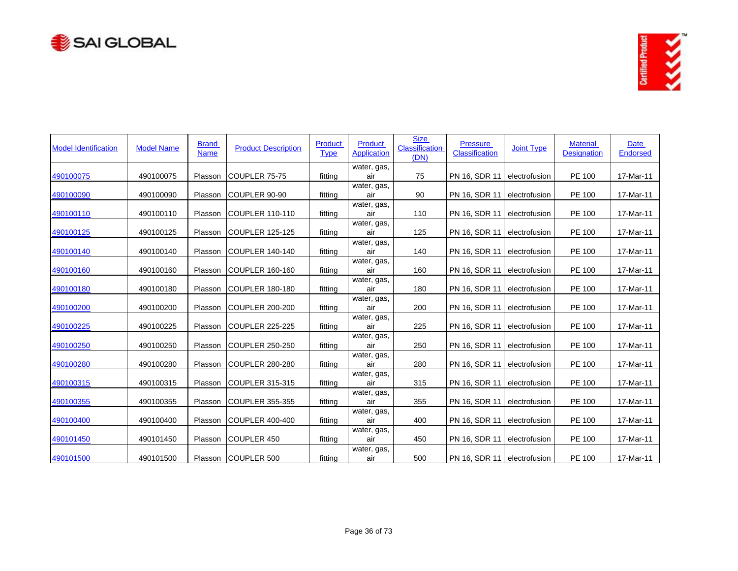



| <b>Model Identification</b> | <b>Model Name</b> | <b>Brand</b><br><b>Name</b> | <b>Product Description</b> | Product<br><b>Type</b> | <b>Product</b><br><b>Application</b> | <b>Size</b><br><b>Classification</b><br>(DN) | <b>Pressure</b><br>Classification | <b>Joint Type</b> | <b>Material</b><br><b>Designation</b> | <b>Date</b><br><b>Endorsed</b> |
|-----------------------------|-------------------|-----------------------------|----------------------------|------------------------|--------------------------------------|----------------------------------------------|-----------------------------------|-------------------|---------------------------------------|--------------------------------|
| 490100075                   | 490100075         | Plasson                     | COUPLER 75-75              | fitting                | water, gas,<br>air                   | 75                                           | PN 16, SDR 11                     | electrofusion     | PE 100                                | 17-Mar-11                      |
| 490100090                   | 490100090         | Plasson                     | <b>COUPLER 90-90</b>       | fitting                | water, gas,<br>air                   | 90                                           | PN 16, SDR 11                     | electrofusion     | PE 100                                | 17-Mar-11                      |
| 490100110                   | 490100110         | Plasson                     | ICOUPLER 110-110           | fitting                | water, gas,<br>air                   | 110                                          | PN 16, SDR 11                     | electrofusion     | PE 100                                | 17-Mar-11                      |
| 490100125                   | 490100125         | Plasson                     | ICOUPLER 125-125           | fitting                | water, gas,<br>air                   | 125                                          | PN 16, SDR 11                     | electrofusion     | PE 100                                | 17-Mar-11                      |
| 490100140                   | 490100140         | Plasson                     | COUPLER 140-140            | fitting                | water, gas,<br>air                   | 140                                          | PN 16, SDR 11                     | electrofusion     | PE 100                                | 17-Mar-11                      |
| 490100160                   | 490100160         | Plasson                     | COUPLER 160-160            | fitting                | water, gas,<br>air                   | 160                                          | PN 16, SDR 11                     | electrofusion     | PE 100                                | 17-Mar-11                      |
| 490100180                   | 490100180         | Plasson                     | ICOUPLER 180-180           | fitting                | water, gas,<br>air                   | 180                                          | PN 16, SDR 11                     | electrofusion     | PE 100                                | 17-Mar-11                      |
| 490100200                   | 490100200         | Plasson                     | COUPLER 200-200            | fitting                | water, gas,<br>air                   | 200                                          | PN 16, SDR 11                     | electrofusion     | PE 100                                | 17-Mar-11                      |
| 490100225                   | 490100225         | Plasson                     | COUPLER 225-225            | fitting                | water, gas,<br>air                   | 225                                          | PN 16, SDR 11                     | electrofusion     | PE 100                                | 17-Mar-11                      |
| 490100250                   | 490100250         | Plasson                     | COUPLER 250-250            | fitting                | water, gas,<br>air                   | 250                                          | PN 16, SDR 11                     | electrofusion     | PE 100                                | 17-Mar-11                      |
| 490100280                   | 490100280         | Plasson                     | COUPLER 280-280            | fitting                | water, gas,<br>air                   | 280                                          | PN 16, SDR 11                     | electrofusion     | PE 100                                | 17-Mar-11                      |
| 490100315                   | 490100315         | Plasson                     | COUPLER 315-315            | fitting                | water, gas,<br>air                   | 315                                          | PN 16, SDR 11                     | electrofusion     | PE 100                                | 17-Mar-11                      |
| 490100355                   | 490100355         | Plasson                     | COUPLER 355-355            | fitting                | water, gas,<br>air                   | 355                                          | PN 16, SDR 11                     | electrofusion     | PE 100                                | 17-Mar-11                      |
| 490100400                   | 490100400         | Plasson                     | COUPLER 400-400            | fitting                | water, gas,<br>air                   | 400                                          | PN 16, SDR 11                     | electrofusion     | PE 100                                | 17-Mar-11                      |
| 490101450                   | 490101450         | Plasson                     | <b>COUPLER 450</b>         | fitting                | water, gas,<br>air                   | 450                                          | PN 16, SDR 11                     | electrofusion     | PE 100                                | 17-Mar-11                      |
| 490101500                   | 490101500         |                             | Plasson COUPLER 500        | fitting                | water, gas,<br>air                   | 500                                          | PN 16, SDR 11 electrofusion       |                   | PE 100                                | 17-Mar-11                      |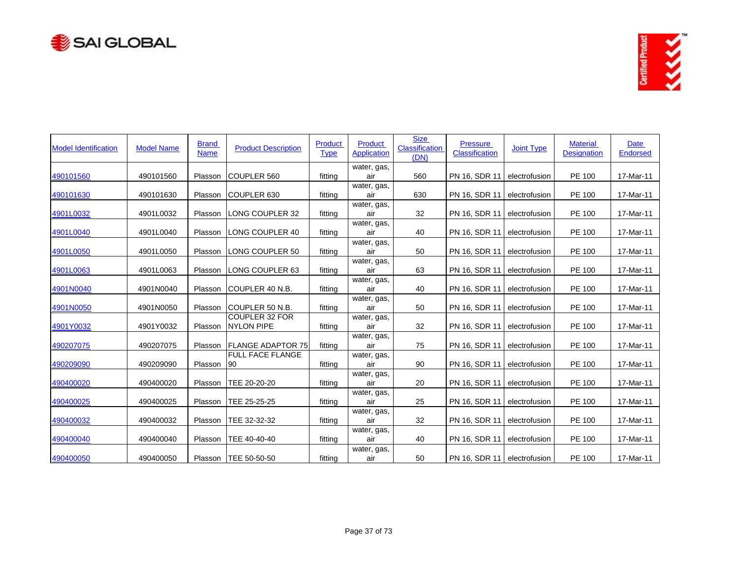



| <b>Model Identification</b> | <b>Model Name</b> | <b>Brand</b><br><b>Name</b> | <b>Product Description</b>                 | Product<br><b>Type</b> | <b>Product</b><br><b>Application</b> | <b>Size</b><br><b>Classification</b><br>(DN) | <b>Pressure</b><br>Classification | <b>Joint Type</b> | <b>Material</b><br><b>Designation</b> | <b>Date</b><br><b>Endorsed</b> |
|-----------------------------|-------------------|-----------------------------|--------------------------------------------|------------------------|--------------------------------------|----------------------------------------------|-----------------------------------|-------------------|---------------------------------------|--------------------------------|
| 490101560                   | 490101560         | Plasson                     | COUPLER 560                                | fitting                | water, gas,<br>air                   | 560                                          | PN 16, SDR 11                     | electrofusion     | PE 100                                | 17-Mar-11                      |
| 490101630                   | 490101630         | Plasson                     | COUPLER 630                                | fitting                | water, gas,<br>air                   | 630                                          | PN 16, SDR 11                     | electrofusion     | PE 100                                | 17-Mar-11                      |
| 4901L0032                   | 4901L0032         | Plasson                     | ILONG COUPLER 32                           | fitting                | water, gas,<br>air                   | 32                                           | PN 16, SDR 11                     | electrofusion     | PE 100                                | 17-Mar-11                      |
| 4901L0040                   | 4901L0040         | Plasson                     | LONG COUPLER 40                            | fitting                | water, gas,<br>air                   | 40                                           | PN 16, SDR 11                     | electrofusion     | PE 100                                | 17-Mar-11                      |
| 4901L0050                   | 4901L0050         | Plasson                     | LONG COUPLER 50                            | fitting                | water, gas,<br>air                   | 50                                           | PN 16, SDR 11                     | electrofusion     | PE 100                                | 17-Mar-11                      |
| 4901L0063                   | 4901L0063         | Plasson                     | LONG COUPLER 63                            | fitting                | water, gas,<br>air                   | 63                                           | PN 16, SDR 11                     | electrofusion     | PE 100                                | 17-Mar-11                      |
| 4901N0040                   | 4901N0040         | Plasson                     | ICOUPLER 40 N.B.                           | fitting                | water, gas,<br>air                   | 40                                           | PN 16, SDR 11                     | electrofusion     | PE 100                                | 17-Mar-11                      |
| 4901N0050                   | 4901N0050         | Plasson                     | <b>ICOUPLER 50 N.B.</b>                    | fitting                | water, gas,<br>air                   | 50                                           | PN 16, SDR 11                     | electrofusion     | PE 100                                | 17-Mar-11                      |
| 4901Y0032                   | 4901Y0032         | Plasson                     | <b>COUPLER 32 FOR</b><br><b>NYLON PIPE</b> | fitting                | water, gas,<br>air                   | 32                                           | PN 16, SDR 11                     | electrofusion     | PE 100                                | 17-Mar-11                      |
| 490207075                   | 490207075         | Plasson                     | <b>FLANGE ADAPTOR 75</b>                   | fitting                | water, gas,<br>air                   | 75                                           | PN 16, SDR 11                     | electrofusion     | PE 100                                | 17-Mar-11                      |
| 490209090                   | 490209090         | Plasson                     | <b>FULL FACE FLANGE</b><br>90              | fitting                | water, gas,<br>air                   | 90                                           | PN 16, SDR 11                     | electrofusion     | PE 100                                | 17-Mar-11                      |
| 490400020                   | 490400020         | Plasson                     | TEE 20-20-20                               | fitting                | water, gas,<br>air                   | 20                                           | PN 16, SDR 11                     | electrofusion     | PE 100                                | 17-Mar-11                      |
| 490400025                   | 490400025         | Plasson                     | TEE 25-25-25                               | fitting                | water, gas,<br>air                   | 25                                           | PN 16, SDR 11                     | electrofusion     | PE 100                                | 17-Mar-11                      |
| 490400032                   | 490400032         | Plasson                     | TEE 32-32-32                               | fitting                | water, gas,<br>air                   | 32                                           | PN 16, SDR 11                     | electrofusion     | PE 100                                | 17-Mar-11                      |
| 490400040                   | 490400040         | Plasson                     | TEE 40-40-40                               | fitting                | water, gas,<br>air                   | 40                                           | PN 16, SDR 11                     | electrofusion     | PE 100                                | 17-Mar-11                      |
| 490400050                   | 490400050         |                             | Plasson   TEE 50-50-50                     | fitting                | water, gas,<br>air                   | 50                                           | PN 16, SDR 11   electrofusion     |                   | PE 100                                | 17-Mar-11                      |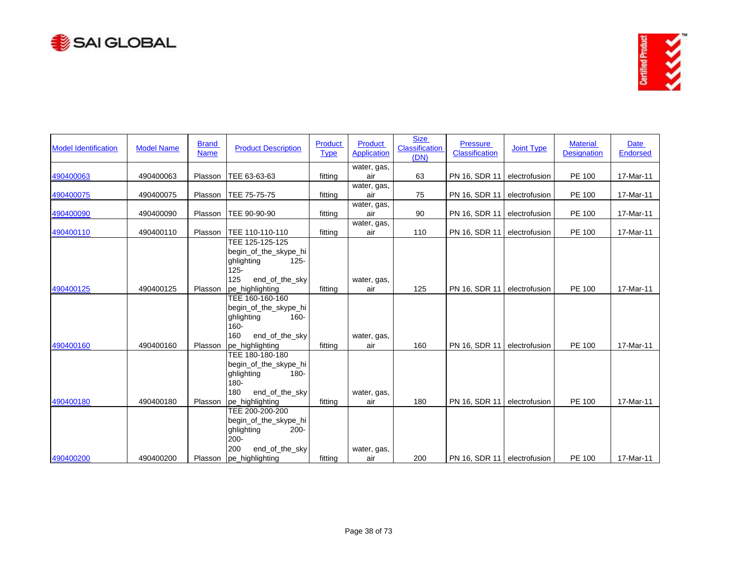



| <b>Model Identification</b> | <b>Model Name</b> | <b>Brand</b><br><b>Name</b> | <b>Product Description</b>                                                                                                       | Product<br><b>Type</b> | <b>Product</b><br><b>Application</b> | <b>Size</b><br><b>Classification</b><br>(DN) | <b>Pressure</b><br>Classification | <b>Joint Type</b> | <b>Material</b><br><b>Designation</b> | <b>Date</b><br><b>Endorsed</b> |
|-----------------------------|-------------------|-----------------------------|----------------------------------------------------------------------------------------------------------------------------------|------------------------|--------------------------------------|----------------------------------------------|-----------------------------------|-------------------|---------------------------------------|--------------------------------|
| 490400063                   | 490400063         | Plasson                     | TEE 63-63-63                                                                                                                     | fitting                | water, gas,<br>air                   | 63                                           | PN 16, SDR 11                     | electrofusion     | PE 100                                | 17-Mar-11                      |
| 490400075                   | 490400075         | Plasson                     | TEE 75-75-75                                                                                                                     | fitting                | water, gas,<br>air                   | 75                                           | PN 16, SDR 11                     | electrofusion     | PE 100                                | 17-Mar-11                      |
| 490400090                   | 490400090         | Plasson                     | TEE 90-90-90                                                                                                                     | fitting                | water, gas,<br>air                   | 90                                           | PN 16, SDR 11                     | electrofusion     | PE 100                                | 17-Mar-11                      |
| 490400110                   | 490400110         | Plasson                     | TEE 110-110-110                                                                                                                  | fitting                | water, gas,<br>air                   | 110                                          | PN 16, SDR 11                     | electrofusion     | PE 100                                | 17-Mar-11                      |
| 490400125                   | 490400125         | Plasson                     | TEE 125-125-125<br>begin_of_the_skype_hi<br>ghlighting<br>$125 -$<br>$125 -$<br>125<br>end_of_the_sky<br>pe_highlighting         | fitting                | water, gas,<br>air                   | 125                                          | PN 16, SDR 11                     | electrofusion     | PE 100                                | 17-Mar-11                      |
| 490400160                   | 490400160         | Plasson                     | TEE 160-160-160<br>begin_of_the_skype_hi<br>$160 -$<br>ghlighting<br>$160 -$<br>160<br>end_of_the_sky<br>pe_highlighting         | fitting                | water, gas,<br>air                   | 160                                          | PN 16, SDR 11                     | electrofusion     | PE 100                                | 17-Mar-11                      |
| 490400180                   | 490400180         | Plasson                     | TEE 180-180-180<br>begin_of_the_skype_hi<br>ghlighting<br>$180 -$<br>$180 -$<br>180<br>end_of_the_sky<br>pe_highlighting         | fitting                | water, gas,<br>air                   | 180                                          | PN 16, SDR 11                     | electrofusion     | PE 100                                | 17-Mar-11                      |
| 490400200                   | 490400200         |                             | TEE 200-200-200<br>begin_of_the_skype_hi<br>ghlighting<br>$200 -$<br>$200 -$<br>end_of_the_sky<br>200<br>Plasson pe_highlighting | fitting                | water, gas,<br>air                   | 200                                          | PN 16, SDR 11 electrofusion       |                   | PE 100                                | 17-Mar-11                      |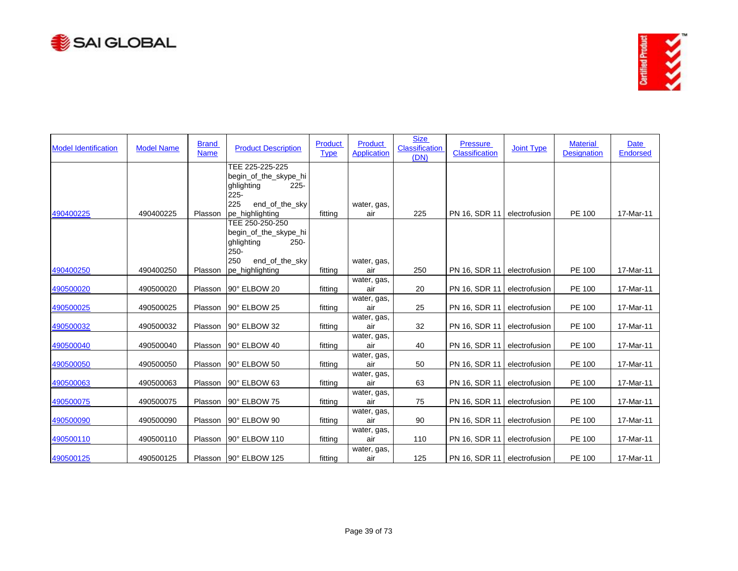



| <b>Model Identification</b> | <b>Model Name</b> | <b>Brand</b><br><b>Name</b> | <b>Product Description</b>                                                                            | Product<br><b>Type</b> | Product<br><b>Application</b> | <b>Size</b><br><b>Classification</b><br>(DN) | <b>Pressure</b><br><b>Classification</b> | <b>Joint Type</b> | <b>Material</b><br><b>Designation</b> | Date<br><b>Endorsed</b> |
|-----------------------------|-------------------|-----------------------------|-------------------------------------------------------------------------------------------------------|------------------------|-------------------------------|----------------------------------------------|------------------------------------------|-------------------|---------------------------------------|-------------------------|
|                             |                   |                             | TEE 225-225-225<br>begin_of_the_skype_hi<br>ghlighting<br>$225 -$<br>$225 -$                          |                        |                               |                                              |                                          |                   |                                       |                         |
| 490400225                   | 490400225         | Plasson                     | 225<br>end_of_the_sky<br>pe highlighting                                                              | fitting                | water, gas,<br>air            | 225                                          | PN 16, SDR 11                            | electrofusion     | PE 100                                | 17-Mar-11               |
|                             |                   |                             | TEE 250-250-250<br>begin_of_the_skype_hi<br>ghlighting<br>$250 -$<br>$250 -$<br>end_of_the_sky<br>250 |                        | water, gas,                   |                                              |                                          |                   |                                       |                         |
| 490400250                   | 490400250         | Plasson                     | pe_highlighting                                                                                       | fitting                | air                           | 250                                          | PN 16, SDR 11                            | electrofusion     | <b>PE 100</b>                         | 17-Mar-11               |
| 490500020                   | 490500020         | Plasson                     | 90° ELBOW 20                                                                                          | fitting                | water, gas,<br>air            | 20                                           | PN 16, SDR 11                            | electrofusion     | PE 100                                | 17-Mar-11               |
| 490500025                   | 490500025         | Plasson                     | 90° ELBOW 25                                                                                          | fitting                | water, gas,<br>air            | 25                                           | PN 16, SDR 11                            | electrofusion     | PE 100                                | 17-Mar-11               |
| 490500032                   | 490500032         | Plasson                     | 90° ELBOW 32                                                                                          | fitting                | water, gas,<br>air            | 32                                           | PN 16, SDR 11                            | electrofusion     | PE 100                                | 17-Mar-11               |
| 490500040                   | 490500040         | Plasson                     | 90° ELBOW 40                                                                                          | fitting                | water, gas,<br>air            | 40                                           | PN 16, SDR 11                            | electrofusion     | <b>PE 100</b>                         | 17-Mar-11               |
| 490500050                   | 490500050         | Plasson                     | 90° ELBOW 50                                                                                          | fitting                | water, gas,<br>air            | 50                                           | PN 16, SDR 11                            | electrofusion     | PE 100                                | 17-Mar-11               |
| 490500063                   | 490500063         | Plasson                     | 90° ELBOW 63                                                                                          | fitting                | water, gas,<br>air            | 63                                           | PN 16, SDR 11                            | electrofusion     | PE 100                                | 17-Mar-11               |
| 490500075                   | 490500075         | Plasson                     | 90° ELBOW 75                                                                                          | fitting                | water, gas,<br>air            | 75                                           | PN 16, SDR 11                            | electrofusion     | PE 100                                | 17-Mar-11               |
| 490500090                   | 490500090         | Plasson                     | 90° ELBOW 90                                                                                          | fitting                | water, gas,<br>air            | 90                                           | PN 16, SDR 11                            | electrofusion     | PE 100                                | 17-Mar-11               |
| 490500110                   | 490500110         | Plasson                     | 90° ELBOW 110                                                                                         | fitting                | water, gas,<br>air            | 110                                          | PN 16, SDR 11                            | electrofusion     | PE 100                                | 17-Mar-11               |
| 490500125                   | 490500125         |                             | Plasson 90° ELBOW 125                                                                                 | fitting                | water, gas,<br>air            | 125                                          | PN 16, SDR 11 electrofusion              |                   | <b>PE 100</b>                         | 17-Mar-11               |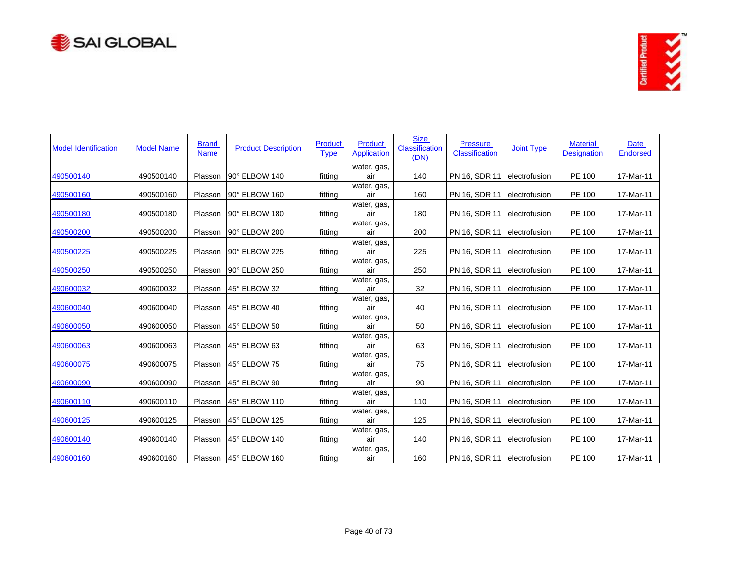



| <b>Model Identification</b> | <b>Model Name</b> | <b>Brand</b><br><b>Name</b> | <b>Product Description</b> | <b>Product</b><br><b>Type</b> | Product<br><b>Application</b> | <b>Size</b><br><b>Classification</b><br>(DN) | <b>Pressure</b><br>Classification | <b>Joint Type</b> | <b>Material</b><br><b>Designation</b> | Date<br><b>Endorsed</b> |
|-----------------------------|-------------------|-----------------------------|----------------------------|-------------------------------|-------------------------------|----------------------------------------------|-----------------------------------|-------------------|---------------------------------------|-------------------------|
| 490500140                   | 490500140         | Plasson                     | 90° ELBOW 140              | fittina                       | water, gas,<br>air            | 140                                          | PN 16, SDR 11                     | electrofusion     | PE 100                                | 17-Mar-11               |
| 490500160                   | 490500160         | Plasson                     | 90° ELBOW 160              | fitting                       | water, gas,<br>air            | 160                                          | PN 16, SDR 11                     | electrofusion     | PE 100                                | 17-Mar-11               |
| 490500180                   | 490500180         | Plasson                     | 90° ELBOW 180              | fitting                       | water, gas,<br>air            | 180                                          | PN 16, SDR 11                     | electrofusion     | PE 100                                | 17-Mar-11               |
| 490500200                   | 490500200         | Plasson                     | 90° ELBOW 200              | fitting                       | water, gas,<br>air            | 200                                          | PN 16, SDR 11                     | electrofusion     | PE 100                                | 17-Mar-11               |
| 490500225                   | 490500225         | Plasson                     | 90° ELBOW 225              | fitting                       | water, gas,<br>air            | 225                                          | PN 16, SDR 11                     | electrofusion     | PE 100                                | 17-Mar-11               |
| 490500250                   | 490500250         | Plasson                     | 90° ELBOW 250              | fitting                       | water, gas,<br>air            | 250                                          | PN 16, SDR 11                     | electrofusion     | PE 100                                | 17-Mar-11               |
| 490600032                   | 490600032         | Plasson                     | 45° ELBOW 32               | fitting                       | water, gas,<br>air            | 32                                           | PN 16, SDR 11                     | electrofusion     | PE 100                                | 17-Mar-11               |
| 490600040                   | 490600040         | Plasson                     | 45° ELBOW 40               | fitting                       | water, gas,<br>air            | 40                                           | PN 16, SDR 11                     | electrofusion     | PE 100                                | 17-Mar-11               |
| 490600050                   | 490600050         | Plasson                     | 45° ELBOW 50               | fitting                       | water, gas,<br>air            | 50                                           | PN 16, SDR 11                     | electrofusion     | PE 100                                | 17-Mar-11               |
| 490600063                   | 490600063         | Plasson                     | 45° ELBOW 63               | fitting                       | water, gas,<br>air            | 63                                           | PN 16, SDR 11                     | electrofusion     | PE 100                                | 17-Mar-11               |
| 490600075                   | 490600075         | Plasson                     | 45° ELBOW 75               | fitting                       | water, gas,<br>air            | 75                                           | PN 16, SDR 11                     | electrofusion     | PE 100                                | 17-Mar-11               |
| 490600090                   | 490600090         | Plasson                     | 45° ELBOW 90               | fitting                       | water, gas,<br>air            | 90                                           | PN 16, SDR 11                     | electrofusion     | PE 100                                | 17-Mar-11               |
| 490600110                   | 490600110         | Plasson                     | 45° ELBOW 110              | fitting                       | water, gas,<br>air            | 110                                          | PN 16, SDR 11                     | electrofusion     | PE 100                                | 17-Mar-11               |
| 490600125                   | 490600125         | Plasson                     | 45° ELBOW 125              | fitting                       | water, gas,<br>air            | 125                                          | PN 16, SDR 11                     | electrofusion     | PE 100                                | 17-Mar-11               |
| 490600140                   | 490600140         | Plasson                     | 45° ELBOW 140              | fitting                       | water, gas,<br>air            | 140                                          | PN 16, SDR 11                     | electrofusion     | PE 100                                | 17-Mar-11               |
| 490600160                   | 490600160         |                             | Plasson   45° ELBOW 160    | fitting                       | water, gas,<br>air            | 160                                          | PN 16, SDR 11 electrofusion       |                   | PE 100                                | 17-Mar-11               |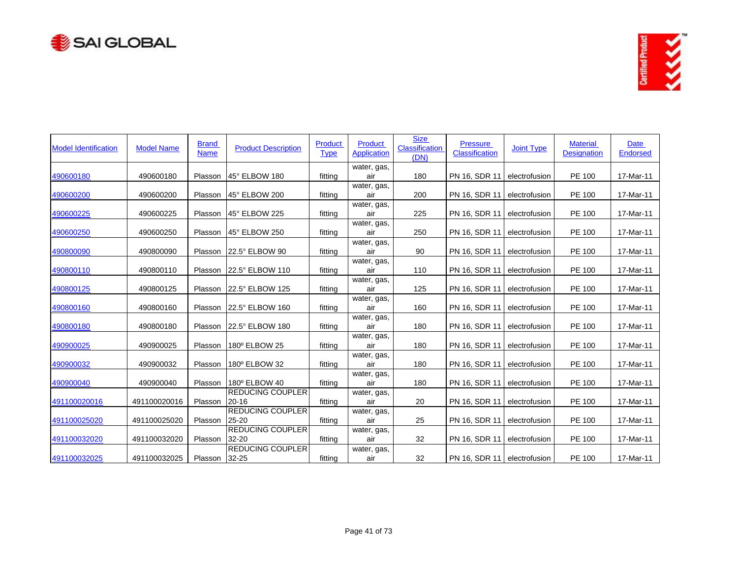



| <b>Model Identification</b> | <b>Model Name</b> | <b>Brand</b><br><b>Name</b> | <b>Product Description</b>           | Product<br><b>Type</b> | <b>Product</b><br><b>Application</b> | <b>Size</b><br><b>Classification</b><br>(DN) | <b>Pressure</b><br>Classification | <b>Joint Type</b> | <b>Material</b><br><b>Designation</b> | <b>Date</b><br><b>Endorsed</b> |
|-----------------------------|-------------------|-----------------------------|--------------------------------------|------------------------|--------------------------------------|----------------------------------------------|-----------------------------------|-------------------|---------------------------------------|--------------------------------|
| 490600180                   | 490600180         | Plasson                     | 45° ELBOW 180                        | fitting                | water, gas,<br>air                   | 180                                          | PN 16, SDR 11                     | electrofusion     | PE 100                                | 17-Mar-11                      |
| 490600200                   | 490600200         | Plasson                     | 45° ELBOW 200                        | fitting                | water, gas,<br>air                   | 200                                          | PN 16, SDR 11                     | electrofusion     | PE 100                                | 17-Mar-11                      |
| 490600225                   | 490600225         | Plasson                     | 45° ELBOW 225                        | fitting                | water, gas,<br>air                   | 225                                          | PN 16, SDR 11                     | electrofusion     | PE 100                                | 17-Mar-11                      |
| 490600250                   | 490600250         | Plasson                     | 45° ELBOW 250                        | fitting                | water, gas,<br>air                   | 250                                          | PN 16, SDR 11                     | electrofusion     | PE 100                                | 17-Mar-11                      |
| 490800090                   | 490800090         | Plasson                     | 22.5° ELBOW 90                       | fitting                | water, gas,<br>air                   | 90                                           | PN 16, SDR 11                     | electrofusion     | PE 100                                | 17-Mar-11                      |
| 490800110                   | 490800110         | Plasson                     | 22.5° ELBOW 110                      | fitting                | water, gas,<br>air                   | 110                                          | PN 16, SDR 11                     | electrofusion     | PE 100                                | 17-Mar-11                      |
| 490800125                   | 490800125         | Plasson                     | 22.5° ELBOW 125                      | fitting                | water, gas,<br>air                   | 125                                          | PN 16, SDR 11                     | electrofusion     | PE 100                                | 17-Mar-11                      |
| 490800160                   | 490800160         | Plasson                     | 22.5° ELBOW 160                      | fitting                | water, gas,<br>air                   | 160                                          | PN 16, SDR 11                     | electrofusion     | PE 100                                | 17-Mar-11                      |
| 490800180                   | 490800180         | Plasson                     | 22.5° ELBOW 180                      | fitting                | water, gas,<br>air                   | 180                                          | PN 16, SDR 11                     | electrofusion     | PE 100                                | 17-Mar-11                      |
| 490900025                   | 490900025         | Plasson                     | 180° ELBOW 25                        | fitting                | water, gas,<br>air                   | 180                                          | PN 16, SDR 11                     | electrofusion     | PE 100                                | 17-Mar-11                      |
| 490900032                   | 490900032         | Plasson                     | 180° ELBOW 32                        | fitting                | water, gas,<br>air                   | 180                                          | PN 16, SDR 11                     | electrofusion     | PE 100                                | 17-Mar-11                      |
| 490900040                   | 490900040         | Plasson                     | 180° ELBOW 40                        | fitting                | water, gas,<br>air                   | 180                                          | PN 16, SDR 11                     | electrofusion     | PE 100                                | 17-Mar-11                      |
| 491100020016                | 491100020016      | Plasson                     | <b>REDUCING COUPLER</b><br>$20 - 16$ | fitting                | water, gas,<br>air                   | 20                                           | PN 16, SDR 11                     | electrofusion     | PE 100                                | 17-Mar-11                      |
| 491100025020                | 491100025020      | Plasson                     | <b>REDUCING COUPLER</b><br>25-20     | fitting                | water, gas,<br>air                   | 25                                           | PN 16, SDR 11                     | electrofusion     | PE 100                                | 17-Mar-11                      |
| 491100032020                | 491100032020      | Plasson                     | <b>REDUCING COUPLER</b><br>32-20     | fitting                | water, gas,<br>air                   | 32                                           | PN 16, SDR 11                     | electrofusion     | PE 100                                | 17-Mar-11                      |
| 491100032025                | 491100032025      | Plasson                     | <b>REDUCING COUPLER</b><br>$32 - 25$ | fitting                | water, gas,<br>air                   | 32                                           | PN 16, SDR 11   electrofusion     |                   | PE 100                                | 17-Mar-11                      |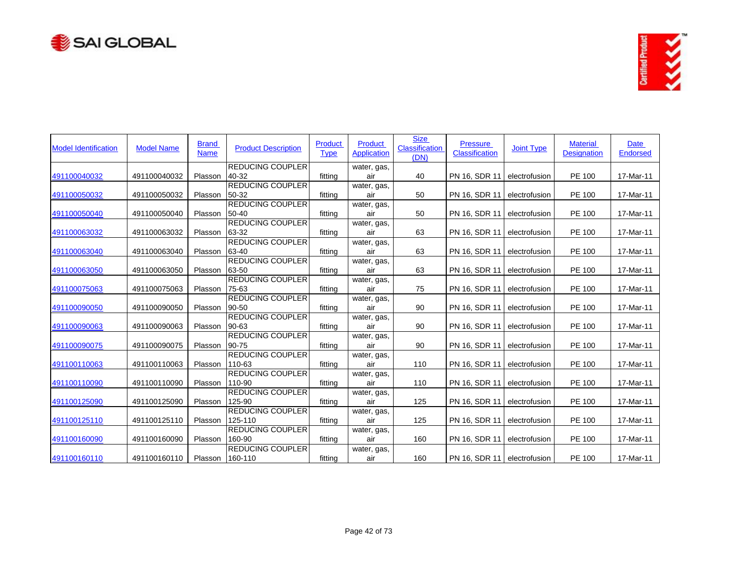



| <b>Model Identification</b> | <b>Model Name</b> | <b>Brand</b><br><b>Name</b> | <b>Product Description</b>       | <b>Product</b><br><b>Type</b> | <b>Product</b><br><b>Application</b> | <b>Size</b><br><b>Classification</b><br>(DN) | <b>Pressure</b><br><b>Classification</b> | <b>Joint Type</b> | <b>Material</b><br><b>Designation</b> | Date<br><b>Endorsed</b> |
|-----------------------------|-------------------|-----------------------------|----------------------------------|-------------------------------|--------------------------------------|----------------------------------------------|------------------------------------------|-------------------|---------------------------------------|-------------------------|
|                             |                   |                             | <b>REDUCING COUPLER</b>          |                               | water, gas,                          |                                              |                                          |                   |                                       |                         |
| 491100040032                | 491100040032      | Plasson                     | 40 32                            | fitting                       | air                                  | 40                                           | PN 16, SDR 11                            | electrofusion     | PE 100                                | 17-Mar-11               |
| 491100050032                | 491100050032      | Plasson                     | <b>REDUCING COUPLER</b><br>50-32 | fitting                       | water, gas,<br>air                   | 50                                           | PN 16, SDR 11                            | electrofusion     | PE 100                                | 17-Mar-11               |
|                             |                   |                             | <b>REDUCING COUPLER</b>          |                               |                                      |                                              |                                          |                   |                                       |                         |
| 491100050040                | 491100050040      | Plasson                     | 50-40                            | fitting                       | water, gas,<br>air                   | 50                                           | PN 16, SDR 11                            | electrofusion     | PE 100                                | 17-Mar-11               |
|                             |                   |                             | <b>REDUCING COUPLER</b>          |                               | water, gas,                          |                                              |                                          |                   |                                       |                         |
| 491100063032                | 491100063032      | Plasson                     | 63-32                            | fitting                       | air                                  | 63                                           | PN 16, SDR 11                            | electrofusion     | <b>PE 100</b>                         | 17-Mar-11               |
|                             |                   |                             | <b>REDUCING COUPLER</b>          |                               | water, gas,                          |                                              |                                          |                   |                                       |                         |
| 491100063040                | 491100063040      | Plasson                     | 63-40                            | fitting                       | air                                  | 63                                           | PN 16, SDR 11                            | electrofusion     | PE 100                                | 17-Mar-11               |
|                             |                   |                             | <b>REDUCING COUPLER</b>          |                               | water, gas,                          |                                              |                                          |                   |                                       |                         |
| 491100063050                | 491100063050      | Plasson                     | 63-50                            | fitting                       | air                                  | 63                                           | PN 16, SDR 11                            | electrofusion     | PE 100                                | 17-Mar-11               |
|                             |                   |                             | <b>REDUCING COUPLER</b>          |                               | water, gas,                          |                                              |                                          |                   |                                       |                         |
| 491100075063                | 491100075063      | Plasson                     | 75-63                            | fitting                       | air                                  | 75                                           | PN 16, SDR 11                            | electrofusion     | PE 100                                | 17-Mar-11               |
|                             |                   |                             | <b>REDUCING COUPLER</b>          |                               | water, gas,                          |                                              |                                          |                   |                                       |                         |
| 491100090050                | 491100090050      | Plasson                     | 90-50                            | fitting                       | air                                  | 90                                           | PN 16, SDR 11                            | electrofusion     | PE 100                                | 17-Mar-11               |
|                             |                   |                             | <b>REDUCING COUPLER</b>          |                               | water, gas,                          |                                              |                                          |                   |                                       |                         |
| 491100090063                | 491100090063      | Plasson                     | 90-63                            | fitting                       | air                                  | 90                                           | PN 16, SDR 11                            | electrofusion     | PE 100                                | 17-Mar-11               |
|                             |                   |                             | <b>REDUCING COUPLER</b>          |                               | water, gas,                          |                                              |                                          |                   |                                       |                         |
| 491100090075                | 491100090075      | Plasson                     | 90-75                            | fitting                       | air                                  | 90                                           | PN 16, SDR 11                            | electrofusion     | <b>PE 100</b>                         | 17-Mar-11               |
|                             |                   |                             | <b>REDUCING COUPLER</b>          |                               | water, gas,                          |                                              |                                          |                   |                                       |                         |
| 491100110063                | 491100110063      | Plasson                     | 110-63                           | fitting                       | air                                  | 110                                          | PN 16, SDR 11                            | electrofusion     | PE 100                                | 17-Mar-11               |
|                             |                   |                             | <b>REDUCING COUPLER</b>          |                               | water, gas,                          |                                              |                                          |                   |                                       |                         |
| 491100110090                | 491100110090      | Plasson                     | 110-90                           | fitting                       | air                                  | 110                                          | PN 16, SDR 11                            | electrofusion     | PE 100                                | 17-Mar-11               |
|                             |                   |                             | REDUCING COUPLER                 |                               | water, gas,                          |                                              |                                          |                   |                                       |                         |
| 491100125090                | 491100125090      | Plasson                     | 125-90                           | fitting                       | air                                  | 125                                          | PN 16, SDR 11                            | electrofusion     | PE 100                                | 17-Mar-11               |
|                             |                   |                             | <b>REDUCING COUPLER</b>          |                               | water, gas,                          |                                              |                                          |                   |                                       |                         |
| 491100125110                | 491100125110      | Plasson                     | 125-110                          | fitting                       | air                                  | 125                                          | PN 16, SDR 11                            | electrofusion     | PE 100                                | 17-Mar-11               |
|                             |                   |                             | <b>REDUCING COUPLER</b>          |                               | water, gas,                          |                                              |                                          |                   |                                       |                         |
| 491100160090                | 491100160090      | Plasson                     | 160-90                           | fitting                       | air                                  | 160                                          | PN 16, SDR 11                            | electrofusion     | PE 100                                | 17-Mar-11               |
|                             |                   |                             | <b>REDUCING COUPLER</b>          |                               | water, gas,                          |                                              |                                          |                   |                                       |                         |
| 491100160110                | 491100160110      |                             | Plasson 160-110                  | fitting                       | air                                  | 160                                          | PN 16, SDR 11 electrofusion              |                   | PE 100                                | 17-Mar-11               |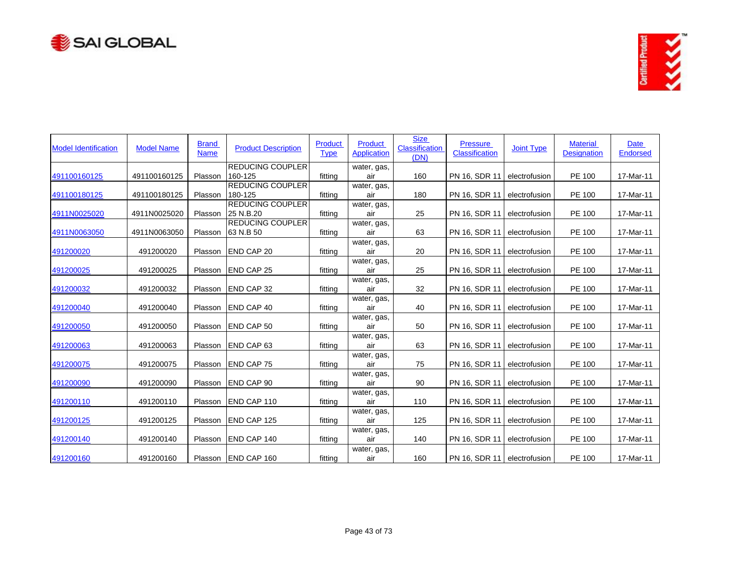



| <b>Model Identification</b> | <b>Model Name</b> | <b>Brand</b><br><b>Name</b> | <b>Product Description</b>         | <b>Product</b><br><b>Type</b> | Product<br><b>Application</b> | <b>Size</b><br><b>Classification</b><br>(DN) | <b>Pressure</b><br><b>Classification</b> | <b>Joint Type</b> | <b>Material</b><br><b>Designation</b> | Date<br><b>Endorsed</b> |
|-----------------------------|-------------------|-----------------------------|------------------------------------|-------------------------------|-------------------------------|----------------------------------------------|------------------------------------------|-------------------|---------------------------------------|-------------------------|
| 491100160125                | 491100160125      | Plasson                     | <b>REDUCING COUPLER</b><br>160-125 | fitting                       | water, gas,<br>air            | 160                                          | PN 16, SDR 11                            | electrofusion     | PE 100                                | 17-Mar-11               |
|                             |                   |                             | REDUCING COUPLER                   |                               | water, gas,                   |                                              |                                          |                   |                                       |                         |
| 491100180125                | 491100180125      | Plasson                     | 180-125                            | fitting                       | air                           | 180                                          | PN 16, SDR 11                            | electrofusion     | PE 100                                | 17-Mar-11               |
|                             |                   |                             | <b>REDUCING COUPLER</b>            |                               | water, gas,                   |                                              |                                          |                   |                                       |                         |
| 4911N0025020                | 4911N0025020      | Plasson                     | 25 N.B.20                          | fitting                       | air                           | 25                                           | PN 16, SDR 11                            | electrofusion     | PE 100                                | 17-Mar-11               |
|                             |                   |                             | <b>REDUCING COUPLER</b>            |                               | water, gas,                   |                                              |                                          |                   |                                       |                         |
| 4911N0063050                | 4911N0063050      | Plasson                     | 63 N.B 50                          | fitting                       | air                           | 63                                           | PN 16, SDR 11                            | electrofusion     | PE 100                                | 17-Mar-11               |
| 491200020                   | 491200020         | Plasson                     | <b>END CAP 20</b>                  | fitting                       | water, gas,<br>air            | 20                                           | PN 16, SDR 11                            | electrofusion     | PE 100                                | 17-Mar-11               |
|                             |                   |                             |                                    |                               | water, gas,                   |                                              |                                          |                   |                                       |                         |
| 491200025                   | 491200025         | Plasson                     | <b>END CAP 25</b>                  | fitting                       | air                           | 25                                           | PN 16, SDR 11                            | electrofusion     | PE 100                                | 17-Mar-11               |
|                             |                   |                             |                                    |                               | water, gas,                   |                                              |                                          |                   |                                       |                         |
| 491200032                   | 491200032         | Plasson                     | <b>END CAP 32</b>                  | fitting                       | air                           | 32                                           | PN 16, SDR 11                            | electrofusion     | PE 100                                | 17-Mar-11               |
| 491200040                   | 491200040         | Plasson                     | <b>END CAP 40</b>                  | fitting                       | water, gas,<br>air            | 40                                           | PN 16, SDR 11                            | electrofusion     | PE 100                                | 17-Mar-11               |
|                             |                   |                             |                                    |                               | water, gas,                   |                                              |                                          |                   |                                       |                         |
| 491200050                   | 491200050         | Plasson                     | <b>END CAP 50</b>                  | fitting                       | air                           | 50                                           | PN 16, SDR 11                            | electrofusion     | PE 100                                | 17-Mar-11               |
|                             |                   |                             |                                    |                               | water, gas,                   |                                              |                                          |                   |                                       |                         |
| 491200063                   | 491200063         | Plasson                     | <b>END CAP 63</b>                  | fitting                       | air                           | 63                                           | PN 16, SDR 11                            | electrofusion     | PE 100                                | 17-Mar-11               |
|                             |                   |                             |                                    |                               | water, gas,                   |                                              |                                          |                   |                                       |                         |
| 491200075                   | 491200075         | Plasson                     | <b>END CAP 75</b>                  | fitting                       | air                           | 75                                           | PN 16, SDR 11                            | electrofusion     | PE 100                                | 17-Mar-11               |
| 491200090                   | 491200090         | Plasson                     | <b>END CAP 90</b>                  | fitting                       | water, gas,<br>air            | 90                                           | PN 16, SDR 11                            | electrofusion     | PE 100                                | 17-Mar-11               |
|                             |                   |                             |                                    |                               | water, gas,                   |                                              |                                          |                   |                                       |                         |
| 491200110                   | 491200110         | Plasson                     | <b>END CAP 110</b>                 | fitting                       | air                           | 110                                          | PN 16, SDR 11                            | electrofusion     | PE 100                                | 17-Mar-11               |
|                             |                   |                             |                                    |                               | water, gas,                   |                                              |                                          |                   |                                       |                         |
| 491200125                   | 491200125         | Plasson                     | END CAP 125                        | fitting                       | air                           | 125                                          | PN 16, SDR 11                            | electrofusion     | PE 100                                | 17-Mar-11               |
|                             |                   |                             |                                    |                               | water, gas,                   |                                              |                                          |                   |                                       |                         |
| 491200140                   | 491200140         | Plasson                     | END CAP 140                        | fitting                       | air                           | 140                                          | PN 16, SDR 11                            | electrofusion     | PE 100                                | 17-Mar-11               |
| 491200160                   | 491200160         |                             | Plasson END CAP 160                | fitting                       | water, gas,<br>air            | 160                                          | PN 16, SDR 11 electrofusion              |                   | PE 100                                | 17-Mar-11               |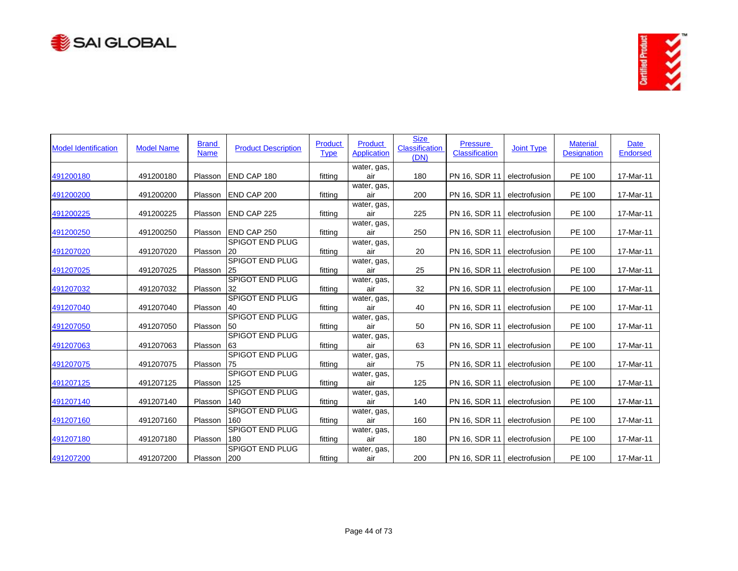



| <b>Model Identification</b> | <b>Model Name</b> | <b>Brand</b><br><b>Name</b> | <b>Product Description</b>    | Product<br><b>Type</b> | <b>Product</b><br><b>Application</b> | <b>Size</b><br><b>Classification</b><br>(DN) | <b>Pressure</b><br><b>Classification</b> | <b>Joint Type</b> | <b>Material</b><br><b>Designation</b> | <b>Date</b><br><b>Endorsed</b> |
|-----------------------------|-------------------|-----------------------------|-------------------------------|------------------------|--------------------------------------|----------------------------------------------|------------------------------------------|-------------------|---------------------------------------|--------------------------------|
| 491200180                   | 491200180         | Plasson                     | <b>END CAP 180</b>            | fitting                | water, gas,<br>air                   | 180                                          | PN 16, SDR 11                            | electrofusion     | PE 100                                | 17-Mar-11                      |
| 491200200                   | 491200200         | Plasson                     | END CAP 200                   | fitting                | water, gas,<br>air                   | 200                                          | PN 16, SDR 11                            | electrofusion     | PE 100                                | 17-Mar-11                      |
| 491200225                   | 491200225         | Plasson                     | END CAP 225                   | fitting                | water, gas,<br>air                   | 225                                          | PN 16, SDR 11                            | electrofusion     | PE 100                                | 17-Mar-11                      |
| 491200250                   | 491200250         | Plasson                     | END CAP 250                   | fitting                | water, gas,<br>air                   | 250                                          | PN 16, SDR 11                            | electrofusion     | PE 100                                | 17-Mar-11                      |
| 491207020                   | 491207020         | Plasson                     | <b>SPIGOT END PLUG</b><br>20  | fitting                | water, gas,<br>air                   | 20                                           | PN 16, SDR 11                            | electrofusion     | PE 100                                | 17-Mar-11                      |
| 491207025                   | 491207025         | Plasson                     | <b>SPIGOT END PLUG</b><br>25  | fitting                | water, gas,<br>air                   | 25                                           | PN 16, SDR 11                            | electrofusion     | PE 100                                | 17-Mar-11                      |
| 491207032                   | 491207032         | Plasson                     | <b>SPIGOT END PLUG</b><br>32  | fitting                | water, gas,<br>air                   | 32                                           | PN 16, SDR 11                            | electrofusion     | PE 100                                | 17-Mar-11                      |
| 491207040                   | 491207040         | Plasson                     | <b>SPIGOT END PLUG</b><br>40  | fitting                | water, gas,<br>air                   | 40                                           | PN 16, SDR 11                            | electrofusion     | PE 100                                | 17-Mar-11                      |
| 491207050                   | 491207050         | Plasson                     | <b>SPIGOT END PLUG</b><br>50  | fitting                | water, gas,<br>air                   | 50                                           | PN 16, SDR 11                            | electrofusion     | PE 100                                | 17-Mar-11                      |
| 491207063                   | 491207063         | Plasson                     | <b>SPIGOT END PLUG</b><br>63  | fitting                | water, gas,<br>air                   | 63                                           | PN 16, SDR 11                            | electrofusion     | PE 100                                | 17-Mar-11                      |
| 491207075                   | 491207075         | Plasson                     | <b>SPIGOT END PLUG</b><br>75  | fitting                | water, gas,<br>air                   | 75                                           | PN 16, SDR 11                            | electrofusion     | PE 100                                | 17-Mar-11                      |
| 491207125                   | 491207125         | Plasson                     | <b>SPIGOT END PLUG</b><br>125 | fitting                | water, gas,<br>air                   | 125                                          | PN 16, SDR 11                            | electrofusion     | PE 100                                | 17-Mar-11                      |
| 491207140                   | 491207140         | Plasson                     | SPIGOT END PLUG<br>140        | fitting                | water, gas,<br>air                   | 140                                          | PN 16, SDR 11                            | electrofusion     | PE 100                                | 17-Mar-11                      |
| 491207160                   | 491207160         | Plasson                     | <b>SPIGOT END PLUG</b><br>160 | fitting                | water, gas,<br>air                   | 160                                          | PN 16, SDR 11                            | electrofusion     | PE 100                                | 17-Mar-11                      |
| 491207180                   | 491207180         | Plasson                     | <b>SPIGOT END PLUG</b><br>180 | fitting                | water, gas,<br>air                   | 180                                          | PN 16, SDR 11                            | electrofusion     | PE 100                                | 17-Mar-11                      |
| 491207200                   | 491207200         | Plasson 200                 | <b>SPIGOT END PLUG</b>        | fitting                | water, gas,<br>air                   | 200                                          | PN 16, SDR 11   electrofusion            |                   | PE 100                                | 17-Mar-11                      |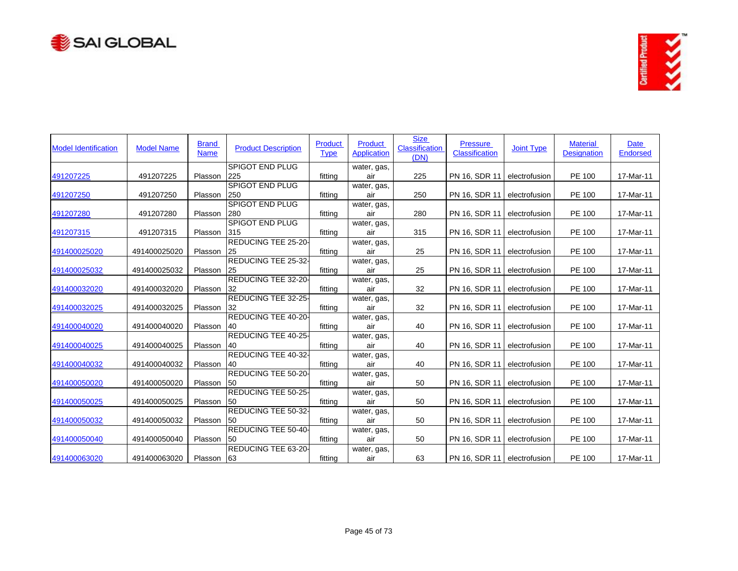



| <b>Model Identification</b> | <b>Model Name</b> | <b>Brand</b><br><b>Name</b> | <b>Product Description</b>    | <b>Product</b><br><b>Type</b> | <b>Product</b><br>Application | <b>Size</b><br><b>Classification</b><br>(DN) | <b>Pressure</b><br><b>Classification</b> | <b>Joint Type</b> | <b>Material</b><br><b>Designation</b> | Date<br>Endorsed |
|-----------------------------|-------------------|-----------------------------|-------------------------------|-------------------------------|-------------------------------|----------------------------------------------|------------------------------------------|-------------------|---------------------------------------|------------------|
|                             |                   |                             | <b>SPIGOT END PLUG</b>        |                               | water, gas,                   |                                              |                                          |                   |                                       |                  |
| 491207225                   | 491207225         | Plasson                     | 225                           | fitting                       | air                           | 225                                          | PN 16, SDR 11                            | electrofusion     | PE 100                                | 17-Mar-11        |
| 491207250                   | 491207250         | Plasson                     | <b>SPIGOT END PLUG</b><br>250 | fitting                       | water, gas,<br>air            | 250                                          | PN 16, SDR 11                            | electrofusion     | PE 100                                | 17-Mar-11        |
|                             |                   |                             | <b>SPIGOT END PLUG</b>        |                               | water, gas,                   |                                              |                                          |                   |                                       |                  |
| 491207280                   | 491207280         | Plasson                     | 280                           | fitting                       | air                           | 280                                          | PN 16, SDR 11                            | electrofusion     | PE 100                                | 17-Mar-11        |
|                             |                   |                             | <b>SPIGOT END PLUG</b>        |                               | water, gas,                   |                                              |                                          |                   |                                       |                  |
| 491207315                   | 491207315         | Plasson                     | 315                           | fitting                       | air                           | 315                                          | PN 16, SDR 11                            | electrofusion     | PE 100                                | 17-Mar-11        |
|                             |                   |                             | REDUCING TEE 25-20-           |                               | water, gas,                   |                                              |                                          |                   |                                       |                  |
| 491400025020                | 491400025020      | Plasson                     | 25                            | fitting                       | air                           | 25                                           | PN 16, SDR 11                            | electrofusion     | PE 100                                | 17-Mar-11        |
|                             |                   |                             | REDUCING TEE 25-32-           |                               | water, gas,                   |                                              |                                          |                   |                                       |                  |
| 491400025032                | 491400025032      | Plasson                     | 25                            | fitting                       | air                           | 25                                           | PN 16, SDR 11                            | electrofusion     | PE 100                                | 17-Mar-11        |
|                             |                   |                             | REDUCING TEE 32-20-           |                               | water, gas,                   |                                              |                                          |                   |                                       |                  |
| 491400032020                | 491400032020      | Plasson                     | 32                            | fitting                       | air                           | 32                                           | PN 16, SDR 11                            | electrofusion     | PE 100                                | 17-Mar-11        |
|                             |                   |                             | REDUCING TEE 32-25-           |                               | water, gas,                   |                                              |                                          |                   |                                       |                  |
| 491400032025                | 491400032025      | Plasson                     | 32                            | fitting                       | air                           | 32                                           | PN 16, SDR 11                            | electrofusion     | PE 100                                | 17-Mar-11        |
|                             |                   |                             | REDUCING TEE 40-20-           |                               | water, gas,                   |                                              |                                          |                   |                                       |                  |
| 491400040020                | 491400040020      | Plasson                     | 40                            | fitting                       | air                           | 40                                           | PN 16, SDR 11                            | electrofusion     | PE 100                                | 17-Mar-11        |
|                             |                   |                             | REDUCING TEE 40-25-           |                               | water, gas,                   |                                              |                                          |                   |                                       |                  |
| 491400040025                | 491400040025      | Plasson                     | 40                            | fitting                       | air                           | 40                                           | PN 16, SDR 11                            | electrofusion     | PE 100                                | 17-Mar-11        |
|                             |                   |                             | REDUCING TEE 40-32-           |                               | water, gas,                   |                                              |                                          |                   |                                       |                  |
| 491400040032                | 491400040032      | Plasson                     | 40                            | fitting                       | air                           | 40                                           | PN 16, SDR 11                            | electrofusion     | PE 100                                | 17-Mar-11        |
|                             |                   |                             | REDUCING TEE 50-20-           |                               | water, gas,                   |                                              |                                          |                   |                                       |                  |
| 491400050020                | 491400050020      | Plasson                     | 50                            | fitting                       | air                           | 50                                           | PN 16, SDR 11                            | electrofusion     | PE 100                                | 17-Mar-11        |
|                             |                   |                             | REDUCING TEE 50-25-           |                               | water, gas,                   |                                              |                                          |                   |                                       |                  |
| 491400050025                | 491400050025      | Plasson                     | 50                            | fitting                       | air                           | 50                                           | PN 16, SDR 11                            | electrofusion     | PE 100                                | 17-Mar-11        |
|                             |                   |                             | REDUCING TEE 50-32-           |                               | water, gas,                   |                                              |                                          |                   |                                       |                  |
| 491400050032                | 491400050032      | Plasson                     | <b>150</b>                    | fitting                       | air                           | 50                                           | PN 16, SDR 11                            | electrofusion     | PE 100                                | 17-Mar-11        |
|                             |                   |                             | REDUCING TEE 50-40-           |                               | water, gas,                   |                                              |                                          |                   |                                       |                  |
| 491400050040                | 491400050040      | Plasson                     | <b>50</b>                     | fitting                       | air                           | 50                                           | PN 16, SDR 11                            | electrofusion     | PE 100                                | 17-Mar-11        |
|                             |                   |                             | REDUCING TEE 63-20-           |                               | water, gas,                   |                                              |                                          |                   |                                       |                  |
| 491400063020                | 491400063020      | Plasson                     | 63                            | fitting                       | air                           | 63                                           | PN 16, SDR 11   electrofusion            |                   | PE 100                                | 17-Mar-11        |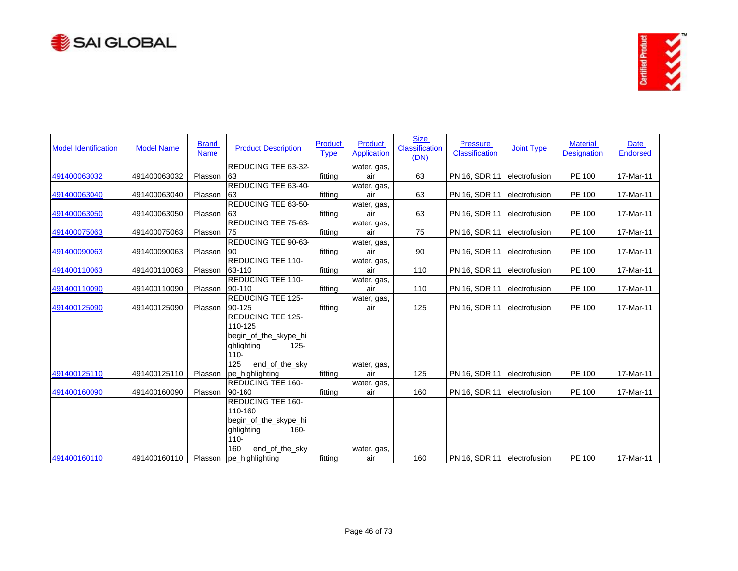



| <b>Model Identification</b> | <b>Model Name</b> | <b>Brand</b><br><b>Name</b> | <b>Product Description</b>                                                                                                | Product<br><b>Type</b> | Product<br><b>Application</b> | <b>Size</b><br>Classification<br>(DN) | <b>Pressure</b><br>Classification | <b>Joint Type</b> | <b>Material</b><br><b>Designation</b> | Date<br><b>Endorsed</b> |
|-----------------------------|-------------------|-----------------------------|---------------------------------------------------------------------------------------------------------------------------|------------------------|-------------------------------|---------------------------------------|-----------------------------------|-------------------|---------------------------------------|-------------------------|
|                             |                   |                             | REDUCING TEE 63-32-                                                                                                       |                        | water, gas,                   |                                       |                                   |                   |                                       |                         |
| 491400063032                | 491400063032      | Plasson                     | 63                                                                                                                        | fitting                | air                           | 63                                    | PN 16, SDR 11                     | electrofusion     | PE 100                                | 17-Mar-11               |
| 491400063040                | 491400063040      | Plasson                     | REDUCING TEE 63-40-<br>63                                                                                                 | fitting                | water, gas,<br>air            | 63                                    | PN 16, SDR 11                     | electrofusion     | PE 100                                | 17-Mar-11               |
|                             |                   |                             | REDUCING TEE 63-50-                                                                                                       |                        | water, gas,                   |                                       |                                   |                   |                                       |                         |
| 491400063050                | 491400063050      | Plasson                     | 63                                                                                                                        | fitting                | air                           | 63                                    | PN 16, SDR 11                     | electrofusion     | PE 100                                | 17-Mar-11               |
|                             |                   |                             | REDUCING TEE 75-63-                                                                                                       |                        | water, gas,                   |                                       |                                   |                   |                                       |                         |
| 491400075063                | 491400075063      | Plasson                     | 75                                                                                                                        | fitting                | air                           | 75                                    | PN 16, SDR 11                     | electrofusion     | PE 100                                | 17-Mar-11               |
|                             |                   |                             | REDUCING TEE 90-63-                                                                                                       |                        | water, gas,                   |                                       |                                   |                   |                                       |                         |
| 491400090063                | 491400090063      | Plasson                     | 90                                                                                                                        | fitting                | air                           | 90                                    | PN 16, SDR 11                     | electrofusion     | PE 100                                | 17-Mar-11               |
| 491400110063                | 491400110063      | Plasson                     | REDUCING TEE 110-<br>63-110                                                                                               | fitting                | water, gas,<br>air            | 110                                   | PN 16, SDR 11                     | electrofusion     | PE 100                                | 17-Mar-11               |
|                             |                   |                             | <b>REDUCING TEE 110-</b>                                                                                                  |                        | water, gas,                   |                                       |                                   |                   |                                       |                         |
| 491400110090                | 491400110090      | Plasson                     | 90-110                                                                                                                    | fitting                | air                           | 110                                   | PN 16, SDR 11                     | electrofusion     | PE 100                                | 17-Mar-11               |
|                             |                   |                             | <b>REDUCING TEE 125-</b>                                                                                                  |                        | water, gas,                   |                                       |                                   |                   |                                       |                         |
| 491400125090                | 491400125090      | Plasson                     | 90-125                                                                                                                    | fitting                | air                           | 125                                   | PN 16, SDR 11                     | electrofusion     | PE 100                                | 17-Mar-11               |
|                             |                   |                             | <b>REDUCING TEE 125-</b><br>110-125<br>begin_of_the_skype_hi<br>$125 -$<br>ghlighting<br>$110 -$<br>125<br>end_of_the_sky |                        | water, gas,                   |                                       |                                   |                   |                                       |                         |
| 491400125110                | 491400125110      | Plasson                     | pe_highlighting                                                                                                           | fitting                | air                           | 125                                   | PN 16, SDR 11                     | electrofusion     | PE 100                                | 17-Mar-11               |
|                             |                   |                             | <b>REDUCING TEE 160-</b>                                                                                                  |                        | water, gas,                   |                                       |                                   |                   |                                       |                         |
| 491400160090                | 491400160090      | Plasson                     | 90-160                                                                                                                    | fitting                | air                           | 160                                   | PN 16, SDR 11                     | electrofusion     | PE 100                                | 17-Mar-11               |
|                             |                   |                             | <b>REDUCING TEE 160-</b><br>110-160<br>begin_of_the_skype_hi<br>ghlighting<br>$160 -$<br>$110 -$<br>160<br>end_of_the_sky |                        | water, gas,                   |                                       |                                   |                   |                                       |                         |
| 491400160110                | 491400160110      |                             | Plasson  pe_highlighting                                                                                                  | fitting                | air                           | 160                                   | PN 16, SDR 11 electrofusion       |                   | PE 100                                | 17-Mar-11               |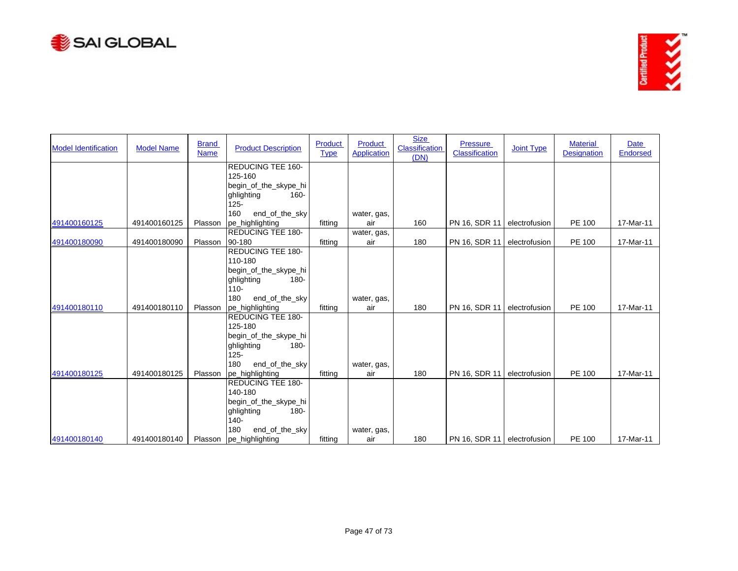



| <b>Model Identification</b> | <b>Model Name</b> | <b>Brand</b><br><b>Name</b> | <b>Product Description</b>       | Product<br><b>Type</b> | Product<br><b>Application</b> | <b>Size</b><br>Classification<br>(DN) | <b>Pressure</b><br>Classification | <b>Joint Type</b> | <b>Material</b><br><b>Designation</b> | Date<br>Endorsed |
|-----------------------------|-------------------|-----------------------------|----------------------------------|------------------------|-------------------------------|---------------------------------------|-----------------------------------|-------------------|---------------------------------------|------------------|
|                             |                   |                             | <b>REDUCING TEE 160-</b>         |                        |                               |                                       |                                   |                   |                                       |                  |
|                             |                   |                             | 125-160                          |                        |                               |                                       |                                   |                   |                                       |                  |
|                             |                   |                             | begin_of_the_skype_hi            |                        |                               |                                       |                                   |                   |                                       |                  |
|                             |                   |                             | ghlighting<br>$160 -$            |                        |                               |                                       |                                   |                   |                                       |                  |
|                             |                   |                             | $125 -$                          |                        |                               |                                       |                                   |                   |                                       |                  |
|                             |                   |                             | 160<br>end_of_the_sky            |                        | water, gas,                   |                                       |                                   |                   |                                       |                  |
| 491400160125                | 491400160125      | Plasson                     | pe_highlighting                  | fitting                | air                           | 160                                   | PN 16, SDR 11                     | electrofusion     | PE 100                                | 17-Mar-11        |
|                             |                   |                             | <b>REDUCING TEE 180-</b>         |                        | water, gas,                   |                                       |                                   |                   |                                       |                  |
| 491400180090                | 491400180090      | Plasson                     | 90-180                           | fitting                | air                           | 180                                   | PN 16, SDR 11                     | electrofusion     | PE 100                                | 17-Mar-11        |
|                             |                   |                             | <b>REDUCING TEE 180-</b>         |                        |                               |                                       |                                   |                   |                                       |                  |
|                             |                   |                             | 110-180                          |                        |                               |                                       |                                   |                   |                                       |                  |
|                             |                   |                             | begin_of_the_skype_hi            |                        |                               |                                       |                                   |                   |                                       |                  |
|                             |                   |                             | ghlighting<br>$180 -$            |                        |                               |                                       |                                   |                   |                                       |                  |
|                             |                   |                             | $110 -$                          |                        |                               |                                       |                                   |                   |                                       |                  |
|                             |                   |                             | 180<br>end_of_the_sky            |                        | water, gas,                   |                                       |                                   |                   |                                       |                  |
| 491400180110                | 491400180110      | Plasson                     | pe_highlighting                  | fitting                | air                           | 180                                   | PN 16, SDR 11                     | electrofusion     | <b>PE 100</b>                         | 17-Mar-11        |
|                             |                   |                             | <b>REDUCING TEE 180-</b>         |                        |                               |                                       |                                   |                   |                                       |                  |
|                             |                   |                             | 125-180                          |                        |                               |                                       |                                   |                   |                                       |                  |
|                             |                   |                             | begin_of_the_skype_hi            |                        |                               |                                       |                                   |                   |                                       |                  |
|                             |                   |                             | ghlighting<br>$180 -$<br>$125 -$ |                        |                               |                                       |                                   |                   |                                       |                  |
|                             |                   |                             | 180<br>end_of_the_sky            |                        | water, gas,                   |                                       |                                   |                   |                                       |                  |
| 491400180125                | 491400180125      | Plasson                     | pe_highlighting                  | fitting                | air                           | 180                                   | PN 16, SDR 11                     | electrofusion     | <b>PE 100</b>                         | 17-Mar-11        |
|                             |                   |                             | <b>REDUCING TEE 180-</b>         |                        |                               |                                       |                                   |                   |                                       |                  |
|                             |                   |                             | 140-180                          |                        |                               |                                       |                                   |                   |                                       |                  |
|                             |                   |                             | begin_of_the_skype_hi            |                        |                               |                                       |                                   |                   |                                       |                  |
|                             |                   |                             | 180-<br>ghlighting               |                        |                               |                                       |                                   |                   |                                       |                  |
|                             |                   |                             | $140 -$                          |                        |                               |                                       |                                   |                   |                                       |                  |
|                             |                   |                             | 180<br>end_of_the_sky            |                        | water, gas,                   |                                       |                                   |                   |                                       |                  |
| 491400180140                | 491400180140      |                             | Plasson  pe_highlighting         | fitting                | air                           | 180                                   | PN 16, SDR 11   electrofusion     |                   | <b>PE 100</b>                         | 17-Mar-11        |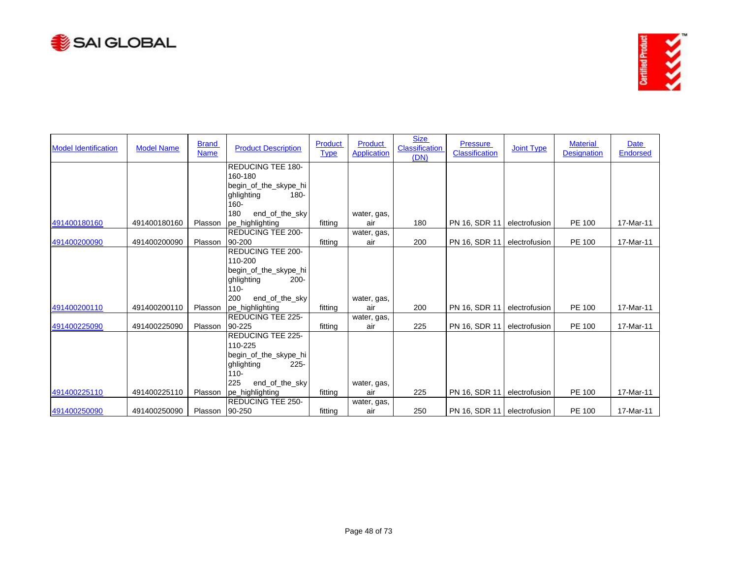



| <b>Model Identification</b> | <b>Model Name</b> | <b>Brand</b><br><b>Name</b> | <b>Product Description</b>                     | Product<br><b>Type</b> | Product<br><b>Application</b> | <b>Size</b><br><b>Classification</b><br>(DN) | <b>Pressure</b><br>Classification | <b>Joint Type</b> | <b>Material</b><br><b>Designation</b> | Date<br>Endorsed |
|-----------------------------|-------------------|-----------------------------|------------------------------------------------|------------------------|-------------------------------|----------------------------------------------|-----------------------------------|-------------------|---------------------------------------|------------------|
|                             |                   |                             | <b>REDUCING TEE 180-</b>                       |                        |                               |                                              |                                   |                   |                                       |                  |
|                             |                   |                             | 160-180                                        |                        |                               |                                              |                                   |                   |                                       |                  |
|                             |                   |                             | begin_of_the_skype_hi<br>ghlighting<br>$180 -$ |                        |                               |                                              |                                   |                   |                                       |                  |
|                             |                   |                             | $160 -$                                        |                        |                               |                                              |                                   |                   |                                       |                  |
|                             |                   |                             | 180<br>end_of_the_sky                          |                        | water, gas,                   |                                              |                                   |                   |                                       |                  |
| 491400180160                | 491400180160      | Plasson                     | pe_highlighting                                | fitting                | air                           | 180                                          | PN 16, SDR 11                     | electrofusion     | PE 100                                | 17-Mar-11        |
|                             |                   |                             | <b>REDUCING TEE 200-</b>                       |                        | water, gas,                   |                                              |                                   |                   |                                       |                  |
| 491400200090                | 491400200090      | Plasson                     | 90-200                                         | fitting                | air                           | 200                                          | PN 16, SDR 11                     | electrofusion     | PE 100                                | 17-Mar-11        |
|                             |                   |                             | <b>REDUCING TEE 200-</b>                       |                        |                               |                                              |                                   |                   |                                       |                  |
|                             |                   |                             | 110-200                                        |                        |                               |                                              |                                   |                   |                                       |                  |
|                             |                   |                             | begin_of_the_skype_hi                          |                        |                               |                                              |                                   |                   |                                       |                  |
|                             |                   |                             | ghlighting<br>$200 -$                          |                        |                               |                                              |                                   |                   |                                       |                  |
|                             |                   |                             | $110 -$                                        |                        |                               |                                              |                                   |                   |                                       |                  |
|                             |                   |                             | 200<br>end_of_the_sky                          |                        | water, gas,                   |                                              |                                   |                   |                                       |                  |
| 491400200110                | 491400200110      | Plasson                     | pe_highlighting                                | fitting                | air                           | 200                                          | PN 16, SDR 11                     | electrofusion     | <b>PE 100</b>                         | 17-Mar-11        |
|                             |                   |                             | <b>REDUCING TEE 225-</b>                       |                        | water, gas,                   |                                              |                                   |                   |                                       |                  |
| 491400225090                | 491400225090      | Plasson                     | 90-225<br><b>REDUCING TEE 225-</b>             | fitting                | air                           | 225                                          | PN 16, SDR 11                     | electrofusion     | PE 100                                | 17-Mar-11        |
|                             |                   |                             | 110-225                                        |                        |                               |                                              |                                   |                   |                                       |                  |
|                             |                   |                             | begin_of_the_skype_hi                          |                        |                               |                                              |                                   |                   |                                       |                  |
|                             |                   |                             | ghlighting<br>$225 -$                          |                        |                               |                                              |                                   |                   |                                       |                  |
|                             |                   |                             | $110 -$                                        |                        |                               |                                              |                                   |                   |                                       |                  |
|                             |                   |                             | 225<br>end_of_the_sky                          |                        | water, gas,                   |                                              |                                   |                   |                                       |                  |
| 491400225110                | 491400225110      | Plasson                     | pe_highlighting                                | fitting                | air                           | 225                                          | PN 16, SDR 11                     | electrofusion     | PE 100                                | 17-Mar-11        |
|                             |                   |                             | <b>REDUCING TEE 250-</b>                       |                        | water, gas,                   |                                              |                                   |                   |                                       |                  |
| 491400250090                | 491400250090      | Plasson 90-250              |                                                | fitting                | air                           | 250                                          | PN 16, SDR 11 electrofusion       |                   | PE 100                                | 17-Mar-11        |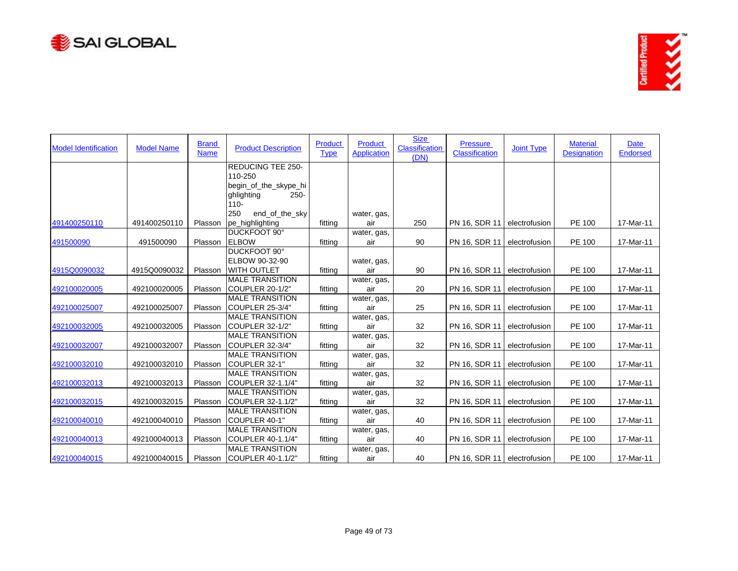



| <b>Model Identification</b> | <b>Model Name</b> | <b>Brand</b><br><b>Name</b> | <b>Product Description</b>           | <b>Product</b><br><b>Type</b> | <b>Product</b><br><b>Application</b> | <b>Size</b><br>Classification<br>(DN) | <b>Pressure</b><br><b>Classification</b> | <b>Joint Type</b> | <b>Material</b><br><b>Designation</b> | Date<br><b>Endorsed</b> |
|-----------------------------|-------------------|-----------------------------|--------------------------------------|-------------------------------|--------------------------------------|---------------------------------------|------------------------------------------|-------------------|---------------------------------------|-------------------------|
|                             |                   |                             | <b>REDUCING TEE 250-</b>             |                               |                                      |                                       |                                          |                   |                                       |                         |
|                             |                   |                             | 110-250                              |                               |                                      |                                       |                                          |                   |                                       |                         |
|                             |                   |                             | begin_of_the_skype_hi                |                               |                                      |                                       |                                          |                   |                                       |                         |
|                             |                   |                             | $250 -$<br>ghlighting                |                               |                                      |                                       |                                          |                   |                                       |                         |
|                             |                   |                             | $110 -$                              |                               |                                      |                                       |                                          |                   |                                       |                         |
|                             |                   |                             | 250<br>end_of_the_sky                |                               | water, gas,                          |                                       |                                          |                   |                                       |                         |
| 491400250110                | 491400250110      | Plasson                     | pe_highlighting                      | fitting                       | air                                  | 250                                   | PN 16, SDR 11                            | electrofusion     | PE 100                                | 17-Mar-11               |
|                             |                   |                             | DUCKFOOT 90°<br><b>ELBOW</b>         |                               | water, gas,                          |                                       |                                          |                   |                                       |                         |
| 491500090                   | 491500090         | Plasson                     | DUCKFOOT 90°                         | fitting                       | air                                  | 90                                    | PN 16, SDR 11                            | electrofusion     | PE 100                                | 17-Mar-11               |
|                             |                   |                             |                                      |                               |                                      |                                       |                                          |                   |                                       |                         |
| 4915Q0090032                | 4915Q0090032      | Plasson                     | ELBOW 90-32-90<br><b>WITH OUTLET</b> | fitting                       | water, gas,<br>air                   | 90                                    | PN 16, SDR 11                            | electrofusion     | PE 100                                | 17-Mar-11               |
|                             |                   |                             | <b>MALE TRANSITION</b>               |                               |                                      |                                       |                                          |                   |                                       |                         |
| 492100020005                | 492100020005      | Plasson                     | COUPLER 20-1/2"                      | fitting                       | water, gas,<br>air                   | 20                                    | PN 16, SDR 11                            | electrofusion     | PE 100                                | 17-Mar-11               |
|                             |                   |                             | <b>MALE TRANSITION</b>               |                               | water, gas,                          |                                       |                                          |                   |                                       |                         |
| 492100025007                | 492100025007      | Plasson                     | COUPLER 25-3/4"                      | fitting                       | air                                  | 25                                    | PN 16, SDR 11                            | electrofusion     | PE 100                                | 17-Mar-11               |
|                             |                   |                             | <b>MALE TRANSITION</b>               |                               |                                      |                                       |                                          |                   |                                       |                         |
| 492100032005                | 492100032005      | Plasson                     | ICOUPLER 32-1/2"                     | fitting                       | water, gas,<br>air                   | 32                                    | PN 16, SDR 11                            | electrofusion     | PE 100                                | 17-Mar-11               |
|                             |                   |                             | <b>MALE TRANSITION</b>               |                               | water, gas,                          |                                       |                                          |                   |                                       |                         |
| 492100032007                | 492100032007      | Plasson                     | COUPLER 32-3/4"                      | fitting                       | air                                  | 32                                    | PN 16, SDR 11                            | electrofusion     | <b>PE 100</b>                         | 17-Mar-11               |
|                             |                   |                             | <b>MALE TRANSITION</b>               |                               | water, gas,                          |                                       |                                          |                   |                                       |                         |
| 492100032010                | 492100032010      | Plasson                     | COUPLER 32-1"                        | fitting                       | air                                  | 32                                    | PN 16, SDR 11                            | electrofusion     | PE 100                                | 17-Mar-11               |
|                             |                   |                             | <b>MALE TRANSITION</b>               |                               | water, gas,                          |                                       |                                          |                   |                                       |                         |
| 492100032013                | 492100032013      | Plasson                     | <b>COUPLER 32-1.1/4"</b>             | fitting                       | air                                  | 32                                    | PN 16, SDR 11                            | electrofusion     | PE 100                                | 17-Mar-11               |
|                             |                   |                             | <b>MALE TRANSITION</b>               |                               | water, gas,                          |                                       |                                          |                   |                                       |                         |
| 492100032015                | 492100032015      | Plasson                     | COUPLER 32-1.1/2"                    | fitting                       | air                                  | 32                                    | PN 16, SDR 11                            | electrofusion     | PE 100                                | 17-Mar-11               |
|                             |                   |                             | <b>MALE TRANSITION</b>               |                               | water, gas,                          |                                       |                                          |                   |                                       |                         |
| 492100040010                | 492100040010      | Plasson                     | ICOUPLER 40-1"                       | fitting                       | air                                  | 40                                    | PN 16, SDR 11                            | electrofusion     | PE 100                                | 17-Mar-11               |
|                             |                   |                             | <b>MALE TRANSITION</b>               |                               | water, gas,                          |                                       |                                          |                   |                                       |                         |
| 492100040013                | 492100040013      | Plasson                     | COUPLER 40-1.1/4"                    | fitting                       | air                                  | 40                                    | PN 16, SDR 11                            | electrofusion     | PE 100                                | 17-Mar-11               |
|                             |                   |                             | <b>MALE TRANSITION</b>               |                               | water, gas,                          |                                       |                                          |                   |                                       |                         |
| 492100040015                | 492100040015      | Plasson                     | <b>ICOUPLER 40-1.1/2"</b>            | fitting                       | air                                  | 40                                    | PN 16, SDR 11 electrofusion              |                   | PE 100                                | 17-Mar-11               |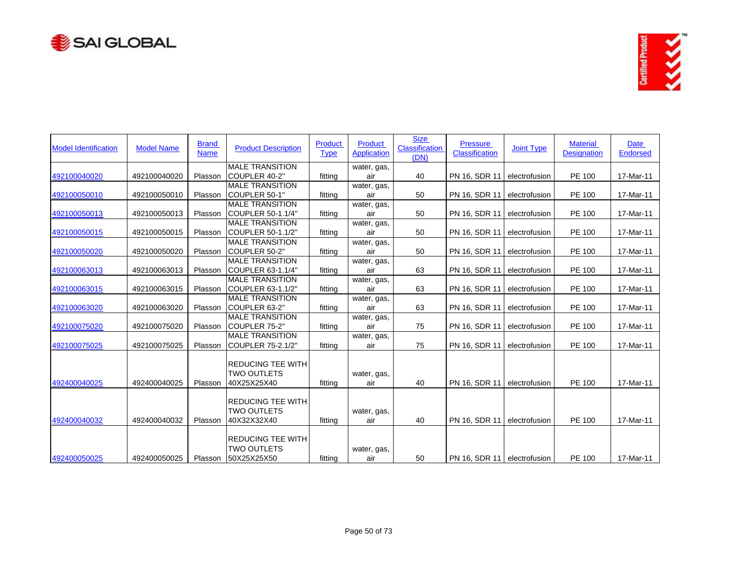



| <b>Model Identification</b> | <b>Model Name</b> | <b>Brand</b><br><b>Name</b> | <b>Product Description</b>                                    | Product<br><b>Type</b> | <b>Product</b><br><b>Application</b> | <b>Size</b><br><b>Classification</b><br>(DN) | <b>Pressure</b><br><b>Classification</b> | <b>Joint Type</b> | <b>Material</b><br><b>Designation</b> | Date<br><b>Endorsed</b> |
|-----------------------------|-------------------|-----------------------------|---------------------------------------------------------------|------------------------|--------------------------------------|----------------------------------------------|------------------------------------------|-------------------|---------------------------------------|-------------------------|
| 492100040020                | 492100040020      | Plasson                     | <b>MALE TRANSITION</b><br>COUPLER 40-2"                       | fitting                | water, gas,<br>air                   | 40                                           | PN 16, SDR 11                            | electrofusion     | PE 100                                | 17-Mar-11               |
| 492100050010                | 492100050010      | Plasson                     | <b>MALE TRANSITION</b><br>COUPLER 50-1"                       | fitting                | water, gas,<br>air                   | 50                                           | PN 16, SDR 11                            | electrofusion     | PE 100                                | 17-Mar-11               |
| 492100050013                | 492100050013      | Plasson                     | <b>MALE TRANSITION</b><br>COUPLER 50-1.1/4"                   | fitting                | water, gas,<br>air                   | 50                                           | PN 16, SDR 11                            | electrofusion     | PE 100                                | 17-Mar-11               |
| 492100050015                | 492100050015      | Plasson                     | <b>MALE TRANSITION</b><br>COUPLER 50-1.1/2"                   | fitting                | water, gas,<br>air                   | 50                                           | PN 16, SDR 11                            | electrofusion     | PE 100                                | 17-Mar-11               |
| 492100050020                | 492100050020      | Plasson                     | <b>MALE TRANSITION</b><br>COUPLER 50-2"                       | fitting                | water, gas,<br>air                   | 50                                           | PN 16, SDR 11                            | electrofusion     | PE 100                                | 17-Mar-11               |
| 492100063013                | 492100063013      | Plasson                     | <b>MALE TRANSITION</b><br>COUPLER 63-1.1/4"                   | fitting                | water, gas,<br>air                   | 63                                           | PN 16, SDR 11                            | electrofusion     | PE 100                                | 17-Mar-11               |
| 492100063015                | 492100063015      | Plasson                     | <b>MALE TRANSITION</b><br>COUPLER 63-1.1/2"                   | fitting                | water, gas,<br>air                   | 63                                           | PN 16, SDR 11                            | electrofusion     | PE 100                                | 17-Mar-11               |
| 492100063020                | 492100063020      | Plasson                     | <b>MALE TRANSITION</b><br>COUPLER 63-2"                       | fitting                | water, gas,<br>air                   | 63                                           | PN 16, SDR 11                            | electrofusion     | PE 100                                | 17-Mar-11               |
| 492100075020                | 492100075020      | Plasson                     | <b>MALE TRANSITION</b><br>COUPLER 75-2"                       | fitting                | water, gas,<br>air                   | 75                                           | PN 16, SDR 11                            | electrofusion     | PE 100                                | 17-Mar-11               |
| 492100075025                | 492100075025      | Plasson                     | <b>MALE TRANSITION</b><br>COUPLER 75-2.1/2"                   | fitting                | water, gas,<br>air                   | 75                                           | PN 16, SDR 11                            | electrofusion     | PE 100                                | 17-Mar-11               |
| 492400040025                | 492400040025      | Plasson                     | <b>REDUCING TEE WITH</b><br><b>TWO OUTLETS</b><br>40X25X25X40 | fitting                | water, gas,<br>air                   | 40                                           | PN 16, SDR 11                            | electrofusion     | PE 100                                | 17-Mar-11               |
| 492400040032                | 492400040032      | Plasson                     | <b>REDUCING TEE WITH</b><br><b>TWO OUTLETS</b><br>40X32X32X40 | fitting                | water, gas,<br>air                   | 40                                           | PN 16, SDR 11                            | electrofusion     | PE 100                                | 17-Mar-11               |
| 492400050025                | 492400050025      | Plasson                     | <b>REDUCING TEE WITH</b><br><b>TWO OUTLETS</b><br>50X25X25X50 | fitting                | water, gas,<br>air                   | 50                                           | PN 16, SDR 11 electrofusion              |                   | PE 100                                | 17-Mar-11               |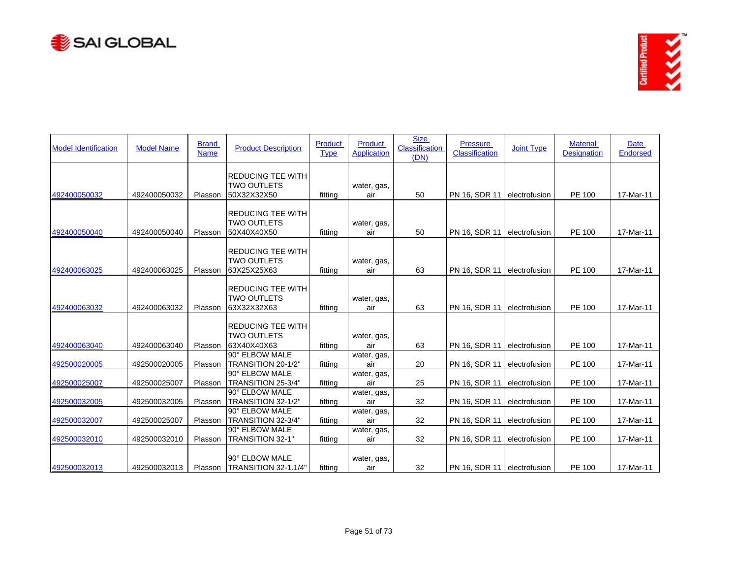



| <b>Model Identification</b> | <b>Model Name</b> | <b>Brand</b><br><b>Name</b> | <b>Product Description</b>                                    | Product<br><b>Type</b> | <b>Product</b><br><b>Application</b> | <b>Size</b><br><b>Classification</b><br>(DN) | <b>Pressure</b><br><b>Classification</b> | <b>Joint Type</b> | <b>Material</b><br><b>Designation</b> | <b>Date</b><br><b>Endorsed</b> |
|-----------------------------|-------------------|-----------------------------|---------------------------------------------------------------|------------------------|--------------------------------------|----------------------------------------------|------------------------------------------|-------------------|---------------------------------------|--------------------------------|
| 492400050032                | 492400050032      | Plasson                     | <b>REDUCING TEE WITH</b><br><b>TWO OUTLETS</b><br>50X32X32X50 | fittina                | water, gas,<br>air                   | 50                                           | PN 16, SDR 11                            | electrofusion     | PE 100                                | 17-Mar-11                      |
| 492400050040                | 492400050040      | Plasson                     | <b>REDUCING TEE WITH</b><br><b>TWO OUTLETS</b><br>50X40X40X50 | fitting                | water, gas,<br>air                   | 50                                           | PN 16, SDR 11                            | electrofusion     | PE 100                                | 17-Mar-11                      |
| 492400063025                | 492400063025      | Plasson                     | <b>REDUCING TEE WITH</b><br><b>TWO OUTLETS</b><br>63X25X25X63 | fitting                | water, gas,<br>air                   | 63                                           | PN 16, SDR 11                            | electrofusion     | PE 100                                | 17-Mar-11                      |
| 492400063032                | 492400063032      | Plasson                     | <b>REDUCING TEE WITH</b><br><b>TWO OUTLETS</b><br>63X32X32X63 | fitting                | water, gas,<br>air                   | 63                                           | PN 16, SDR 11                            | electrofusion     | PE 100                                | 17-Mar-11                      |
| 492400063040                | 492400063040      | Plasson                     | <b>REDUCING TEE WITH</b><br><b>TWO OUTLETS</b><br>63X40X40X63 | fitting                | water, gas,<br>air                   | 63                                           | PN 16, SDR 11                            | electrofusion     | PE 100                                | 17-Mar-11                      |
| 492500020005                | 492500020005      | Plasson                     | 90° ELBOW MALE<br>TRANSITION 20-1/2"                          | fitting                | water, gas,<br>air                   | 20                                           | PN 16, SDR 11                            | electrofusion     | PE 100                                | 17-Mar-11                      |
| 492500025007                | 492500025007      | Plasson                     | 90° ELBOW MALE<br>TRANSITION 25-3/4"                          | fitting                | water, gas,<br>air                   | 25                                           | PN 16, SDR 11                            | electrofusion     | PE 100                                | 17-Mar-11                      |
| 492500032005                | 492500032005      | Plasson                     | 90° ELBOW MALE<br>TRANSITION 32-1/2"<br>90° ELBOW MALE        | fitting                | water, gas,<br>air                   | 32                                           | PN 16, SDR 11                            | electrofusion     | PE 100                                | 17-Mar-11                      |
| 492500032007                | 492500025007      | Plasson                     | TRANSITION 32-3/4"<br>90° ELBOW MALE                          | fitting                | water, gas,<br>air<br>water, gas,    | 32                                           | PN 16, SDR 11                            | electrofusion     | PE 100                                | 17-Mar-11                      |
| 492500032010                | 492500032010      | Plasson                     | TRANSITION 32-1"                                              | fitting                | air                                  | 32                                           | PN 16, SDR 11                            | electrofusion     | PE 100                                | 17-Mar-11                      |
| 492500032013                | 492500032013      |                             | 90° ELBOW MALE<br>Plasson ITRANSITION 32-1.1/4"               | fitting                | water, gas,<br>air                   | 32                                           | PN 16, SDR 11 electrofusion              |                   | PE 100                                | 17-Mar-11                      |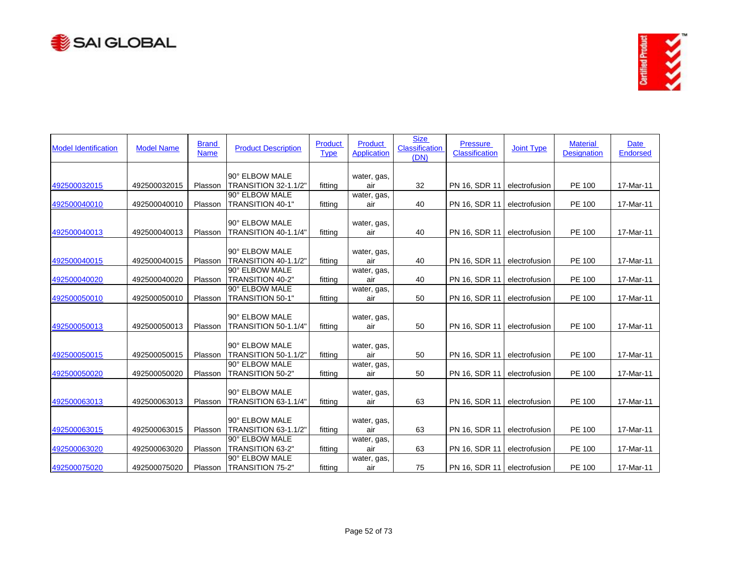



| <b>Model Identification</b> | <b>Model Name</b> | <b>Brand</b><br><b>Name</b> | <b>Product Description</b>                    | <b>Product</b><br><b>Type</b> | <b>Product</b><br><b>Application</b> | <b>Size</b><br><b>Classification</b><br>(DN) | <b>Pressure</b><br><b>Classification</b> | <b>Joint Type</b> | <b>Material</b><br><b>Designation</b> | Date<br><b>Endorsed</b> |
|-----------------------------|-------------------|-----------------------------|-----------------------------------------------|-------------------------------|--------------------------------------|----------------------------------------------|------------------------------------------|-------------------|---------------------------------------|-------------------------|
|                             |                   |                             | 90° ELBOW MALE                                |                               | water, gas,                          |                                              |                                          |                   |                                       |                         |
| 492500032015                | 492500032015      | Plasson                     | TRANSITION 32-1.1/2"                          | fitting                       | air                                  | 32                                           | PN 16, SDR 11                            | electrofusion     | PE 100                                | 17-Mar-11               |
| 492500040010                | 492500040010      | Plasson                     | 90° ELBOW MALE<br>TRANSITION 40-1"            | fitting                       | water, gas,<br>air                   | 40                                           | PN 16, SDR 11                            | electrofusion     | PE 100                                | 17-Mar-11               |
| 492500040013                | 492500040013      | Plasson                     | 90° ELBOW MALE<br>TRANSITION 40-1.1/4"        | fittina                       | water, gas,<br>air                   | 40                                           | PN 16, SDR 11                            | electrofusion     | PE 100                                | 17-Mar-11               |
|                             |                   |                             | 90° ELBOW MALE                                |                               | water, gas,                          |                                              |                                          |                   |                                       |                         |
| 492500040015                | 492500040015      | Plasson                     | <b>TRANSITION 40-1.1/2"</b>                   | fitting                       | air                                  | 40                                           | PN 16, SDR 11                            | electrofusion     | PE 100                                | 17-Mar-11               |
| 492500040020                | 492500040020      | Plasson                     | 90° ELBOW MALE<br>TRANSITION 40-2"            | fitting                       | water, gas,<br>air                   | 40                                           | PN 16, SDR 11                            | electrofusion     | PE 100                                | 17-Mar-11               |
| 492500050010                | 492500050010      | Plasson                     | 90° ELBOW MALE<br>TRANSITION 50-1"            | fitting                       | water, gas,<br>air                   | 50                                           | PN 16, SDR 11                            | electrofusion     | PE 100                                | 17-Mar-11               |
| 492500050013                | 492500050013      | Plasson                     | 90° ELBOW MALE<br><b>TRANSITION 50-1.1/4"</b> | fitting                       | water, gas,<br>air                   | 50                                           | PN 16, SDR 11                            | electrofusion     | PE 100                                | 17-Mar-11               |
| 492500050015                | 492500050015      | Plasson                     | 90° ELBOW MALE<br><b>TRANSITION 50-1.1/2"</b> | fitting                       | water, gas,<br>air                   | 50                                           | PN 16, SDR 11                            | electrofusion     | PE 100                                | 17-Mar-11               |
| 492500050020                | 492500050020      | Plasson                     | 90° ELBOW MALE<br>TRANSITION 50-2"            | fitting                       | water, gas,<br>air                   | 50                                           | PN 16, SDR 11                            | electrofusion     | <b>PE 100</b>                         | 17-Mar-11               |
| 492500063013                | 492500063013      | Plasson                     | 90° ELBOW MALE<br>TRANSITION 63-1.1/4"        | fitting                       | water, gas,<br>air                   | 63                                           | PN 16, SDR 11                            | electrofusion     | PE 100                                | 17-Mar-11               |
| 492500063015                | 492500063015      | Plasson                     | 90° ELBOW MALE<br><b>TRANSITION 63-1.1/2"</b> | fitting                       | water, gas,<br>air                   | 63                                           | PN 16, SDR 11                            | electrofusion     | PE 100                                | 17-Mar-11               |
| 492500063020                | 492500063020      | Plasson                     | 90° ELBOW MALE<br>TRANSITION 63-2"            | fitting                       | water, gas,<br>air                   | 63                                           | PN 16, SDR 11                            | electrofusion     | PE 100                                | 17-Mar-11               |
| 492500075020                | 492500075020      | Plasson                     | 90° ELBOW MALE<br><b>TRANSITION 75-2"</b>     | fitting                       | water, gas,<br>air                   | 75                                           | PN 16, SDR 11 electrofusion              |                   | PE 100                                | 17-Mar-11               |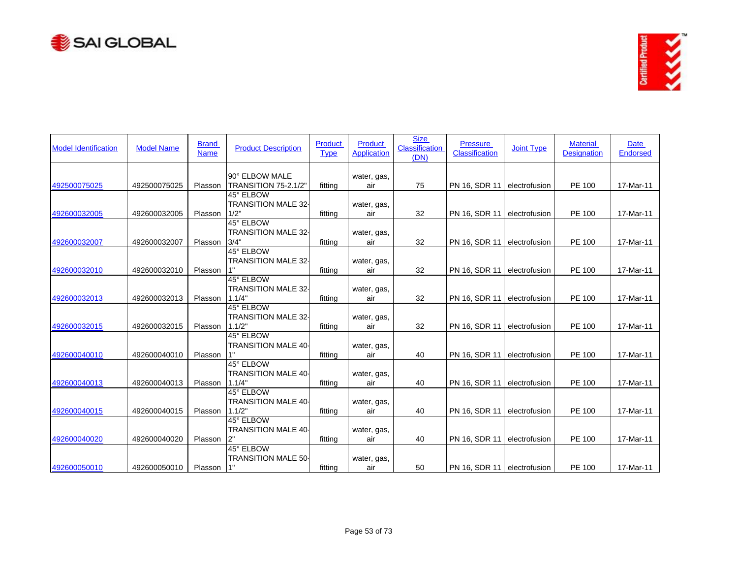



| <b>Model Identification</b> | <b>Model Name</b> | <b>Brand</b><br><b>Name</b> | <b>Product Description</b>                        | Product<br><b>Type</b> | <b>Product</b><br><b>Application</b> | <b>Size</b><br><b>Classification</b><br>(DN) | <b>Pressure</b><br><b>Classification</b> | <b>Joint Type</b> | <b>Material</b><br><b>Designation</b> | Date<br><b>Endorsed</b> |
|-----------------------------|-------------------|-----------------------------|---------------------------------------------------|------------------------|--------------------------------------|----------------------------------------------|------------------------------------------|-------------------|---------------------------------------|-------------------------|
|                             |                   |                             | 90° ELBOW MALE                                    |                        | water, gas,                          |                                              |                                          |                   |                                       |                         |
| 492500075025                | 492500075025      | Plasson                     | TRANSITION 75-2.1/2"                              | fitting                | air                                  | 75                                           | PN 16, SDR 11                            | electrofusion     | PE 100                                | 17-Mar-11               |
|                             |                   |                             | 45° ELBOW<br><b>TRANSITION MALE 32-</b><br>1/2"   |                        | water, gas,                          |                                              |                                          |                   |                                       |                         |
| 492600032005                | 492600032005      | Plasson                     |                                                   | fittina                | air                                  | 32                                           | PN 16, SDR 11                            | electrofusion     | <b>PE 100</b>                         | 17-Mar-11               |
| 492600032007                | 492600032007      | Plasson                     | 45° ELBOW<br><b>TRANSITION MALE 32-</b><br>3/4"   | fitting                | water, gas,                          | 32                                           | PN 16, SDR 11                            | electrofusion     | PE 100                                | 17-Mar-11               |
|                             |                   |                             | 45° ELBOW                                         |                        | air                                  |                                              |                                          |                   |                                       |                         |
| 492600032010                | 492600032010      | Plasson                     | <b>TRANSITION MALE 32-</b>                        | fitting                | water, gas,<br>air                   | 32                                           | PN 16, SDR 11                            | electrofusion     | PE 100                                | 17-Mar-11               |
|                             |                   |                             | 45° ELBOW                                         |                        |                                      |                                              |                                          |                   |                                       |                         |
| 492600032013                | 492600032013      | Plasson                     | <b>TRANSITION MALE 32-</b><br>1.1/4"              | fitting                | water, gas,<br>air                   | 32                                           | PN 16, SDR 11                            | electrofusion     | PE 100                                | 17-Mar-11               |
|                             |                   |                             | 45° ELBOW<br><b>TRANSITION MALE 32-</b>           |                        | water, gas,                          |                                              |                                          |                   |                                       |                         |
| 492600032015                | 492600032015      | Plasson                     | 1.1/2"                                            | fitting                | air                                  | 32                                           | PN 16, SDR 11                            | electrofusion     | PE 100                                | 17-Mar-11               |
| 492600040010                | 492600040010      | Plasson                     | 45° ELBOW<br><b>TRANSITION MALE 40-</b>           | fitting                | water, gas,<br>air                   | 40                                           | PN 16, SDR 11                            | electrofusion     | <b>PE 100</b>                         | 17-Mar-11               |
|                             |                   |                             | 45° ELBOW<br><b>TRANSITION MALE 40-</b>           |                        | water, gas,                          |                                              |                                          |                   |                                       |                         |
| 492600040013                | 492600040013      | Plasson                     | 1.1/4"                                            | fitting                | air                                  | 40                                           | PN 16, SDR 11                            | electrofusion     | PE 100                                | 17-Mar-11               |
| 492600040015                | 492600040015      | Plasson                     | 45° ELBOW<br><b>TRANSITION MALE 40-</b><br>1.1/2" | fitting                | water, gas,<br>air                   | 40                                           | PN 16, SDR 11                            | electrofusion     | PE 100                                | 17-Mar-11               |
|                             |                   |                             | 45° ELBOW                                         |                        |                                      |                                              |                                          |                   |                                       |                         |
| 492600040020                | 492600040020      | Plasson                     | <b>TRANSITION MALE 40-</b><br>2"                  |                        | water, gas,                          | 40                                           | PN 16, SDR 11                            | electrofusion     | PE 100                                |                         |
|                             |                   |                             | 45° ELBOW                                         | fitting                | air                                  |                                              |                                          |                   |                                       | 17-Mar-11               |
|                             |                   |                             | <b>TRANSITION MALE 50-</b><br>1"                  |                        | water, gas,                          |                                              |                                          |                   |                                       |                         |
| 492600050010                | 492600050010      | Plasson                     |                                                   | fitting                | air                                  | 50                                           | PN 16, SDR 11 electrofusion              |                   | PE 100                                | 17-Mar-11               |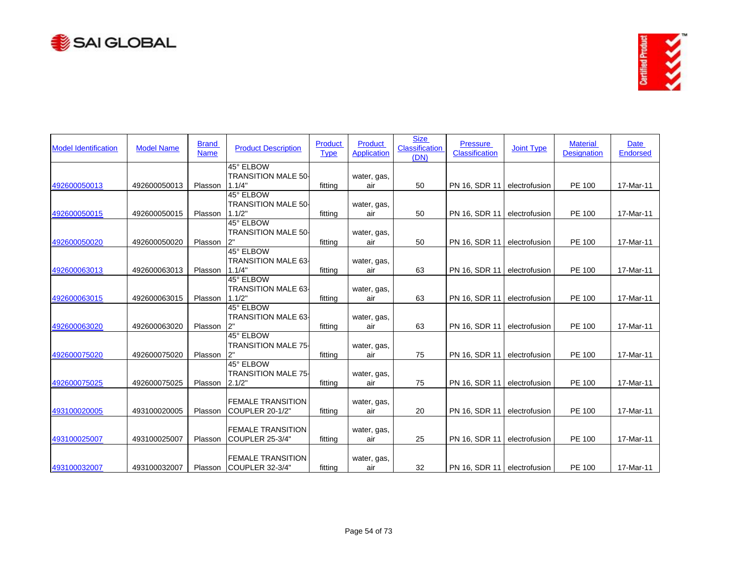



| <b>Model Identification</b> | <b>Model Name</b> | <b>Brand</b><br><b>Name</b> | <b>Product Description</b>                          | Product<br><b>Type</b> | <b>Product</b><br><b>Application</b> | <b>Size</b><br><b>Classification</b><br>(DN) | <b>Pressure</b><br><b>Classification</b> | <b>Joint Type</b> | <b>Material</b><br><b>Designation</b> | Date<br><b>Endorsed</b> |
|-----------------------------|-------------------|-----------------------------|-----------------------------------------------------|------------------------|--------------------------------------|----------------------------------------------|------------------------------------------|-------------------|---------------------------------------|-------------------------|
|                             |                   |                             | 45° ELBOW<br><b>TRANSITION MALE 50-</b>             |                        |                                      |                                              |                                          |                   |                                       |                         |
| 492600050013                | 492600050013      | Plasson                     | 1.1/4"                                              | fitting                | water, gas,<br>air                   | 50                                           | PN 16, SDR 11                            | electrofusion     | PE 100                                | 17-Mar-11               |
|                             |                   |                             | 45° ELBOW<br><b>TRANSITION MALE 50-</b>             |                        |                                      |                                              |                                          |                   |                                       |                         |
| 492600050015                | 492600050015      | Plasson                     | 1.1/2"                                              | fittina                | water, gas,<br>air                   | 50                                           | PN 16, SDR 11                            | electrofusion     | <b>PE 100</b>                         | 17-Mar-11               |
|                             |                   |                             | 45° ELBOW<br><b>TRANSITION MALE 50-</b>             |                        | water, gas,                          |                                              |                                          |                   |                                       |                         |
| 492600050020                | 492600050020      | Plasson                     |                                                     | fitting                | air                                  | 50                                           | PN 16, SDR 11                            | electrofusion     | PE 100                                | 17-Mar-11               |
| 492600063013                | 492600063013      | Plasson                     | 45° ELBOW<br><b>TRANSITION MALE 63-</b><br>1.1/4"   | fitting                | water, gas,<br>air                   | 63                                           | PN 16, SDR 11                            | electrofusion     | PE 100                                | 17-Mar-11               |
|                             |                   |                             | 45° ELBOW                                           |                        |                                      |                                              |                                          |                   |                                       |                         |
| 492600063015                | 492600063015      | Plasson                     | <b>TRANSITION MALE 63-</b><br>1.1/2"                | fitting                | water, gas,<br>air                   | 63                                           | PN 16, SDR 11                            | electrofusion     | PE 100                                | 17-Mar-11               |
|                             |                   |                             | 45° ELBOW<br><b>TRANSITION MALE 63-</b>             |                        | water, gas,                          |                                              |                                          |                   |                                       |                         |
| 492600063020                | 492600063020      | Plasson                     | 2"<br>45° ELBOW                                     | fitting                | air                                  | 63                                           | PN 16, SDR 11                            | electrofusion     | PE 100                                | 17-Mar-11               |
| 492600075020                | 492600075020      | Plasson                     | <b>TRANSITION MALE 75-</b><br>2"                    | fitting                | water, gas,<br>air                   | 75                                           | PN 16, SDR 11                            | electrofusion     | <b>PE 100</b>                         | 17-Mar-11               |
| 492600075025                | 492600075025      | Plasson                     | 45° ELBOW<br><b>TRANSITION MALE 75-</b><br>2.1/2"   | fitting                | water, gas,<br>air                   | 75                                           | PN 16, SDR 11                            | electrofusion     | PE 100                                | 17-Mar-11               |
|                             |                   |                             |                                                     |                        |                                      |                                              |                                          |                   |                                       |                         |
| 493100020005                | 493100020005      | Plasson                     | <b>FEMALE TRANSITION</b><br>COUPLER 20-1/2"         | fitting                | water, gas,<br>air                   | 20                                           | PN 16, SDR 11                            | electrofusion     | PE 100                                | 17-Mar-11               |
| 493100025007                | 493100025007      | Plasson                     | <b>FEMALE TRANSITION</b><br>COUPLER 25-3/4"         | fitting                | water, gas,<br>air                   | 25                                           | PN 16, SDR 11                            | electrofusion     | PE 100                                | 17-Mar-11               |
|                             |                   |                             |                                                     |                        |                                      |                                              |                                          |                   |                                       |                         |
| 493100032007                | 493100032007      |                             | <b>FEMALE TRANSITION</b><br>Plasson COUPLER 32-3/4" | fitting                | water, gas,<br>air                   | 32                                           | PN 16, SDR 11 electrofusion              |                   | PE 100                                | 17-Mar-11               |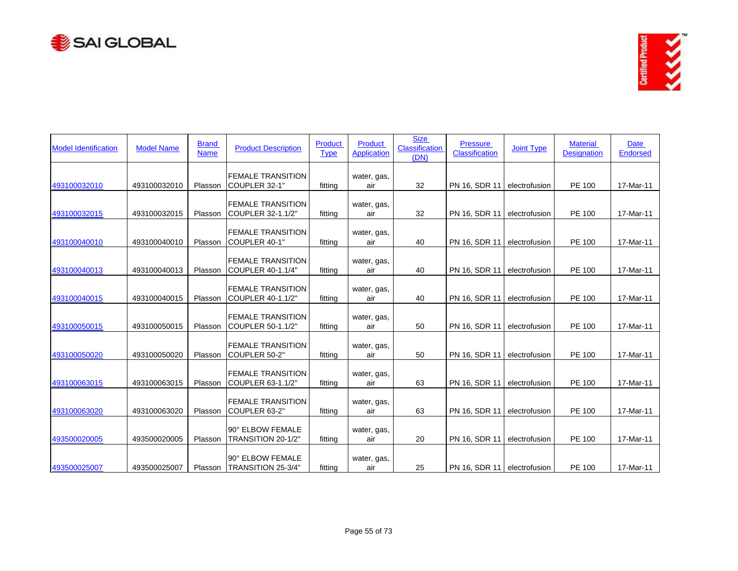



| <b>Model Identification</b> | <b>Model Name</b> | <b>Brand</b><br><b>Name</b> | <b>Product Description</b>                       | Product<br><b>Type</b> | <b>Product</b><br><b>Application</b> | <b>Size</b><br><b>Classification</b><br>(DN) | <b>Pressure</b><br>Classification | <b>Joint Type</b> | <b>Material</b><br><b>Designation</b> | <b>Date</b><br>Endorsed |
|-----------------------------|-------------------|-----------------------------|--------------------------------------------------|------------------------|--------------------------------------|----------------------------------------------|-----------------------------------|-------------------|---------------------------------------|-------------------------|
| 493100032010                | 493100032010      | Plasson                     | <b>FEMALE TRANSITION</b><br>COUPLER 32-1"        | fitting                | water, gas,<br>air                   | 32                                           | PN 16, SDR 11                     | electrofusion     | PE 100                                | 17-Mar-11               |
| 493100032015                | 493100032015      | Plasson                     | <b>FEMALE TRANSITION</b><br>COUPLER 32-1.1/2"    | fitting                | water, gas,<br>air                   | 32                                           | PN 16, SDR 11                     | electrofusion     | PE 100                                | 17-Mar-11               |
| 493100040010                | 493100040010      | Plasson                     | <b>FEMALE TRANSITION</b><br>COUPLER 40-1"        | fitting                | water, gas,<br>air                   | 40                                           | PN 16, SDR 11                     | electrofusion     | PE 100                                | 17-Mar-11               |
| 493100040013                | 493100040013      | Plasson                     | <b>FEMALE TRANSITION</b><br>COUPLER 40-1.1/4"    | fitting                | water, gas,<br>air                   | 40                                           | PN 16, SDR 11                     | electrofusion     | PE 100                                | 17-Mar-11               |
| 493100040015                | 493100040015      | Plasson                     | <b>FEMALE TRANSITION</b><br>COUPLER 40-1.1/2"    | fitting                | water, gas,<br>air                   | 40                                           | PN 16, SDR 11                     | electrofusion     | PE 100                                | 17-Mar-11               |
| 493100050015                | 493100050015      | Plasson                     | <b>FEMALE TRANSITION</b><br>COUPLER 50-1.1/2"    | fitting                | water, gas,<br>air                   | 50                                           | PN 16, SDR 11                     | electrofusion     | PE 100                                | 17-Mar-11               |
| 493100050020                | 493100050020      | Plasson                     | <b>FEMALE TRANSITION</b><br>COUPLER 50-2"        | fitting                | water, gas,<br>air                   | 50                                           | PN 16, SDR 11                     | electrofusion     | PE 100                                | 17-Mar-11               |
| 493100063015                | 493100063015      | Plasson                     | <b>FEMALE TRANSITION</b><br>COUPLER 63-1.1/2"    | fitting                | water, gas,<br>air                   | 63                                           | PN 16, SDR 11                     | electrofusion     | PE 100                                | 17-Mar-11               |
| 493100063020                | 493100063020      | Plasson                     | <b>FEMALE TRANSITION</b><br>COUPLER 63-2"        | fitting                | water, gas,<br>air                   | 63                                           | PN 16, SDR 11                     | electrofusion     | PE 100                                | 17-Mar-11               |
| 493500020005                | 493500020005      | Plasson                     | 90° ELBOW FEMALE<br>TRANSITION 20-1/2"           | fitting                | water, gas,<br>air                   | 20                                           | PN 16, SDR 11                     | electrofusion     | PE 100                                | 17-Mar-11               |
| 493500025007                | 493500025007      |                             | 90° ELBOW FEMALE<br>Plasson   TRANSITION 25-3/4" | fitting                | water, gas,<br>air                   | 25                                           | PN 16, SDR 11 electrofusion       |                   | <b>PE 100</b>                         | 17-Mar-11               |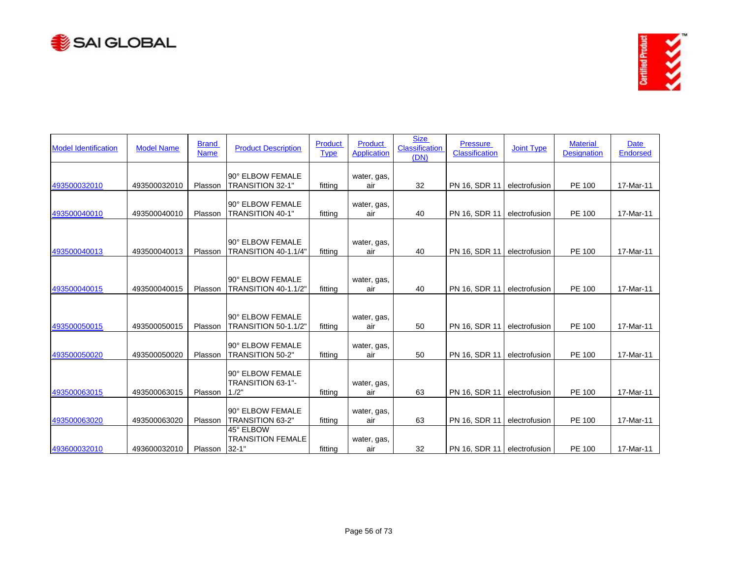



| <b>Model Identification</b> | <b>Model Name</b> | <b>Brand</b><br><b>Name</b> | <b>Product Description</b>                         | Product<br><b>Type</b> | <b>Product</b><br><b>Application</b> | <b>Size</b><br><b>Classification</b><br>(DN) | <b>Pressure</b><br><b>Classification</b> | <b>Joint Type</b> | <b>Material</b><br><b>Designation</b> | <b>Date</b><br><b>Endorsed</b> |
|-----------------------------|-------------------|-----------------------------|----------------------------------------------------|------------------------|--------------------------------------|----------------------------------------------|------------------------------------------|-------------------|---------------------------------------|--------------------------------|
| 493500032010                | 493500032010      | Plasson                     | 90° ELBOW FEMALE<br>TRANSITION 32-1"               | fitting                | water, gas,<br>air                   | 32                                           | PN 16, SDR 11                            | electrofusion     | PE 100                                | 17-Mar-11                      |
| 493500040010                | 493500040010      | Plasson                     | 90° ELBOW FEMALE<br><b>TRANSITION 40-1"</b>        | fitting                | water, gas,<br>air                   | 40                                           | PN 16, SDR 11                            | electrofusion     | PE 100                                | 17-Mar-11                      |
| 493500040013                | 493500040013      | Plasson                     | 90° ELBOW FEMALE<br>TRANSITION 40-1.1/4"           | fitting                | water, gas,<br>air                   | 40                                           | PN 16, SDR 11                            | electrofusion     | PE 100                                | 17-Mar-11                      |
| 493500040015                | 493500040015      | Plasson                     | 90° ELBOW FEMALE<br><b>TRANSITION 40-1.1/2"</b>    | fitting                | water, gas,<br>air                   | 40                                           | PN 16, SDR 11                            | electrofusion     | PE 100                                | 17-Mar-11                      |
| 493500050015                | 493500050015      | Plasson                     | 90° ELBOW FEMALE<br><b>TRANSITION 50-1.1/2"</b>    | fitting                | water, gas,<br>air                   | 50                                           | PN 16, SDR 11                            | electrofusion     | PE 100                                | 17-Mar-11                      |
| 493500050020                | 493500050020      | Plasson                     | 90° ELBOW FEMALE<br>TRANSITION 50-2"               | fitting                | water, gas,<br>air                   | 50                                           | PN 16, SDR 11                            | electrofusion     | PE 100                                | 17-Mar-11                      |
| 493500063015                | 493500063015      | Plasson                     | 90° ELBOW FEMALE<br>TRANSITION 63-1"-<br>1.72"     | fitting                | water, gas,<br>air                   | 63                                           | PN 16, SDR 11                            | electrofusion     | PE 100                                | 17-Mar-11                      |
| 493500063020                | 493500063020      | Plasson                     | 90° ELBOW FEMALE<br><b>TRANSITION 63-2"</b>        | fitting                | water, gas,<br>air                   | 63                                           | PN 16, SDR 11                            | electrofusion     | PE 100                                | 17-Mar-11                      |
| 493600032010                | 493600032010      | Plasson                     | 45° ELBOW<br><b>TRANSITION FEMALE</b><br>$32 - 1"$ | fitting                | water, gas,<br>air                   | 32                                           | PN 16, SDR 11   electrofusion            |                   | PE 100                                | 17-Mar-11                      |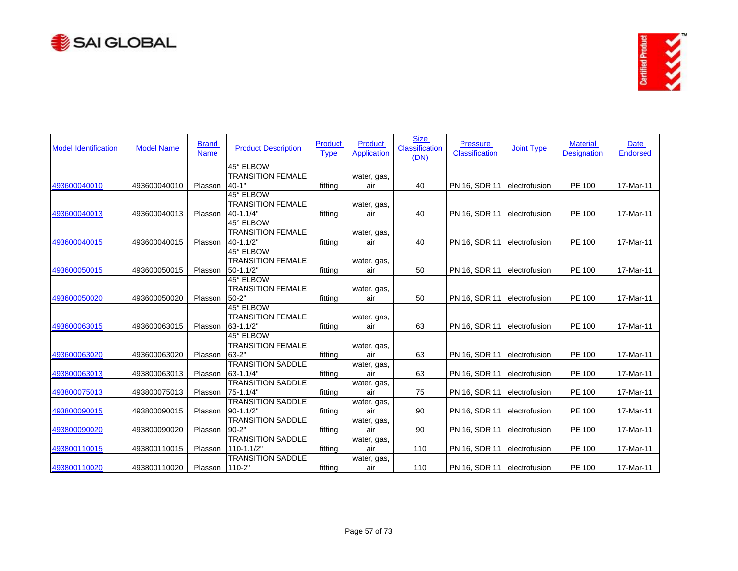



| <b>Model Identification</b> | <b>Model Name</b> | <b>Brand</b><br><b>Name</b> | <b>Product Description</b>                 | Product<br><b>Type</b> | Product<br><b>Application</b> | <b>Size</b><br><b>Classification</b><br>(DN) | <b>Pressure</b><br><b>Classification</b> | <b>Joint Type</b> | <b>Material</b><br><b>Designation</b> | Date<br><b>Endorsed</b> |
|-----------------------------|-------------------|-----------------------------|--------------------------------------------|------------------------|-------------------------------|----------------------------------------------|------------------------------------------|-------------------|---------------------------------------|-------------------------|
|                             |                   |                             | 45° ELBOW                                  |                        |                               |                                              |                                          |                   |                                       |                         |
| 493600040010                | 493600040010      | Plasson                     | <b>TRANSITION FEMALE</b><br>$40 - 1"$      | fitting                | water, gas,<br>air            | 40                                           | PN 16, SDR 11                            | electrofusion     | PE 100                                | 17-Mar-11               |
|                             |                   |                             | 45° ELBOW                                  |                        |                               |                                              |                                          |                   |                                       |                         |
|                             |                   |                             | <b>TRANSITION FEMALE</b>                   |                        | water, gas,                   |                                              |                                          |                   |                                       |                         |
| 493600040013                | 493600040013      | Plasson                     | 40-1.1/4"                                  | fitting                | air                           | 40                                           | PN 16, SDR 11                            | electrofusion     | PE 100                                | 17-Mar-11               |
|                             |                   |                             | 45° ELBOW                                  |                        |                               |                                              |                                          |                   |                                       |                         |
|                             |                   |                             | <b>TRANSITION FEMALE</b>                   |                        | water, gas,                   |                                              |                                          |                   |                                       |                         |
| 493600040015                | 493600040015      | Plasson                     | 40-1.1/2"<br>45° ELBOW                     | fitting                | air                           | 40                                           | PN 16, SDR 11                            | electrofusion     | PE 100                                | 17-Mar-11               |
|                             |                   |                             | <b>TRANSITION FEMALE</b>                   |                        |                               |                                              |                                          |                   |                                       |                         |
| 493600050015                | 493600050015      | Plasson                     | 50-1.1/2"                                  | fitting                | water, gas,<br>air            | 50                                           | PN 16, SDR 11                            | electrofusion     | PE 100                                | 17-Mar-11               |
|                             |                   |                             | 45° ELBOW                                  |                        |                               |                                              |                                          |                   |                                       |                         |
|                             |                   |                             | <b>TRANSITION FEMALE</b>                   |                        | water, gas,                   |                                              |                                          |                   |                                       |                         |
| 493600050020                | 493600050020      | Plasson                     | $50 - 2"$                                  | fitting                | air                           | 50                                           | PN 16, SDR 11                            | electrofusion     | PE 100                                | 17-Mar-11               |
|                             |                   |                             | 45° ELBOW                                  |                        |                               |                                              |                                          |                   |                                       |                         |
|                             |                   |                             | <b>TRANSITION FEMALE</b>                   |                        | water, gas,                   |                                              |                                          |                   |                                       |                         |
| 493600063015                | 493600063015      | Plasson                     | 63-1.1/2"                                  | fitting                | air                           | 63                                           | PN 16, SDR 11                            | electrofusion     | PE 100                                | 17-Mar-11               |
|                             |                   |                             | 45° ELBOW                                  |                        |                               |                                              |                                          |                   |                                       |                         |
|                             |                   |                             | <b>TRANSITION FEMALE</b>                   |                        | water, gas,                   |                                              |                                          |                   |                                       |                         |
| 493600063020                | 493600063020      | Plasson                     | 63-2"                                      | fitting                | air                           | 63                                           | PN 16, SDR 11                            | electrofusion     | PE 100                                | 17-Mar-11               |
|                             |                   |                             | <b>TRANSITION SADDLE</b>                   |                        | water, gas,                   |                                              |                                          |                   |                                       |                         |
| 493800063013                | 493800063013      | Plasson                     | 63-1.1/4"                                  | fitting                | air                           | 63                                           | PN 16, SDR 11                            | electrofusion     | PE 100                                | 17-Mar-11               |
|                             |                   |                             | <b>TRANSITION SADDLE</b>                   |                        | water, gas,                   |                                              |                                          |                   |                                       |                         |
| 493800075013                | 493800075013      | Plasson                     | 75-1.1/4"                                  | fitting                | air                           | 75                                           | PN 16, SDR 11                            | electrofusion     | PE 100                                | 17-Mar-11               |
|                             |                   |                             | <b>TRANSITION SADDLE</b>                   |                        | water, gas,                   |                                              |                                          |                   |                                       |                         |
| 493800090015                | 493800090015      | Plasson                     | 90-1.1/2"                                  | fitting                | air                           | 90                                           | PN 16, SDR 11                            | electrofusion     | PE 100                                | 17-Mar-11               |
|                             |                   |                             | <b>TRANSITION SADDLE</b>                   |                        | water, gas,                   |                                              |                                          |                   |                                       |                         |
| 493800090020                | 493800090020      | Plasson                     | $90 - 2"$                                  | fitting                | air                           | 90                                           | PN 16, SDR 11                            | electrofusion     | PE 100                                | 17-Mar-11               |
|                             |                   |                             | <b>TRANSITION SADDLE</b>                   |                        | water, gas,                   |                                              |                                          |                   |                                       |                         |
| 493800110015                | 493800110015      | Plasson                     | $110 - 1.1/2"$<br><b>TRANSITION SADDLE</b> | fitting                | air                           | 110                                          | PN 16, SDR 11                            | electrofusion     | PE 100                                | 17-Mar-11               |
| 493800110020                | 493800110020      | Plasson 110-2"              |                                            | fitting                | water, gas,<br>air            | 110                                          | PN 16, SDR 11 electrofusion              |                   | PE 100                                | 17-Mar-11               |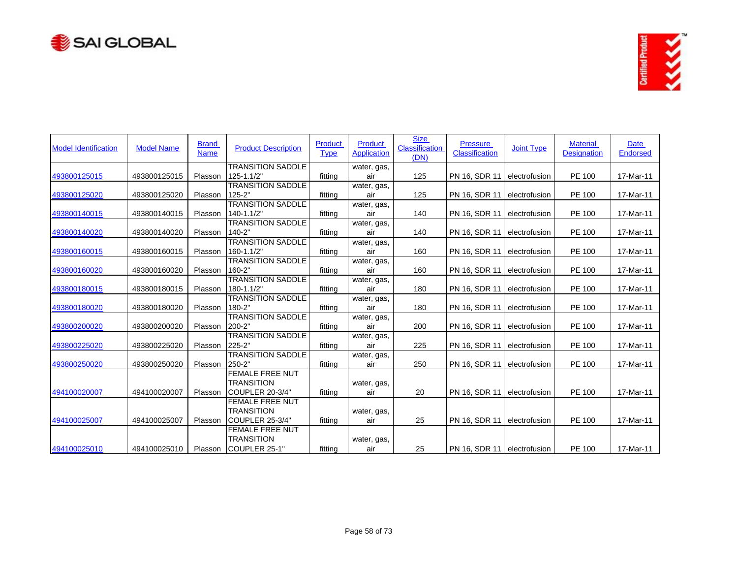



| <b>Model Identification</b> | <b>Model Name</b> | <b>Brand</b><br><b>Name</b> | <b>Product Description</b>             | Product<br><b>Type</b> | Product<br><b>Application</b> | <b>Size</b><br>Classification<br>(DN) | <b>Pressure</b><br>Classification | <b>Joint Type</b> | <b>Material</b><br><b>Designation</b> | <b>Date</b><br><b>Endorsed</b> |
|-----------------------------|-------------------|-----------------------------|----------------------------------------|------------------------|-------------------------------|---------------------------------------|-----------------------------------|-------------------|---------------------------------------|--------------------------------|
|                             |                   |                             | <b>TRANSITION SADDLE</b>               |                        | water, gas,                   |                                       |                                   |                   |                                       |                                |
| 493800125015                | 493800125015      | Plasson                     | $125 - 1.1/2"$                         | fitting                | air                           | 125                                   | PN 16, SDR 11                     | electrofusion     | <b>PE 100</b>                         | 17-Mar-11                      |
|                             |                   |                             | <b>TRANSITION SADDLE</b>               |                        | water, gas,                   |                                       |                                   |                   |                                       |                                |
| 493800125020                | 493800125020      | Plasson                     | $125 - 2"$                             | fitting                | air                           | 125                                   | PN 16, SDR 11                     | electrofusion     | <b>PE 100</b>                         | 17-Mar-11                      |
|                             |                   |                             | <b>TRANSITION SADDLE</b>               |                        | water, gas,                   |                                       |                                   |                   |                                       |                                |
| 493800140015                | 493800140015      | Plasson                     | 140-1.1/2"                             | fitting                | air                           | 140                                   | PN 16, SDR 11                     | electrofusion     | <b>PE 100</b>                         | 17-Mar-11                      |
| 493800140020                | 493800140020      | Plasson                     | <b>TRANSITION SADDLE</b><br>$140 - 2"$ | fitting                | water, gas,<br>air            | 140                                   | PN 16, SDR 11                     | electrofusion     | PE 100                                | 17-Mar-11                      |
|                             |                   |                             | <b>TRANSITION SADDLE</b>               |                        | water, gas,                   |                                       |                                   |                   |                                       |                                |
| 493800160015                | 493800160015      | Plasson                     | 160-1.1/2"                             | fitting                | air                           | 160                                   | PN 16, SDR 11                     | electrofusion     | PE 100                                | 17-Mar-11                      |
|                             |                   |                             | <b>TRANSITION SADDLE</b>               |                        | water, gas,                   |                                       |                                   |                   |                                       |                                |
| 493800160020                | 493800160020      | Plasson                     | 160-2"                                 | fitting                | air                           | 160                                   | PN 16, SDR 11                     | electrofusion     | PE 100                                | 17-Mar-11                      |
|                             |                   |                             | <b>TRANSITION SADDLE</b>               |                        | water, gas,                   |                                       |                                   |                   |                                       |                                |
| 493800180015                | 493800180015      | Plasson                     | 180-1.1/2"                             | fitting                | air                           | 180                                   | PN 16, SDR 11                     | electrofusion     | PE 100                                | 17-Mar-11                      |
|                             |                   |                             | <b>TRANSITION SADDLE</b>               |                        | water, gas,                   |                                       |                                   |                   |                                       |                                |
| 493800180020                | 493800180020      | Plasson                     | 180-2"                                 | fitting                | air                           | 180                                   | PN 16, SDR 11                     | electrofusion     | <b>PE 100</b>                         | 17-Mar-11                      |
|                             |                   |                             | <b>TRANSITION SADDLE</b>               |                        | water, gas,                   |                                       |                                   |                   |                                       |                                |
| 493800200020                | 493800200020      | Plasson                     | 200-2"                                 | fitting                | air                           | 200                                   | PN 16, SDR 11                     | electrofusion     | PE 100                                | 17-Mar-11                      |
|                             |                   |                             | <b>TRANSITION SADDLE</b>               |                        | water, gas,                   |                                       |                                   |                   |                                       |                                |
| 493800225020                | 493800225020      | Plasson                     | $225 - 2"$                             | fitting                | air                           | 225                                   | PN 16, SDR 11                     | electrofusion     | PE 100                                | 17-Mar-11                      |
|                             |                   |                             | <b>TRANSITION SADDLE</b>               |                        | water, gas,                   |                                       |                                   |                   |                                       |                                |
| 493800250020                | 493800250020      | Plasson                     | 250-2"                                 | fitting                | air                           | 250                                   | PN 16, SDR 11                     | electrofusion     | PE 100                                | 17-Mar-11                      |
|                             |                   |                             | <b>FEMALE FREE NUT</b>                 |                        |                               |                                       |                                   |                   |                                       |                                |
|                             |                   |                             | <b>TRANSITION</b>                      |                        | water, gas,                   |                                       |                                   |                   |                                       |                                |
| 494100020007                | 494100020007      | Plasson                     | COUPLER 20-3/4"                        | fitting                | air                           | 20                                    | PN 16, SDR 11                     | electrofusion     | PE 100                                | 17-Mar-11                      |
|                             |                   |                             | <b>FEMALE FREE NUT</b>                 |                        |                               |                                       |                                   |                   |                                       |                                |
| 494100025007                | 494100025007      | Plasson                     | <b>TRANSITION</b><br>COUPLER 25-3/4"   | fitting                | water, gas,<br>air            | 25                                    | PN 16, SDR 11                     | electrofusion     | PE 100                                | 17-Mar-11                      |
|                             |                   |                             | <b>FEMALE FREE NUT</b>                 |                        |                               |                                       |                                   |                   |                                       |                                |
|                             |                   |                             | <b>TRANSITION</b>                      |                        | water, gas,                   |                                       |                                   |                   |                                       |                                |
| 494100025010                | 494100025010      | Plasson                     | COUPLER 25-1"                          | fitting                | air                           | 25                                    | PN 16, SDR 11 electrofusion       |                   | <b>PE 100</b>                         | 17-Mar-11                      |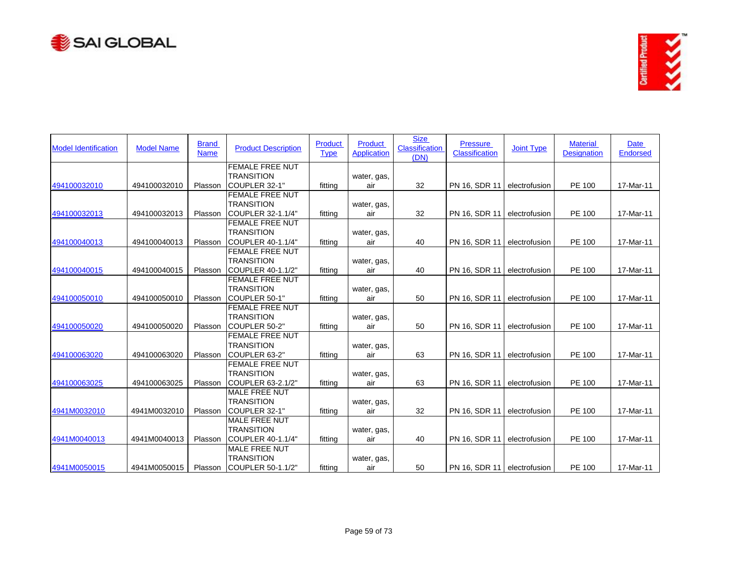



| <b>Model Identification</b> | <b>Model Name</b> | <b>Brand</b><br><b>Name</b> | <b>Product Description</b> | <b>Product</b><br><b>Type</b> | Product<br><b>Application</b> | <b>Size</b><br><b>Classification</b><br>(DN) | <b>Pressure</b><br>Classification | <b>Joint Type</b> | <b>Material</b><br><b>Designation</b> | <b>Date</b><br><b>Endorsed</b> |
|-----------------------------|-------------------|-----------------------------|----------------------------|-------------------------------|-------------------------------|----------------------------------------------|-----------------------------------|-------------------|---------------------------------------|--------------------------------|
|                             |                   |                             | <b>FEMALE FREE NUT</b>     |                               |                               |                                              |                                   |                   |                                       |                                |
|                             |                   |                             | <b>TRANSITION</b>          |                               | water, gas,                   |                                              |                                   |                   |                                       |                                |
| 494100032010                | 494100032010      | Plasson                     | ICOUPLER 32-1"             | fitting                       | air                           | 32                                           | PN 16, SDR 11                     | electrofusion     | PE 100                                | 17-Mar-11                      |
|                             |                   |                             | <b>FEMALE FREE NUT</b>     |                               |                               |                                              |                                   |                   |                                       |                                |
|                             |                   |                             | <b>TRANSITION</b>          |                               | water, gas,                   |                                              |                                   |                   |                                       |                                |
| 494100032013                | 494100032013      | Plasson                     | COUPLER 32-1.1/4"          | fitting                       | air                           | 32                                           | PN 16, SDR 11                     | electrofusion     | PE 100                                | 17-Mar-11                      |
|                             |                   |                             | <b>FEMALE FREE NUT</b>     |                               |                               |                                              |                                   |                   |                                       |                                |
|                             |                   |                             | <b>TRANSITION</b>          |                               | water, gas,                   |                                              |                                   |                   |                                       |                                |
| 494100040013                | 494100040013      | Plasson                     | <b>ICOUPLER 40-1.1/4"</b>  | fitting                       | air                           | 40                                           | PN 16, SDR 11                     | electrofusion     | PE 100                                | 17-Mar-11                      |
|                             |                   |                             | <b>FEMALE FREE NUT</b>     |                               |                               |                                              |                                   |                   |                                       |                                |
|                             |                   |                             | <b>TRANSITION</b>          |                               | water, gas,                   |                                              |                                   |                   |                                       |                                |
| 494100040015                | 494100040015      | Plasson                     | COUPLER 40-1.1/2"          | fitting                       | air                           | 40                                           | PN 16, SDR 11                     | electrofusion     | <b>PE 100</b>                         | 17-Mar-11                      |
|                             |                   |                             | <b>FEMALE FREE NUT</b>     |                               |                               |                                              |                                   |                   |                                       |                                |
|                             |                   |                             | <b>TRANSITION</b>          |                               | water, gas,                   |                                              |                                   |                   |                                       |                                |
| 494100050010                | 494100050010      | Plasson                     | COUPLER 50-1"              | fitting                       | air                           | 50                                           | PN 16, SDR 11                     | electrofusion     | PE 100                                | 17-Mar-11                      |
|                             |                   |                             | <b>IFEMALE FREE NUT</b>    |                               |                               |                                              |                                   |                   |                                       |                                |
|                             |                   |                             | <b>TRANSITION</b>          |                               | water, gas,                   |                                              |                                   |                   |                                       |                                |
| 494100050020                | 494100050020      | Plasson                     | COUPLER 50-2"              | fitting                       | air                           | 50                                           | PN 16, SDR 11                     | electrofusion     | PE 100                                | 17-Mar-11                      |
|                             |                   |                             | <b>FEMALE FREE NUT</b>     |                               |                               |                                              |                                   |                   |                                       |                                |
|                             |                   |                             | <b>TRANSITION</b>          |                               | water, gas,                   |                                              |                                   |                   |                                       |                                |
| 494100063020                | 494100063020      | Plasson                     | ICOUPLER 63-2"             | fitting                       | air                           | 63                                           | PN 16, SDR 11                     | electrofusion     | <b>PE 100</b>                         | 17-Mar-11                      |
|                             |                   |                             | <b>FEMALE FREE NUT</b>     |                               |                               |                                              |                                   |                   |                                       |                                |
|                             |                   |                             | <b>TRANSITION</b>          |                               | water, gas,                   |                                              |                                   |                   |                                       |                                |
| 494100063025                | 494100063025      | Plasson                     | COUPLER 63-2.1/2"          | fitting                       | air                           | 63                                           | PN 16, SDR 11                     | electrofusion     | PE 100                                | 17-Mar-11                      |
|                             |                   |                             | <b>MALE FREE NUT</b>       |                               |                               |                                              |                                   |                   |                                       |                                |
|                             |                   |                             | <b>TRANSITION</b>          |                               | water, gas,                   |                                              |                                   |                   |                                       |                                |
| 4941M0032010                | 4941M0032010      | Plasson                     | COUPLER 32-1"              | fitting                       | air                           | 32                                           | PN 16, SDR 11                     | electrofusion     | PE 100                                | 17-Mar-11                      |
|                             |                   |                             | MALE FREE NUT              |                               |                               |                                              |                                   |                   |                                       |                                |
|                             |                   |                             | <b>TRANSITION</b>          |                               | water, gas,                   |                                              |                                   |                   |                                       |                                |
| 4941M0040013                | 4941M0040013      | Plasson                     | COUPLER 40-1.1/4"          | fitting                       | air                           | 40                                           | PN 16, SDR 11                     | electrofusion     | PE 100                                | 17-Mar-11                      |
|                             |                   |                             | <b>MALE FREE NUT</b>       |                               |                               |                                              |                                   |                   |                                       |                                |
|                             |                   |                             | <b>TRANSITION</b>          |                               | water, gas,                   |                                              |                                   |                   |                                       |                                |
| 4941M0050015                | 4941M0050015      |                             | Plasson ICOUPLER 50-1.1/2" | fitting                       | air                           | 50                                           | PN 16, SDR 11 electrofusion       |                   | <b>PE 100</b>                         | 17-Mar-11                      |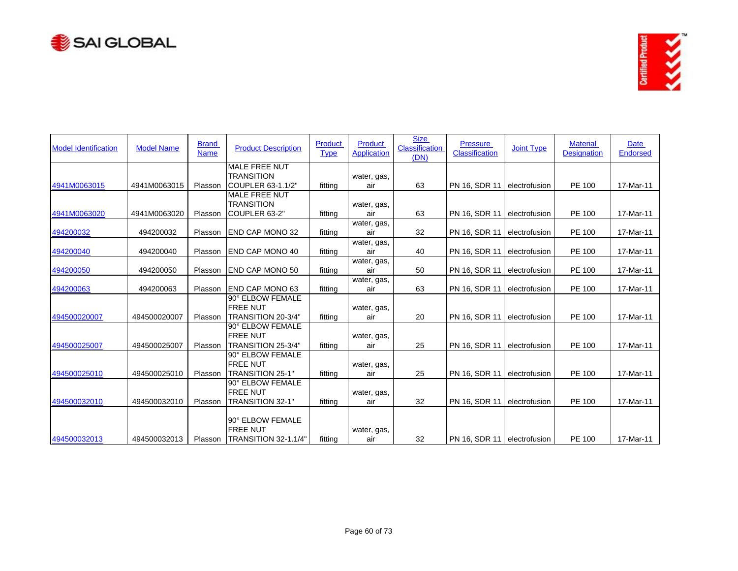



| <b>Model Identification</b> | <b>Model Name</b> | <b>Brand</b><br><b>Name</b> | <b>Product Description</b> | Product<br><b>Type</b> | <b>Product</b><br><b>Application</b> | <b>Size</b><br><b>Classification</b><br>(DN) | <b>Pressure</b><br><b>Classification</b> | <b>Joint Type</b> | <b>Material</b><br><b>Designation</b> | Date<br><b>Endorsed</b> |
|-----------------------------|-------------------|-----------------------------|----------------------------|------------------------|--------------------------------------|----------------------------------------------|------------------------------------------|-------------------|---------------------------------------|-------------------------|
|                             |                   |                             | <b>MALE FREE NUT</b>       |                        |                                      |                                              |                                          |                   |                                       |                         |
|                             |                   |                             | <b>TRANSITION</b>          |                        | water, gas,                          |                                              |                                          |                   |                                       |                         |
| 4941M0063015                | 4941M0063015      | Plasson                     | ICOUPLER 63-1.1/2"         | fitting                | air                                  | 63                                           | PN 16, SDR 11                            | electrofusion     | PE 100                                | 17-Mar-11               |
|                             |                   |                             | <b>MALE FREE NUT</b>       |                        |                                      |                                              |                                          |                   |                                       |                         |
|                             |                   |                             | <b>TRANSITION</b>          |                        | water, gas,                          |                                              |                                          |                   |                                       |                         |
| 4941M0063020                | 4941M0063020      | Plasson                     | COUPLER 63-2"              | fitting                | air                                  | 63                                           | PN 16, SDR 11                            | electrofusion     | PE 100                                | 17-Mar-11               |
|                             |                   |                             |                            |                        | water, gas,                          |                                              |                                          |                   |                                       |                         |
| 494200032                   | 494200032         | Plasson                     | <b>END CAP MONO 32</b>     | fitting                | air                                  | 32                                           | PN 16, SDR 11                            | electrofusion     | PE 100                                | 17-Mar-11               |
|                             | 494200040         | Plasson                     | <b>IEND CAP MONO 40</b>    |                        | water, gas,<br>air                   | 40                                           |                                          | electrofusion     |                                       |                         |
| 494200040                   |                   |                             |                            | fitting                |                                      |                                              | PN 16, SDR 11                            |                   | PE 100                                | 17-Mar-11               |
| 494200050                   | 494200050         | Plasson                     | <b>END CAP MONO 50</b>     | fitting                | water, gas,<br>air                   | 50                                           | PN 16, SDR 11                            | electrofusion     | PE 100                                | 17-Mar-11               |
|                             |                   |                             |                            |                        | water, gas,                          |                                              |                                          |                   |                                       |                         |
| 494200063                   | 494200063         | Plasson                     | <b>END CAP MONO 63</b>     | fitting                | air                                  | 63                                           | PN 16, SDR 11                            | electrofusion     | PE 100                                | 17-Mar-11               |
|                             |                   |                             | 90° ELBOW FEMALE           |                        |                                      |                                              |                                          |                   |                                       |                         |
|                             |                   |                             | <b>FREE NUT</b>            |                        | water, gas,                          |                                              |                                          |                   |                                       |                         |
| 494500020007                | 494500020007      | Plasson                     | TRANSITION 20-3/4"         | fitting                | air                                  | 20                                           | PN 16, SDR 11                            | electrofusion     | PE 100                                | 17-Mar-11               |
|                             |                   |                             | 90° ELBOW FEMALE           |                        |                                      |                                              |                                          |                   |                                       |                         |
|                             |                   |                             | <b>FREE NUT</b>            |                        | water, gas,                          |                                              |                                          |                   |                                       |                         |
| 494500025007                | 494500025007      | Plasson                     | TRANSITION 25-3/4"         | fitting                | air                                  | 25                                           | PN 16, SDR 11                            | electrofusion     | PE 100                                | 17-Mar-11               |
|                             |                   |                             | 90° ELBOW FEMALE           |                        |                                      |                                              |                                          |                   |                                       |                         |
|                             |                   |                             | <b>FREE NUT</b>            |                        | water, gas,                          |                                              |                                          |                   |                                       |                         |
| 494500025010                | 494500025010      | Plasson                     | <b>TRANSITION 25-1"</b>    | fitting                | air                                  | 25                                           | PN 16, SDR 11                            | electrofusion     | PE 100                                | 17-Mar-11               |
|                             |                   |                             | 90° ELBOW FEMALE           |                        |                                      |                                              |                                          |                   |                                       |                         |
|                             |                   |                             | <b>FREE NUT</b>            |                        | water, gas,                          |                                              |                                          |                   |                                       |                         |
| 494500032010                | 494500032010      | Plasson                     | TRANSITION 32-1"           | fitting                | air                                  | 32                                           | PN 16, SDR 11                            | electrofusion     | PE 100                                | 17-Mar-11               |
|                             |                   |                             | 90° ELBOW FEMALE           |                        |                                      |                                              |                                          |                   |                                       |                         |
|                             |                   |                             | <b>FREE NUT</b>            |                        | water, gas,                          |                                              |                                          |                   |                                       |                         |
| 494500032013                | 494500032013      | Plasson                     | TRANSITION 32-1.1/4"       | fitting                | air                                  | 32                                           | PN 16, SDR 11 electrofusion              |                   | <b>PE 100</b>                         | 17-Mar-11               |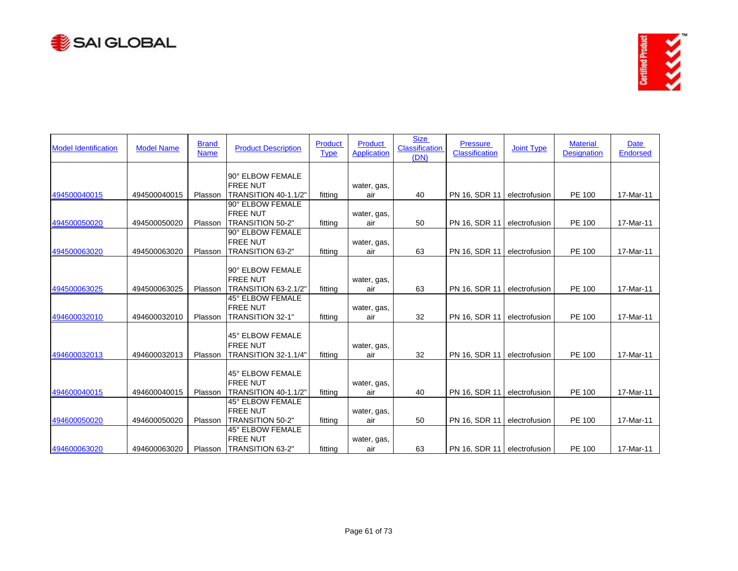



| <b>Model Identification</b> | <b>Model Name</b> | <b>Brand</b><br><b>Name</b> | <b>Product Description</b>                                     | Product<br><b>Type</b> | Product<br><b>Application</b> | <b>Size</b><br>Classification<br>(DN) | <b>Pressure</b><br><b>Classification</b> | <b>Joint Type</b> | <b>Material</b><br><b>Designation</b> | <b>Date</b><br><b>Endorsed</b> |
|-----------------------------|-------------------|-----------------------------|----------------------------------------------------------------|------------------------|-------------------------------|---------------------------------------|------------------------------------------|-------------------|---------------------------------------|--------------------------------|
| 494500040015                | 494500040015      | Plasson                     | 90° ELBOW FEMALE<br><b>FREE NUT</b><br>TRANSITION 40-1.1/2"    | fitting                | water, gas,<br>air            | 40                                    | PN 16, SDR 11                            | electrofusion     | PE 100                                | 17-Mar-11                      |
| 494500050020                | 494500050020      | Plasson                     | 90° ELBOW FEMALE<br><b>FREE NUT</b><br>TRANSITION 50-2"        | fitting                | water, gas,<br>air            | 50                                    | PN 16, SDR 11                            | electrofusion     | PE 100                                | 17-Mar-11                      |
| 494500063020                | 494500063020      | Plasson                     | 90° ELBOW FEMALE<br><b>FREE NUT</b><br>TRANSITION 63-2"        | fitting                | water, gas,<br>air            | 63                                    | PN 16, SDR 11                            | electrofusion     | PE 100                                | 17-Mar-11                      |
| 494500063025                | 494500063025      | Plasson                     | 90° ELBOW FEMALE<br><b>FREE NUT</b><br>TRANSITION 63-2.1/2"    | fitting                | water, gas,<br>air            | 63                                    | PN 16, SDR 11                            | electrofusion     | <b>PE 100</b>                         | 17-Mar-11                      |
| 494600032010                | 494600032010      | Plasson                     | 45° ELBOW FEMALE<br><b>FREE NUT</b><br>TRANSITION 32-1"        | fitting                | water, gas,<br>air            | 32                                    | PN 16, SDR 11                            | electrofusion     | <b>PE 100</b>                         | 17-Mar-11                      |
| 494600032013                | 494600032013      | Plasson                     | 45° ELBOW FEMALE<br><b>FREE NUT</b><br>TRANSITION 32-1.1/4"    | fitting                | water, gas,<br>air            | 32                                    | PN 16, SDR 11                            | electrofusion     | PE 100                                | 17-Mar-11                      |
| 494600040015                | 494600040015      | Plasson                     | 45° ELBOW FEMALE<br><b>FREE NUT</b><br>TRANSITION 40-1.1/2"    | fitting                | water, gas,<br>air            | 40                                    | PN 16, SDR 11                            | electrofusion     | PE 100                                | 17-Mar-11                      |
| 494600050020                | 494600050020      | Plasson                     | 45° ELBOW FEMALE<br><b>FREE NUT</b><br><b>TRANSITION 50-2"</b> | fitting                | water, gas,<br>air            | 50                                    | PN 16, SDR 11                            | electrofusion     | PE 100                                | 17-Mar-11                      |
| 494600063020                | 494600063020      | Plasson                     | 45° ELBOW FEMALE<br><b>FREE NUT</b><br>TRANSITION 63-2"        | fitting                | water, gas,<br>air            | 63                                    | PN 16, SDR 11 electrofusion              |                   | PE 100                                | 17-Mar-11                      |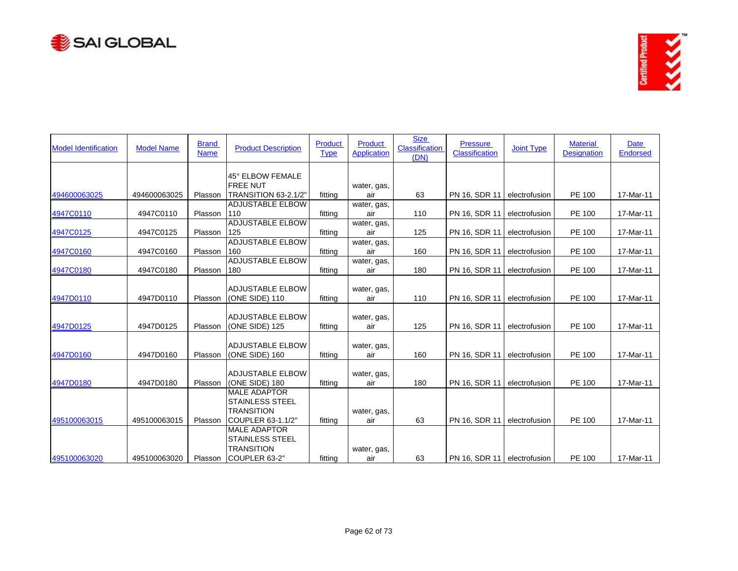



| <b>Model Identification</b> | <b>Model Name</b> | <b>Brand</b><br><b>Name</b> | <b>Product Description</b> | Product<br><b>Type</b> | <b>Product</b><br><b>Application</b> | <b>Size</b><br><b>Classification</b><br>(DN) | <b>Pressure</b><br>Classification | <b>Joint Type</b> | <b>Material</b><br><b>Designation</b> | Date<br><b>Endorsed</b> |
|-----------------------------|-------------------|-----------------------------|----------------------------|------------------------|--------------------------------------|----------------------------------------------|-----------------------------------|-------------------|---------------------------------------|-------------------------|
|                             |                   |                             | 45° ELBOW FEMALE           |                        |                                      |                                              |                                   |                   |                                       |                         |
|                             |                   |                             | <b>FREE NUT</b>            |                        | water, gas,                          |                                              |                                   |                   |                                       |                         |
| 494600063025                | 494600063025      | Plasson                     | TRANSITION 63-2.1/2"       | fitting                | air                                  | 63                                           | PN 16, SDR 11                     | electrofusion     | PE 100                                | 17-Mar-11               |
|                             |                   |                             | <b>ADJUSTABLE ELBOW</b>    |                        | water, gas,                          |                                              |                                   |                   |                                       |                         |
| 4947C0110                   | 4947C0110         | Plasson                     | 110                        | fitting                | air                                  | 110                                          | PN 16, SDR 11                     | electrofusion     | PE 100                                | 17-Mar-11               |
|                             |                   |                             | <b>ADJUSTABLE ELBOW</b>    |                        | water, gas,                          |                                              |                                   |                   |                                       |                         |
| 4947C0125                   | 4947C0125         | Plasson                     | 125                        | fitting                | air                                  | 125                                          | PN 16, SDR 11                     | electrofusion     | PE 100                                | 17-Mar-11               |
|                             |                   |                             | <b>ADJUSTABLE ELBOW</b>    |                        | water, gas,                          |                                              |                                   |                   |                                       |                         |
| 4947C0160                   | 4947C0160         | Plasson                     | 160                        | fitting                | air                                  | 160                                          | PN 16, SDR 11                     | electrofusion     | PE 100                                | 17-Mar-11               |
|                             |                   |                             | <b>ADJUSTABLE ELBOW</b>    |                        | water, gas,                          |                                              |                                   |                   |                                       |                         |
| 4947C0180                   | 4947C0180         | Plasson                     | 180                        | fitting                | air                                  | 180                                          | PN 16, SDR 11                     | electrofusion     | PE 100                                | 17-Mar-11               |
|                             |                   |                             |                            |                        |                                      |                                              |                                   |                   |                                       |                         |
|                             |                   |                             | <b>ADJUSTABLE ELBOW</b>    |                        | water, gas,                          |                                              |                                   |                   |                                       |                         |
| 4947D0110                   | 4947D0110         | Plasson                     | (ONE SIDE) 110             | fitting                | air                                  | 110                                          | PN 16, SDR 11                     | electrofusion     | PE 100                                | 17-Mar-11               |
|                             |                   |                             | <b>ADJUSTABLE ELBOW</b>    |                        | water, gas,                          |                                              |                                   |                   |                                       |                         |
| 4947D0125                   | 4947D0125         | Plasson                     | (ONE SIDE) 125             | fitting                | air                                  | 125                                          | PN 16, SDR 11                     | electrofusion     | PE 100                                | 17-Mar-11               |
|                             |                   |                             |                            |                        |                                      |                                              |                                   |                   |                                       |                         |
|                             |                   |                             | <b>ADJUSTABLE ELBOW</b>    |                        | water, gas,                          |                                              |                                   |                   |                                       |                         |
| 4947D0160                   | 4947D0160         | Plasson                     | (ONE SIDE) 160             | fitting                | air                                  | 160                                          | PN 16, SDR 11                     | electrofusion     | PE 100                                | 17-Mar-11               |
|                             |                   |                             |                            |                        |                                      |                                              |                                   |                   |                                       |                         |
|                             |                   |                             | <b>ADJUSTABLE ELBOW</b>    |                        | water, gas,                          |                                              |                                   |                   |                                       |                         |
| 4947D0180                   | 4947D0180         | Plasson                     | (ONE SIDE) 180             | fitting                | air                                  | 180                                          | PN 16, SDR 11                     | electrofusion     | PE 100                                | 17-Mar-11               |
|                             |                   |                             | <b>MALE ADAPTOR</b>        |                        |                                      |                                              |                                   |                   |                                       |                         |
|                             |                   |                             | <b>STAINLESS STEEL</b>     |                        |                                      |                                              |                                   |                   |                                       |                         |
|                             |                   |                             | <b>TRANSITION</b>          |                        | water, gas,                          |                                              |                                   |                   |                                       |                         |
| 495100063015                | 495100063015      | Plasson                     | COUPLER 63-1.1/2"          | fitting                | air                                  | 63                                           | PN 16, SDR 11                     | electrofusion     | PE 100                                | 17-Mar-11               |
|                             |                   |                             | <b>MALE ADAPTOR</b>        |                        |                                      |                                              |                                   |                   |                                       |                         |
|                             |                   |                             | <b>STAINLESS STEEL</b>     |                        |                                      |                                              |                                   |                   |                                       |                         |
|                             |                   |                             | <b>TRANSITION</b>          |                        | water, gas,                          |                                              |                                   |                   |                                       |                         |
| 495100063020                | 495100063020      | Plasson                     | COUPLER 63-2"              | fitting                | air                                  | 63                                           | PN 16, SDR 11 electrofusion       |                   | PE 100                                | 17-Mar-11               |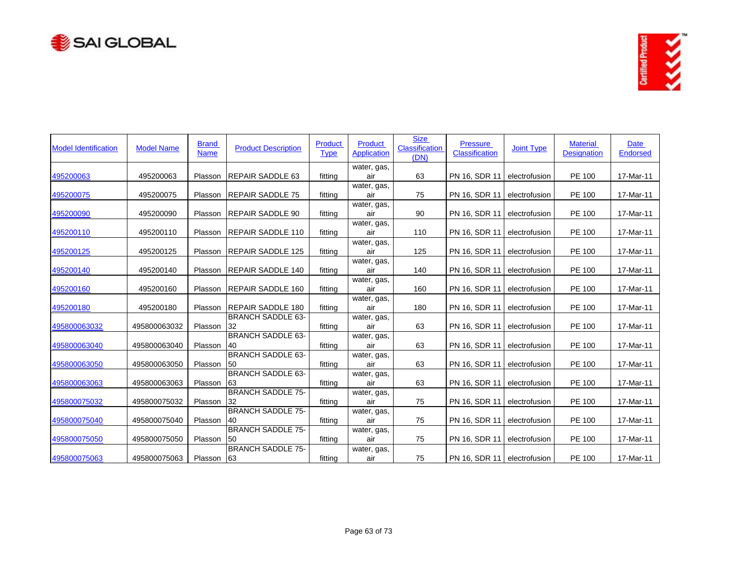



| <b>Model Identification</b> | <b>Model Name</b> | <b>Brand</b><br><b>Name</b> | <b>Product Description</b>     | <b>Product</b><br><b>Type</b> | <b>Product</b><br><b>Application</b> | <b>Size</b><br><b>Classification</b><br>(DN) | <b>Pressure</b><br><b>Classification</b> | <b>Joint Type</b> | <b>Material</b><br><b>Designation</b> | <b>Date</b><br><b>Endorsed</b> |
|-----------------------------|-------------------|-----------------------------|--------------------------------|-------------------------------|--------------------------------------|----------------------------------------------|------------------------------------------|-------------------|---------------------------------------|--------------------------------|
| 495200063                   | 495200063         | Plasson                     | <b>REPAIR SADDLE 63</b>        | fitting                       | water, gas,<br>air                   | 63                                           | PN 16, SDR 11                            | electrofusion     | PE 100                                | 17-Mar-11                      |
| 495200075                   | 495200075         | Plasson                     | <b>REPAIR SADDLE 75</b>        | fitting                       | water, gas,<br>air                   | 75                                           | PN 16, SDR 11                            | electrofusion     | PE 100                                | 17-Mar-11                      |
| 495200090                   | 495200090         | Plasson                     | <b>REPAIR SADDLE 90</b>        | fitting                       | water, gas,<br>air                   | 90                                           | PN 16, SDR 11                            | electrofusion     | PE 100                                | 17-Mar-11                      |
| 495200110                   | 495200110         | Plasson                     | <b>REPAIR SADDLE 110</b>       | fitting                       | water, gas,<br>air                   | 110                                          | PN 16, SDR 11                            | electrofusion     | PE 100                                | 17-Mar-11                      |
| 495200125                   | 495200125         | Plasson                     | <b>REPAIR SADDLE 125</b>       | fitting                       | water, gas,<br>air                   | 125                                          | PN 16, SDR 11                            | electrofusion     | PE 100                                | 17-Mar-11                      |
| 495200140                   | 495200140         | Plasson                     | <b>REPAIR SADDLE 140</b>       | fitting                       | water, gas,<br>air                   | 140                                          | PN 16, SDR 11                            | electrofusion     | PE 100                                | 17-Mar-11                      |
| 495200160                   | 495200160         | Plasson                     | <b>REPAIR SADDLE 160</b>       | fitting                       | water, gas,<br>air                   | 160                                          | PN 16, SDR 11                            | electrofusion     | PE 100                                | 17-Mar-11                      |
| 495200180                   | 495200180         | Plasson                     | <b>REPAIR SADDLE 180</b>       | fitting                       | water, gas,<br>air                   | 180                                          | PN 16, SDR 11                            | electrofusion     | PE 100                                | 17-Mar-11                      |
| 495800063032                | 495800063032      | Plasson                     | <b>BRANCH SADDLE 63-</b><br>32 | fitting                       | water, gas,<br>air                   | 63                                           | PN 16, SDR 11                            | electrofusion     | PE 100                                | 17-Mar-11                      |
| 495800063040                | 495800063040      | Plasson                     | <b>BRANCH SADDLE 63-</b><br>40 | fitting                       | water, gas,<br>air                   | 63                                           | PN 16, SDR 11                            | electrofusion     | PE 100                                | 17-Mar-11                      |
| 495800063050                | 495800063050      | Plasson                     | <b>BRANCH SADDLE 63-</b><br>50 | fitting                       | water, gas,<br>air                   | 63                                           | PN 16, SDR 11                            | electrofusion     | PE 100                                | 17-Mar-11                      |
| 495800063063                | 495800063063      | Plasson                     | <b>BRANCH SADDLE 63-</b><br>63 | fitting                       | water, gas,<br>air                   | 63                                           | PN 16, SDR 11                            | electrofusion     | PE 100                                | 17-Mar-11                      |
| 495800075032                | 495800075032      | Plasson                     | <b>BRANCH SADDLE 75-</b><br>32 | fitting                       | water, gas,<br>air                   | 75                                           | PN 16, SDR 11                            | electrofusion     | PE 100                                | 17-Mar-11                      |
| 495800075040                | 495800075040      | Plasson                     | <b>BRANCH SADDLE 75-</b><br>40 | fitting                       | water, gas,<br>air                   | 75                                           | PN 16, SDR 11                            | electrofusion     | PE 100                                | 17-Mar-11                      |
| 495800075050                | 495800075050      | Plasson                     | <b>BRANCH SADDLE 75-</b><br>50 | fitting                       | water, gas,<br>air                   | 75                                           | PN 16, SDR 11                            | electrofusion     | PE 100                                | 17-Mar-11                      |
| 495800075063                | 495800075063      | Plasson 63                  | <b>BRANCH SADDLE 75-</b>       | fitting                       | water, gas,<br>air                   | 75                                           | PN 16, SDR 11   electrofusion            |                   | PE 100                                | 17-Mar-11                      |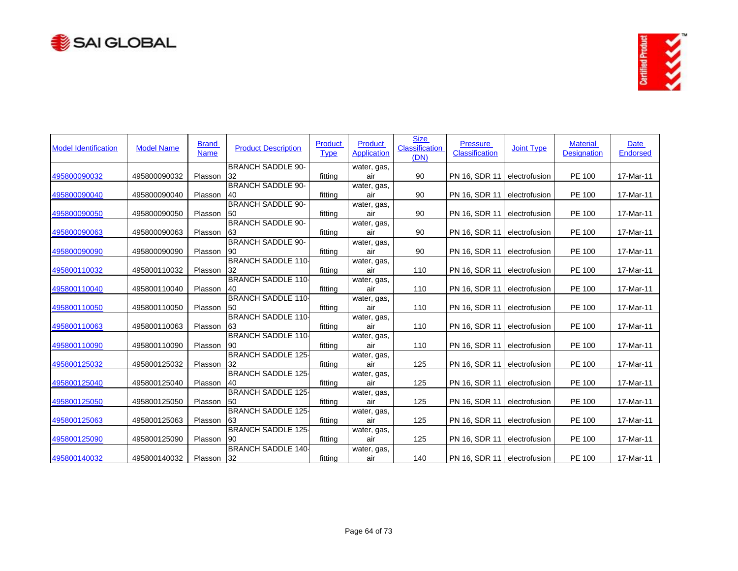



| <b>Model Identification</b> | <b>Model Name</b> | <b>Brand</b><br><b>Name</b> | <b>Product Description</b>     | Product<br><b>Type</b> | Product<br><b>Application</b> | <b>Size</b><br><b>Classification</b><br>(DN) | <b>Pressure</b><br><b>Classification</b> | <b>Joint Type</b> | <b>Material</b><br><b>Designation</b> | Date<br><b>Endorsed</b> |
|-----------------------------|-------------------|-----------------------------|--------------------------------|------------------------|-------------------------------|----------------------------------------------|------------------------------------------|-------------------|---------------------------------------|-------------------------|
|                             |                   |                             | <b>BRANCH SADDLE 90-</b>       |                        | water, gas,                   |                                              |                                          |                   |                                       |                         |
| 495800090032                | 495800090032      | Plasson                     | 32                             | fitting                | air                           | 90                                           | PN 16, SDR 11                            | electrofusion     | PE 100                                | 17-Mar-11               |
| 495800090040                | 495800090040      | Plasson                     | <b>BRANCH SADDLE 90-</b><br>40 | fitting                | water, gas,<br>air            | 90                                           | PN 16, SDR 11                            | electrofusion     | PE 100                                | 17-Mar-11               |
|                             |                   |                             | <b>BRANCH SADDLE 90-</b>       |                        | water, gas,                   |                                              |                                          |                   |                                       |                         |
| 495800090050                | 495800090050      | Plasson                     | <b>50</b>                      | fitting                | air                           | 90                                           | PN 16, SDR 11                            | electrofusion     | PE 100                                | 17-Mar-11               |
|                             |                   |                             | <b>BRANCH SADDLE 90-</b>       |                        | water, gas,                   |                                              |                                          |                   |                                       |                         |
| 495800090063                | 495800090063      | Plasson                     | 63                             | fittina                | air                           | 90                                           | PN 16, SDR 11                            | electrofusion     | PE 100                                | 17-Mar-11               |
|                             |                   |                             | <b>BRANCH SADDLE 90-</b>       |                        | water, gas,                   |                                              |                                          |                   |                                       |                         |
| 495800090090                | 495800090090      | Plasson                     | 90                             | fitting                | air                           | 90                                           | PN 16, SDR 11                            | electrofusion     | PE 100                                | 17-Mar-11               |
|                             |                   |                             | <b>BRANCH SADDLE 110-</b>      |                        | water, gas,                   |                                              |                                          |                   |                                       |                         |
| 495800110032                | 495800110032      | Plasson                     | 32                             | fitting                | air                           | 110                                          | PN 16, SDR 11                            | electrofusion     | PE 100                                | 17-Mar-11               |
|                             |                   |                             | <b>BRANCH SADDLE 110-</b>      |                        | water, gas,                   |                                              |                                          |                   |                                       |                         |
| 495800110040                | 495800110040      | Plasson                     | 40                             | fitting                | air                           | 110                                          | PN 16, SDR 11                            | electrofusion     | PE 100                                | 17-Mar-11               |
|                             |                   |                             | <b>BRANCH SADDLE 110-</b>      |                        | water, gas,                   |                                              |                                          |                   |                                       |                         |
| 495800110050                | 495800110050      | Plasson                     | 50                             | fitting                | air                           | 110                                          | PN 16, SDR 11                            | electrofusion     | PE 100                                | 17-Mar-11               |
|                             |                   |                             | <b>BRANCH SADDLE 110-</b>      |                        | water, gas,                   |                                              |                                          |                   |                                       |                         |
| 495800110063                | 495800110063      | Plasson                     | 63                             | fitting                | air                           | 110                                          | PN 16, SDR 11                            | electrofusion     | PE 100                                | 17-Mar-11               |
|                             |                   |                             | <b>BRANCH SADDLE 110-</b>      |                        | water, gas,                   |                                              |                                          |                   |                                       |                         |
| 495800110090                | 495800110090      | Plasson                     | 90                             | fitting                | air                           | 110                                          | PN 16, SDR 11                            | electrofusion     | PE 100                                | 17-Mar-11               |
|                             |                   |                             | <b>BRANCH SADDLE 125-</b>      |                        | water, gas,                   |                                              |                                          |                   |                                       |                         |
| 495800125032                | 495800125032      | Plasson                     | 32                             | fitting                | air                           | 125                                          | PN 16, SDR 11                            | electrofusion     | PE 100                                | 17-Mar-11               |
|                             |                   |                             | <b>BRANCH SADDLE 125-</b>      |                        | water, gas,                   |                                              |                                          |                   |                                       |                         |
| 495800125040                | 495800125040      | Plasson                     | 40                             | fitting                | air                           | 125                                          | PN 16, SDR 11                            | electrofusion     | PE 100                                | 17-Mar-11               |
|                             |                   |                             | <b>BRANCH SADDLE 125-</b>      |                        | water, gas,                   |                                              |                                          |                   |                                       |                         |
| 495800125050                | 495800125050      | Plasson                     | 50                             | fitting                | air                           | 125                                          | PN 16, SDR 11                            | electrofusion     | PE 100                                | 17-Mar-11               |
|                             |                   |                             | <b>BRANCH SADDLE 125-</b>      |                        | water, gas,                   |                                              |                                          |                   |                                       |                         |
| 495800125063                | 495800125063      | Plasson                     | 63                             | fitting                | air                           | 125                                          | PN 16, SDR 11                            | electrofusion     | PE 100                                | 17-Mar-11               |
|                             |                   |                             | <b>BRANCH SADDLE 125-</b>      |                        | water, gas,                   |                                              |                                          |                   |                                       |                         |
| 495800125090                | 495800125090      | Plasson                     | 90                             | fitting                | air                           | 125                                          | PN 16, SDR 11                            | electrofusion     | PE 100                                | 17-Mar-11               |
|                             |                   |                             | <b>BRANCH SADDLE 140-</b>      |                        | water, gas,                   |                                              |                                          |                   |                                       |                         |
| 495800140032                | 495800140032      | Plasson                     | 32                             | fitting                | air                           | 140                                          | PN 16, SDR 11 electrofusion              |                   | PE 100                                | 17-Mar-11               |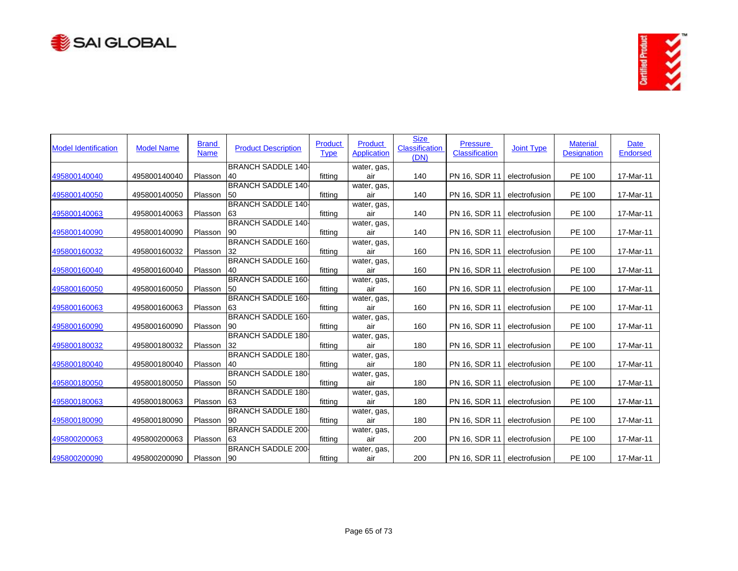



| <b>Model Identification</b> | <b>Model Name</b> | <b>Brand</b><br><b>Name</b> | <b>Product Description</b>             | Product<br><b>Type</b> | Product<br><b>Application</b> | <b>Size</b><br><b>Classification</b><br>(DN) | <b>Pressure</b><br><b>Classification</b> | <b>Joint Type</b> | <b>Material</b><br><b>Designation</b> | Date<br><b>Endorsed</b> |
|-----------------------------|-------------------|-----------------------------|----------------------------------------|------------------------|-------------------------------|----------------------------------------------|------------------------------------------|-------------------|---------------------------------------|-------------------------|
|                             |                   |                             | <b>BRANCH SADDLE 140-</b>              |                        | water, gas,                   |                                              |                                          |                   |                                       |                         |
| 495800140040                | 495800140040      | Plasson                     | 40                                     | fitting                | air                           | 140                                          | PN 16, SDR 11                            | electrofusion     | PE 100                                | 17-Mar-11               |
| 495800140050                | 495800140050      | Plasson                     | <b>BRANCH SADDLE 140-</b><br><b>50</b> | fitting                | water, gas,<br>air            | 140                                          | PN 16, SDR 11                            | electrofusion     | PE 100                                | 17-Mar-11               |
|                             |                   |                             | <b>BRANCH SADDLE 140-</b>              |                        | water, gas,                   |                                              |                                          |                   |                                       |                         |
| 495800140063                | 495800140063      | Plasson                     | 63                                     | fitting                | air                           | 140                                          | PN 16, SDR 11                            | electrofusion     | PE 100                                | 17-Mar-11               |
|                             |                   |                             | <b>BRANCH SADDLE 140-</b>              |                        | water, gas,                   |                                              |                                          |                   |                                       |                         |
| 495800140090                | 495800140090      | Plasson                     | 90                                     | fitting                | air                           | 140                                          | PN 16, SDR 11                            | electrofusion     | PE 100                                | 17-Mar-11               |
|                             |                   |                             | <b>BRANCH SADDLE 160-</b>              |                        | water, gas,                   |                                              |                                          |                   |                                       |                         |
| 495800160032                | 495800160032      | Plasson                     | 32                                     | fitting                | air                           | 160                                          | PN 16, SDR 11                            | electrofusion     | PE 100                                | 17-Mar-11               |
|                             |                   |                             | <b>BRANCH SADDLE 160-</b>              |                        | water, gas,                   |                                              |                                          |                   |                                       |                         |
| 495800160040                | 495800160040      | Plasson                     | 40                                     | fitting                | air                           | 160                                          | PN 16, SDR 11                            | electrofusion     | PE 100                                | 17-Mar-11               |
|                             |                   |                             | <b>BRANCH SADDLE 160-</b>              |                        | water, gas,                   |                                              |                                          |                   |                                       |                         |
| 495800160050                | 495800160050      | Plasson                     | 50                                     | fitting                | air                           | 160                                          | PN 16, SDR 11                            | electrofusion     | PE 100                                | 17-Mar-11               |
|                             |                   |                             | <b>BRANCH SADDLE 160-</b>              |                        | water, gas,                   |                                              |                                          |                   |                                       |                         |
| 495800160063                | 495800160063      | Plasson                     | 63                                     | fitting                | air                           | 160                                          | PN 16, SDR 11                            | electrofusion     | PE 100                                | 17-Mar-11               |
|                             |                   |                             | <b>BRANCH SADDLE 160-</b>              |                        | water, gas,                   |                                              |                                          |                   |                                       |                         |
| 495800160090                | 495800160090      | Plasson                     | 90                                     | fitting                | air                           | 160                                          | PN 16, SDR 11                            | electrofusion     | PE 100                                | 17-Mar-11               |
|                             |                   |                             | <b>BRANCH SADDLE 180-</b>              |                        | water, gas,                   |                                              |                                          |                   |                                       |                         |
| 495800180032                | 495800180032      | Plasson                     | 32                                     | fitting                | air                           | 180                                          | PN 16, SDR 11                            | electrofusion     | PE 100                                | 17-Mar-11               |
|                             |                   |                             | <b>BRANCH SADDLE 180-</b>              |                        | water, gas,                   |                                              |                                          |                   |                                       |                         |
| 495800180040                | 495800180040      | Plasson                     | 40                                     | fitting                | air                           | 180                                          | PN 16, SDR 11                            | electrofusion     | PE 100                                | 17-Mar-11               |
|                             |                   |                             | <b>BRANCH SADDLE 180-</b>              |                        | water, gas,                   |                                              |                                          |                   |                                       |                         |
| 495800180050                | 495800180050      | Plasson                     | 50                                     | fitting                | air                           | 180                                          | PN 16, SDR 11                            | electrofusion     | PE 100                                | 17-Mar-11               |
|                             |                   |                             | <b>BRANCH SADDLE 180-</b>              |                        | water, gas,                   |                                              |                                          |                   |                                       |                         |
| 495800180063                | 495800180063      | Plasson                     | 63                                     | fitting                | air                           | 180                                          | PN 16, SDR 11                            | electrofusion     | PE 100                                | 17-Mar-11               |
|                             |                   |                             | <b>BRANCH SADDLE 180-</b>              |                        | water, gas,                   |                                              |                                          |                   |                                       |                         |
| 495800180090                | 495800180090      | Plasson                     | <b>90</b>                              | fitting                | air                           | 180                                          | PN 16, SDR 11                            | electrofusion     | PE 100                                | 17-Mar-11               |
|                             |                   |                             | <b>BRANCH SADDLE 200-</b>              |                        | water, gas,                   |                                              |                                          |                   |                                       |                         |
| 495800200063                | 495800200063      | Plasson                     | 63                                     | fitting                | air                           | 200                                          | PN 16, SDR 11                            | electrofusion     | PE 100                                | 17-Mar-11               |
|                             |                   |                             | <b>BRANCH SADDLE 200-</b>              |                        | water, gas,                   |                                              |                                          |                   |                                       |                         |
| 495800200090                | 495800200090      | Plasson 90                  |                                        | fitting                | air                           | 200                                          | PN 16, SDR 11 electrofusion              |                   | PE 100                                | 17-Mar-11               |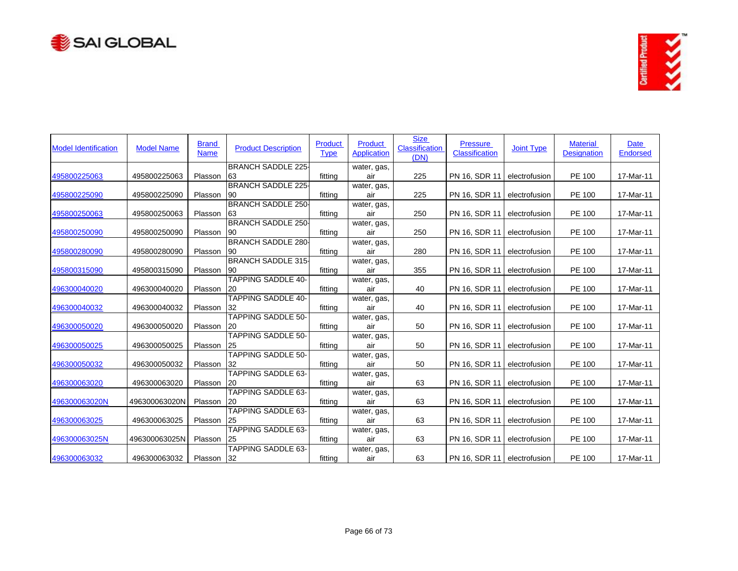



| <b>Model Identification</b> | <b>Model Name</b> | <b>Brand</b><br><b>Name</b> | <b>Product Description</b>             | Product<br><b>Type</b> | Product<br><b>Application</b> | <b>Size</b><br>Classification<br>(DN) | <b>Pressure</b><br><b>Classification</b> | <b>Joint Type</b> | <b>Material</b><br><b>Designation</b> | Date<br><b>Endorsed</b> |
|-----------------------------|-------------------|-----------------------------|----------------------------------------|------------------------|-------------------------------|---------------------------------------|------------------------------------------|-------------------|---------------------------------------|-------------------------|
|                             |                   |                             | <b>BRANCH SADDLE 225-</b>              |                        | water, gas,                   |                                       |                                          |                   |                                       |                         |
| 495800225063                | 495800225063      | Plasson                     | 63                                     | fitting                | air                           | 225                                   | PN 16, SDR 11                            | electrofusion     | PE 100                                | 17-Mar-11               |
| 495800225090                | 495800225090      | Plasson                     | <b>BRANCH SADDLE 225-</b><br>90        | fitting                | water, gas,<br>air            | 225                                   | PN 16, SDR 11                            | electrofusion     | PE 100                                | 17-Mar-11               |
|                             |                   |                             | <b>BRANCH SADDLE 250-</b>              |                        | water, gas,                   |                                       |                                          |                   |                                       |                         |
| 495800250063                | 495800250063      | Plasson                     | 63                                     | fitting                | air                           | 250                                   | PN 16, SDR 11                            | electrofusion     | PE 100                                | 17-Mar-11               |
|                             |                   |                             | <b>BRANCH SADDLE 250-</b>              |                        | water, gas,                   |                                       |                                          |                   |                                       |                         |
| 495800250090                | 495800250090      | Plasson                     | 90                                     | fitting                | air                           | 250                                   | PN 16, SDR 11                            | electrofusion     | PE 100                                | 17-Mar-11               |
|                             |                   |                             | <b>BRANCH SADDLE 280-</b>              |                        | water, gas,                   |                                       |                                          |                   |                                       |                         |
| 495800280090                | 495800280090      | Plasson                     | 90                                     | fitting                | air                           | 280                                   | PN 16, SDR 11                            | electrofusion     | PE 100                                | 17-Mar-11               |
|                             |                   |                             | <b>BRANCH SADDLE 315-</b>              |                        | water, gas,                   |                                       |                                          |                   |                                       |                         |
| 495800315090                | 495800315090      | Plasson                     | 90                                     | fitting                | air                           | 355                                   | PN 16, SDR 11                            | electrofusion     | PE 100                                | 17-Mar-11               |
|                             |                   |                             | <b>TAPPING SADDLE 40-</b>              |                        | water, gas,                   |                                       |                                          |                   |                                       |                         |
| 496300040020                | 496300040020      | Plasson                     | 20                                     | fitting                | air                           | 40                                    | PN 16, SDR 11                            | electrofusion     | PE 100                                | 17-Mar-11               |
|                             |                   |                             | <b>TAPPING SADDLE 40-</b>              |                        | water, gas,                   |                                       |                                          |                   |                                       |                         |
| 496300040032                | 496300040032      | Plasson                     | 32                                     | fitting                | air                           | 40                                    | PN 16, SDR 11                            | electrofusion     | PE 100                                | 17-Mar-11               |
|                             |                   |                             | <b>TAPPING SADDLE 50-</b>              |                        | water, gas,                   |                                       |                                          |                   |                                       |                         |
| 496300050020                | 496300050020      | Plasson                     | 20                                     | fitting                | air                           | 50                                    | PN 16, SDR 11                            | electrofusion     | PE 100                                | 17-Mar-11               |
| 496300050025                | 496300050025      | Plasson                     | <b>TAPPING SADDLE 50-</b><br><b>25</b> | fitting                | water, gas,<br>air            | 50                                    | PN 16, SDR 11                            | electrofusion     | PE 100                                | 17-Mar-11               |
|                             |                   |                             | <b>TAPPING SADDLE 50-</b>              |                        | water, gas,                   |                                       |                                          |                   |                                       |                         |
| 496300050032                | 496300050032      | Plasson                     | 32                                     | fitting                | air                           | 50                                    | PN 16, SDR 11                            | electrofusion     | PE 100                                | 17-Mar-11               |
|                             |                   |                             | <b>TAPPING SADDLE 63-</b>              |                        | water, gas,                   |                                       |                                          |                   |                                       |                         |
| 496300063020                | 496300063020      | Plasson                     | 20                                     | fitting                | air                           | 63                                    | PN 16, SDR 11                            | electrofusion     | PE 100                                | 17-Mar-11               |
|                             |                   |                             | <b>TAPPING SADDLE 63-</b>              |                        | water, gas,                   |                                       |                                          |                   |                                       |                         |
| 496300063020N               | 496300063020N     | Plasson                     | <b>20</b>                              | fitting                | air                           | 63                                    | PN 16, SDR 11                            | electrofusion     | PE 100                                | 17-Mar-11               |
|                             |                   |                             | <b>TAPPING SADDLE 63-</b>              |                        | water, gas,                   |                                       |                                          |                   |                                       |                         |
| 496300063025                | 496300063025      | Plasson                     | <b>25</b>                              | fitting                | air                           | 63                                    | PN 16, SDR 11                            | electrofusion     | PE 100                                | 17-Mar-11               |
|                             |                   |                             | <b>TAPPING SADDLE 63-</b>              |                        | water, gas,                   |                                       |                                          |                   |                                       |                         |
| 496300063025N               | 496300063025N     | Plasson                     | 25                                     | fitting                | air                           | 63                                    | PN 16, SDR 11                            | electrofusion     | PE 100                                | 17-Mar-11               |
|                             |                   |                             | <b>TAPPING SADDLE 63-</b>              |                        | water, gas,                   |                                       |                                          |                   |                                       |                         |
| 496300063032                | 496300063032      | Plasson 32                  |                                        | fitting                | air                           | 63                                    | PN 16, SDR 11   electrofusion            |                   | PE 100                                | 17-Mar-11               |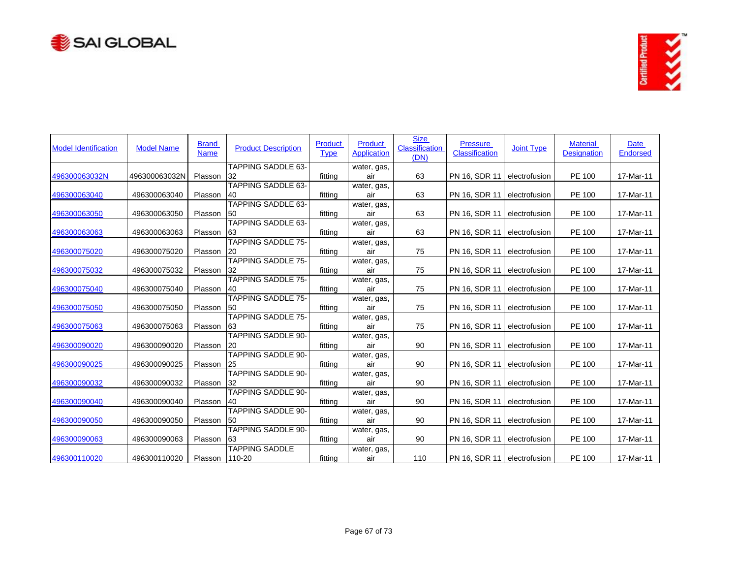



| <b>Model Identification</b> | <b>Model Name</b> | <b>Brand</b><br><b>Name</b> | <b>Product Description</b> | Product<br><b>Type</b> | <b>Product</b><br><b>Application</b> | <b>Size</b><br><b>Classification</b><br>(DN) | <b>Pressure</b><br><b>Classification</b> | <b>Joint Type</b> | <b>Material</b><br><b>Designation</b> | Date<br><b>Endorsed</b> |
|-----------------------------|-------------------|-----------------------------|----------------------------|------------------------|--------------------------------------|----------------------------------------------|------------------------------------------|-------------------|---------------------------------------|-------------------------|
|                             |                   |                             | <b>TAPPING SADDLE 63-</b>  |                        | water, gas,                          |                                              |                                          |                   |                                       |                         |
| 496300063032N               | 496300063032N     | Plasson                     | 32                         | fitting                | air                                  | 63                                           | PN 16, SDR 11                            | electrofusion     | PE 100                                | 17-Mar-11               |
| 496300063040                | 496300063040      | Plasson                     | TAPPING SADDLE 63-<br>40   | fitting                | water, gas,<br>air                   | 63                                           | PN 16, SDR 11                            | electrofusion     | PE 100                                | 17-Mar-11               |
|                             |                   |                             | <b>TAPPING SADDLE 63-</b>  |                        | water, gas,                          |                                              |                                          |                   |                                       |                         |
| 496300063050                | 496300063050      | Plasson                     | <b>50</b>                  | fitting                | air                                  | 63                                           | PN 16, SDR 11                            | electrofusion     | PE 100                                | 17-Mar-11               |
|                             |                   |                             | <b>TAPPING SADDLE 63-</b>  |                        | water, gas,                          |                                              |                                          |                   |                                       |                         |
| 496300063063                | 496300063063      | Plasson                     | 63                         | fitting                | air                                  | 63                                           | PN 16, SDR 11                            | electrofusion     | PE 100                                | 17-Mar-11               |
|                             |                   |                             | <b>TAPPING SADDLE 75-</b>  |                        | water, gas,                          |                                              |                                          |                   |                                       |                         |
| 496300075020                | 496300075020      | Plasson                     | 20                         | fitting                | air                                  | 75                                           | PN 16, SDR 11                            | electrofusion     | PE 100                                | 17-Mar-11               |
|                             |                   |                             | TAPPING SADDLE 75-         |                        | water, gas,                          |                                              |                                          |                   |                                       |                         |
| 496300075032                | 496300075032      | Plasson                     | 32                         | fitting                | air                                  | 75                                           | PN 16, SDR 11                            | electrofusion     | PE 100                                | 17-Mar-11               |
|                             |                   |                             | <b>TAPPING SADDLE 75-</b>  |                        | water, gas,                          |                                              |                                          |                   |                                       |                         |
| 496300075040                | 496300075040      | Plasson                     | <b>40</b>                  | fitting                | air                                  | 75                                           | PN 16, SDR 11                            | electrofusion     | PE 100                                | 17-Mar-11               |
|                             |                   |                             | <b>TAPPING SADDLE 75-</b>  |                        | water, gas,                          |                                              |                                          |                   |                                       |                         |
| 496300075050                | 496300075050      | Plasson                     | 50                         | fitting                | air                                  | 75                                           | PN 16, SDR 11                            | electrofusion     | PE 100                                | 17-Mar-11               |
|                             |                   |                             | <b>TAPPING SADDLE 75-</b>  |                        | water, gas,                          |                                              |                                          |                   |                                       |                         |
| 496300075063                | 496300075063      | Plasson                     | 63                         | fitting                | air                                  | 75                                           | PN 16, SDR 11                            | electrofusion     | PE 100                                | 17-Mar-11               |
|                             |                   |                             | <b>TAPPING SADDLE 90-</b>  |                        | water, gas,                          |                                              |                                          |                   |                                       |                         |
| 496300090020                | 496300090020      | Plasson                     | 120                        | fitting                | air                                  | 90                                           | PN 16, SDR 11                            | electrofusion     | PE 100                                | 17-Mar-11               |
|                             |                   |                             | <b>TAPPING SADDLE 90-</b>  |                        | water, gas,                          |                                              |                                          |                   |                                       |                         |
| 496300090025                | 496300090025      | Plasson                     | 25                         | fitting                | air                                  | 90                                           | PN 16, SDR 11                            | electrofusion     | PE 100                                | 17-Mar-11               |
|                             |                   |                             | <b>TAPPING SADDLE 90-</b>  |                        | water, gas,                          |                                              |                                          |                   |                                       |                         |
| 496300090032                | 496300090032      | Plasson                     | 32                         | fitting                | air                                  | 90                                           | PN 16, SDR 11                            | electrofusion     | PE 100                                | 17-Mar-11               |
|                             |                   |                             | <b>TAPPING SADDLE 90-</b>  |                        | water, gas,                          |                                              |                                          |                   |                                       |                         |
| 496300090040                | 496300090040      | Plasson                     | 40                         | fitting                | air                                  | 90                                           | PN 16, SDR 11                            | electrofusion     | PE 100                                | 17-Mar-11               |
|                             |                   |                             | <b>TAPPING SADDLE 90-</b>  |                        | water, gas,                          |                                              |                                          |                   |                                       |                         |
| 496300090050                | 496300090050      | Plasson                     | - 50                       | fitting                | air                                  | 90                                           | PN 16, SDR 11                            | electrofusion     | PE 100                                | 17-Mar-11               |
|                             |                   |                             | <b>TAPPING SADDLE 90-</b>  |                        | water, gas,                          |                                              |                                          |                   |                                       |                         |
| 496300090063                | 496300090063      | Plasson                     | 63                         | fitting                | air                                  | 90                                           | PN 16, SDR 11                            | electrofusion     | PE 100                                | 17-Mar-11               |
|                             |                   |                             | <b>TAPPING SADDLE</b>      |                        | water, gas,                          |                                              |                                          |                   |                                       |                         |
| 496300110020                | 496300110020      | Plasson                     | 110-20                     | fitting                | air                                  | 110                                          | PN 16, SDR 11 electrofusion              |                   | PE 100                                | 17-Mar-11               |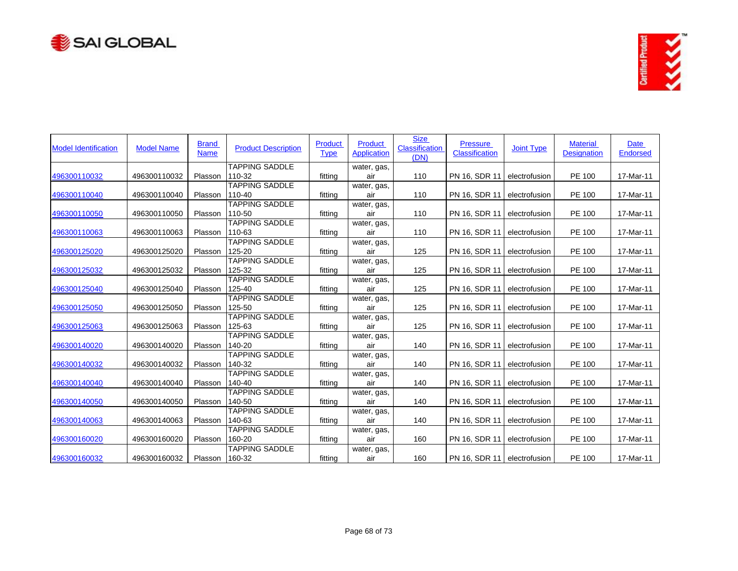



| <b>Model Identification</b> | <b>Model Name</b> | <b>Brand</b><br><b>Name</b> | <b>Product Description</b>      | <b>Product</b><br><b>Type</b> | Product<br><b>Application</b> | <b>Size</b><br><b>Classification</b><br>(DN) | <b>Pressure</b><br><b>Classification</b> | <b>Joint Type</b> | <b>Material</b><br><b>Designation</b> | Date<br>Endorsed |
|-----------------------------|-------------------|-----------------------------|---------------------------------|-------------------------------|-------------------------------|----------------------------------------------|------------------------------------------|-------------------|---------------------------------------|------------------|
|                             |                   |                             | <b>TAPPING SADDLE</b>           |                               | water, gas,                   |                                              |                                          |                   |                                       |                  |
| 496300110032                | 496300110032      | Plasson                     | 110-32                          | fitting                       | air                           | 110                                          | PN 16, SDR 11                            | electrofusion     | PE 100                                | 17-Mar-11        |
| 496300110040                | 496300110040      | Plasson                     | <b>TAPPING SADDLE</b><br>110-40 | fitting                       | water, gas,<br>air            | 110                                          | PN 16, SDR 11                            | electrofusion     | PE 100                                | 17-Mar-11        |
|                             |                   |                             | <b>TAPPING SADDLE</b>           |                               | water, gas,                   |                                              |                                          |                   |                                       |                  |
| 496300110050                | 496300110050      | Plasson                     | 110-50                          | fitting                       | air                           | 110                                          | PN 16, SDR 11                            | electrofusion     | PE 100                                | 17-Mar-11        |
|                             |                   |                             | <b>TAPPING SADDLE</b>           |                               | water, gas,                   |                                              |                                          |                   |                                       |                  |
| 496300110063                | 496300110063      | Plasson                     | 110-63                          | fitting                       | air                           | 110                                          | PN 16, SDR 11                            | electrofusion     | PE 100                                | 17-Mar-11        |
|                             |                   |                             | <b>TAPPING SADDLE</b>           |                               | water, gas,                   |                                              |                                          |                   |                                       |                  |
| 496300125020                | 496300125020      | Plasson                     | 125-20                          | fitting                       | air                           | 125                                          | PN 16, SDR 11                            | electrofusion     | PE 100                                | 17-Mar-11        |
|                             |                   |                             | <b>TAPPING SADDLE</b>           |                               | water, gas,                   |                                              |                                          |                   |                                       |                  |
| 496300125032                | 496300125032      | Plasson                     | 125-32                          | fitting                       | air                           | 125                                          | PN 16, SDR 11                            | electrofusion     | PE 100                                | 17-Mar-11        |
|                             |                   |                             | <b>TAPPING SADDLE</b>           |                               | water, gas,                   |                                              |                                          |                   |                                       |                  |
| 496300125040                | 496300125040      | Plasson                     | 125-40                          | fitting                       | air                           | 125                                          | PN 16, SDR 11                            | electrofusion     | PE 100                                | 17-Mar-11        |
|                             |                   |                             | <b>TAPPING SADDLE</b>           |                               | water, gas,                   |                                              |                                          |                   |                                       |                  |
| 496300125050                | 496300125050      | Plasson                     | 125-50                          | fitting                       | air                           | 125                                          | PN 16, SDR 11                            | electrofusion     | PE 100                                | 17-Mar-11        |
|                             |                   |                             | <b>TAPPING SADDLE</b>           |                               | water, gas,                   |                                              |                                          |                   |                                       |                  |
| 496300125063                | 496300125063      | Plasson                     | 125-63                          | fitting                       | air                           | 125                                          | PN 16, SDR 11                            | electrofusion     | PE 100                                | 17-Mar-11        |
|                             |                   |                             | <b>TAPPING SADDLE</b>           |                               | water, gas,                   |                                              |                                          |                   |                                       |                  |
| 496300140020                | 496300140020      | Plasson                     | 140-20                          | fitting                       | air                           | 140                                          | PN 16, SDR 11                            | electrofusion     | PE 100                                | 17-Mar-11        |
|                             |                   |                             | <b>TAPPING SADDLE</b>           |                               | water, gas,                   |                                              |                                          |                   |                                       |                  |
| 496300140032                | 496300140032      | Plasson                     | 140-32                          | fitting                       | air                           | 140                                          | PN 16, SDR 11                            | electrofusion     | PE 100                                | 17-Mar-11        |
|                             |                   |                             | <b>TAPPING SADDLE</b>           |                               | water, gas,                   |                                              |                                          |                   |                                       |                  |
| 496300140040                | 496300140040      | Plasson                     | 140-40                          | fitting                       | air                           | 140                                          | PN 16, SDR 11                            | electrofusion     | PE 100                                | 17-Mar-11        |
|                             |                   |                             | <b>TAPPING SADDLE</b>           |                               | water, gas,                   |                                              |                                          |                   |                                       |                  |
| 496300140050                | 496300140050      | Plasson                     | 140-50                          | fitting                       | air                           | 140                                          | PN 16, SDR 11                            | electrofusion     | PE 100                                | 17-Mar-11        |
|                             |                   |                             | <b>TAPPING SADDLE</b>           |                               | water, gas,                   |                                              |                                          |                   |                                       |                  |
| 496300140063                | 496300140063      | Plasson                     | 140-63                          | fitting                       | air                           | 140                                          | PN 16, SDR 11                            | electrofusion     | PE 100                                | 17-Mar-11        |
|                             |                   |                             | <b>TAPPING SADDLE</b>           |                               | water, gas,                   |                                              |                                          |                   |                                       |                  |
| 496300160020                | 496300160020      | Plasson                     | 160-20                          | fitting                       | air                           | 160                                          | PN 16, SDR 11                            | electrofusion     | PE 100                                | 17-Mar-11        |
|                             |                   |                             | <b>TAPPING SADDLE</b>           |                               | water, gas,                   |                                              |                                          |                   |                                       |                  |
| 496300160032                | 496300160032      | Plasson 160-32              |                                 | fitting                       | air                           | 160                                          | PN 16, SDR 11   electrofusion            |                   | PE 100                                | 17-Mar-11        |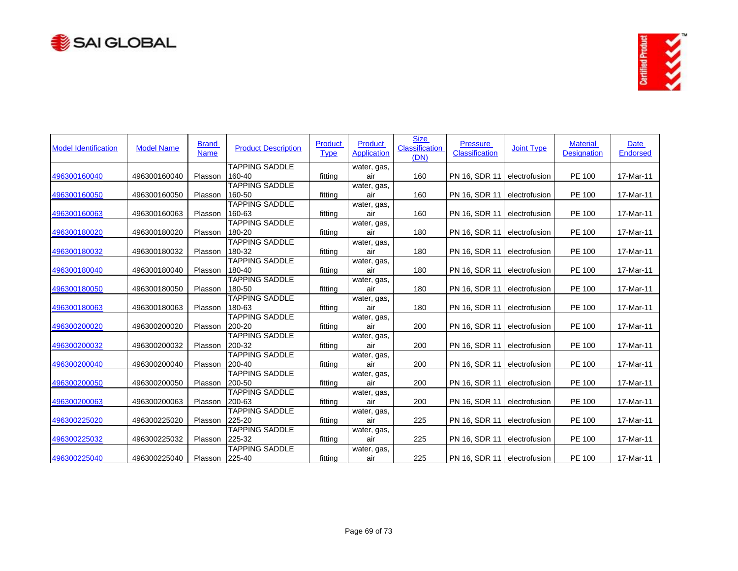



| <b>Model Identification</b> | <b>Model Name</b> | <b>Brand</b><br><b>Name</b> | <b>Product Description</b>      | Product<br><b>Type</b> | Product<br><b>Application</b> | <b>Size</b><br><b>Classification</b><br>(DN) | <b>Pressure</b><br><b>Classification</b> | <b>Joint Type</b> | <b>Material</b><br><b>Designation</b> | Date<br><b>Endorsed</b> |
|-----------------------------|-------------------|-----------------------------|---------------------------------|------------------------|-------------------------------|----------------------------------------------|------------------------------------------|-------------------|---------------------------------------|-------------------------|
|                             |                   |                             | <b>TAPPING SADDLE</b>           |                        | water, gas,                   |                                              |                                          |                   |                                       |                         |
| 496300160040                | 496300160040      | Plasson                     | 160-40                          | fitting                | air                           | 160                                          | PN 16, SDR 11                            | electrofusion     | PE 100                                | 17-Mar-11               |
| 496300160050                | 496300160050      | Plasson                     | <b>TAPPING SADDLE</b><br>160-50 | fitting                | water, gas,<br>air            | 160                                          | PN 16, SDR 11                            | electrofusion     | PE 100                                | 17-Mar-11               |
|                             |                   |                             | <b>TAPPING SADDLE</b>           |                        |                               |                                              |                                          |                   |                                       |                         |
| 496300160063                | 496300160063      | Plasson                     | 160-63                          | fitting                | water, gas,<br>air            | 160                                          | PN 16, SDR 11                            | electrofusion     | PE 100                                | 17-Mar-11               |
|                             |                   |                             | <b>TAPPING SADDLE</b>           |                        | water, gas,                   |                                              |                                          |                   |                                       |                         |
| 496300180020                | 496300180020      | Plasson                     | 180-20                          | fitting                | air                           | 180                                          | PN 16, SDR 11                            | electrofusion     | PE 100                                | 17-Mar-11               |
|                             |                   |                             | <b>TAPPING SADDLE</b>           |                        | water, gas,                   |                                              |                                          |                   |                                       |                         |
| 496300180032                | 496300180032      | Plasson                     | 180-32                          | fitting                | air                           | 180                                          | PN 16, SDR 11                            | electrofusion     | PE 100                                | 17-Mar-11               |
|                             |                   |                             | <b>TAPPING SADDLE</b>           |                        | water, gas,                   |                                              |                                          |                   |                                       |                         |
| 496300180040                | 496300180040      | Plasson                     | 180-40                          | fitting                | air                           | 180                                          | PN 16, SDR 11                            | electrofusion     | PE 100                                | 17-Mar-11               |
|                             |                   |                             | <b>TAPPING SADDLE</b>           |                        | water, gas,                   |                                              |                                          |                   |                                       |                         |
| 496300180050                | 496300180050      | Plasson                     | 180-50                          | fitting                | air                           | 180                                          | PN 16, SDR 11                            | electrofusion     | PE 100                                | 17-Mar-11               |
|                             |                   |                             | <b>TAPPING SADDLE</b>           |                        | water, gas,                   |                                              |                                          |                   |                                       |                         |
| 496300180063                | 496300180063      | Plasson                     | 180-63                          | fitting                | air                           | 180                                          | PN 16, SDR 11                            | electrofusion     | PE 100                                | 17-Mar-11               |
|                             |                   |                             | <b>TAPPING SADDLE</b>           |                        | water, gas,                   |                                              |                                          |                   |                                       |                         |
| 496300200020                | 496300200020      | Plasson                     | 200-20                          | fitting                | air                           | 200                                          | PN 16, SDR 11                            | electrofusion     | PE 100                                | 17-Mar-11               |
|                             |                   |                             | <b>TAPPING SADDLE</b>           |                        | water, gas,                   |                                              |                                          |                   |                                       |                         |
| 496300200032                | 496300200032      | Plasson                     | 200-32                          | fitting                | air                           | 200                                          | PN 16, SDR 11                            | electrofusion     | PE 100                                | 17-Mar-11               |
|                             |                   |                             | <b>TAPPING SADDLE</b>           |                        | water, gas,                   |                                              |                                          |                   |                                       |                         |
| 496300200040                | 496300200040      | Plasson                     | 200-40                          | fitting                | air                           | 200                                          | PN 16, SDR 11                            | electrofusion     | PE 100                                | 17-Mar-11               |
|                             |                   |                             | <b>TAPPING SADDLE</b>           |                        | water, gas,                   |                                              |                                          |                   |                                       |                         |
| 496300200050                | 496300200050      | Plasson                     | 200-50                          | fitting                | air                           | 200                                          | PN 16, SDR 11                            | electrofusion     | PE 100                                | 17-Mar-11               |
|                             |                   |                             | <b>TAPPING SADDLE</b>           |                        | water, gas,                   |                                              |                                          |                   |                                       |                         |
| 496300200063                | 496300200063      | Plasson                     | 200-63                          | fitting                | air                           | 200                                          | PN 16, SDR 11                            | electrofusion     | PE 100                                | 17-Mar-11               |
|                             |                   |                             | <b>TAPPING SADDLE</b>           |                        | water, gas,                   |                                              |                                          |                   |                                       |                         |
| 496300225020                | 496300225020      | Plasson                     | 225-20                          | fitting                | air                           | 225                                          | PN 16, SDR 11                            | electrofusion     | PE 100                                | 17-Mar-11               |
|                             |                   |                             | <b>TAPPING SADDLE</b>           |                        | water, gas,                   |                                              |                                          |                   |                                       |                         |
| 496300225032                | 496300225032      | Plasson                     | 225-32                          | fitting                | air                           | 225                                          | PN 16, SDR 11                            | electrofusion     | PE 100                                | 17-Mar-11               |
|                             |                   |                             | <b>TAPPING SADDLE</b>           |                        | water, gas,                   |                                              |                                          |                   |                                       |                         |
| 496300225040                | 496300225040      | Plasson 225-40              |                                 | fitting                | air                           | 225                                          | PN 16, SDR 11 electrofusion              |                   | PE 100                                | 17-Mar-11               |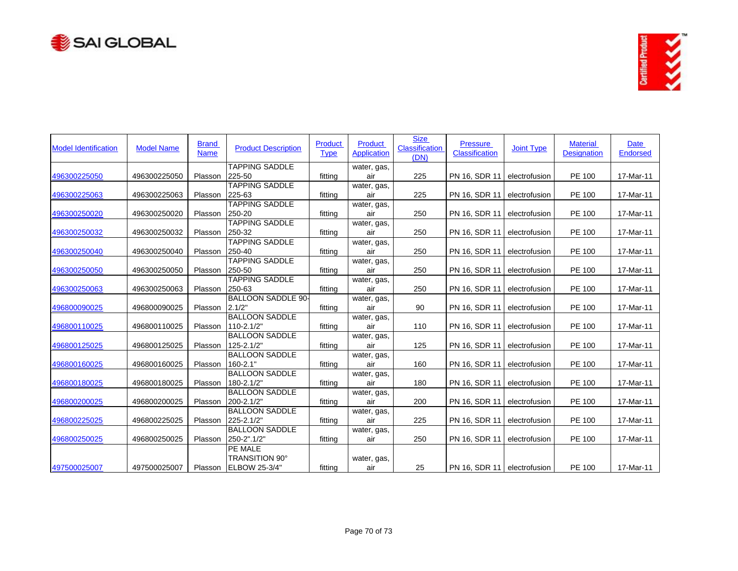



| <b>Model Identification</b> | <b>Model Name</b> | <b>Brand</b><br><b>Name</b> | <b>Product Description</b>            | Product<br><b>Type</b> | Product<br><b>Application</b> | <b>Size</b><br><b>Classification</b><br>(DN) | <b>Pressure</b><br><b>Classification</b> | <b>Joint Type</b> | <b>Material</b><br><b>Designation</b> | <b>Date</b><br><b>Endorsed</b> |
|-----------------------------|-------------------|-----------------------------|---------------------------------------|------------------------|-------------------------------|----------------------------------------------|------------------------------------------|-------------------|---------------------------------------|--------------------------------|
|                             |                   |                             | <b>TAPPING SADDLE</b>                 |                        | water, gas,                   |                                              |                                          |                   |                                       |                                |
| 496300225050                | 496300225050      | Plasson                     | 225-50                                | fitting                | air                           | 225                                          | PN 16, SDR 11                            | electrofusion     | PE 100                                | 17-Mar-11                      |
|                             |                   |                             | <b>TAPPING SADDLE</b>                 |                        | water, gas,                   |                                              |                                          |                   |                                       |                                |
| 496300225063                | 496300225063      | Plasson                     | 225-63                                | fitting                | air                           | 225                                          | PN 16, SDR 11                            | electrofusion     | <b>PE 100</b>                         | 17-Mar-11                      |
| 496300250020                | 496300250020      | Plasson                     | <b>TAPPING SADDLE</b><br>250-20       | fitting                | water, gas,<br>air            | 250                                          | PN 16, SDR 11                            | electrofusion     | PE 100                                | 17-Mar-11                      |
|                             |                   |                             | <b>TAPPING SADDLE</b>                 |                        |                               |                                              |                                          |                   |                                       |                                |
| 496300250032                | 496300250032      | Plasson                     | 250-32                                | fitting                | water, gas,<br>air            | 250                                          | PN 16, SDR 11                            | electrofusion     | PE 100                                | 17-Mar-11                      |
|                             |                   |                             | <b>TAPPING SADDLE</b>                 |                        | water, gas,                   |                                              |                                          |                   |                                       |                                |
| 496300250040                | 496300250040      | Plasson                     | 250-40                                | fitting                | air                           | 250                                          | PN 16, SDR 11                            | electrofusion     | PE 100                                | 17-Mar-11                      |
|                             |                   |                             | <b>TAPPING SADDLE</b>                 |                        | water, gas,                   |                                              |                                          |                   |                                       |                                |
| 496300250050                | 496300250050      | Plasson                     | 250-50                                | fitting                | air                           | 250                                          | PN 16, SDR 11                            | electrofusion     | <b>PE 100</b>                         | 17-Mar-11                      |
|                             |                   |                             | <b>TAPPING SADDLE</b>                 |                        | water, gas,                   |                                              |                                          |                   |                                       |                                |
| 496300250063                | 496300250063      | Plasson                     | 250-63                                | fitting                | air                           | 250                                          | PN 16, SDR 11                            | electrofusion     | PE 100                                | 17-Mar-11                      |
|                             |                   |                             | <b>BALLOON SADDLE 90-</b>             |                        | water, gas,                   |                                              |                                          |                   |                                       |                                |
| 496800090025                | 496800090025      | Plasson                     | 2.1/2"                                | fitting                | air                           | 90                                           | PN 16, SDR 11                            | electrofusion     | PE 100                                | 17-Mar-11                      |
|                             |                   |                             | <b>BALLOON SADDLE</b>                 |                        | water, gas,                   |                                              |                                          |                   |                                       |                                |
| 496800110025                | 496800110025      | Plasson                     | 110-2.1/2"                            | fitting                | air                           | 110                                          | PN 16, SDR 11                            | electrofusion     | PE 100                                | 17-Mar-11                      |
|                             |                   |                             | <b>BALLOON SADDLE</b>                 |                        | water, gas,                   |                                              |                                          |                   |                                       |                                |
| 496800125025                | 496800125025      | Plasson                     | 125-2.1/2"                            | fitting                | air                           | 125                                          | PN 16, SDR 11                            | electrofusion     | PE 100                                | 17-Mar-11                      |
|                             |                   |                             | <b>BALLOON SADDLE</b>                 |                        | water, gas,                   |                                              |                                          |                   |                                       |                                |
| 496800160025                | 496800160025      | Plasson                     | $160 - 2.1"$<br><b>BALLOON SADDLE</b> | fitting                | air                           | 160                                          | PN 16, SDR 11                            | electrofusion     | PE 100                                | 17-Mar-11                      |
| 496800180025                | 496800180025      | Plasson                     | 180-2.1/2"                            | fitting                | water, gas,<br>air            | 180                                          | PN 16, SDR 11                            | electrofusion     | PE 100                                | 17-Mar-11                      |
|                             |                   |                             | <b>BALLOON SADDLE</b>                 |                        | water, gas,                   |                                              |                                          |                   |                                       |                                |
| 496800200025                | 496800200025      | Plasson                     | 200-2.1/2"                            | fitting                | air                           | 200                                          | PN 16, SDR 11                            | electrofusion     | PE 100                                | 17-Mar-11                      |
|                             |                   |                             | <b>BALLOON SADDLE</b>                 |                        | water, gas,                   |                                              |                                          |                   |                                       |                                |
| 496800225025                | 496800225025      | Plasson                     | 225-2.1/2"                            | fitting                | air                           | 225                                          | PN 16, SDR 11                            | electrofusion     | PE 100                                | 17-Mar-11                      |
|                             |                   |                             | <b>BALLOON SADDLE</b>                 |                        | water, gas,                   |                                              |                                          |                   |                                       |                                |
| 496800250025                | 496800250025      | Plasson                     | 250-2".1/2"                           | fitting                | air                           | 250                                          | PN 16, SDR 11                            | electrofusion     | PE 100                                | 17-Mar-11                      |
|                             |                   |                             | PE MALE                               |                        |                               |                                              |                                          |                   |                                       |                                |
|                             |                   |                             | TRANSITION 90°                        |                        | water, gas,                   |                                              |                                          |                   |                                       |                                |
| 497500025007                | 497500025007      | Plasson                     | <b>ELBOW 25-3/4"</b>                  | fittina                | air                           | 25                                           | PN 16, SDR 11   electrofusion            |                   | PE 100                                | 17-Mar-11                      |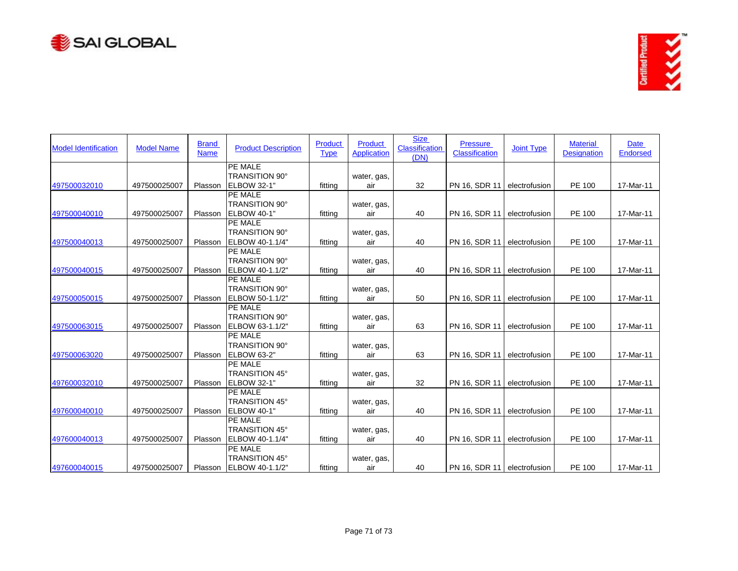



| <b>Model Identification</b> | <b>Model Name</b> | <b>Brand</b><br><b>Name</b> | <b>Product Description</b>               | Product<br><b>Type</b> | <b>Product</b><br><b>Application</b> | <b>Size</b><br><b>Classification</b><br>(DN) | <b>Pressure</b><br><b>Classification</b> | <b>Joint Type</b> | <b>Material</b><br><b>Designation</b> | Date<br><b>Endorsed</b> |
|-----------------------------|-------------------|-----------------------------|------------------------------------------|------------------------|--------------------------------------|----------------------------------------------|------------------------------------------|-------------------|---------------------------------------|-------------------------|
|                             |                   |                             | PE MALE                                  |                        |                                      |                                              |                                          |                   |                                       |                         |
|                             |                   |                             | <b>TRANSITION 90°</b>                    |                        | water, gas,                          |                                              |                                          |                   |                                       |                         |
| 497500032010                | 497500025007      | Plasson                     | <b>ELBOW 32-1"</b><br>PE MALE            | fitting                | air                                  | 32                                           | PN 16, SDR 11                            | electrofusion     | PE 100                                | 17-Mar-11               |
|                             |                   |                             |                                          |                        |                                      |                                              |                                          |                   |                                       |                         |
|                             | 497500025007      | Plasson                     | TRANSITION 90°<br>ELBOW 40-1"            | fittina                | water, gas,<br>air                   | 40                                           | PN 16, SDR 11                            | electrofusion     | PE 100                                | 17-Mar-11               |
| 497500040010                |                   |                             | <b>PE MALE</b>                           |                        |                                      |                                              |                                          |                   |                                       |                         |
|                             |                   |                             |                                          |                        |                                      |                                              |                                          |                   |                                       |                         |
|                             |                   |                             | <b>TRANSITION 90°</b>                    |                        | water, gas,                          |                                              |                                          |                   |                                       |                         |
| 497500040013                | 497500025007      | Plasson                     | ELBOW 40-1.1/4"                          | fitting                | air                                  | 40                                           | PN 16, SDR 11                            | electrofusion     | PE 100                                | 17-Mar-11               |
|                             |                   |                             | PE MALE                                  |                        |                                      |                                              |                                          |                   |                                       |                         |
|                             |                   | Plasson                     | <b>TRANSITION 90°</b><br>ELBOW 40-1.1/2" |                        | water, gas,                          |                                              | PN 16, SDR 11                            |                   | PE 100                                | 17-Mar-11               |
| 497500040015                | 497500025007      |                             | PE MALE                                  | fitting                | air                                  | 40                                           |                                          | electrofusion     |                                       |                         |
|                             |                   |                             | <b>TRANSITION 90°</b>                    |                        |                                      |                                              |                                          |                   |                                       |                         |
|                             |                   | Plasson                     | ELBOW 50-1.1/2"                          |                        | water, gas,                          |                                              |                                          |                   | PE 100                                |                         |
| 497500050015                | 497500025007      |                             | <b>PE MALE</b>                           | fitting                | air                                  | 50                                           | PN 16, SDR 11                            | electrofusion     |                                       | 17-Mar-11               |
|                             |                   |                             | <b>TRANSITION 90°</b>                    |                        |                                      |                                              |                                          |                   |                                       |                         |
|                             |                   |                             |                                          |                        | water, gas,                          |                                              |                                          |                   |                                       |                         |
| 497500063015                | 497500025007      | Plasson                     | ELBOW 63-1.1/2"                          | fitting                | air                                  | 63                                           | PN 16, SDR 11                            | electrofusion     | PE 100                                | 17-Mar-11               |
|                             |                   |                             | PE MALE                                  |                        |                                      |                                              |                                          |                   |                                       |                         |
|                             |                   |                             | <b>TRANSITION 90°</b>                    |                        | water, gas,                          |                                              |                                          |                   |                                       |                         |
| 497500063020                | 497500025007      | Plasson                     | ELBOW 63-2"                              | fitting                | air                                  | 63                                           | PN 16, SDR 11                            | electrofusion     | PE 100                                | 17-Mar-11               |
|                             |                   |                             | <b>PE MALE</b>                           |                        |                                      |                                              |                                          |                   |                                       |                         |
|                             |                   |                             | <b>TRANSITION 45°</b>                    |                        | water, gas,                          |                                              |                                          |                   |                                       |                         |
| 497600032010                | 497500025007      | Plasson                     | <b>ELBOW 32-1"</b>                       | fitting                | air                                  | 32                                           | PN 16, SDR 11                            | electrofusion     | PE 100                                | 17-Mar-11               |
|                             |                   |                             | PE MALE                                  |                        |                                      |                                              |                                          |                   |                                       |                         |
|                             |                   |                             | TRANSITION 45°                           |                        | water, gas,                          |                                              |                                          |                   |                                       |                         |
| 497600040010                | 497500025007      | Plasson                     | ELBOW 40-1"                              | fitting                | air                                  | 40                                           | PN 16, SDR 11                            | electrofusion     | PE 100                                | 17-Mar-11               |
|                             |                   |                             | PE MALE                                  |                        |                                      |                                              |                                          |                   |                                       |                         |
|                             |                   |                             | <b>TRANSITION 45°</b>                    |                        | water, gas,                          |                                              |                                          |                   |                                       |                         |
| 497600040013                | 497500025007      | Plasson                     | ELBOW 40-1.1/4"                          | fitting                | air                                  | 40                                           | PN 16, SDR 11                            | electrofusion     | PE 100                                | 17-Mar-11               |
|                             |                   |                             | <b>PE MALE</b>                           |                        |                                      |                                              |                                          |                   |                                       |                         |
|                             |                   |                             | <b>TRANSITION 45°</b>                    |                        | water, gas,                          |                                              |                                          |                   |                                       |                         |
| 497600040015                | 497500025007      |                             | Plasson ELBOW 40-1.1/2"                  | fitting                | air                                  | 40                                           | PN 16, SDR 11 electrofusion              |                   | PE 100                                | 17-Mar-11               |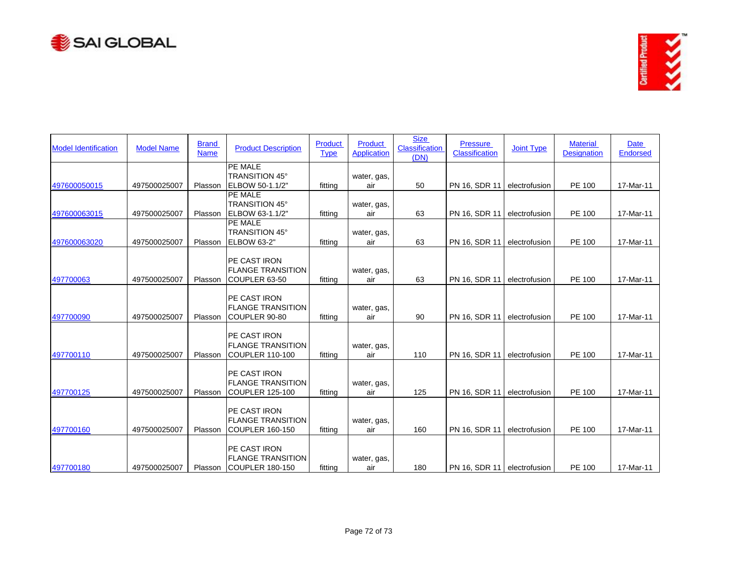



| <b>Model Identification</b> | <b>Model Name</b> | <b>Brand</b><br><b>Name</b> | <b>Product Description</b>                                          | Product<br><b>Type</b> | <b>Product</b><br><b>Application</b> | <b>Size</b><br><b>Classification</b><br>(DN) | <b>Pressure</b><br><b>Classification</b> | <b>Joint Type</b> | <b>Material</b><br><b>Designation</b> | <b>Date</b><br>Endorsed |
|-----------------------------|-------------------|-----------------------------|---------------------------------------------------------------------|------------------------|--------------------------------------|----------------------------------------------|------------------------------------------|-------------------|---------------------------------------|-------------------------|
| 497600050015                | 497500025007      | Plasson                     | PE MALE<br>TRANSITION 45°<br>ELBOW 50-1.1/2"                        | fitting                | water, gas,<br>air                   | 50                                           | PN 16, SDR 11                            | electrofusion     | PE 100                                | 17-Mar-11               |
|                             |                   |                             | PE MALE<br>TRANSITION 45°                                           |                        | water, gas,                          |                                              |                                          |                   |                                       |                         |
| 497600063015                | 497500025007      | Plasson                     | ELBOW 63-1.1/2"<br>PE MALE                                          | fitting                | air                                  | 63                                           | PN 16, SDR 11                            | electrofusion     | PE 100                                | 17-Mar-11               |
| 497600063020                | 497500025007      | Plasson                     | <b>TRANSITION 45°</b><br>ELBOW 63-2"                                | fitting                | water, gas,<br>air                   | 63                                           | PN 16, SDR 11                            | electrofusion     | PE 100                                | 17-Mar-11               |
| 497700063                   | 497500025007      | Plasson                     | PE CAST IRON<br><b>FLANGE TRANSITION</b><br>COUPLER 63-50           | fitting                | water, gas,<br>air                   | 63                                           | PN 16, SDR 11                            | electrofusion     | PE 100                                | 17-Mar-11               |
| 497700090                   | 497500025007      | Plasson                     | PE CAST IRON<br><b>FLANGE TRANSITION</b><br>COUPLER 90-80           | fitting                | water, gas,<br>air                   | 90                                           | PN 16, SDR 11                            | electrofusion     | PE 100                                | 17-Mar-11               |
| 497700110                   | 497500025007      | Plasson                     | PE CAST IRON<br><b>FLANGE TRANSITION</b><br><b>COUPLER 110-100</b>  | fitting                | water, gas,<br>air                   | 110                                          | PN 16, SDR 11                            | electrofusion     | PE 100                                | 17-Mar-11               |
| 497700125                   | 497500025007      | Plasson                     | PE CAST IRON<br><b>FLANGE TRANSITION</b><br>COUPLER 125-100         | fitting                | water, gas,<br>air                   | 125                                          | PN 16, SDR 11                            | electrofusion     | PE 100                                | 17-Mar-11               |
| 497700160                   | 497500025007      | Plasson                     | PE CAST IRON<br><b>FLANGE TRANSITION</b><br>COUPLER 160-150         | fitting                | water, gas,<br>air                   | 160                                          | PN 16, SDR 11                            | electrofusion     | PE 100                                | 17-Mar-11               |
| 497700180                   | 497500025007      |                             | PE CAST IRON<br><b>FLANGE TRANSITION</b><br>Plasson COUPLER 180-150 | fitting                | water, gas,<br>air                   | 180                                          | PN 16, SDR 11   electrofusion            |                   | <b>PE 100</b>                         | 17-Mar-11               |